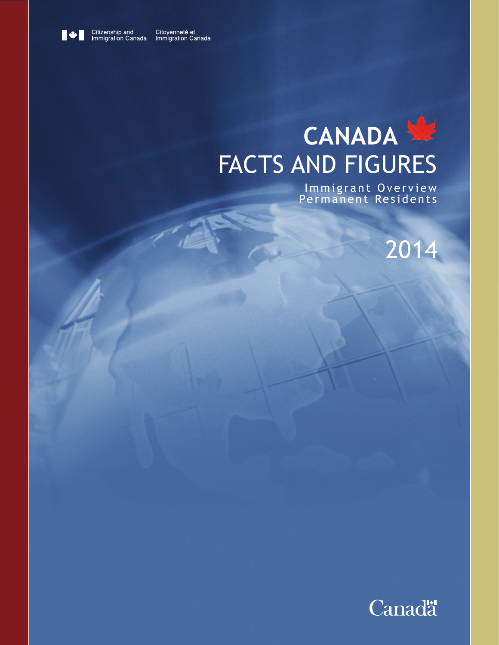

Citoyenneté et<br>Immigration Canada

# **CANADA** FACTS AND FIGURES

Immigrant Overview Permanent Residents

2014

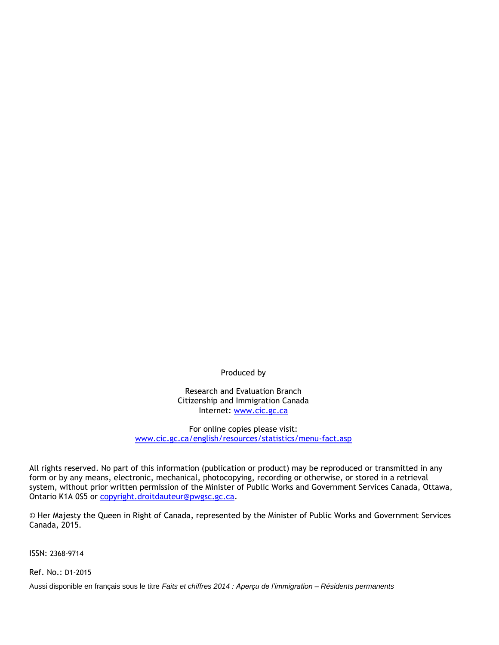Produced by

Research and Evaluation Branch Citizenship and Immigration Canada Internet: [www.cic.gc.ca](http://www.cic.gc.ca/)

For online copies please visit: [www.cic.gc.ca/english/resources/statistics/menu-fact.asp](http://www.cic.gc.ca/english/resources/statistics/menu-fact.asp)

All rights reserved. No part of this information (publication or product) may be reproduced or transmitted in any form or by any means, electronic, mechanical, photocopying, recording or otherwise, or stored in a retrieval system, without prior written permission of the Minister of Public Works and Government Services Canada, Ottawa, Ontario K1A 0S5 or [copyright.droitdauteur@pwgsc.gc.ca.](mailto:copyright.droitdauteur@pwgsc.gc.ca)

© Her Majesty the Queen in Right of Canada, represented by the Minister of Public Works and Government Services Canada, 2015.

ISSN: 2368-9714

Ref. No.: D1-2015

Aussi disponible en français sous le titre *Faits et chiffres 2014 : Aperçu de l'immigration – Résidents permanents*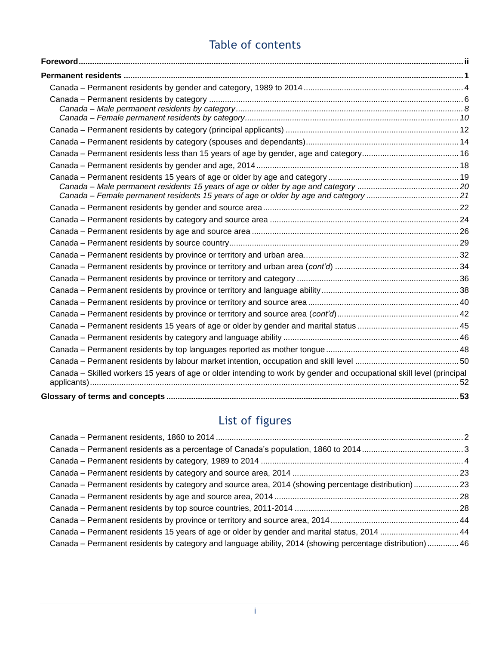# Table of contents

| Canada - Skilled workers 15 years of age or older intending to work by gender and occupational skill level (principal |  |
|-----------------------------------------------------------------------------------------------------------------------|--|
|                                                                                                                       |  |

# List of figures

| Canada – Permanent residents by category and source area, 2014 (showing percentage distribution)23       |  |
|----------------------------------------------------------------------------------------------------------|--|
|                                                                                                          |  |
|                                                                                                          |  |
|                                                                                                          |  |
| Canada – Permanent residents 15 years of age or older by gender and marital status, 2014  44             |  |
| Canada – Permanent residents by category and language ability, 2014 (showing percentage distribution) 46 |  |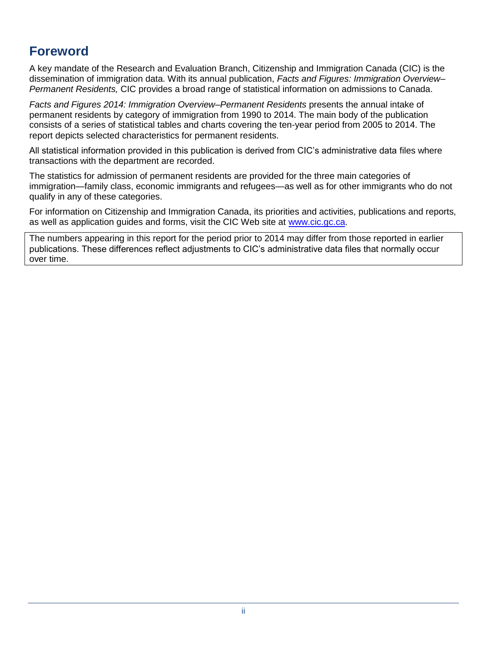# <span id="page-3-0"></span>**Foreword**

A key mandate of the Research and Evaluation Branch, Citizenship and Immigration Canada (CIC) is the dissemination of immigration data. With its annual publication, *Facts and Figures: Immigration Overview– Permanent Residents,* CIC provides a broad range of statistical information on admissions to Canada.

*Facts and Figures 2014: Immigration Overview–Permanent Residents* presents the annual intake of permanent residents by category of immigration from 1990 to 2014. The main body of the publication consists of a series of statistical tables and charts covering the ten-year period from 2005 to 2014. The report depicts selected characteristics for permanent residents.

All statistical information provided in this publication is derived from CIC's administrative data files where transactions with the department are recorded.

The statistics for admission of permanent residents are provided for the three main categories of immigration—family class, economic immigrants and refugees—as well as for other immigrants who do not qualify in any of these categories.

For information on Citizenship and Immigration Canada, its priorities and activities, publications and reports, as well as application guides and forms, visit the CIC Web site at [www.cic.gc.ca.](http://www.cic.gc.ca/)

The numbers appearing in this report for the period prior to 2014 may differ from those reported in earlier publications. These differences reflect adjustments to CIC's administrative data files that normally occur over time.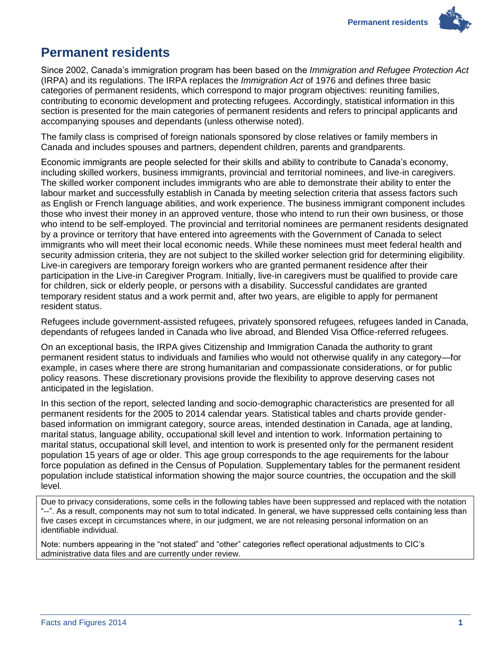

# <span id="page-4-0"></span>**Permanent residents**

Since 2002, Canada's immigration program has been based on the *Immigration and Refugee Protection Act* (IRPA) and its regulations. The IRPA replaces the *Immigration Act* of 1976 and defines three basic categories of permanent residents, which correspond to major program objectives: reuniting families, contributing to economic development and protecting refugees. Accordingly, statistical information in this section is presented for the main categories of permanent residents and refers to principal applicants and accompanying spouses and dependants (unless otherwise noted).

The family class is comprised of foreign nationals sponsored by close relatives or family members in Canada and includes spouses and partners, dependent children, parents and grandparents.

Economic immigrants are people selected for their skills and ability to contribute to Canada's economy, including skilled workers, business immigrants, provincial and territorial nominees, and live-in caregivers. The skilled worker component includes immigrants who are able to demonstrate their ability to enter the labour market and successfully establish in Canada by meeting selection criteria that assess factors such as English or French language abilities, and work experience. The business immigrant component includes those who invest their money in an approved venture, those who intend to run their own business, or those who intend to be self-employed. The provincial and territorial nominees are permanent residents designated by a province or territory that have entered into agreements with the Government of Canada to select immigrants who will meet their local economic needs. While these nominees must meet federal health and security admission criteria, they are not subject to the skilled worker selection grid for determining eligibility. Live-in caregivers are temporary foreign workers who are granted permanent residence after their participation in the Live-in Caregiver Program. Initially, live-in caregivers must be qualified to provide care for children, sick or elderly people, or persons with a disability. Successful candidates are granted temporary resident status and a work permit and, after two years, are eligible to apply for permanent resident status.

Refugees include government-assisted refugees, privately sponsored refugees, refugees landed in Canada, dependants of refugees landed in Canada who live abroad, and Blended Visa Office-referred refugees.

On an exceptional basis, the IRPA gives Citizenship and Immigration Canada the authority to grant permanent resident status to individuals and families who would not otherwise qualify in any category—for example, in cases where there are strong humanitarian and compassionate considerations, or for public policy reasons. These discretionary provisions provide the flexibility to approve deserving cases not anticipated in the legislation.

In this section of the report, selected landing and socio-demographic characteristics are presented for all permanent residents for the 2005 to 2014 calendar years. Statistical tables and charts provide genderbased information on immigrant category, source areas, intended destination in Canada, age at landing, marital status, language ability, occupational skill level and intention to work. Information pertaining to marital status, occupational skill level, and intention to work is presented only for the permanent resident population 15 years of age or older. This age group corresponds to the age requirements for the labour force population as defined in the Census of Population. Supplementary tables for the permanent resident population include statistical information showing the major source countries, the occupation and the skill level.

Due to privacy considerations, some cells in the following tables have been suppressed and replaced with the notation "--". As a result, components may not sum to total indicated. In general, we have suppressed cells containing less than five cases except in circumstances where, in our judgment, we are not releasing personal information on an identifiable individual.

Note: numbers appearing in the "not stated" and "other" categories reflect operational adjustments to CIC's administrative data files and are currently under review.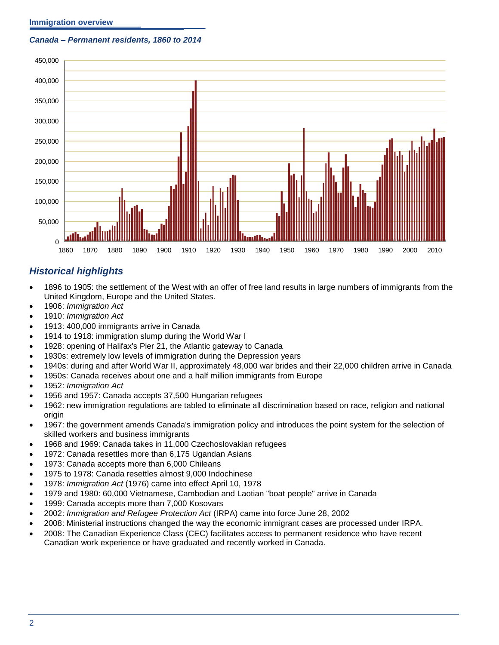#### <span id="page-5-0"></span>*Canada – Permanent residents, 1860 to 2014*



### *Historical highlights*

- 1896 to 1905: the settlement of the West with an offer of free land results in large numbers of immigrants from the United Kingdom, Europe and the United States.
- 1906: *Immigration Act*
- 1910: *Immigration Act*
- 1913: 400,000 immigrants arrive in Canada
- 1914 to 1918: immigration slump during the World War I
- 1928: opening of Halifax's Pier 21, the Atlantic gateway to Canada
- 1930s: extremely low levels of immigration during the Depression years
- 1940s: during and after World War II, approximately 48,000 war brides and their 22,000 children arrive in Canada
- 1950s: Canada receives about one and a half million immigrants from Europe
- 1952: *Immigration Act*
- 1956 and 1957: Canada accepts 37,500 Hungarian refugees
- 1962: new immigration regulations are tabled to eliminate all discrimination based on race, religion and national origin
- 1967: the government amends Canada's immigration policy and introduces the point system for the selection of skilled workers and business immigrants
- 1968 and 1969: Canada takes in 11,000 Czechoslovakian refugees
- 1972: Canada resettles more than 6,175 Ugandan Asians
- 1973: Canada accepts more than 6,000 Chileans
- 1975 to 1978: Canada resettles almost 9,000 Indochinese
- 1978: *Immigration Act* (1976) came into effect April 10, 1978
- 1979 and 1980: 60,000 Vietnamese, Cambodian and Laotian "boat people" arrive in Canada
- 1999: Canada accepts more than 7,000 Kosovars
- 2002: *Immigration and Refugee Protection Act* (IRPA) came into force June 28, 2002
- 2008: Ministerial instructions changed the way the economic immigrant cases are processed under IRPA.
- 2008: The Canadian Experience Class (CEC) facilitates access to permanent residence who have recent Canadian work experience or have graduated and recently worked in Canada.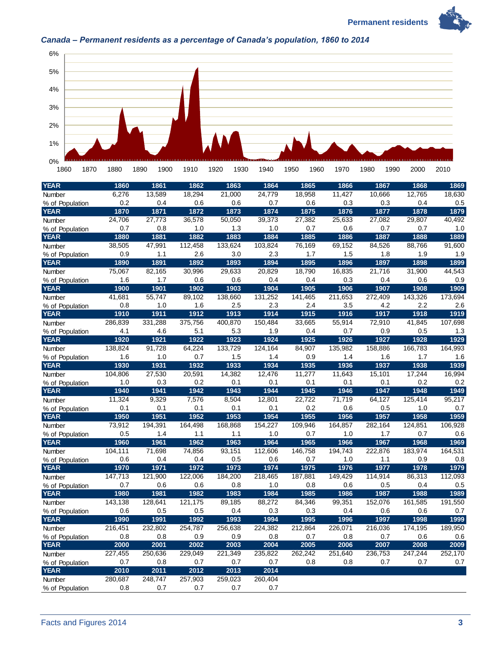**Permanent residents** 





### <span id="page-6-0"></span>*Canada – Permanent residents as a percentage of Canada's population, 1860 to 2014*

| 0%<br>1860      | 1870 | 1880    | 1890 | 1900    | 1910    | 1920 | 1930    | 1940    | 1950 | 1960    | 1970    | 1980    | 1990 | 2000    | 2010    |
|-----------------|------|---------|------|---------|---------|------|---------|---------|------|---------|---------|---------|------|---------|---------|
| <b>YEAR</b>     |      | 1860    |      | 1861    | 1862    |      | 1863    | 1864    |      | 1865    | 1866    |         | 1867 | 1868    | 1869    |
| Number          |      | 6,276   |      | 13,589  | 18,294  |      | 21,000  | 24,779  |      | 18,958  | 11,427  | 10,666  |      | 12,765  | 18,630  |
| % of Population |      | 0.2     |      | 0.4     | 0.6     |      | 0.6     | 0.7     |      | 0.6     | 0.3     |         | 0.3  | 0.4     | 0.5     |
| <b>YEAR</b>     |      | 1870    |      | 1871    | 1872    |      | 1873    | 1874    |      | 1875    | 1876    |         | 1877 | 1878    | 1879    |
| Number          |      | 24,706  |      | 27,773  | 36,578  |      | 50,050  | 39,373  |      | 27,382  | 25,633  | 27,082  |      | 29,807  | 40,492  |
| % of Population |      | 0.7     |      | 0.8     | 1.0     |      | 1.3     | 1.0     |      | 0.7     | 0.6     |         | 0.7  | 0.7     | 1.0     |
| <b>YEAR</b>     |      | 1880    |      | 1881    | 1882    |      | 1883    | 1884    |      | 1885    | 1886    |         | 1887 | 1888    | 1889    |
| Number          |      | 38,505  |      | 47,991  | 112,458 |      | 133,624 | 103,824 |      | 76,169  | 69,152  | 84,526  |      | 88,766  | 91,600  |
| % of Population |      | 0.9     |      | 1.1     | 2.6     |      | 3.0     | 2.3     |      | 1.7     | 1.5     |         | 1.8  | 1.9     | 1.9     |
| <b>YEAR</b>     |      | 1890    |      | 1891    | 1892    |      | 1893    | 1894    |      | 1895    | 1896    |         | 1897 | 1898    | 1899    |
| Number          |      | 75,067  |      | 82,165  | 30,996  |      | 29,633  | 20,829  |      | 18,790  | 16,835  | 21,716  |      | 31,900  | 44,543  |
| % of Population |      | 1.6     |      | 1.7     | 0.6     |      | 0.6     | 0.4     |      | 0.4     | 0.3     |         | 0.4  | 0.6     | 0.9     |
| <b>YEAR</b>     |      | 1900    |      | 1901    | 1902    |      | 1903    | 1904    |      | 1905    | 1906    |         | 1907 | 1908    | 1909    |
| Number          |      | 41,681  |      | 55,747  | 89,102  |      | 138,660 | 131,252 |      | 141,465 | 211,653 | 272,409 |      | 143,326 | 173,694 |
| % of Population |      | 0.8     |      | 1.0     | 1.6     |      | 2.5     | 2.3     |      | 2.4     | 3.5     |         | 4.2  | 2.2     | 2.6     |
| YEAR            |      | 1910    |      | 1911    | 1912    |      | 1913    | 1914    |      | 1915    | 1916    |         | 1917 | 1918    | 1919    |
| Number          |      | 286,839 |      | 331,288 | 375,756 |      | 400,870 | 150,484 |      | 33,665  | 55,914  | 72,910  |      | 41,845  | 107,698 |
| % of Population |      | 4.1     |      | 4.6     | 5.1     |      | 5.3     | 1.9     |      | 0.4     | 0.7     |         | 0.9  | 0.5     | 1.3     |
| <b>YEAR</b>     |      | 1920    |      | 1921    | 1922    |      | 1923    | 1924    |      | 1925    | 1926    |         | 1927 | 1928    | 1929    |
| Number          |      | 138,824 |      | 91,728  | 64,224  |      | 133,729 | 124,164 |      | 84,907  | 135,982 | 158,886 |      | 166.783 | 164,993 |
| % of Population |      | 1.6     |      | 1.0     | 0.7     |      | 1.5     | 1.4     |      | 0.9     | 1.4     |         | 1.6  | 1.7     | 1.6     |
| <b>YEAR</b>     |      | 1930    |      | 1931    | 1932    |      | 1933    | 1934    |      | 1935    | 1936    |         | 1937 | 1938    | 1939    |
| Number          |      | 104,806 |      | 27,530  | 20,591  |      | 14,382  | 12,476  |      | 11,277  | 11,643  | 15,101  |      | 17,244  | 16,994  |
| % of Population |      | 1.0     |      | 0.3     | 0.2     |      | 0.1     | 0.1     |      | 0.1     | 0.1     |         | 0.1  | 0.2     | 0.2     |
| YEAR            |      | 1940    |      | 1941    | 1942    |      | 1943    | 1944    |      | 1945    | 1946    |         | 1947 | 1948    | 1949    |
| Number          |      | 11,324  |      | 9,329   | 7,576   |      | 8,504   | 12,801  |      | 22,722  | 71,719  | 64,127  |      | 125,414 | 95,217  |
| % of Population |      | 0.1     |      | 0.1     | 0.1     |      | 0.1     | 0.1     |      | 0.2     | 0.6     |         | 0.5  | 1.0     | 0.7     |
| <b>YEAR</b>     |      | 1950    |      | 1951    | 1952    |      | 1953    | 1954    |      | 1955    | 1956    |         | 1957 | 1958    | 1959    |
| Number          |      | 73,912  |      | 194,391 | 164,498 |      | 168,868 | 154,227 |      | 109,946 | 164,857 | 282,164 |      | 124,851 | 106,928 |
| % of Population |      | 0.5     |      | 1.4     | 1.1     |      | 1.1     | 1.0     |      | 0.7     | 1.0     |         | 1.7  | 0.7     | 0.6     |
| <b>YEAR</b>     |      | 1960    |      | 1961    | 1962    |      | 1963    | 1964    |      | 1965    | 1966    |         | 1967 | 1968    | 1969    |
| Number          |      | 104,111 |      | 71,698  | 74,856  |      | 93,151  | 112,606 |      | 146,758 | 194,743 | 222,876 |      | 183,974 | 164,531 |
| % of Population |      | 0.6     |      | 0.4     | 0.4     |      | 0.5     | 0.6     |      | 0.7     | 1.0     |         | 1.1  | 0.9     | 0.8     |
| <b>YEAR</b>     |      | 1970    |      | 1971    | 1972    |      | 1973    | 1974    |      | 1975    | 1976    |         | 1977 | 1978    | 1979    |
| Number          |      | 147,713 |      | 121,900 | 122,006 |      | 184,200 | 218,465 |      | 187,881 | 149,429 | 114,914 |      | 86,313  | 112,093 |
| % of Population |      | 0.7     |      | 0.6     | 0.6     |      | 0.8     | 1.0     |      | 0.8     | 0.6     |         | 0.5  | 0.4     | 0.5     |
| <b>YEAR</b>     |      | 1980    |      | 1981    | 1982    |      | 1983    | 1984    |      | 1985    | 1986    |         | 1987 | 1988    | 1989    |
| Number          |      | 143,138 |      | 128,641 | 121,175 |      | 89,185  | 88,272  |      | 84,346  | 99,351  | 152,076 |      | 161,585 | 191,550 |
| % of Population |      | 0.6     |      | 0.5     | 0.5     |      | 0.4     | 0.3     |      | 0.3     | 0.4     |         | 0.6  | 0.6     | 0.7     |
| YEAR            |      | 1990    |      | 1991    | 1992    |      | 1993    | 1994    |      | 1995    | 1996    |         | 1997 | 1998    | 1999    |
| Number          |      | 216,451 |      | 232,802 | 254,787 |      | 256,638 | 224,382 |      | 212,864 | 226,071 | 216,036 |      | 174,195 | 189,950 |
| % of Population |      | 0.8     |      | 0.8     | 0.9     |      | 0.9     | 0.8     |      | 0.7     | 0.8     |         | 0.7  | 0.6     | 0.6     |
| <b>YEAR</b>     |      | 2000    |      | 2001    | 2002    |      | 2003    | 2004    |      | 2005    | 2006    |         | 2007 | 2008    | 2009    |
| Number          |      | 227,455 |      | 250,636 | 229,049 |      | 221,349 | 235,822 |      | 262,242 | 251,640 | 236,753 |      | 247,244 | 252,170 |
| % of Population |      | 0.7     |      | 0.8     | 0.7     |      | 0.7     | 0.7     |      | 0.8     | 0.8     |         | 0.7  | 0.7     | 0.7     |
| <b>YEAR</b>     |      | 2010    |      | 2011    | 2012    |      | 2013    | 2014    |      |         |         |         |      |         |         |
| Number          |      | 280,687 |      | 248,747 | 257,903 |      | 259,023 | 260,404 |      |         |         |         |      |         |         |
| % of Population |      | 0.8     |      | 0.7     | 0.7     |      | 0.7     | 0.7     |      |         |         |         |      |         |         |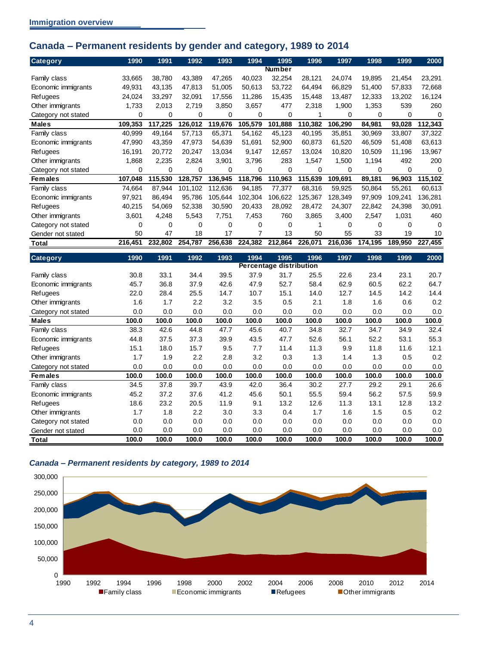## <span id="page-7-0"></span>**Canada – Permanent residents by gender and category, 1989 to 2014**

| <b>Category</b>     | 1990    | 1991    | 1992     | 1993    | 1994    | 1995                           | 1996    | 1997     | 1998    | 1999     | 2000     |
|---------------------|---------|---------|----------|---------|---------|--------------------------------|---------|----------|---------|----------|----------|
|                     |         |         |          |         |         | <b>Number</b>                  |         |          |         |          |          |
| Family class        | 33,665  | 38,780  | 43.389   | 47,265  | 40,023  | 32.254                         | 28,121  | 24.074   | 19,895  | 21,454   | 23,291   |
| Economic immigrants | 49,931  | 43.135  | 47,813   | 51,005  | 50.613  | 53.722                         | 64,494  | 66.829   | 51.400  | 57,833   | 72,668   |
| Refugees            | 24,024  | 33.297  | 32,091   | 17,556  | 11.286  | 15,435                         | 15,448  | 13,487   | 12.333  | 13,202   | 16,124   |
| Other immigrants    | 1,733   | 2,013   | 2,719    | 3,850   | 3,657   | 477                            | 2,318   | 1,900    | 1,353   | 539      | 260      |
| Category not stated | 0       | 0       | 0        | 0       | 0       | 0                              |         | 0        | 0       | 0        | $\Omega$ |
| <b>Males</b>        | 109,353 | 117,225 | 126,012  | 119,676 | 105,579 | 101,888                        | 110,382 | 106,290  | 84,981  | 93,028   | 112,343  |
| Family class        | 40,999  | 49.164  | 57,713   | 65,371  | 54,162  | 45,123                         | 40,195  | 35,851   | 30,969  | 33,807   | 37,322   |
| Economic immigrants | 47,990  | 43.359  | 47,973   | 54,639  | 51,691  | 52.900                         | 60,873  | 61.520   | 46.509  | 51,408   | 63,613   |
| Refugees            | 16,191  | 20,772  | 20,247   | 13,034  | 9,147   | 12,657                         | 13,024  | 10,820   | 10,509  | 11,196   | 13,967   |
| Other immigrants    | 1,868   | 2,235   | 2,824    | 3,901   | 3,796   | 283                            | 1,547   | 1,500    | 1,194   | 492      | 200      |
| Category not stated | 0       | 0       | $\Omega$ | 0       | 0       | $\Omega$                       | 0       | 0        | 0       | $\Omega$ | $\Omega$ |
| <b>Females</b>      | 107,048 | 115,530 | 128,757  | 136,945 | 118,796 | 110,963                        | 115,639 | 109,691  | 89,181  | 96,903   | 115,102  |
| Family class        | 74,664  | 87.944  | 101,102  | 112,636 | 94,185  | 77,377                         | 68,316  | 59,925   | 50.864  | 55,261   | 60,613   |
| Economic immigrants | 97,921  | 86.494  | 95.786   | 105,644 | 102,304 | 106.622                        | 125.367 | 128.349  | 97.909  | 109.241  | 136,281  |
| Refugees            | 40,215  | 54.069  | 52.338   | 30,590  | 20.433  | 28,092                         | 28.472  | 24,307   | 22,842  | 24,398   | 30,091   |
| Other immigrants    | 3,601   | 4,248   | 5,543    | 7,751   | 7,453   | 760                            | 3.865   | 3,400    | 2,547   | 1,031    | 460      |
| Category not stated | 0       | 0       | $\Omega$ | 0       | 0       | 0                              |         | $\Omega$ | 0       | $\Omega$ | $\Omega$ |
| Gender not stated   | 50      | 47      | 18       | 17      | 7       | 13                             | 50      | 55       | 33      | 19       | 10       |
| Total               | 216,451 | 232,802 | 254,787  | 256,638 | 224,382 | 212,864                        | 226,071 | 216,036  | 174,195 | 189,950  | 227,455  |
| <b>Category</b>     | 1990    | 1991    | 1992     | 1993    | 1994    | 1995                           | 1996    | 1997     | 1998    | 1999     | 2000     |
|                     |         |         |          |         |         | <b>Percentage distribution</b> |         |          |         |          |          |
| Family class        | 30.8    | 33.1    | 34.4     | 39.5    | 37.9    | 31.7                           | 25.5    | 22.6     | 23.4    | 23.1     | 20.7     |
|                     |         |         |          |         |         |                                |         |          |         |          |          |

|                     |       |       |       |       |       | - -   |       |       |       |       |       |
|---------------------|-------|-------|-------|-------|-------|-------|-------|-------|-------|-------|-------|
| Family class        | 30.8  | 33.1  | 34.4  | 39.5  | 37.9  | 31.7  | 25.5  | 22.6  | 23.4  | 23.1  | 20.7  |
| Economic immigrants | 45.7  | 36.8  | 37.9  | 42.6  | 47.9  | 52.7  | 58.4  | 62.9  | 60.5  | 62.2  | 64.7  |
| Refugees            | 22.0  | 28.4  | 25.5  | 14.7  | 10.7  | 15.1  | 14.0  | 12.7  | 14.5  | 14.2  | 14.4  |
| Other immigrants    | 1.6   | 1.7   | 2.2   | 3.2   | 3.5   | 0.5   | 2.1   | 1.8   | 1.6   | 0.6   | 0.2   |
| Category not stated | 0.0   | 0.0   | 0.0   | 0.0   | 0.0   | 0.0   | 0.0   | 0.0   | 0.0   | 0.0   | 0.0   |
| <b>Males</b>        | 100.0 | 100.0 | 100.0 | 100.0 | 100.0 | 100.0 | 100.0 | 100.0 | 100.0 | 100.0 | 100.0 |
| Family class        | 38.3  | 42.6  | 44.8  | 47.7  | 45.6  | 40.7  | 34.8  | 32.7  | 34.7  | 34.9  | 32.4  |
| Economic immigrants | 44.8  | 37.5  | 37.3  | 39.9  | 43.5  | 47.7  | 52.6  | 56.1  | 52.2  | 53.1  | 55.3  |
| Refugees            | 15.1  | 18.0  | 15.7  | 9.5   | 7.7   | 11.4  | 11.3  | 9.9   | 11.8  | 11.6  | 12.1  |
| Other immigrants    | 1.7   | 1.9   | 2.2   | 2.8   | 3.2   | 0.3   | 1.3   | 1.4   | 1.3   | 0.5   | 0.2   |
| Category not stated | 0.0   | 0.0   | 0.0   | 0.0   | 0.0   | 0.0   | 0.0   | 0.0   | 0.0   | 0.0   | 0.0   |
| <b>Females</b>      | 100.0 | 100.0 | 100.0 | 100.0 | 100.0 | 100.0 | 100.0 | 100.0 | 100.0 | 100.0 | 100.0 |
| Family class        | 34.5  | 37.8  | 39.7  | 43.9  | 42.0  | 36.4  | 30.2  | 27.7  | 29.2  | 29.1  | 26.6  |
| Economic immigrants | 45.2  | 37.2  | 37.6  | 41.2  | 45.6  | 50.1  | 55.5  | 59.4  | 56.2  | 57.5  | 59.9  |
| Refugees            | 18.6  | 23.2  | 20.5  | 11.9  | 9.1   | 13.2  | 12.6  | 11.3  | 13.1  | 12.8  | 13.2  |
| Other immigrants    | 1.7   | 1.8   | 2.2   | 3.0   | 3.3   | 0.4   | 1.7   | 1.6   | 1.5   | 0.5   | 0.2   |
| Category not stated | 0.0   | 0.0   | 0.0   | 0.0   | 0.0   | 0.0   | 0.0   | 0.0   | 0.0   | 0.0   | 0.0   |
| Gender not stated   | 0.0   | 0.0   | 0.0   | 0.0   | 0.0   | 0.0   | 0.0   | 0.0   | 0.0   | 0.0   | 0.0   |
| Total               | 100.0 | 100.0 | 100.0 | 100.0 | 100.0 | 100.0 | 100.0 | 100.0 | 100.0 | 100.0 | 100.0 |

#### <span id="page-7-1"></span>*Canada – Permanent residents by category, 1989 to 2014*

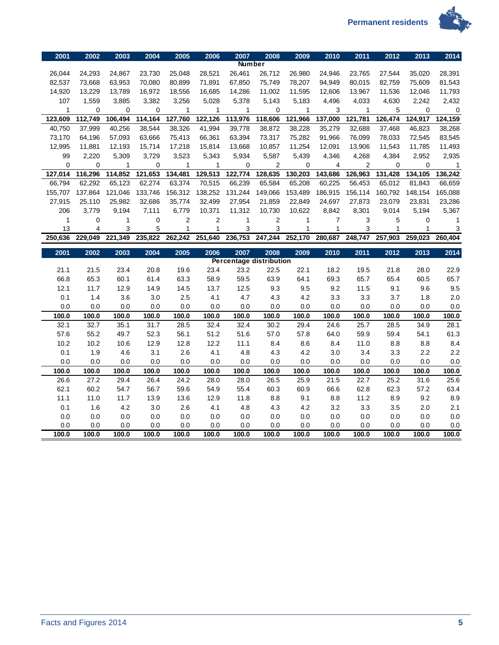



| 2001         | 2002           | 2003         | 2004         | 2005             | 2006         | 2007          | 2008                           | 2009         | 2010           | 2011         | 2012         | 2013         | 2014         |
|--------------|----------------|--------------|--------------|------------------|--------------|---------------|--------------------------------|--------------|----------------|--------------|--------------|--------------|--------------|
|              |                |              |              |                  |              | <b>Number</b> |                                |              |                |              |              |              |              |
| 26,044       | 24,293         | 24,867       | 23,730       | 25,048           | 28,521       | 26,461        | 26,712                         | 26,980       | 24,946         | 23,765       | 27,544       | 35,020       | 28,391       |
| 82,537       | 73,668         | 63,953       | 70,080       | 80,899           | 71,891       | 67,850        | 75,749                         | 78,207       | 94,949         | 80,015       | 82,759       | 75,609       | 81,543       |
| 14,920       | 13,229         | 13,789       | 16,972       | 18,556           | 16,685       | 14,286        | 11,002                         | 11,595       | 12,606         | 13,967       | 11,536       | 12,046       | 11,793       |
| 107          | 1,559          | 3,885        | 3,382        | 3,256            | 5,028        | 5,378         | 5,143                          | 5,183        | 4,496          | 4,033        | 4,630        | 2,242        | 2,432        |
| 1            | 0              | $\mathbf 0$  | $\mathbf 0$  | $\mathbf{1}$     | $\mathbf{1}$ | 1             | 0                              | 1            | 3              | $\mathbf{1}$ | 5            | $\mathbf 0$  | $\pmb{0}$    |
| 123,609      | 112,749        | 106,494      | 114,164      | 127,760          | 122,126      | 113,976       | 118,606                        | 121,966      | 137,000        | 121,781      | 126,474      | 124,917      | 124,159      |
| 40,750       | 37,999         | 40,256       | 38,544       | 38,326           | 41,994       | 39,778        | 38,872                         | 38,228       | 35,279         | 32,688       | 37,468       | 46,823       | 38,268       |
| 73,170       | 64,196         | 57,093       | 63,666       | 75,413           | 66,361       | 63,394        | 73,317                         | 75,282       | 91,966         | 76,099       | 78,033       | 72,545       | 83,545       |
| 12,995       | 11,881         | 12,193       | 15,714       | 17,218           | 15,814       | 13,668        | 10,857                         | 11,254       | 12,091         | 13,906       | 11,543       | 11,785       | 11,493       |
| 99           | 2,220          | 5,309        | 3,729        | 3,523            | 5,343        | 5,934         | 5,587                          | 5,439        | 4,346          | 4,268        | 4,384        | 2,952        | 2,935        |
| $\Omega$     | 0              | 1            | $\mathbf 0$  | 1                | 1            | $\Omega$      | 2                              | 0            | 4              | 2            | 0            | $\mathbf 0$  | $\mathbf{1}$ |
| 127,014      | 116,296        | 114,852      | 121,653      | 134,481          | 129,513      | 122,774       | 128,635                        | 130,203      | 143,686        | 126,963      | 131,428      | 134,105      | 136,242      |
| 66,794       | 62,292         | 65,123       | 62,274       | 63,374           | 70,515       | 66,239        | 65,584                         | 65,208       | 60,225         | 56,453       | 65,012       | 81,843       | 66,659       |
| 155,707      | 137,864        | 121,046      | 133,746      | 156,312          | 138,252      | 131,244       | 149,066                        | 153,489      | 186,915        | 156,114      | 160,792      | 148,154      | 165,088      |
| 27,915       | 25,110         | 25,982       | 32,686       | 35,774           | 32,499       | 27,954        | 21,859                         | 22,849       | 24,697         | 27,873       | 23,079       | 23,831       | 23,286       |
| 206          | 3,779          | 9,194        | 7,111        | 6,779            | 10,371       | 11,312        | 10,730                         | 10,622       | 8,842          | 8,301        | 9,014        | 5,194        | 5,367        |
| 1            | 0              | $\mathbf{1}$ | $\mathbf 0$  | $\boldsymbol{2}$ | 2            | $\mathbf{1}$  | $\overline{\mathbf{c}}$        | $\mathbf{1}$ | $\overline{7}$ | 3            | 5            | $\mathbf 0$  | 1            |
| 13           | $\overline{4}$ | 3            | 5            | $\mathbf{1}$     | 1            | 3             | 3                              | $\mathbf{1}$ | $\mathbf{1}$   | 3            | 1            | 1            | 3            |
| 250.636      | 229.049        | 221,349      | 235,822      | 262,242          | 251,640      | 236,753       | 247,244                        | 252,170      | 280,687        | 248,747      | 257,903      | 259,023      | 260,404      |
|              |                |              |              |                  |              |               |                                |              |                |              |              |              |              |
| 2001         | 2002           | 2003         | 2004         | 2005             | 2006         | 2007          | 2008                           | 2009         | 2010           | 2011         | 2012         | 2013         | 2014         |
|              |                |              |              |                  |              |               | <b>Percentage distribution</b> |              |                |              |              |              |              |
| 21.1         | 21.5           | 23.4         | 20.8         | 19.6             | 23.4         | 23.2          | 22.5                           | 22.1         | 18.2           | 19.5         | 21.8         | 28.0         | 22.9         |
| 66.8         | 65.3           | 60.1         | 61.4         | 63.3             | 58.9         | 59.5          | 63.9                           | 64.1         | 69.3           | 65.7         | 65.4         | 60.5         | 65.7         |
| 12.1         | 11.7           | 12.9         | 14.9         | 14.5             | 13.7         | 12.5          | 9.3                            | 9.5          | 9.2            | 11.5         | 9.1          | 9.6          | 9.5          |
| 0.1          | 1.4            | 3.6          | 3.0          | 2.5              | 4.1          | 4.7           | 4.3                            | 4.2          | 3.3            | 3.3          | 3.7          | 1.8          | 2.0          |
| 0.0          | 0.0            | 0.0          | 0.0          | 0.0              | 0.0          | 0.0           | 0.0                            | 0.0          | 0.0            | 0.0          | 0.0          | 0.0          | 0.0          |
| 100.0        | 100.0          | 100.0        | 100.0        | 100.0            | 100.0        | 100.0         | 100.0                          | 100.0        | 100.0          | 100.0        | 100.0        | 100.0        | 100.0        |
| 32.1         | 32.7           | 35.1         | 31.7         | 28.5             | 32.4         | 32.4          | 30.2                           | 29.4         | 24.6           | 25.7         | 28.5         | 34.9         | 28.1         |
| 57.6         | 55.2           | 49.7         | 52.3         | 56.1             | 51.2         | 51.6          | 57.0                           | 57.8         | 64.0           | 59.9         | 59.4         | 54.1         | 61.3         |
| 10.2         | 10.2           | 10.6         | 12.9         | 12.8             | 12.2         | 11.1          | 8.4                            | 8.6          | 8.4            | 11.0         | 8.8          | 8.8          | 8.4          |
| 0.1          | 1.9            | 4.6          | 3.1          | 2.6              | 4.1          | 4.8           | 4.3                            | 4.2          | 3.0            | 3.4          | 3.3          | 2.2          | 2.2          |
| 0.0          | 0.0            | 0.0          | 0.0          | 0.0              | 0.0          | 0.0           | 0.0                            | 0.0          | 0.0            | 0.0          | 0.0          | 0.0          | 0.0          |
| 100.0        | 100.0          | 100.0        | 100.0        | 100.0            | 100.0        | 100.0         | 100.0                          | 100.0        | 100.0          | 100.0        | 100.0        | 100.0        | 100.0        |
| 26.6         | 27.2           | 29.4         | 26.4         | 24.2             | 28.0         | 28.0          | 26.5                           | 25.9         | 21.5           | 22.7         | 25.2         | 31.6         | 25.6         |
| 62.1         | 60.2           | 54.7         | 56.7         | 59.6             | 54.9         | 55.4          | 60.3                           | 60.9         | 66.6           | 62.8         | 62.3         | 57.2         | 63.4         |
| 11.1         | 11.0           | 11.7         | 13.9         | 13.6             | 12.9         | 11.8          | 8.8                            | 9.1          | 8.8            | 11.2         | 8.9          | 9.2          | 8.9          |
| 0.1          | 1.6            | 4.2          | 3.0          | 2.6              | 4.1          | 4.8           | 4.3                            | 4.2          | 3.2            | 3.3          | 3.5          | 2.0          | 2.1          |
| 0.0          | $0.0\,$        | 0.0          | 0.0          | $0.0\,$          | 0.0          | 0.0           | 0.0                            | 0.0          | 0.0            | 0.0          | 0.0          | 0.0          | 0.0          |
| 0.0<br>100.0 | 0.0<br>100.0   | 0.0<br>100.0 | 0.0<br>100.0 | 0.0<br>100.0     | 0.0<br>100.0 | 0.0<br>100.0  | 0.0<br>100.0                   | 0.0<br>100.0 | 0.0<br>100.0   | 0.0<br>100.0 | 0.0<br>100.0 | 0.0<br>100.0 | 0.0<br>100.0 |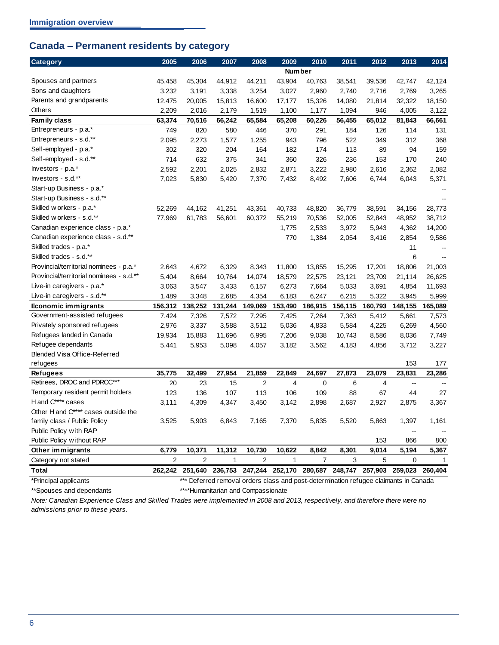## <span id="page-9-0"></span>**Canada – Permanent residents by category**

| Category                                 | 2005           | 2006                                                                                 | 2007         | 2008           | 2009         | 2010           | 2011    | 2012    | 2013                     | 2014    |
|------------------------------------------|----------------|--------------------------------------------------------------------------------------|--------------|----------------|--------------|----------------|---------|---------|--------------------------|---------|
|                                          |                |                                                                                      |              |                | Number       |                |         |         |                          |         |
| Spouses and partners                     | 45,458         | 45,304                                                                               | 44,912       | 44,211         | 43,904       | 40,763         | 38,541  | 39,536  | 42,747                   | 42,124  |
| Sons and daughters                       | 3,232          | 3,191                                                                                | 3,338        | 3,254          | 3,027        | 2,960          | 2,740   | 2,716   | 2,769                    | 3,265   |
| Parents and grandparents                 | 12,475         | 20,005                                                                               | 15,813       | 16,600         | 17,177       | 15,326         | 14,080  | 21,814  | 32,322                   | 18,150  |
| Others                                   | 2,209          | 2,016                                                                                | 2,179        | 1,519          | 1,100        | 1,177          | 1,094   | 946     | 4,005                    | 3,122   |
| Family class                             | 63,374         | 70,516                                                                               | 66,242       | 65,584         | 65,208       | 60,226         | 56,455  | 65,012  | 81,843                   | 66,661  |
| Entrepreneurs - p.a.*                    | 749            | 820                                                                                  | 580          | 446            | 370          | 291            | 184     | 126     | 114                      | 131     |
| Entrepreneurs - s.d.**                   | 2,095          | 2,273                                                                                | 1,577        | 1,255          | 943          | 796            | 522     | 349     | 312                      | 368     |
| Self-employed - p.a.*                    | 302            | 320                                                                                  | 204          | 164            | 182          | 174            | 113     | 89      | 94                       | 159     |
| Self-employed - s.d.**                   | 714            | 632                                                                                  | 375          | 341            | 360          | 326            | 236     | 153     | 170                      | 240     |
| Investors - p.a.*                        | 2,592          | 2,201                                                                                | 2,025        | 2,832          | 2,871        | 3,222          | 2,980   | 2,616   | 2,362                    | 2,082   |
| Investors - s.d.**                       | 7,023          | 5,830                                                                                | 5,420        | 7,370          | 7,432        | 8,492          | 7,606   | 6,744   | 6,043                    | 5,371   |
| Start-up Business - p.a.*                |                |                                                                                      |              |                |              |                |         |         |                          |         |
| Start-up Business - s.d.**               |                |                                                                                      |              |                |              |                |         |         |                          |         |
| Skilled w orkers - p.a.*                 | 52,269         | 44,162                                                                               | 41,251       | 43,361         | 40,733       | 48,820         | 36,779  | 38,591  | 34,156                   | 28,773  |
| Skilled w orkers - s.d.**                | 77,969         | 61,783                                                                               | 56,601       | 60,372         | 55,219       | 70,536         | 52,005  | 52,843  | 48,952                   | 38,712  |
| Canadian experience class - p.a.*        |                |                                                                                      |              |                | 1,775        | 2,533          | 3,972   | 5,943   | 4,362                    | 14,200  |
| Canadian experience class - s.d.**       |                |                                                                                      |              |                | 770          | 1,384          | 2,054   | 3,416   | 2,854                    | 9,586   |
| Skilled trades - p.a.*                   |                |                                                                                      |              |                |              |                |         |         | 11                       |         |
| Skilled trades - s.d.**                  |                |                                                                                      |              |                |              |                |         |         | 6                        |         |
| Provincial/territorial nominees - p.a.*  | 2,643          | 4,672                                                                                | 6,329        | 8,343          | 11,800       | 13,855         | 15,295  | 17,201  | 18,806                   | 21,003  |
| Provincial/territorial nominees - s.d.** | 5,404          | 8,664                                                                                | 10,764       | 14,074         | 18,579       | 22,575         | 23,121  | 23,709  | 21,114                   | 26,625  |
| Live-in caregivers - p.a.*               | 3,063          | 3,547                                                                                | 3,433        | 6,157          | 6,273        | 7,664          | 5,033   | 3,691   | 4,854                    | 11,693  |
| Live-in caregivers - s.d.**              | 1,489          | 3,348                                                                                | 2,685        | 4,354          | 6,183        | 6,247          | 6,215   | 5,322   | 3,945                    | 5,999   |
| Economic immigrants                      | 156,312        | 138,252                                                                              | 131,244      | 149,069        | 153,490      | 186,915        | 156,115 | 160,793 | 148,155                  | 165,089 |
| Government-assisted refugees             | 7,424          | 7,326                                                                                | 7,572        | 7,295          | 7,425        | 7,264          | 7,363   | 5,412   | 5,661                    | 7,573   |
| Privately sponsored refugees             | 2,976          | 3,337                                                                                | 3,588        | 3,512          | 5,036        | 4,833          | 5,584   | 4,225   | 6,269                    | 4,560   |
| Refugees landed in Canada                | 19,934         | 15,883                                                                               | 11,696       | 6,995          | 7,206        | 9,038          | 10,743  | 8,586   | 8,036                    | 7,749   |
| Refugee dependants                       | 5,441          | 5,953                                                                                | 5,098        | 4,057          | 3,182        | 3,562          | 4,183   | 4,856   | 3,712                    | 3,227   |
| Blended Visa Office-Referred             |                |                                                                                      |              |                |              |                |         |         |                          |         |
| refugees                                 |                |                                                                                      |              |                |              |                |         |         | 153                      | 177     |
| <b>Refugees</b>                          | 35,775         | 32,499                                                                               | 27,954       | 21,859         | 22,849       | 24,697         | 27,873  | 23,079  | 23,831                   | 23,286  |
| Retirees, DROC and PDRCC***              | 20             | 23                                                                                   | 15           | 2              | 4            | 0              | 6       | 4       | $\overline{\phantom{a}}$ |         |
| Temporary resident permit holders        | 123            | 136                                                                                  | 107          | 113            | 106          | 109            | 88      | 67      | 44                       | 27      |
| H and C**** cases                        | 3,111          | 4,309                                                                                | 4,347        | 3,450          | 3,142        | 2,898          | 2,687   | 2,927   | 2,875                    | 3,367   |
| Other H and C**** cases outside the      |                |                                                                                      |              |                |              |                |         |         |                          |         |
| family class / Public Policy             | 3,525          | 5,903                                                                                | 6,843        | 7,165          | 7,370        | 5,835          | 5,520   | 5,863   | 1,397                    | 1,161   |
| Public Policy with RAP                   |                |                                                                                      |              |                |              |                |         |         | --                       |         |
| Public Policy w ithout RAP               |                |                                                                                      |              |                |              |                |         | 153     | 866                      | 800     |
| Other immigrants                         | 6,779          | 10,371                                                                               | 11,312       | 10,730         | 10,622       | 8,842          | 8,301   | 9,014   | 5,194                    | 5,367   |
| Category not stated                      | $\overline{2}$ | $\overline{2}$                                                                       | $\mathbf{1}$ | $\overline{2}$ | $\mathbf{1}$ | $\overline{7}$ | 3       | 5       | 0                        | 1       |
| <b>Total</b>                             |                | 262,242 251,640 236,753 247,244 252,170 280,687 248,747 257,903 259,023 260,404      |              |                |              |                |         |         |                          |         |
| *Principal applicants                    |                | *** Deferred removal orders class and post-determination refugee claimants in Canada |              |                |              |                |         |         |                          |         |

\*\*Spouses and dependants \*\*\*\*Humanitarian and Compassionate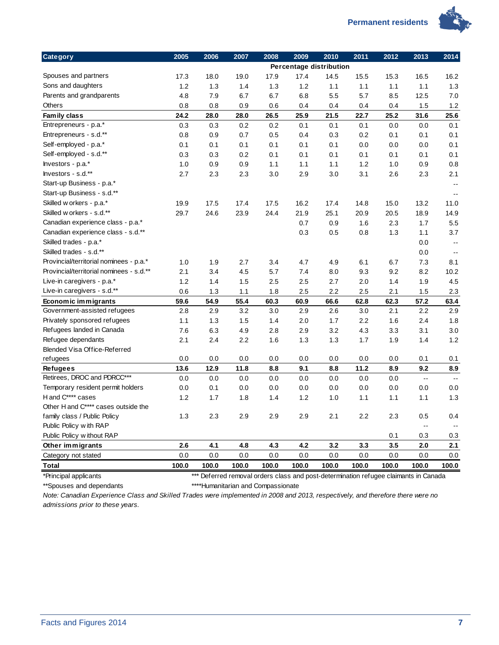

| <b>Category</b>                          | 2005  | 2006  | 2007  | 2008  | 2009                    | 2010  | 2011  | 2012  | 2013           | 2014                     |
|------------------------------------------|-------|-------|-------|-------|-------------------------|-------|-------|-------|----------------|--------------------------|
|                                          |       |       |       |       | Percentage distribution |       |       |       |                |                          |
| Spouses and partners                     | 17.3  | 18.0  | 19.0  | 17.9  | 17.4                    | 14.5  | 15.5  | 15.3  | 16.5           | 16.2                     |
| Sons and daughters                       | 1.2   | 1.3   | 1.4   | 1.3   | 1.2                     | 1.1   | 1.1   | 1.1   | 1.1            | 1.3                      |
| Parents and grandparents                 | 4.8   | 7.9   | 6.7   | 6.7   | 6.8                     | 5.5   | 5.7   | 8.5   | 12.5           | 7.0                      |
| Others                                   | 0.8   | 0.8   | 0.9   | 0.6   | 0.4                     | 0.4   | 0.4   | 0.4   | 1.5            | 1.2                      |
| Family class                             | 24.2  | 28.0  | 28.0  | 26.5  | 25.9                    | 21.5  | 22.7  | 25.2  | 31.6           | 25.6                     |
| Entrepreneurs - p.a.*                    | 0.3   | 0.3   | 0.2   | 0.2   | 0.1                     | 0.1   | 0.1   | 0.0   | 0.0            | 0.1                      |
| Entrepreneurs - s.d.**                   | 0.8   | 0.9   | 0.7   | 0.5   | 0.4                     | 0.3   | 0.2   | 0.1   | 0.1            | 0.1                      |
| Self-employed - p.a.*                    | 0.1   | 0.1   | 0.1   | 0.1   | 0.1                     | 0.1   | 0.0   | 0.0   | 0.0            | 0.1                      |
| Self-employed - s.d.**                   | 0.3   | 0.3   | 0.2   | 0.1   | 0.1                     | 0.1   | 0.1   | 0.1   | 0.1            | 0.1                      |
| Investors - p.a.*                        | 1.0   | 0.9   | 0.9   | 1.1   | 1.1                     | 1.1   | 1.2   | 1.0   | 0.9            | 0.8                      |
| Investors - s.d.**                       | 2.7   | 2.3   | 2.3   | 3.0   | 2.9                     | 3.0   | 3.1   | 2.6   | 2.3            | 2.1                      |
| Start-up Business - p.a.*                |       |       |       |       |                         |       |       |       |                | $\sim$ $\sim$            |
| Start-up Business - s.d.**               |       |       |       |       |                         |       |       |       |                | $\overline{a}$           |
| Skilled w orkers - p.a.*                 | 19.9  | 17.5  | 17.4  | 17.5  | 16.2                    | 17.4  | 14.8  | 15.0  | 13.2           | 11.0                     |
| Skilled w orkers - s.d.**                | 29.7  | 24.6  | 23.9  | 24.4  | 21.9                    | 25.1  | 20.9  | 20.5  | 18.9           | 14.9                     |
| Canadian experience class - p.a.*        |       |       |       |       | 0.7                     | 0.9   | 1.6   | 2.3   | 1.7            | 5.5                      |
| Canadian experience class - s.d.**       |       |       |       |       | 0.3                     | 0.5   | 0.8   | 1.3   | 1.1            | 3.7                      |
| Skilled trades - p.a.*                   |       |       |       |       |                         |       |       |       | 0.0            | $\overline{\phantom{a}}$ |
| Skilled trades - s.d.**                  |       |       |       |       |                         |       |       |       | 0.0            | $\sim$ $\sim$            |
| Provincial/territorial nominees - p.a.*  | 1.0   | 1.9   | 2.7   | 3.4   | 4.7                     | 4.9   | 6.1   | 6.7   | 7.3            | 8.1                      |
| Provincial/territorial nominees - s.d.** | 2.1   | 3.4   | 4.5   | 5.7   | 7.4                     | 8.0   | 9.3   | 9.2   | 8.2            | 10.2                     |
| Live-in caregivers - p.a.*               | 1.2   | 1.4   | 1.5   | 2.5   | 2.5                     | 2.7   | 2.0   | 1.4   | 1.9            | 4.5                      |
| Live-in caregivers - s.d.**              | 0.6   | 1.3   | 1.1   | 1.8   | 2.5                     | 2.2   | 2.5   | 2.1   | 1.5            | 2.3                      |
| Economic immigrants                      | 59.6  | 54.9  | 55.4  | 60.3  | 60.9                    | 66.6  | 62.8  | 62.3  | 57.2           | 63.4                     |
| Government-assisted refugees             | 2.8   | 2.9   | 3.2   | 3.0   | 2.9                     | 2.6   | 3.0   | 2.1   | 2.2            | 2.9                      |
| Privately sponsored refugees             | 1.1   | 1.3   | 1.5   | 1.4   | 2.0                     | 1.7   | 2.2   | 1.6   | 2.4            | 1.8                      |
| Refugees landed in Canada                | 7.6   | 6.3   | 4.9   | 2.8   | 2.9                     | 3.2   | 4.3   | 3.3   | 3.1            | 3.0                      |
| Refugee dependants                       | 2.1   | 2.4   | 2.2   | 1.6   | 1.3                     | 1.3   | 1.7   | 1.9   | 1.4            | 1.2                      |
| Blended Visa Office-Referred             |       |       |       |       |                         |       |       |       |                |                          |
| refugees                                 | 0.0   | 0.0   | 0.0   | 0.0   | 0.0                     | 0.0   | 0.0   | 0.0   | 0.1            | 0.1                      |
| <b>Refugees</b>                          | 13.6  | 12.9  | 11.8  | 8.8   | 9.1                     | 8.8   | 11.2  | 8.9   | 9.2            | 8.9                      |
| Retirees, DROC and PDRCC***              | 0.0   | 0.0   | 0.0   | 0.0   | 0.0                     | 0.0   | 0.0   | 0.0   | $\ddotsc$      | $\sim$                   |
| Temporary resident permit holders        | 0.0   | 0.1   | 0.0   | 0.0   | 0.0                     | 0.0   | 0.0   | 0.0   | 0.0            | 0.0                      |
| H and C**** cases                        | 1.2   | 1.7   | 1.8   | 1.4   | 1.2                     | 1.0   | 1.1   | 1.1   | 1.1            | 1.3                      |
| Other H and C**** cases outside the      |       |       |       |       |                         |       |       |       |                |                          |
| family class / Public Policy             | 1.3   | 2.3   | 2.9   | 2.9   | 2.9                     | 2.1   | 2.2   | 2.3   | 0.5            | 0.4                      |
| Public Policy with RAP                   |       |       |       |       |                         |       |       |       | $\overline{a}$ |                          |
| Public Policy without RAP                |       |       |       |       |                         |       |       | 0.1   | 0.3            | 0.3                      |
| Other immigrants                         | 2.6   | 4.1   | 4.8   | 4.3   | 4.2                     | 3.2   | 3.3   | 3.5   | 2.0            | 2.1                      |
| Category not stated                      | 0.0   | 0.0   | 0.0   | 0.0   | 0.0                     | 0.0   | 0.0   | 0.0   | 0.0            | 0.0                      |
| <b>Total</b>                             | 100.0 | 100.0 | 100.0 | 100.0 | 100.0                   | 100.0 | 100.0 | 100.0 | 100.0          | 100.0                    |

\*Principal applicants \*\*\* Deferred removal orders class and post-determination refugee claimants in Canada \*\*Spouses and dependants \*\*\*\*Humanitarian and Compassionate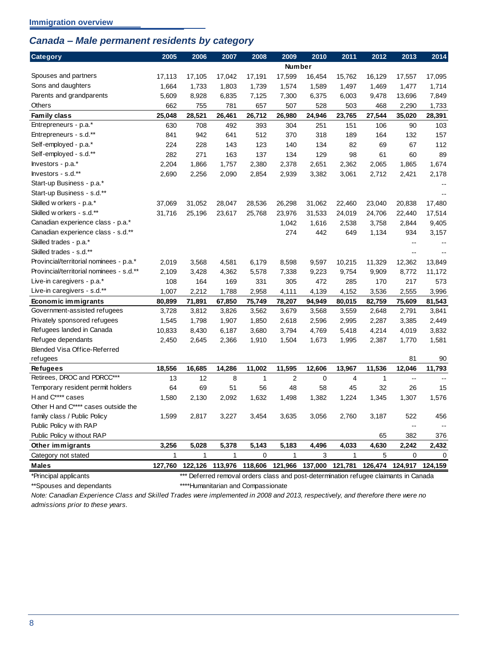## <span id="page-11-0"></span>*Canada – Male permanent residents by category*

| <b>Category</b>                          | 2005   | 2006            | 2007    | 2008           | 2009            | 2010    | 2011            | 2012         | 2013                     | 2014    |
|------------------------------------------|--------|-----------------|---------|----------------|-----------------|---------|-----------------|--------------|--------------------------|---------|
|                                          |        |                 |         |                | <b>Number</b>   |         |                 |              |                          |         |
| Spouses and partners                     | 17,113 | 17,105          | 17,042  | 17,191         | 17,599          | 16,454  | 15,762          | 16,129       | 17,557                   | 17,095  |
| Sons and daughters                       | 1,664  | 1,733           | 1,803   | 1,739          | 1,574           | 1,589   | 1,497           | 1,469        | 1,477                    | 1,714   |
| Parents and grandparents                 | 5,609  | 8,928           | 6,835   | 7,125          | 7,300           | 6,375   | 6,003           | 9,478        | 13,696                   | 7,849   |
| Others                                   | 662    | 755             | 781     | 657            | 507             | 528     | 503             | 468          | 2,290                    | 1,733   |
| Family class                             | 25,048 | 28,521          | 26,461  | 26,712         | 26,980          | 24,946  | 23,765          | 27,544       | 35,020                   | 28,391  |
| Entrepreneurs - p.a.*                    | 630    | 708             | 492     | 393            | 304             | 251     | 151             | 106          | 90                       | 103     |
| Entrepreneurs - s.d.**                   | 841    | 942             | 641     | 512            | 370             | 318     | 189             | 164          | 132                      | 157     |
| Self-employed - p.a.*                    | 224    | 228             | 143     | 123            | 140             | 134     | 82              | 69           | 67                       | 112     |
| Self-employed - s.d.**                   | 282    | 271             | 163     | 137            | 134             | 129     | 98              | 61           | 60                       | 89      |
| Investors - p.a.*                        | 2,204  | 1,866           | 1,757   | 2,380          | 2,378           | 2,651   | 2,362           | 2,065        | 1,865                    | 1,674   |
| Investors - s.d.**                       | 2,690  | 2,256           | 2,090   | 2,854          | 2,939           | 3,382   | 3,061           | 2,712        | 2,421                    | 2,178   |
| Start-up Business - p.a.*                |        |                 |         |                |                 |         |                 |              |                          |         |
| Start-up Business - s.d.**               |        |                 |         |                |                 |         |                 |              |                          |         |
| Skilled w orkers - p.a.*                 | 37,069 | 31,052          | 28,047  | 28,536         | 26,298          | 31,062  | 22,460          | 23,040       | 20,838                   | 17,480  |
| Skilled w orkers - s.d.**                | 31,716 | 25,196          | 23,617  | 25,768         | 23,976          | 31,533  | 24,019          | 24,706       | 22,440                   | 17,514  |
| Canadian experience class - p.a.*        |        |                 |         |                | 1,042           | 1,616   | 2,538           | 3,758        | 2,844                    | 9,405   |
| Canadian experience class - s.d.**       |        |                 |         |                | 274             | 442     | 649             | 1,134        | 934                      | 3,157   |
| Skilled trades - p.a.*                   |        |                 |         |                |                 |         |                 |              | $\overline{a}$           |         |
| Skilled trades - s.d.**                  |        |                 |         |                |                 |         |                 |              | $\sim$                   |         |
| Provincial/territorial nominees - p.a.*  | 2,019  | 3,568           | 4,581   | 6,179          | 8,598           | 9,597   | 10,215          | 11,329       | 12,362                   | 13,849  |
| Provincial/territorial nominees - s.d.** | 2,109  | 3,428           | 4,362   | 5,578          | 7,338           | 9,223   | 9,754           | 9,909        | 8,772                    | 11,172  |
| Live-in caregivers - p.a.*               | 108    | 164             | 169     | 331            | 305             | 472     | 285             | 170          | 217                      | 573     |
| Live-in caregivers - s.d.**              | 1,007  | 2,212           | 1,788   | 2,958          | 4,111           | 4,139   | 4,152           | 3,536        | 2,555                    | 3,996   |
| Economic immigrants                      | 80,899 | 71,891          | 67,850  | 75,749         | 78,207          | 94,949  | 80,015          | 82,759       | 75,609                   | 81,543  |
| Government-assisted refugees             | 3,728  | 3,812           | 3,826   | 3,562          | 3,679           | 3,568   | 3,559           | 2,648        | 2,791                    | 3,841   |
| Privately sponsored refugees             | 1,545  | 1,798           | 1,907   | 1,850          | 2,618           | 2,596   | 2,995           | 2,287        | 3,385                    | 2,449   |
| Refugees landed in Canada                | 10,833 | 8,430           | 6,187   | 3,680          | 3,794           | 4,769   | 5,418           | 4,214        | 4,019                    | 3,832   |
| Refugee dependants                       | 2,450  | 2,645           | 2,366   | 1,910          | 1,504           | 1,673   | 1,995           | 2,387        | 1,770                    | 1,581   |
| Blended Visa Office-Referred             |        |                 |         |                |                 |         |                 |              |                          |         |
| refugees                                 |        |                 |         |                |                 |         |                 |              | 81                       | 90      |
| <b>Refugees</b>                          | 18,556 | 16,685          | 14,286  | 11,002         | 11,595          | 12,606  | 13,967          | 11,536       | 12,046                   | 11,793  |
| Retirees, DROC and PDRCC***              | 13     | 12              | 8       | $\mathbf{1}$   | $\overline{2}$  | 0       | $\overline{4}$  | $\mathbf{1}$ | $\overline{\phantom{a}}$ |         |
| Temporary resident permit holders        | 64     | 69              | 51      | 56             | 48              | 58      | 45              | 32           | 26                       | 15      |
| H and C**** cases                        | 1,580  | 2,130           | 2,092   | 1,632          | 1,498           | 1,382   | 1,224           | 1,345        | 1,307                    | 1,576   |
| Other H and C**** cases outside the      |        |                 |         |                |                 |         |                 |              |                          |         |
| family class / Public Policy             | 1,599  | 2,817           | 3,227   | 3,454          | 3,635           | 3,056   | 2,760           | 3,187        | 522                      | 456     |
| Public Policy with RAP                   |        |                 |         |                |                 |         |                 |              |                          |         |
| Public Policy without RAP                |        |                 |         |                |                 |         |                 | 65           | 382                      | 376     |
| Other immigrants                         | 3,256  | 5,028           | 5,378   | 5,143          | 5,183           | 4,496   | 4,033           | 4,630        | 2,242                    | 2,432   |
| Category not stated                      | 1      | $\mathbf{1}$    | 1       | $\overline{0}$ | 1               | 3       | 1               | 5            | 0                        | 0       |
| <b>Males</b>                             |        | 127,760 122,126 | 113,976 |                | 118,606 121,966 | 137,000 | 121,781 126,474 |              | 124,917                  | 124,159 |

\*Principal applicants \*\*\* Deferred removal orders class and post-determination refugee claimants in Canada \*\*Spouses and dependants \*\*\*\*Humanitarian and Compassionate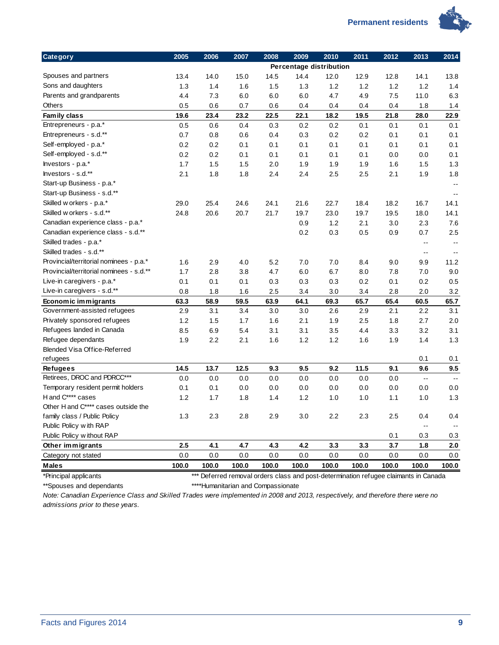

| Category                                 | 2005  | 2006  | 2007    | 2008  | 2009                    | 2010  | 2011    | 2012                                                                                 | 2013           | 2014                     |
|------------------------------------------|-------|-------|---------|-------|-------------------------|-------|---------|--------------------------------------------------------------------------------------|----------------|--------------------------|
|                                          |       |       |         |       | Percentage distribution |       |         |                                                                                      |                |                          |
| Spouses and partners                     | 13.4  | 14.0  | 15.0    | 14.5  | 14.4                    | 12.0  | 12.9    | 12.8                                                                                 | 14.1           | 13.8                     |
| Sons and daughters                       | 1.3   | 1.4   | 1.6     | 1.5   | 1.3                     | 1.2   | 1.2     | 1.2                                                                                  | 1.2            | 1.4                      |
| Parents and grandparents                 | 4.4   | 7.3   | 6.0     | 6.0   | 6.0                     | 4.7   | 4.9     | 7.5                                                                                  | 11.0           | 6.3                      |
| Others                                   | 0.5   | 0.6   | 0.7     | 0.6   | 0.4                     | 0.4   | 0.4     | 0.4                                                                                  | 1.8            | 1.4                      |
| Family class                             | 19.6  | 23.4  | 23.2    | 22.5  | 22.1                    | 18.2  | 19.5    | 21.8                                                                                 | 28.0           | 22.9                     |
| Entrepreneurs - p.a.*                    | 0.5   | 0.6   | 0.4     | 0.3   | 0.2                     | 0.2   | 0.1     | 0.1                                                                                  | 0.1            | 0.1                      |
| Entrepreneurs - s.d.**                   | 0.7   | 0.8   | 0.6     | 0.4   | 0.3                     | 0.2   | 0.2     | 0.1                                                                                  | 0.1            | 0.1                      |
| Self-employed - p.a.*                    | 0.2   | 0.2   | 0.1     | 0.1   | 0.1                     | 0.1   | 0.1     | 0.1                                                                                  | 0.1            | 0.1                      |
| Self-employed - s.d.**                   | 0.2   | 0.2   | 0.1     | 0.1   | 0.1                     | 0.1   | 0.1     | 0.0                                                                                  | 0.0            | 0.1                      |
| Investors - p.a.*                        | 1.7   | 1.5   | 1.5     | 2.0   | 1.9                     | 1.9   | 1.9     | 1.6                                                                                  | 1.5            | 1.3                      |
| Investors - s.d.**                       | 2.1   | 1.8   | 1.8     | 2.4   | 2.4                     | 2.5   | 2.5     | 2.1                                                                                  | 1.9            | 1.8                      |
| Start-up Business - p.a.*                |       |       |         |       |                         |       |         |                                                                                      |                | $\sim$ $\sim$            |
| Start-up Business - s.d.**               |       |       |         |       |                         |       |         |                                                                                      |                | $\overline{\phantom{a}}$ |
| Skilled w orkers - p.a.*                 | 29.0  | 25.4  | 24.6    | 24.1  | 21.6                    | 22.7  | 18.4    | 18.2                                                                                 | 16.7           | 14.1                     |
| Skilled w orkers - s.d.**                | 24.8  | 20.6  | 20.7    | 21.7  | 19.7                    | 23.0  | 19.7    | 19.5                                                                                 | 18.0           | 14.1                     |
| Canadian experience class - p.a.*        |       |       |         |       | 0.9                     | 1.2   | 2.1     | 3.0                                                                                  | 2.3            | 7.6                      |
| Canadian experience class - s.d.**       |       |       |         |       | 0.2                     | 0.3   | 0.5     | 0.9                                                                                  | 0.7            | 2.5                      |
| Skilled trades - p.a.*                   |       |       |         |       |                         |       |         |                                                                                      | $\overline{a}$ | $\sim$ $\sim$            |
| Skilled trades - s.d.**                  |       |       |         |       |                         |       |         |                                                                                      | $\overline{a}$ | $\overline{\phantom{a}}$ |
| Provincial/territorial nominees - p.a.*  | 1.6   | 2.9   | 4.0     | 5.2   | 7.0                     | 7.0   | 8.4     | 9.0                                                                                  | 9.9            | 11.2                     |
| Provincial/territorial nominees - s.d.** | 1.7   | 2.8   | 3.8     | 4.7   | 6.0                     | 6.7   | 8.0     | 7.8                                                                                  | 7.0            | 9.0                      |
| Live-in caregivers - p.a.*               | 0.1   | 0.1   | 0.1     | 0.3   | 0.3                     | 0.3   | 0.2     | 0.1                                                                                  | 0.2            | 0.5                      |
| Live-in caregivers - s.d.**              | 0.8   | 1.8   | 1.6     | 2.5   | 3.4                     | 3.0   | 3.4     | 2.8                                                                                  | 2.0            | 3.2                      |
| Economic immigrants                      | 63.3  | 58.9  | 59.5    | 63.9  | 64.1                    | 69.3  | 65.7    | 65.4                                                                                 | 60.5           | 65.7                     |
| Government-assisted refugees             | 2.9   | 3.1   | 3.4     | 3.0   | 3.0                     | 2.6   | 2.9     | 2.1                                                                                  | 2.2            | 3.1                      |
| Privately sponsored refugees             | 1.2   | 1.5   | 1.7     | 1.6   | 2.1                     | 1.9   | 2.5     | 1.8                                                                                  | 2.7            | 2.0                      |
| Refugees landed in Canada                | 8.5   | 6.9   | 5.4     | 3.1   | 3.1                     | 3.5   | 4.4     | 3.3                                                                                  | 3.2            | 3.1                      |
| Refugee dependants                       | 1.9   | 2.2   | 2.1     | 1.6   | 1.2                     | 1.2   | 1.6     | 1.9                                                                                  | 1.4            | 1.3                      |
| Blended Visa Office-Referred             |       |       |         |       |                         |       |         |                                                                                      |                |                          |
| refugees                                 |       |       |         |       |                         |       |         |                                                                                      | 0.1            | 0.1                      |
| <b>Refugees</b>                          | 14.5  | 13.7  | 12.5    | 9.3   | 9.5                     | 9.2   | 11.5    | 9.1                                                                                  | 9.6            | 9.5                      |
| Retirees, DROC and PDRCC***              | 0.0   | 0.0   | 0.0     | 0.0   | 0.0                     | 0.0   | 0.0     | 0.0                                                                                  | Ξ.             | $\sim$                   |
| Temporary resident permit holders        | 0.1   | 0.1   | 0.0     | 0.0   | 0.0                     | 0.0   | 0.0     | 0.0                                                                                  | 0.0            | 0.0                      |
| H and C**** cases                        | 1.2   | 1.7   | 1.8     | 1.4   | 1.2                     | 1.0   | 1.0     | 1.1                                                                                  | 1.0            | 1.3                      |
| Other H and C**** cases outside the      |       |       |         |       |                         |       |         |                                                                                      |                |                          |
| family class / Public Policy             | $1.3$ | 2.3   | $2.8$   | 2.9   | 3.0                     | 2.2   | $2.3\,$ | 2.5                                                                                  | 0.4            | 0.4                      |
| Public Policy with RAP                   |       |       |         |       |                         |       |         |                                                                                      | $\overline{a}$ | $\overline{\phantom{a}}$ |
| Public Policy w ithout RAP               |       |       |         |       |                         |       |         | 0.1                                                                                  | 0.3            | 0.3                      |
| Other immigrants                         | 2.5   | 4.1   | 4.7     | 4.3   | 4.2                     | 3.3   | 3.3     | 3.7                                                                                  | 1.8            | 2.0                      |
| Category not stated                      | 0.0   | 0.0   | $0.0\,$ | 0.0   | 0.0                     | 0.0   | 0.0     | 0.0                                                                                  | 0.0            | 0.0                      |
| <b>Males</b>                             | 100.0 | 100.0 | 100.0   | 100.0 | 100.0                   | 100.0 | 100.0   | 100.0                                                                                | 100.0          | 100.0                    |
| *Principal applicants                    |       |       |         |       |                         |       |         | *** Deferred removal orders class and post-determination refugee claimants in Canada |                |                          |

\*\*Spouses and dependants \*\*\*\*Humanitarian and Compassionate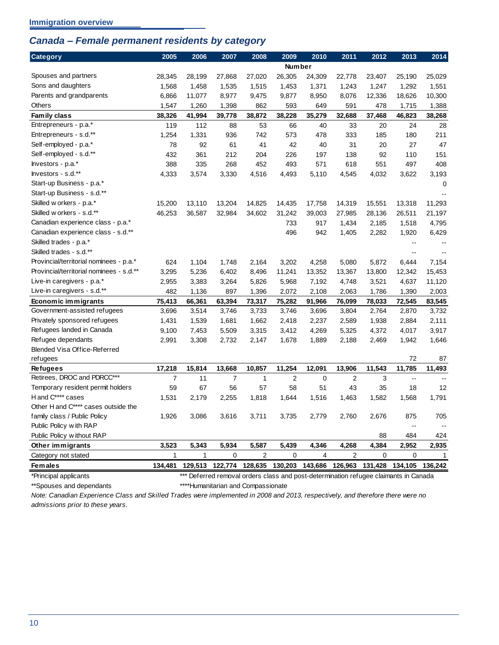## <span id="page-13-0"></span>*Canada – Female permanent residents by category*

| Category                                 | 2005           | 2006         | 2007           | 2008            | 2009           | 2010        | 2011            | 2012        | 2013                     | 2014         |
|------------------------------------------|----------------|--------------|----------------|-----------------|----------------|-------------|-----------------|-------------|--------------------------|--------------|
|                                          |                |              |                |                 | <b>Number</b>  |             |                 |             |                          |              |
| Spouses and partners                     | 28,345         | 28,199       | 27,868         | 27,020          | 26,305         | 24,309      | 22,778          | 23,407      | 25,190                   | 25,029       |
| Sons and daughters                       | 1,568          | 1,458        | 1,535          | 1,515           | 1,453          | 1,371       | 1,243           | 1,247       | 1,292                    | 1,551        |
| Parents and grandparents                 | 6,866          | 11,077       | 8,977          | 9,475           | 9,877          | 8,950       | 8,076           | 12,336      | 18,626                   | 10,300       |
| Others                                   | 1,547          | 1,260        | 1,398          | 862             | 593            | 649         | 591             | 478         | 1,715                    | 1,388        |
| Family class                             | 38,326         | 41,994       | 39,778         | 38,872          | 38,228         | 35,279      | 32,688          | 37,468      | 46,823                   | 38,268       |
| Entrepreneurs - p.a.*                    | 119            | 112          | 88             | 53              | 66             | 40          | 33              | 20          | 24                       | 28           |
| Entrepreneurs - s.d.**                   | 1,254          | 1,331        | 936            | 742             | 573            | 478         | 333             | 185         | 180                      | 211          |
| Self-employed - p.a.*                    | 78             | 92           | 61             | 41              | 42             | 40          | 31              | 20          | 27                       | 47           |
| Self-employed - s.d.**                   | 432            | 361          | 212            | 204             | 226            | 197         | 138             | 92          | 110                      | 151          |
| hvestors - p.a.*                         | 388            | 335          | 268            | 452             | 493            | 571         | 618             | 551         | 497                      | 408          |
| Investors - s.d.**                       | 4,333          | 3,574        | 3,330          | 4,516           | 4,493          | 5,110       | 4,545           | 4,032       | 3,622                    | 3,193        |
| Start-up Business - p.a.*                |                |              |                |                 |                |             |                 |             |                          | 0            |
| Start-up Business - s.d.**               |                |              |                |                 |                |             |                 |             |                          |              |
| Skilled w orkers - p.a.*                 | 15,200         | 13,110       | 13,204         | 14,825          | 14,435         | 17,758      | 14,319          | 15,551      | 13,318                   | 11,293       |
| Skilled w orkers - s.d.**                | 46,253         | 36,587       | 32,984         | 34,602          | 31,242         | 39,003      | 27,985          | 28,136      | 26,511                   | 21,197       |
| Canadian experience class - p.a.*        |                |              |                |                 | 733            | 917         | 1,434           | 2,185       | 1,518                    | 4,795        |
| Canadian experience class - s.d.**       |                |              |                |                 | 496            | 942         | 1,405           | 2,282       | 1,920                    | 6,429        |
| Skilled trades - p.a.*                   |                |              |                |                 |                |             |                 |             | $-$                      |              |
| Skilled trades - s.d.**                  |                |              |                |                 |                |             |                 |             | Ш,                       |              |
| Provincial/territorial nominees - p.a.*  | 624            | 1,104        | 1,748          | 2,164           | 3,202          | 4,258       | 5,080           | 5,872       | 6,444                    | 7,154        |
| Provincial/territorial nominees - s.d.** | 3,295          | 5,236        | 6,402          | 8,496           | 11,241         | 13,352      | 13,367          | 13,800      | 12,342                   | 15,453       |
| Live-in caregivers - p.a.*               | 2,955          | 3,383        | 3,264          | 5,826           | 5,968          | 7,192       | 4,748           | 3,521       | 4,637                    | 11,120       |
| Live-in caregivers - s.d.**              | 482            | 1,136        | 897            | 1,396           | 2,072          | 2,108       | 2,063           | 1,786       | 1,390                    | 2,003        |
| Economic immigrants                      | 75,413         | 66,361       | 63,394         | 73,317          | 75,282         | 91,966      | 76,099          | 78,033      | 72,545                   | 83,545       |
| Government-assisted refugees             | 3,696          | 3,514        | 3,746          | 3,733           | 3,746          | 3,696       | 3,804           | 2,764       | 2,870                    | 3,732        |
| Privately sponsored refugees             | 1,431          | 1,539        | 1,681          | 1,662           | 2,418          | 2,237       | 2,589           | 1,938       | 2,884                    | 2,111        |
| Refugees landed in Canada                | 9,100          | 7,453        | 5,509          | 3,315           | 3,412          | 4,269       | 5,325           | 4,372       | 4,017                    | 3,917        |
| Refugee dependants                       | 2,991          | 3,308        | 2,732          | 2,147           | 1,678          | 1,889       | 2,188           | 2,469       | 1,942                    | 1,646        |
| <b>Blended Visa Office-Referred</b>      |                |              |                |                 |                |             |                 |             |                          |              |
| refugees                                 |                |              |                |                 |                |             |                 |             | 72                       | 87           |
| Refugees                                 | 17,218         | 15,814       | 13,668         | 10,857          | 11,254         | 12,091      | 13,906          | 11,543      | 11,785                   | 11,493       |
| Retirees, DROC and PDRCC***              | $\overline{7}$ | 11           | $\overline{7}$ | $\mathbf{1}$    | $\overline{2}$ | $\mathbf 0$ | 2               | 3           | $-$                      |              |
| Temporary resident permit holders        | 59             | 67           | 56             | 57              | 58             | 51          | 43              | 35          | 18                       | 12           |
| H and C**** cases                        | 1,531          | 2,179        | 2,255          | 1,818           | 1,644          | 1,516       | 1,463           | 1,582       | 1,568                    | 1,791        |
| Other H and C**** cases outside the      |                |              |                |                 |                |             |                 |             |                          |              |
| family class / Public Policy             | 1,926          | 3,086        | 3,616          | 3,711           | 3,735          | 2,779       | 2,760           | 2,676       | 875                      | 705          |
| Public Policy with RAP                   |                |              |                |                 |                |             |                 |             | $\overline{\phantom{a}}$ |              |
| Public Policy w ithout RAP               |                |              |                |                 |                |             |                 | 88          | 484                      | 424          |
| Other immigrants                         | 3,523          | 5,343        | 5,934          | 5,587           | 5,439          | 4,346       | 4,268           | 4,384       | 2,952                    | 2,935        |
| Category not stated                      | $\mathbf{1}$   | $\mathbf{1}$ | $\overline{0}$ | $\overline{c}$  | $\mathbf 0$    | 4           | $\overline{c}$  | $\mathbf 0$ | 0                        | $\mathbf{1}$ |
| <b>Females</b>                           | 134,481        | 129,513      | 122,774        | 128,635 130,203 |                | 143,686     | 126,963 131,428 |             | 134,105                  | 136,242      |

\*Principal applicants \*\*\* Deferred removal orders class and post-determination refugee claimants in Canada \*\*Spouses and dependants \*\*\*\*Humanitarian and Compassionate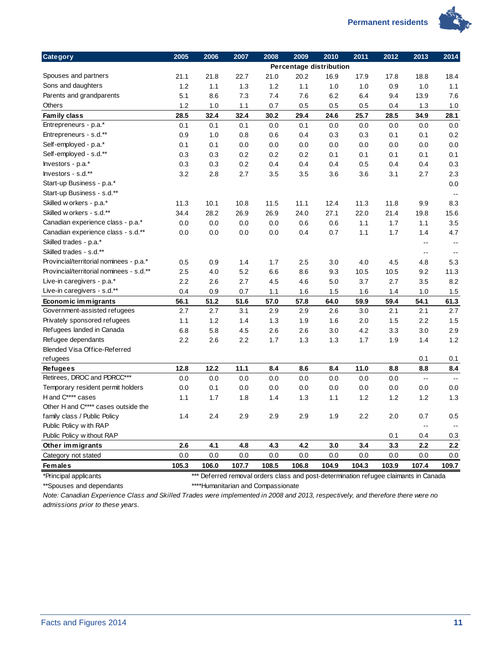

| Category                                 | 2005  | 2006  | 2007  | 2008  | 2009                    | 2010  | 2011   | 2012  | 2013                     | 2014           |
|------------------------------------------|-------|-------|-------|-------|-------------------------|-------|--------|-------|--------------------------|----------------|
|                                          |       |       |       |       | Percentage distribution |       |        |       |                          |                |
| Spouses and partners                     | 21.1  | 21.8  | 22.7  | 21.0  | 20.2                    | 16.9  | 17.9   | 17.8  | 18.8                     | 18.4           |
| Sons and daughters                       | 1.2   | 1.1   | 1.3   | 1.2   | 1.1                     | 1.0   | 1.0    | 0.9   | 1.0                      | 1.1            |
| Parents and grandparents                 | 5.1   | 8.6   | 7.3   | 7.4   | 7.6                     | 6.2   | 6.4    | 9.4   | 13.9                     | 7.6            |
| Others                                   | 1.2   | 1.0   | 1.1   | 0.7   | 0.5                     | 0.5   | 0.5    | 0.4   | 1.3                      | 1.0            |
| Family class                             | 28.5  | 32.4  | 32.4  | 30.2  | 29.4                    | 24.6  | 25.7   | 28.5  | 34.9                     | 28.1           |
| Entrepreneurs - p.a.*                    | 0.1   | 0.1   | 0.1   | 0.0   | 0.1                     | 0.0   | 0.0    | 0.0   | 0.0                      | 0.0            |
| Entrepreneurs - s.d.**                   | 0.9   | 1.0   | 0.8   | 0.6   | 0.4                     | 0.3   | 0.3    | 0.1   | 0.1                      | 0.2            |
| Self-employed - p.a.*                    | 0.1   | 0.1   | 0.0   | 0.0   | 0.0                     | 0.0   | 0.0    | 0.0   | 0.0                      | 0.0            |
| Self-employed - s.d.**                   | 0.3   | 0.3   | 0.2   | 0.2   | 0.2                     | 0.1   | 0.1    | 0.1   | 0.1                      | 0.1            |
| lnvestors - p.a.*                        | 0.3   | 0.3   | 0.2   | 0.4   | 0.4                     | 0.4   | 0.5    | 0.4   | 0.4                      | 0.3            |
| Investors - s.d.**                       | 3.2   | 2.8   | 2.7   | 3.5   | 3.5                     | 3.6   | 3.6    | 3.1   | 2.7                      | 2.3            |
| Start-up Business - p.a.*                |       |       |       |       |                         |       |        |       |                          | 0.0            |
| Start-up Business - s.d.**               |       |       |       |       |                         |       |        |       |                          | $\overline{a}$ |
| Skilled w orkers - p.a.*                 | 11.3  | 10.1  | 10.8  | 11.5  | 11.1                    | 12.4  | 11.3   | 11.8  | 9.9                      | 8.3            |
| Skilled w orkers - s.d.**                | 34.4  | 28.2  | 26.9  | 26.9  | 24.0                    | 27.1  | 22.0   | 21.4  | 19.8                     | 15.6           |
| Canadian experience class - p.a.*        | 0.0   | 0.0   | 0.0   | 0.0   | 0.6                     | 0.6   | 1.1    | 1.7   | 1.1                      | 3.5            |
| Canadian experience class - s.d.**       | 0.0   | 0.0   | 0.0   | 0.0   | 0.4                     | 0.7   | 1.1    | 1.7   | 1.4                      | 4.7            |
| Skilled trades - p.a.*                   |       |       |       |       |                         |       |        |       | $\overline{\phantom{a}}$ | $\overline{a}$ |
| Skilled trades - s.d.**                  |       |       |       |       |                         |       |        |       | $\overline{\phantom{a}}$ | $\sim$ $\sim$  |
| Provincial/territorial nominees - p.a.*  | 0.5   | 0.9   | 1.4   | 1.7   | 2.5                     | 3.0   | 4.0    | 4.5   | 4.8                      | 5.3            |
| Provincial/territorial nominees - s.d.** | 2.5   | 4.0   | 5.2   | 6.6   | 8.6                     | 9.3   | 10.5   | 10.5  | 9.2                      | 11.3           |
| Live-in caregivers - p.a.*               | 2.2   | 2.6   | 2.7   | 4.5   | 4.6                     | 5.0   | 3.7    | 2.7   | 3.5                      | 8.2            |
| Live-in caregivers - s.d.**              | 0.4   | 0.9   | 0.7   | 1.1   | 1.6                     | 1.5   | 1.6    | 1.4   | 1.0                      | 1.5            |
| Economic immigrants                      | 56.1  | 51.2  | 51.6  | 57.0  | 57.8                    | 64.0  | 59.9   | 59.4  | 54.1                     | 61.3           |
| Government-assisted refugees             | 2.7   | 2.7   | 3.1   | 2.9   | 2.9                     | 2.6   | 3.0    | 2.1   | 2.1                      | 2.7            |
| Privately sponsored refugees             | 1.1   | 1.2   | 1.4   | 1.3   | 1.9                     | 1.6   | 2.0    | 1.5   | 2.2                      | 1.5            |
| Refugees landed in Canada                | 6.8   | 5.8   | 4.5   | 2.6   | 2.6                     | 3.0   | 4.2    | 3.3   | 3.0                      | 2.9            |
| Refugee dependants                       | 2.2   | 2.6   | 2.2   | 1.7   | 1.3                     | 1.3   | 1.7    | 1.9   | 1.4                      | 1.2            |
| Blended Visa Office-Referred             |       |       |       |       |                         |       |        |       |                          |                |
| refugees                                 |       |       |       |       |                         |       |        |       | 0.1                      | 0.1            |
| <b>Refugees</b>                          | 12.8  | 12.2  | 11.1  | 8.4   | 8.6                     | 8.4   | $11.0$ | 8.8   | 8.8                      | 8.4            |
| Retirees, DROC and PDRCC***              | 0.0   | 0.0   | 0.0   | 0.0   | 0.0                     | 0.0   | 0.0    | 0.0   | $\ddotsc$                | $\sim$         |
| Temporary resident permit holders        | 0.0   | 0.1   | 0.0   | 0.0   | 0.0                     | 0.0   | 0.0    | 0.0   | 0.0                      | 0.0            |
| H and C**** cases                        | 1.1   | 1.7   | 1.8   | 1.4   | 1.3                     | 1.1   | 1.2    | 1.2   | 1.2                      | 1.3            |
| Other H and C**** cases outside the      |       |       |       |       |                         |       |        |       |                          |                |
| family class / Public Policy             | 1.4   | 2.4   | 2.9   | 2.9   | 2.9                     | 1.9   | 2.2    | 2.0   | 0.7                      | 0.5            |
| Public Policy with RAP                   |       |       |       |       |                         |       |        |       | $\overline{\phantom{a}}$ |                |
| Public Policy w ithout RAP               |       |       |       |       |                         |       |        | 0.1   | 0.4                      | 0.3            |
| Other immigrants                         | 2.6   | 4.1   | 4.8   | 4.3   | 4.2                     | 3.0   | 3.4    | 3.3   | 2.2                      | 2.2            |
| Category not stated                      | 0.0   | 0.0   | 0.0   | 0.0   | 0.0                     | 0.0   | 0.0    | 0.0   | 0.0                      | 0.0            |
| <b>Females</b>                           | 105.3 | 106.0 | 107.7 | 108.5 | 106.8                   | 104.9 | 104.3  | 103.9 | 107.4                    | 109.7          |

\*Principal applicants \*\*\* Deferred removal orders class and post-determination refugee claimants in Canada \*\*Spouses and dependants \*\*\*\*Humanitarian and Compassionate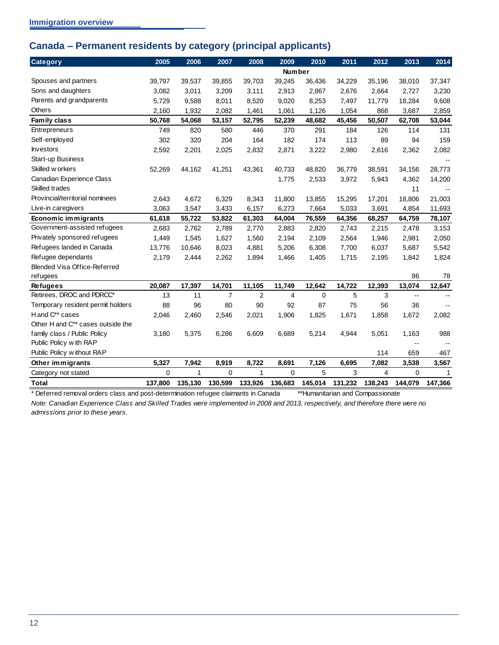## <span id="page-15-0"></span>**Canada – Permanent residents by category (principal applicants)**

| <b>Category</b>                               | 2005        | 2006    | 2007           | 2008    | 2009          | 2010        | 2011    | 2012    | 2013        | 2014                     |
|-----------------------------------------------|-------------|---------|----------------|---------|---------------|-------------|---------|---------|-------------|--------------------------|
|                                               |             |         |                |         | <b>Number</b> |             |         |         |             |                          |
| Spouses and partners                          | 39,797      | 39,537  | 39,855         | 39,703  | 39,245        | 36,436      | 34,229  | 35,196  | 38,010      | 37,347                   |
| Sons and daughters                            | 3,082       | 3,011   | 3,209          | 3,111   | 2,913         | 2,867       | 2,676   | 2,664   | 2,727       | 3,230                    |
| Parents and grandparents                      | 5,729       | 9,588   | 8,011          | 8,520   | 9,020         | 8,253       | 7,497   | 11,779  | 18,284      | 9,608                    |
| <b>Others</b>                                 | 2,160       | 1,932   | 2,082          | 1,461   | 1,061         | 1,126       | 1,054   | 868     | 3,687       | 2,859                    |
| Family class                                  | 50,768      | 54,068  | 53,157         | 52,795  | 52,239        | 48,682      | 45,456  | 50,507  | 62,708      | 53,044                   |
| <b>Entrepreneurs</b>                          | 749         | 820     | 580            | 446     | 370           | 291         | 184     | 126     | 114         | 131                      |
| Self-employed                                 | 302         | 320     | 204            | 164     | 182           | 174         | 113     | 89      | 94          | 159                      |
| <b>Investors</b>                              | 2,592       | 2,201   | 2,025          | 2,832   | 2,871         | 3,222       | 2,980   | 2,616   | 2,362       | 2,082                    |
| Start-up Business                             |             |         |                |         |               |             |         |         |             |                          |
| Skilled w orkers                              | 52,269      | 44,162  | 41,251         | 43,361  | 40,733        | 48,820      | 36,779  | 38,591  | 34,156      | 28,773                   |
| Canadian Experience Class                     |             |         |                |         | 1,775         | 2,533       | 3,972   | 5,943   | 4,362       | 14,200                   |
| Skilled trades                                |             |         |                |         |               |             |         |         | 11          | $\overline{\phantom{m}}$ |
| Provincial/territorial nominees               | 2.643       | 4,672   | 6,329          | 8,343   | 11,800        | 13,855      | 15,295  | 17,201  | 18,806      | 21,003                   |
| Live-in caregivers                            | 3,063       | 3,547   | 3,433          | 6,157   | 6,273         | 7,664       | 5,033   | 3,691   | 4,854       | 11,693                   |
| Economic immigrants                           | 61,618      | 55,722  | 53,822         | 61,303  | 64,004        | 76,559      | 64,356  | 68,257  | 64,759      | 78,107                   |
| Government-assisted refugees                  | 2,683       | 2,762   | 2,789          | 2,770   | 2,883         | 2,820       | 2,743   | 2,215   | 2,478       | 3,153                    |
| Privately sponsored refugees                  | 1,449       | 1,545   | 1,627          | 1,560   | 2,194         | 2,109       | 2,564   | 1,946   | 2,981       | 2,050                    |
| Refugees landed in Canada                     | 13,776      | 10,646  | 8,023          | 4,881   | 5,206         | 6,308       | 7,700   | 6,037   | 5,687       | 5,542                    |
| Refugee dependants                            | 2,179       | 2,444   | 2,262          | 1,894   | 1,466         | 1,405       | 1,715   | 2,195   | 1,842       | 1,824                    |
| <b>Blended Visa Office-Referred</b>           |             |         |                |         |               |             |         |         |             |                          |
| refugees                                      |             |         |                |         |               |             |         |         | 86          | 78                       |
| <b>Refugees</b>                               | 20,087      | 17,397  | 14,701         | 11,105  | 11,749        | 12,642      | 14,722  | 12,393  | 13,074      | 12,647                   |
| Retirees, DROC and PDRCC*                     | 13          | 11      | $\overline{7}$ | 2       | 4             | $\mathbf 0$ | 5       | 3       | $- -$       | $-$                      |
| Temporary resident permit holders             | 88          | 96      | 80             | 90      | 92            | 87          | 75      | 56      | 36          |                          |
| H and C** cases                               | 2,046       | 2,460   | 2,546          | 2,021   | 1,906         | 1,825       | 1,671   | 1,858   | 1,672       | 2,082                    |
| Other H and C <sup>**</sup> cases outside the |             |         |                |         |               |             |         |         |             |                          |
| family class / Public Policy                  | 3,180       | 5,375   | 6,286          | 6,609   | 6,689         | 5,214       | 4,944   | 5,051   | 1,163       | 988                      |
| Public Policy with RAP                        |             |         |                |         |               |             |         |         |             |                          |
| Public Policy w ithout RAP                    |             |         |                |         |               |             |         | 114     | 659         | 467                      |
| Other immigrants                              | 5,327       | 7,942   | 8,919          | 8,722   | 8,691         | 7,126       | 6,695   | 7,082   | 3,538       | 3,567                    |
| Category not stated                           | $\mathbf 0$ | 1       | $\mathbf 0$    | 1       | $\mathbf 0$   | 5           | 3       | 4       | $\mathbf 0$ | 1                        |
| <b>Total</b>                                  | 137,800     | 135,130 | 130,599        | 133,926 | 136,683       | 145,014     | 131,232 | 138,243 | 144,079     | 147,366                  |

\* Deferred removal orders class and post-determination refugee claimants in Canada \*\*Humanitarian and Compassionate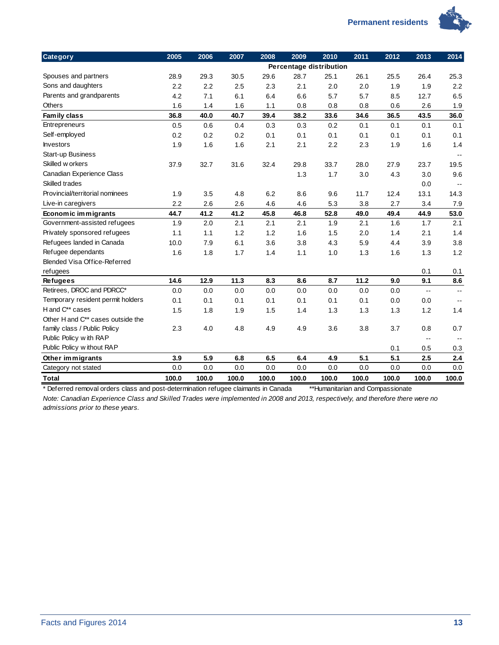

| <b>Category</b>                     | 2005  | 2006  | 2007  | 2008  | 2009  | 2010                    | 2011  | 2012  | 2013                     | 2014                     |
|-------------------------------------|-------|-------|-------|-------|-------|-------------------------|-------|-------|--------------------------|--------------------------|
|                                     |       |       |       |       |       | Percentage distribution |       |       |                          |                          |
| Spouses and partners                | 28.9  | 29.3  | 30.5  | 29.6  | 28.7  | 25.1                    | 26.1  | 25.5  | 26.4                     | 25.3                     |
| Sons and daughters                  | 2.2   | 2.2   | 2.5   | 2.3   | 2.1   | 2.0                     | 2.0   | 1.9   | 1.9                      | 2.2                      |
| Parents and grandparents            | 4.2   | 7.1   | 6.1   | 6.4   | 6.6   | 5.7                     | 5.7   | 8.5   | 12.7                     | 6.5                      |
| Others                              | 1.6   | 1.4   | 1.6   | 1.1   | 0.8   | 0.8                     | 0.8   | 0.6   | 2.6                      | 1.9                      |
| Family class                        | 36.8  | 40.0  | 40.7  | 39.4  | 38.2  | 33.6                    | 34.6  | 36.5  | 43.5                     | 36.0                     |
| Entrepreneurs                       | 0.5   | 0.6   | 0.4   | 0.3   | 0.3   | 0.2                     | 0.1   | 0.1   | 0.1                      | 0.1                      |
| Self-employed                       | 0.2   | 0.2   | 0.2   | 0.1   | 0.1   | 0.1                     | 0.1   | 0.1   | 0.1                      | 0.1                      |
| <b>Investors</b>                    | 1.9   | 1.6   | 1.6   | 2.1   | 2.1   | 2.2                     | 2.3   | 1.9   | 1.6                      | 1.4                      |
| Start-up Business                   |       |       |       |       |       |                         |       |       |                          | $\mathbf{u}$             |
| Skilled w orkers                    | 37.9  | 32.7  | 31.6  | 32.4  | 29.8  | 33.7                    | 28.0  | 27.9  | 23.7                     | 19.5                     |
| Canadian Experience Class           |       |       |       |       | 1.3   | 1.7                     | 3.0   | 4.3   | 3.0                      | 9.6                      |
| Skilled trades                      |       |       |       |       |       |                         |       |       | 0.0                      | $\overline{\phantom{a}}$ |
| Provincial/territorial nominees     | 1.9   | 3.5   | 4.8   | 6.2   | 8.6   | 9.6                     | 11.7  | 12.4  | 13.1                     | 14.3                     |
| Live-in caregivers                  | 2.2   | 2.6   | 2.6   | 4.6   | 4.6   | 5.3                     | 3.8   | 2.7   | 3.4                      | 7.9                      |
| Economic immigrants                 | 44.7  | 41.2  | 41.2  | 45.8  | 46.8  | 52.8                    | 49.0  | 49.4  | 44.9                     | 53.0                     |
| Government-assisted refugees        | 1.9   | 2.0   | 2.1   | 2.1   | 2.1   | 1.9                     | 2.1   | 1.6   | 1.7                      | 2.1                      |
| Privately sponsored refugees        | 1.1   | 1.1   | 1.2   | 1.2   | 1.6   | 1.5                     | 2.0   | 1.4   | 2.1                      | 1.4                      |
| Refugees landed in Canada           | 10.0  | 7.9   | 6.1   | 3.6   | 3.8   | 4.3                     | 5.9   | 4.4   | 3.9                      | 3.8                      |
| Refugee dependants                  | 1.6   | 1.8   | 1.7   | 1.4   | 1.1   | 1.0                     | 1.3   | 1.6   | 1.3                      | 1.2                      |
| <b>Blended Visa Office-Referred</b> |       |       |       |       |       |                         |       |       |                          |                          |
| refugees                            |       |       |       |       |       |                         |       |       | 0.1                      | 0.1                      |
| <b>Refugees</b>                     | 14.6  | 12.9  | 11.3  | 8.3   | 8.6   | 8.7                     | 11.2  | 9.0   | 9.1                      | 8.6                      |
| Retirees, DROC and PDRCC*           | 0.0   | 0.0   | 0.0   | 0.0   | 0.0   | 0.0                     | 0.0   | 0.0   | $\overline{\phantom{a}}$ | $-$                      |
| Temporary resident permit holders   | 0.1   | 0.1   | 0.1   | 0.1   | 0.1   | 0.1                     | 0.1   | 0.0   | 0.0                      | $-$                      |
| H and C** cases                     | 1.5   | 1.8   | 1.9   | 1.5   | 1.4   | 1.3                     | 1.3   | 1.3   | 1.2                      | 1.4                      |
| Other H and C** cases outside the   |       |       |       |       |       |                         |       |       |                          |                          |
| family class / Public Policy        | 2.3   | 4.0   | 4.8   | 4.9   | 4.9   | 3.6                     | 3.8   | 3.7   | 0.8                      | 0.7                      |
| Public Policy with RAP              |       |       |       |       |       |                         |       |       | $-$                      |                          |
| Public Policy without RAP           |       |       |       |       |       |                         |       | 0.1   | 0.5                      | 0.3                      |
| Other immigrants                    | 3.9   | 5.9   | 6.8   | 6.5   | 6.4   | 4.9                     | 5.1   | 5.1   | 2.5                      | 2.4                      |
| Category not stated                 | 0.0   | 0.0   | 0.0   | 0.0   | 0.0   | 0.0                     | 0.0   | 0.0   | 0.0                      | 0.0                      |
| <b>Total</b>                        | 100.0 | 100.0 | 100.0 | 100.0 | 100.0 | 100.0                   | 100.0 | 100.0 | 100.0                    | 100.0                    |

\* Deferred removal orders class and post-determination refugee claimants in Canada \*\*Humanitarian and Compassionate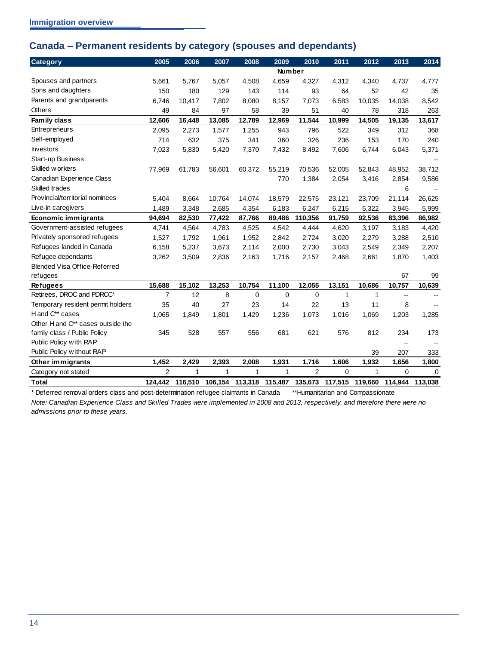## <span id="page-17-0"></span>**Canada – Permanent residents by category (spouses and dependants)**

| <b>Category</b>                     | 2005           | 2006    | 2007   | 2008                    | 2009          | 2010           | 2011            | 2012         | 2013     | 2014        |
|-------------------------------------|----------------|---------|--------|-------------------------|---------------|----------------|-----------------|--------------|----------|-------------|
|                                     |                |         |        |                         | <b>Number</b> |                |                 |              |          |             |
| Spouses and partners                | 5,661          | 5,767   | 5,057  | 4,508                   | 4,659         | 4,327          | 4,312           | 4,340        | 4,737    | 4,777       |
| Sons and daughters                  | 150            | 180     | 129    | 143                     | 114           | 93             | 64              | 52           | 42       | 35          |
| Parents and grandparents            | 6,746          | 10,417  | 7,802  | 8,080                   | 8,157         | 7,073          | 6,583           | 10,035       | 14,038   | 8,542       |
| Others                              | 49             | 84      | 97     | 58                      | 39            | 51             | 40              | 78           | 318      | 263         |
| Family class                        | 12,606         | 16,448  | 13,085 | 12,789                  | 12,969        | 11,544         | 10,999          | 14,505       | 19,135   | 13,617      |
| Entrepreneurs                       | 2,095          | 2,273   | 1,577  | 1,255                   | 943           | 796            | 522             | 349          | 312      | 368         |
| Self-employed                       | 714            | 632     | 375    | 341                     | 360           | 326            | 236             | 153          | 170      | 240         |
| <b>Investors</b>                    | 7,023          | 5,830   | 5,420  | 7,370                   | 7,432         | 8,492          | 7,606           | 6,744        | 6,043    | 5,371       |
| Start-up Business                   |                |         |        |                         |               |                |                 |              |          |             |
| Skilled w orkers                    | 77,969         | 61,783  | 56,601 | 60,372                  | 55,219        | 70,536         | 52,005          | 52,843       | 48,952   | 38,712      |
| Canadian Experience Class           |                |         |        |                         | 770           | 1,384          | 2,054           | 3,416        | 2,854    | 9,586       |
| Skilled trades                      |                |         |        |                         |               |                |                 |              | 6        |             |
| Provincial/territorial nominees     | 5.404          | 8,664   | 10,764 | 14,074                  | 18,579        | 22,575         | 23,121          | 23,709       | 21,114   | 26,625      |
| Live-in caregivers                  | 1,489          | 3,348   | 2,685  | 4,354                   | 6,183         | 6,247          | 6,215           | 5,322        | 3,945    | 5,999       |
| Economic immigrants                 | 94,694         | 82,530  | 77,422 | 87,766                  | 89,486        | 110,356        | 91,759          | 92,536       | 83,396   | 86,982      |
| Government-assisted refugees        | 4,741          | 4,564   | 4,783  | 4,525                   | 4,542         | 4,444          | 4,620           | 3,197        | 3,183    | 4,420       |
| Privately sponsored refugees        | 1,527          | 1,792   | 1,961  | 1,952                   | 2,842         | 2,724          | 3,020           | 2,279        | 3,288    | 2,510       |
| Refugees landed in Canada           | 6,158          | 5,237   | 3,673  | 2,114                   | 2,000         | 2,730          | 3,043           | 2,549        | 2,349    | 2,207       |
| Refugee dependants                  | 3,262          | 3,509   | 2,836  | 2,163                   | 1,716         | 2,157          | 2,468           | 2,661        | 1,870    | 1,403       |
| <b>Blended Visa Office-Referred</b> |                |         |        |                         |               |                |                 |              |          |             |
| refugees                            |                |         |        |                         |               |                |                 |              | 67       | 99          |
| <b>Refugees</b>                     | 15,688         | 15,102  | 13,253 | 10,754                  | 11,100        | 12,055         | 13,151          | 10,686       | 10,757   | 10,639      |
| Retirees, DROC and PDRCC*           | $\overline{7}$ | 12      | 8      | $\mathbf 0$             | $\Omega$      | $\mathbf 0$    | $\mathbf{1}$    | $\mathbf{1}$ | $-$      |             |
| Temporary resident permit holders   | 35             | 40      | 27     | 23                      | 14            | 22             | 13              | 11           | 8        |             |
| H and C** cases                     | 1,065          | 1,849   | 1,801  | 1,429                   | 1,236         | 1,073          | 1,016           | 1,069        | 1,203    | 1,285       |
| Other H and C** cases outside the   |                |         |        |                         |               |                |                 |              |          |             |
| family class / Public Policy        | 345            | 528     | 557    | 556                     | 681           | 621            | 576             | 812          | 234      | 173         |
| Public Policy with RAP              |                |         |        |                         |               |                |                 |              |          |             |
| Public Policy w ithout RAP          |                |         |        |                         |               |                |                 | 39           | 207      | 333         |
| Other immigrants                    | 1,452          | 2,429   | 2,393  | 2,008                   | 1,931         | 1,716          | 1,606           | 1,932        | 1,656    | 1,800       |
| Category not stated                 | $\overline{2}$ | 1       | 1      | 1                       | 1             | $\overline{2}$ | 0               | $\mathbf{1}$ | $\Omega$ | $\mathbf 0$ |
| <b>Total</b>                        | 124.442        | 116.510 |        | 106,154 113,318 115,487 |               |                | 135,673 117,515 | 119,660      | 114.944  | 113.038     |

\* Deferred removal orders class and post-determination refugee claimants in Canada \*\*Humanitarian and Compassionate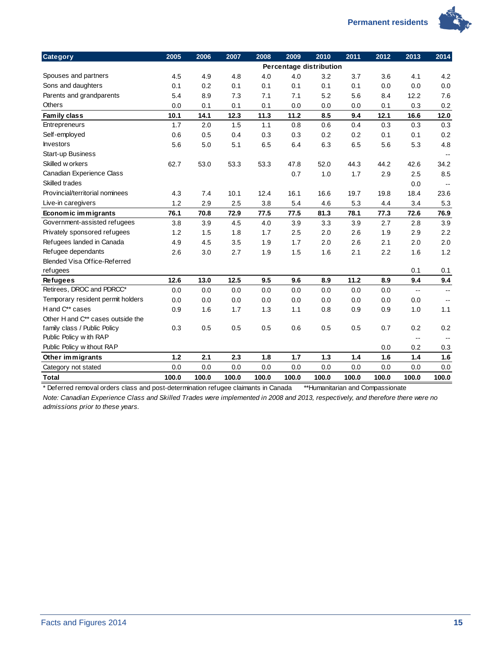

| <b>Category</b>                   | 2005  | 2006  | 2007  | 2008  | 2009  | 2010                    | 2011  | 2012  | 2013  | 2014                     |
|-----------------------------------|-------|-------|-------|-------|-------|-------------------------|-------|-------|-------|--------------------------|
|                                   |       |       |       |       |       | Percentage distribution |       |       |       |                          |
| Spouses and partners              | 4.5   | 4.9   | 4.8   | 4.0   | 4.0   | 3.2                     | 3.7   | 3.6   | 4.1   | 4.2                      |
| Sons and daughters                | 0.1   | 0.2   | 0.1   | 0.1   | 0.1   | 0.1                     | 0.1   | 0.0   | 0.0   | 0.0                      |
| Parents and grandparents          | 5.4   | 8.9   | 7.3   | 7.1   | 7.1   | 5.2                     | 5.6   | 8.4   | 12.2  | 7.6                      |
| <b>Others</b>                     | 0.0   | 0.1   | 0.1   | 0.1   | 0.0   | 0.0                     | 0.0   | 0.1   | 0.3   | 0.2                      |
| Family class                      | 10.1  | 14.1  | 12.3  | 11.3  | 11.2  | 8.5                     | 9.4   | 12.1  | 16.6  | 12.0                     |
| Entrepreneurs                     | 1.7   | 2.0   | 1.5   | 1.1   | 0.8   | 0.6                     | 0.4   | 0.3   | 0.3   | 0.3                      |
| Self-employed                     | 0.6   | 0.5   | 0.4   | 0.3   | 0.3   | 0.2                     | 0.2   | 0.1   | 0.1   | 0.2                      |
| <b>Investors</b>                  | 5.6   | 5.0   | 5.1   | 6.5   | 6.4   | 6.3                     | 6.5   | 5.6   | 5.3   | 4.8                      |
| Start-up Business                 |       |       |       |       |       |                         |       |       |       |                          |
| Skilled w orkers                  | 62.7  | 53.0  | 53.3  | 53.3  | 47.8  | 52.0                    | 44.3  | 44.2  | 42.6  | 34.2                     |
| Canadian Experience Class         |       |       |       |       | 0.7   | 1.0                     | 1.7   | 2.9   | 2.5   | 8.5                      |
| Skilled trades                    |       |       |       |       |       |                         |       |       | 0.0   | $\overline{\phantom{a}}$ |
| Provincial/territorial nominees   | 4.3   | 7.4   | 10.1  | 12.4  | 16.1  | 16.6                    | 19.7  | 19.8  | 18.4  | 23.6                     |
| Live-in caregivers                | 1.2   | 2.9   | 2.5   | 3.8   | 5.4   | 4.6                     | 5.3   | 4.4   | 3.4   | 5.3                      |
| Economic immigrants               | 76.1  | 70.8  | 72.9  | 77.5  | 77.5  | 81.3                    | 78.1  | 77.3  | 72.6  | 76.9                     |
| Government-assisted refugees      | 3.8   | 3.9   | 4.5   | 4.0   | 3.9   | 3.3                     | 3.9   | 2.7   | 2.8   | 3.9                      |
| Privately sponsored refugees      | 1.2   | 1.5   | 1.8   | 1.7   | 2.5   | 2.0                     | 2.6   | 1.9   | 2.9   | 2.2                      |
| Refugees landed in Canada         | 4.9   | 4.5   | 3.5   | 1.9   | 1.7   | 2.0                     | 2.6   | 2.1   | 2.0   | 2.0                      |
| Refugee dependants                | 2.6   | 3.0   | 2.7   | 1.9   | 1.5   | 1.6                     | 2.1   | 2.2   | 1.6   | 1.2                      |
| Blended Visa Office-Referred      |       |       |       |       |       |                         |       |       |       |                          |
| refugees                          |       |       |       |       |       |                         |       |       | 0.1   | 0.1                      |
| <b>Refugees</b>                   | 12.6  | 13.0  | 12.5  | 9.5   | 9.6   | 8.9                     | 11.2  | 8.9   | 9.4   | 9.4                      |
| Retirees, DROC and PDRCC*         | 0.0   | 0.0   | 0.0   | 0.0   | 0.0   | 0.0                     | 0.0   | 0.0   | $-$   | $\overline{\phantom{a}}$ |
| Temporary resident permit holders | 0.0   | 0.0   | 0.0   | 0.0   | 0.0   | 0.0                     | 0.0   | 0.0   | 0.0   | $\sim$ $\sim$            |
| H and C** cases                   | 0.9   | 1.6   | 1.7   | 1.3   | 1.1   | 0.8                     | 0.9   | 0.9   | 1.0   | 1.1                      |
| Other H and C** cases outside the |       |       |       |       |       |                         |       |       |       |                          |
| family class / Public Policy      | 0.3   | 0.5   | 0.5   | 0.5   | 0.6   | 0.5                     | 0.5   | 0.7   | 0.2   | 0.2                      |
| Public Policy with RAP            |       |       |       |       |       |                         |       |       | $-$   |                          |
| Public Policy without RAP         |       |       |       |       |       |                         |       | 0.0   | 0.2   | 0.3                      |
| Other immigrants                  | $1.2$ | 2.1   | 2.3   | 1.8   | 1.7   | $1.3$                   | $1.4$ | 1.6   | 1.4   | 1.6                      |
| Category not stated               | 0.0   | 0.0   | 0.0   | 0.0   | 0.0   | 0.0                     | 0.0   | 0.0   | 0.0   | 0.0                      |
| <b>Total</b>                      | 100.0 | 100.0 | 100.0 | 100.0 | 100.0 | 100.0                   | 100.0 | 100.0 | 100.0 | 100.0                    |

\* Deferred removal orders class and post-determination refugee claimants in Canada \*\*Humanitarian and Compassionate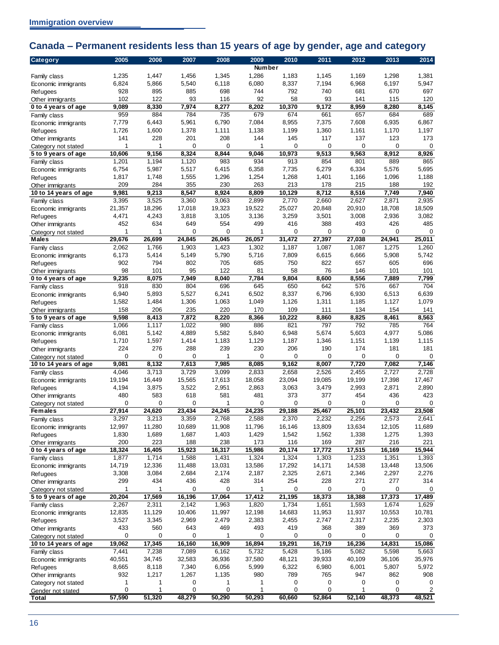# <span id="page-19-0"></span>**Canada – Permanent residents less than 15 years of age by gender, age and category**

| Category                                | 2005            | 2006            | 2007            | 2008            | 2009            | 2010            | 2011            | 2012            | 2013            | 2014            |
|-----------------------------------------|-----------------|-----------------|-----------------|-----------------|-----------------|-----------------|-----------------|-----------------|-----------------|-----------------|
|                                         |                 |                 |                 |                 | <b>Number</b>   |                 |                 |                 |                 |                 |
| Family class                            | 1,235           | 1,447           | 1,456           | 1,345           | 1,286           | 1,183           | 1,145           | 1,169           | 1,298           | 1,381           |
| Economic immigrants                     | 6,824           | 5,866           | 5,540           | 6,118           | 6,080           | 8,337           | 7,194           | 6,968           | 6,197           | 5,947           |
| Refugees<br>Other immigrants            | 928<br>102      | 895<br>122      | 885<br>93       | 698<br>116      | 744<br>92       | 792<br>58       | 740<br>93       | 681<br>141      | 670<br>115      | 697<br>120      |
| 0 to 4 years of age                     | 9,089           | 8,330           | 7,974           | 8,277           | 8,202           | 10,370          | 9,172           | 8,959           | 8,280           | 8,145           |
| Family class                            | 959             | 884             | 784             | 735             | 679             | 674             | 661             | 657             | 684             | 689             |
| Economic immigrants                     | 7,779           | 6,443           | 5,961           | 6,790           | 7,084           | 8,955           | 7,375           | 7,608           | 6,935           | 6,867           |
| Refugees                                | 1,726           | 1,600           | 1,378           | 1,111           | 1,138           | 1,199           | 1,360           | 1,161           | 1,170           | 1,197           |
| Other immigrants                        | 141             | 228             | 201             | 208             | 144             | 145             | 117             | 137             | 123             | 173             |
| Category not stated                     | 1               | 1               | 0               | 0               | 1               | 0               | $\mathbf 0$     | 0               | $\mathbf 0$     | $\mathbf 0$     |
| 5 to 9 years of age                     | 10,606          | 9,156           | 8,324           | 8,844           | 9,046           | 10,973          | 9,513           | 9,563           | 8,912           | 8,926           |
| Family class                            | 1,201           | 1,194           | 1,120<br>5,517  | 983             | 934             | 913             | 854<br>6,279    | 801             | 889<br>5,576    | 865<br>5,695    |
| Economic immigrants                     | 6,754<br>1,817  | 5,987<br>1,748  | 1,555           | 6,415<br>1,296  | 6,358<br>1,254  | 7,735<br>1,268  | 1,401           | 6,334<br>1,166  | 1,096           | 1,188           |
| Refugees<br>Other immigrants            | 209             | 284             | 355             | 230             | 263             | 213             | 178             | 215             | 188             | 192             |
| 10 to 14 years of age                   | 9,981           | 9,213           | 8,547           | 8,924           | 8,809           | 10,129          | 8,712           | 8,516           | 7,749           | 7,940           |
| Family class                            | 3,395           | 3,525           | 3,360           | 3,063           | 2,899           | 2,770           | 2,660           | 2,627           | 2,871           | 2,935           |
| Economic immigrants                     | 21,357          | 18,296          | 17,018          | 19,323          | 19,522          | 25,027          | 20,848          | 20,910          | 18,708          | 18,509          |
| Refugees                                | 4,471           | 4,243           | 3,818           | 3,105           | 3,136           | 3,259           | 3,501           | 3,008           | 2,936           | 3,082           |
| Other immigrants                        | 452             | 634             | 649             | 554             | 499             | 416             | 388             | 493             | 426             | 485             |
| Category not stated                     | 1               | 1               | 0               | 0               | 1               | 0               | 0               | 0               | 0               | 0               |
| <b>Males</b>                            | 29,676          | 26,699          | 24,845          | 26,045          | 26,057          | 31,472          | 27,397          | 27,038          | 24,941          | 25,011          |
| Family class                            | 2,062           | 1,766           | 1,903           | 1,423           | 1,302           | 1,187           | 1,087           | 1,087           | 1,275           | 1,260           |
| Economic immigrants                     | 6,173<br>902    | 5,414<br>794    | 5,149<br>802    | 5,790<br>705    | 5,716<br>685    | 7,809<br>750    | 6,615<br>822    | 6,666<br>657    | 5,908<br>605    | 5,742<br>696    |
| Refugees<br>Other immigrants            | 98              | 101             | 95              | 122             | 81              | 58              | 76              | 146             | 101             | 101             |
| 0 to 4 years of age                     | 9,235           | 8,075           | 7,949           | 8,040           | 7,784           | 9,804           | 8,600           | 8,556           | 7,889           | 7,799           |
| Family class                            | 918             | 830             | 804             | 696             | 645             | 650             | 642             | 576             | 667             | 704             |
| Economic immigrants                     | 6,940           | 5,893           | 5,527           | 6,241           | 6,502           | 8,337           | 6,796           | 6,930           | 6,513           | 6,639           |
| Refugees                                | 1,582           | 1,484           | 1,306           | 1,063           | 1,049           | 1,126           | 1,311           | 1,185           | 1,127           | 1,079           |
| Other immigrants                        | 158             | 206             | 235             | 220             | 170             | 109             | 111             | 134             | 154             | 141             |
| 5 to 9 years of age                     | 9,598           | 8,413           | 7,872           | 8,220           | 8,366           | 10,222          | 8,860           | 8,825           | 8,461           | 8,563           |
| Family class                            | 1,066           | 1,117           | 1,022           | 980             | 886             | 821             | 797             | 792             | 785             | 764             |
| Economic immigrants                     | 6,081           | 5,142           | 4,889           | 5,582           | 5,840           | 6,948           | 5,674           | 5,603           | 4,977           | 5,086           |
| Refugees                                | 1,710<br>224    | 1,597<br>276    | 1,414<br>288    | 1,183<br>239    | 1,129<br>230    | 1,187<br>206    | 1,346<br>190    | 1,151<br>174    | 1,139<br>181    | 1,115<br>181    |
| Other immigrants<br>Category not stated | 0               | 0               | 0               | 1               | 0               | 0               | 0               | 0               | 0               | 0               |
| 10 to 14 years of age                   | 9,081           | 8,132           | 7,613           | 7,985           | 8,085           | 9,162           | 8,007           | 7,720           | 7,082           | 7,146           |
| Family class                            | 4,046           | 3,713           | 3,729           | 3,099           | 2,833           | 2,658           | 2,526           | 2,455           | 2,727           | 2,728           |
| Economic immigrants                     | 19,194          | 16.449          | 15,565          | 17,613          | 18,058          | 23,094          | 19,085          | 19,199          | 17,398          | 17,467          |
| Refugees                                | 4,194           | 3,875           | 3,522           | 2,951           | 2,863           | 3,063           | 3,479           | 2,993           | 2,871           | 2,890           |
| Other immigrants                        | 480             | 583             | 618             | 581             | 481             | 373             | 377             | 454             | 436             | 423             |
| Category not stated                     | 0               | 0               | 0               | 1               | 0               | 0               | 0               | 0               | 0               | $\mathbf 0$     |
| <b>Females</b>                          | 27,914          | 24,620          | 23,434          | 24,245          | 24,235          | 29,188          | 25,467          | 25,101          | 23,432          | 23,508          |
| Family class                            | 3,297           | 3,213           | 3,359           | 2,768           | 2,588           | 2,370           | 2,232           | 2,256           | 2,573           | 2,641           |
| Economic immigrants<br>Refugees         | 12,997<br>1,830 | 11,280<br>1,689 | 10,689<br>1,687 | 11,908<br>1,403 | 11,796<br>1,429 | 16,146<br>1,542 | 13,809<br>1,562 | 13,634<br>1,338 | 12,105<br>1,275 | 11,689<br>1,393 |
| Other immigrants                        | 200             | 223             | 188             | 238             | 173             | 116             | 169             | 287             | 216             | 221             |
| 0 to 4 years of age                     | 18,324          | 16,405          | 15,923          | 16,317          | 15,986          | 20,174          | 17,772          | 17,515          | 16,169          | 15,944          |
| Family class                            | 1,877           | 1,714           | 1,588           | 1,431           | 1,324           | 1,324           | 1,303           | 1,233           | 1,351           | 1,393           |
| Economic immigrants                     | 14,719          | 12,336          | 11,488          | 13,031          | 13,586          | 17,292          | 14,171          | 14,538          | 13,448          | 13,506          |
| Refugees                                | 3,308           | 3,084           | 2,684           | 2,174           | 2,187           | 2,325           | 2,671           | 2,346           | 2,297           | 2,276           |
| Other immigrants                        | 299             | 434             | 436             | 428             | 314             | 254             | 228             | 271             | 277             | 314             |
| Category not stated                     | 1               | 1               | 0               | 0               | 1               | 0               | 0               | $\mathbf 0$     | 0               | 0               |
| 5 to 9 years of age                     | 20,204          | 17,569          | 16,196          | 17,064          | 17,412          | 21,195          | 18,373          | 18,388          | 17,373          | 17,489          |
| Family class                            | 2,267           | 2,311           | 2,142           | 1,963           | 1,820           | 1,734           | 1,651           | 1,593           | 1,674           | 1,629           |
| Economic immigrants                     | 12,835<br>3,527 | 11,129<br>3,345 | 10,406<br>2,969 | 11,997<br>2,479 | 12,198<br>2,383 | 14,683<br>2,455 | 11,953<br>2,747 | 11,937<br>2,317 | 10,553<br>2,235 | 10,781<br>2,303 |
| <b>Refugees</b><br>Other immigrants     | 433             | 560             | 643             | 469             | 493             | 419             | 368             | 389             | 369             | 373             |
| Category not stated                     | 0               | 0               | 0               | 1               | 0               | 0               | 0               | 0               | 0               | 0               |
| 10 to 14 years of age                   | 19,062          | 17,345          | 16,160          | 16,909          | 16,894          | 19,291          | 16,719          | 16,236          | 14,831          | 15,086          |
| Family class                            | 7,441           | 7,238           | 7,089           | 6,162           | 5,732           | 5,428           | 5,186           | 5,082           | 5,598           | 5,663           |
| Economic immigrants                     | 40,551          | 34,745          | 32,583          | 36,936          | 37,580          | 48,121          | 39,933          | 40,109          | 36,106          | 35,976          |
| <b>Refugees</b>                         | 8,665           | 8,118           | 7,340           | 6,056           | 5,999           | 6,322           | 6,980           | 6,001           | 5,807           | 5,972           |
| Other immigrants                        | 932             | 1,217           | 1,267           | 1,135           | 980             | 789             | 765             | 947             | 862             | 908             |
| Category not stated                     | 1<br>0          | 1               | 0               | 1               | 1               | 0               | 0               | 0               | 0               | 0               |
| Gender not stated<br>Total              | 57,590          | 1<br>51,320     | 0<br>48,279     | 0<br>50,290     | 1<br>50,293     | 0<br>60,660     | 0<br>52,864     | 1<br>52,140     | 0<br>48,373     | 2<br>48,521     |
|                                         |                 |                 |                 |                 |                 |                 |                 |                 |                 |                 |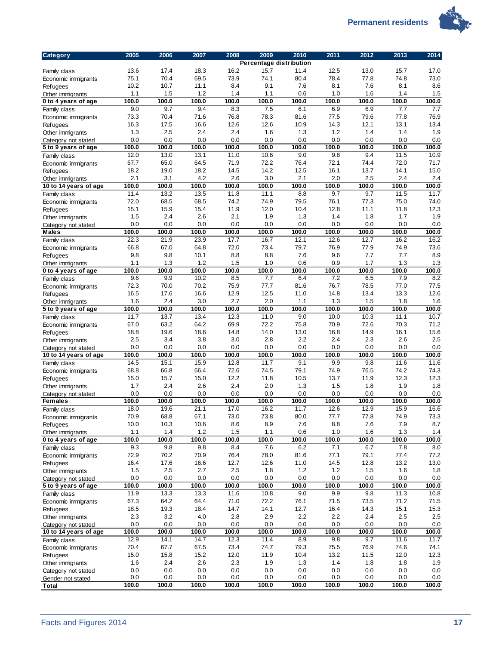

| <b>Category</b>                        | 2005         | 2006         | 2007         | 2008         | 2009<br>Percentage distribution | 2010         | 2011         | 2012         | 2013         | 2014          |
|----------------------------------------|--------------|--------------|--------------|--------------|---------------------------------|--------------|--------------|--------------|--------------|---------------|
| Family class                           | 13.6         | 17.4         | 18.3         | 16.2         | 15.7                            | 11.4         | 12.5         | 13.0         | 15.7         | 17.0          |
| Economic immigrants                    | 75.1         | 70.4         | 69.5         | 73.9         | 74.1                            | 80.4         | 78.4         | 77.8         | 74.8         | 73.0          |
| <b>Refugees</b>                        | 10.2         | 10.7         | 11.1         | 8.4          | 9.1                             | 7.6          | 8.1          | 7.6          | 8.1          | 8.6           |
| Other immigrants                       | 1.1          | 1.5          | 1.2          | 1.4          | 1.1                             | 0.6          | 1.0          | 1.6          | 1.4          | 1.5           |
| 0 to 4 years of age                    | 100.0        | 100.0        | 100.0        | 100.0        | 100.0                           | 100.0        | 100.0        | 100.0        | 100.0        | 100.0         |
| Family class                           | 9.0          | 9.7          | 9.4          | 8.3          | 7.5                             | 6.1          | 6.9          | 6.9          | 7.7          | 7.7           |
| Economic immigrants                    | 73.3         | 70.4         | 71.6         | 76.8         | 78.3                            | 81.6         | 77.5         | 79.6         | 77.8         | 76.9          |
| <b>Refugees</b>                        | 16.3         | 17.5         | 16.6         | 12.6         | 12.6                            | 10.9         | 14.3         | 12.1         | 13.1         | 13.4          |
| Other immigrants                       | 1.3          | 2.5          | 2.4          | 2.4          | 1.6                             | 1.3          | 1.2          | 1.4          | 1.4          | 1.9           |
| Category not stated                    | 0.0          | 0.0          | 0.0          | 0.0          | 0.0                             | 0.0          | 0.0          | 0.0          | 0.0          | 0.0           |
| 5 to 9 years of age                    | 100.0        | 100.0        | 100.0        | 100.0        | 100.0                           | 100.0        | 100.0        | 100.0<br>9.4 | 100.0        | 100.0<br>10.9 |
| Family class                           | 12.0<br>67.7 | 13.0<br>65.0 | 13.1<br>64.5 | 11.0<br>71.9 | 10.6<br>72.2                    | 9.0<br>76.4  | 9.8<br>72.1  | 74.4         | 11.5<br>72.0 | 71.7          |
| Economic immigrants<br><b>Refugees</b> | 18.2         | 19.0         | 18.2         | 14.5         | 14.2                            | 12.5         | 16.1         | 13.7         | 14.1         | 15.0          |
| Other immigrants                       | 2.1          | 3.1          | 4.2          | 2.6          | 3.0                             | 2.1          | 2.0          | 2.5          | 2.4          | 2.4           |
| 10 to 14 years of age                  | 100.0        | 100.0        | 100.0        | 100.0        | 100.0                           | 100.0        | 100.0        | 100.0        | 100.0        | 100.0         |
| Family class                           | 11.4         | 13.2         | 13.5         | 11.8         | 11.1                            | 8.8          | 9.7          | 9.7          | 11.5         | 11.7          |
| Economic immigrants                    | 72.0         | 68.5         | 68.5         | 74.2         | 74.9                            | 79.5         | 76.1         | 77.3         | 75.0         | 74.0          |
| Refugees                               | 15.1         | 15.9         | 15.4         | 11.9         | 12.0                            | 10.4         | 12.8         | 11.1         | 11.8         | 12.3          |
| Other immigrants                       | 1.5          | 2.4          | 2.6          | 2.1          | 1.9                             | 1.3          | 1.4          | 1.8          | 1.7          | 1.9           |
| Category not stated                    | 0.0          | 0.0          | 0.0          | 0.0          | 0.0                             | 0.0          | 0.0          | 0.0          | 0.0          | 0.0           |
| Males                                  | 100.0        | 100.0        | 100.0        | 100.0        | 100.0                           | 100.0        | 100.0        | 100.0        | 100.0        | 100.0         |
| Family class                           | 22.3         | 21.9         | 23.9         | 17.7         | 16.7                            | 12.1         | 12.6         | 12.7         | 16.2         | 16.2          |
| Economic immigrants                    | 66.8         | 67.0         | 64.8         | 72.0         | 73.4                            | 79.7         | 76.9         | 77.9         | 74.9         | 73.6          |
| <b>Refugees</b>                        | 9.8          | 9.8          | 10.1         | 8.8          | 8.8                             | 7.6          | 9.6          | 7.7          | 7.7          | 8.9           |
| Other immigrants                       | 1.1<br>100.0 | 1.3<br>100.0 | 1.2<br>100.0 | 1.5<br>100.0 | 1.0<br>100.0                    | 0.6<br>100.0 | 0.9          | 1.7<br>100.0 | 1.3<br>100.0 | 1.3<br>100.0  |
| 0 to 4 years of age                    | 9.6          | 9.9          | 10.2         | 8.5          | 7.7                             | 6.4          | 100.0<br>7.2 | 6.5          | 7.9          | 8.2           |
| Family class<br>Economic immigrants    | 72.3         | 70.0         | 70.2         | 75.9         | 77.7                            | 81.6         | 76.7         | 78.5         | 77.0         | 77.5          |
| <b>Refugees</b>                        | 16.5         | 17.6         | 16.6         | 12.9         | 12.5                            | 11.0         | 14.8         | 13.4         | 13.3         | 12.6          |
| Other immigrants                       | 1.6          | 2.4          | 3.0          | 2.7          | 2.0                             | 1.1          | 1.3          | 1.5          | 1.8          | 1.6           |
| 5 to 9 years of age                    | 100.0        | 100.0        | 100.0        | 100.0        | 100.0                           | 100.0        | 100.0        | 100.0        | 100.0        | 100.0         |
| Family class                           | 11.7         | 13.7         | 13.4         | 12.3         | 11.0                            | 9.0          | 10.0         | 10.3         | 11.1         | 10.7          |
| Economic immigrants                    | 67.0         | 63.2         | 64.2         | 69.9         | 72.2                            | 75.8         | 70.9         | 72.6         | 70.3         | 71.2          |
| <b>Refugees</b>                        | 18.8         | 19.6         | 18.6         | 14.8         | 14.0                            | 13.0         | 16.8         | 14.9         | 16.1         | 15.6          |
| Other immigrants                       | 2.5          | 3.4          | 3.8          | 3.0          | 2.8                             | 2.2          | 2.4          | 2.3          | 2.6          | 2.5           |
| Category not stated                    | 0.0          | 0.0          | 0.0          | 0.0          | 0.0                             | 0.0          | 0.0          | 0.0          | 0.0          | 0.0           |
| 10 to 14 years of age                  | 100.0        | 100.0        | 100.0        | 100.0        | 100.0                           | 100.0        | 100.0        | 100.0        | 100.0        | 100.0         |
| Family class                           | 14.5         | 15.1         | 15.9         | 12.8         | 11.7                            | 9.1          | 9.9          | 9.8          | 11.6         | 11.6          |
| Economic immigrants                    | 68.8         | 66.8         | 66.4         | 72.6         | 74.5                            | 79.1         | 74.9         | 76.5         | 74.2         | 74.3          |
| <b>Refugees</b>                        | 15.0         | 15.7         | 15.0         | 12.2         | 11.8                            | 10.5         | 13.7         | 11.9         | 12.3         | 12.3          |
| Other immigrants                       | 1.7<br>0.0   | 2.4<br>0.0   | 2.6<br>0.0   | 2.4<br>0.0   | 2.0<br>0.0                      | 1.3<br>0.0   | 1.5<br>0.0   | 1.8<br>0.0   | 1.9<br>0.0   | 1.8<br>0.0    |
| Category not stated<br><b>Females</b>  | 100.0        | 100.0        | 100.0        | 100.0        | 100.0                           | 100.0        | 100.0        | 100.0        | 100.0        | 100.0         |
| Family class                           | 18.0         | 19.6         | 21.1         | 17.0         | 16.2                            | 11.7         | 12.6         | 12.9         | 15.9         | 16.6          |
| Economic immigrants                    | 70.9         | 68.8         | 67.1         | 73.0         | 73.8                            | 80.0         | 77.7         | 77.8         | 74.9         | 73.3          |
| <b>Refugees</b>                        | 10.0         | 10.3         | 10.6         | 8.6          | 8.9                             | 7.6          | 8.8          | 7.6          | 7.9          | 8.7           |
| Other immigrants                       | 1.1          | 1.4          | 1.2          | 1.5          | 1.1                             | 0.6          | 1.0          | 1.6          | 1.3          | $1.4\,$       |
| 0 to 4 years of age                    | 100.0        | 100.0        | 100.0        | 100.0        | 100.0                           | 100.0        | 100.0        | 100.0        | 100.0        | 100.0         |
| Family class                           | 9.3          | 9.8          | 9.8          | 8.4          | 7.6                             | 6.2          | 7.1          | 6.7          | 7.8          | 8.0           |
| Economic immigrants                    | 72.9         | 70.2         | 70.9         | 76.4         | 78.0                            | 81.6         | 77.1         | 79.1         | 77.4         | 77.2          |
| Refugees                               | 16.4         | 17.6         | 16.6         | 12.7         | 12.6                            | 11.0         | 14.5         | 12.8         | 13.2         | 13.0          |
| Other immigrants                       | 1.5          | 2.5          | 2.7          | 2.5          | 1.8                             | 1.2          | 1.2          | 1.5          | 1.6          | 1.8           |
| Category not stated                    | 0.0          | 0.0          | 0.0          | 0.0          | 0.0                             | 0.0          | 0.0          | 0.0          | 0.0          | 0.0           |
| 5 to 9 years of age                    | 100.0        | 100.0        | 100.0        | 100.0        | 100.0                           | 100.0        | 100.0        | 100.0        | 100.0        | 100.0         |
| Family class                           | 11.9         | 13.3         | 13.3         | 11.6         | 10.8                            | 9.0          | 9.9          | 9.8          | 11.3         | 10.8          |
| Economic immigrants                    | 67.3<br>18.5 | 64.2<br>19.3 | 64.4<br>18.4 | 71.0<br>14.7 | 72.2<br>14.1                    | 76.1<br>12.7 | 71.5<br>16.4 | 73.5<br>14.3 | 71.2<br>15.1 | 71.5<br>15.3  |
| <b>Refugees</b><br>Other immigrants    | 2.3          | 3.2          | 4.0          | 2.8          | 2.9                             | 2.2          | 2.2          | 2.4          | 2.5          | 2.5           |
| Category not stated                    | 0.0          | 0.0          | 0.0          | 0.0          | 0.0                             | 0.0          | 0.0          | 0.0          | 0.0          | $0.0\,$       |
| 10 to 14 years of age                  | 100.0        | 100.0        | 100.0        | 100.0        | 100.0                           | 100.0        | 100.0        | 100.0        | 100.0        | 100.0         |
| Family class                           | 12.9         | 14.1         | 14.7         | 12.3         | 11.4                            | 8.9          | 9.8          | 9.7          | 11.6         | 11.7          |
| Economic immigrants                    | 70.4         | 67.7         | 67.5         | 73.4         | 74.7                            | 79.3         | 75.5         | 76.9         | 74.6         | 74.1          |
| Refugees                               | 15.0         | 15.8         | 15.2         | 12.0         | 11.9                            | 10.4         | 13.2         | 11.5         | 12.0         | 12.3          |
| Other immigrants                       | 1.6          | 2.4          | 2.6          | 2.3          | 1.9                             | 1.3          | 1.4          | 1.8          | 1.8          | 1.9           |
| Category not stated                    | 0.0          | 0.0          | 0.0          | 0.0          | 0.0                             | 0.0          | 0.0          | 0.0          | 0.0          | 0.0           |
| Gender not stated                      | 0.0          | 0.0          | 0.0          | 0.0          | 0.0                             | 0.0          | 0.0          | 0.0          | 0.0          | 0.0           |
| <b>Total</b>                           | 100.0        | 100.0        | 100.0        | 100.0        | 100.0                           | 100.0        | 100.0        | 100.0        | 100.0        | 100.0         |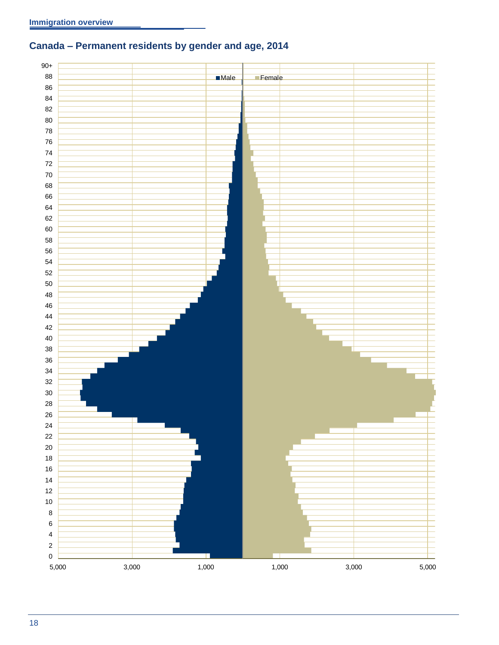# <span id="page-21-0"></span>**Canada – Permanent residents by gender and age, 2014**

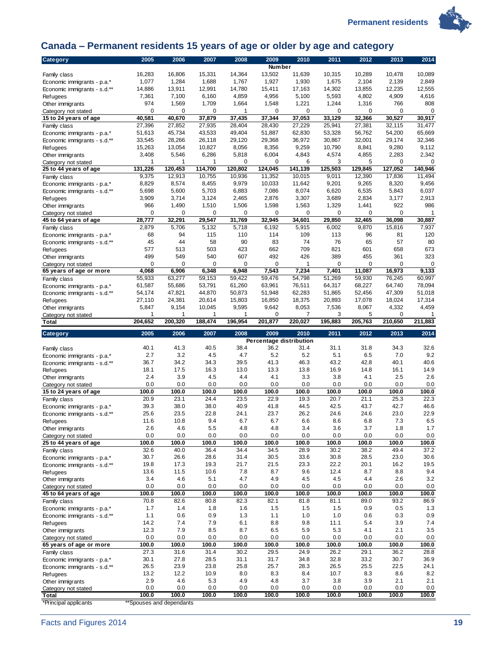



## <span id="page-22-0"></span>**Canada – Permanent residents 15 years of age or older by age and category**

| Category                                                    | 2005                              | 2006             | 2007             | 2008             | 2009                    | 2010                  | 2011             | 2012             | 2013             | 2014             |
|-------------------------------------------------------------|-----------------------------------|------------------|------------------|------------------|-------------------------|-----------------------|------------------|------------------|------------------|------------------|
|                                                             |                                   |                  |                  |                  | <b>Number</b>           |                       |                  |                  |                  |                  |
| Family class                                                | 16,283<br>1,077                   | 16,806<br>1,284  | 15,331<br>1,688  | 14,364<br>1,767  | 13,502<br>1,927         | 11,639<br>1,930       | 10,315<br>1,675  | 10,289<br>2,104  | 10,478<br>2,139  | 10,089<br>2,849  |
| Economic immigrants - p.a.*<br>Economic immigrants - s.d.** | 14,886                            | 13,911           | 12,991           | 14,780           | 15,411                  | 17,163                | 14,302           | 13,855           | 12,235           | 12,555           |
| Refugees                                                    | 7,361                             | 7,100            | 6,160            | 4,859            | 4,956                   | 5,100                 | 5,593            | 4,802            | 4,909            | 4,616            |
| Other immigrants                                            | 974                               | 1,569            | 1,709            | 1,664            | 1,548                   | 1,221                 | 1,244            | 1,316            | 766              | 808              |
| Category not stated                                         | $\mathbf 0$                       | 0                | 0                | 1                | 0                       | $\mathbf 0$           | 0                | $\mathbf 0$      | 0                | $\mathbf 0$      |
| 15 to 24 years of age                                       | 40,581                            | 40,670           | 37,879           | 37,435           | 37,344                  | 37,053                | 33,129           | 32,366           | 30,527           | 30,917           |
| Family class                                                | 27,396                            | 27,852           | 27,935           | 28,404           | 28,430                  | 27,229                | 25,941           | 27,381           | 32,115           | 31,477           |
| Economic immigrants - p.a.*                                 | 51,613                            | 45,734           | 43,533           | 49,404           | 51,887                  | 62,830                | 53,328           | 56,762           | 54,200           | 65,669           |
| Economic immigrants - s.d.**                                | 33,545                            | 28,266           | 26,118           | 29,120           | 29,368                  | 36,972                | 30,867           | 32,001           | 29,174           | 32.346           |
| Refugees<br>Other immigrants                                | 15,263<br>3,408                   | 13,054<br>5,546  | 10,827<br>6,286  | 8,056<br>5,818   | 8,356<br>6,004          | 9,259<br>4,843        | 10,790<br>4,574  | 8,841<br>4,855   | 9,280<br>2,283   | 9,112<br>2,342   |
| Category not stated                                         | 1                                 | 1                | 1                | 0                | 0                       | 6                     | 3                | 5                | 0                | 0                |
| 25 to 44 years of age                                       | 131.226                           | 120.453          | 114,700          | 120,802          | 124,045                 | 141,139               | 125,503          | 129,845          | 127,052          | 140,946          |
| Family class                                                | 9,375                             | 12,913           | 10,755           | 10,936           | 11,352                  | 10,015                | 9,011            | 12,390           | 17,836           | 11,494           |
| Economic immigrants - p.a.*                                 | 8,829                             | 8,574            | 8,455            | 9,979            | 10,033                  | 11,642                | 9,201            | 9,265            | 8,320            | 9,456            |
| Economic immigrants - s.d.**                                | 5,698                             | 5,600            | 5,703            | 6,883            | 7,086                   | 8,074                 | 6,620            | 6,535            | 5,843            | 6,037            |
| Refugees                                                    | 3,909                             | 3,714            | 3,124            | 2,465            | 2,876                   | 3,307                 | 3,689            | 2,834            | 3,177            | 2,913            |
| Other immigrants                                            | 966                               | 1,490            | 1,510            | 1,506            | 1,598                   | 1,563                 | 1,329            | 1,441            | 922              | 986              |
| Category not stated<br>45 to 64 years of age                | 0<br>28,777                       | 0<br>32,291      | 0<br>29,547      | 0<br>31,769      | 0<br>32,945             | $\mathbf 0$<br>34,601 | 0<br>29,850      | 0<br>32,465      | 0<br>36,098      | 1<br>30,887      |
| Family class                                                | 2,879                             | 5,706            | 5,132            | 5,718            | 6,192                   | 5,915                 | 6,002            | 9,870            | 15,816           | 7,937            |
| Economic immigrants - p.a.*                                 | 68                                | 94               | 115              | 110              | 114                     | 109                   | 113              | 96               | 81               | 120              |
| Economic immigrants - s.d.**                                | 45                                | 44               | 58               | 90               | 83                      | 74                    | 76               | 65               | 57               | 80               |
| Refugees                                                    | 577                               | 513              | 503              | 423              | 662                     | 709                   | 821              | 601              | 658              | 673              |
| Other immigrants                                            | 499                               | 549              | 540              | 607              | 492                     | 426                   | 389              | 455              | 361              | 323              |
| Category not stated                                         | $\mathbf 0$                       | $\mathbf 0$      | 0                | $\mathbf 0$      | 0                       | 1                     | $\mathbf 0$      | $\mathbf 0$      | 0                | 0                |
| 65 years of age or more                                     | 4,068                             | 6,906            | 6,348            | 6,948            | 7,543                   | 7,234                 | 7,401            | 11,087           | 16,973           | 9,133            |
| Family class                                                | 55,933<br>61,587                  | 63,277<br>55,686 | 59,153<br>53,791 | 59,422<br>61,260 | 59,476<br>63,961        | 54,798<br>76,511      | 51,269<br>64,317 | 59,930<br>68,227 | 76,245<br>64,740 | 60,997<br>78,094 |
| Economic immigrants - p.a.*<br>Economic immigrants - s.d.** | 54,174                            | 47,821           | 44,870           | 50,873           | 51,948                  | 62,283                | 51,865           | 52,456           | 47,309           | 51,018           |
| Refugees                                                    | 27,110                            | 24,381           | 20,614           | 15,803           | 16,850                  | 18,375                | 20,893           | 17,078           | 18,024           | 17,314           |
| Other immigrants                                            | 5,847                             | 9,154            | 10,045           | 9,595            | 9,642                   | 8,053                 | 7,536            | 8,067            | 4,332            | 4,459            |
| Category not stated                                         | 1                                 | 1                | 1                | 1                | 0                       | 7                     | 3                | 5                | 0                |                  |
| Total                                                       | 204,652                           | 200,320          | 188,474          | 196,954          | 201,877                 | 220,027               | 195,883          | 205,763          | 210,650          | 211,883          |
|                                                             |                                   |                  |                  |                  |                         |                       |                  |                  |                  |                  |
| <b>Category</b>                                             | 2005                              | 2006             | 2007             | 2008             | 2009                    | 2010                  | 2011             | 2012             | 2013             | 2014             |
|                                                             |                                   |                  |                  |                  | Percentage distribution |                       |                  |                  |                  |                  |
| Family class                                                | 40.1                              | 41.3             | 40.5             | 38.4             | 36.2                    | 31.4                  | 31.1             | 31.8             | 34.3             | 32.6             |
| Economic immigrants - p.a.*                                 | 2.7                               | 3.2              | 4.5              | 4.7              | 5.2                     | 5.2                   | 5.1              | 6.5              | 7.0              | 9.2              |
| Economic immigrants - s.d.**                                | 36.7                              | 34.2             | 34.3             | 39.5             | 41.3                    | 46.3                  | 43.2             | 42.8             | 40.1             | 40.6             |
| Refugees                                                    | 18.1                              | 17.5             | 16.3             | 13.0             | 13.3                    | 13.8                  | 16.9             | 14.8             | 16.1             | 14.9             |
| Other immigrants                                            | 2.4<br>0.0                        | 3.9<br>0.0       | 4.5<br>0.0       | 4.4<br>0.0       | 4.1<br>0.0              | 3.3<br>0.0            | 3.8<br>0.0       | 4.1<br>0.0       | 2.5<br>0.0       | 2.6<br>0.0       |
| Category not stated<br>15 to 24 years of age                | 100.0                             | 100.0            | 100.0            | 100.0            | 100.0                   | 100.0                 | 100.0            | 100.0            | 100.0            | 100.0            |
| Family class                                                | 20.9                              | 23.1             | 24.4             | 23.5             | 22.9                    | 19.3                  | 20.7             | 21.1             | 25.3             | 22.3             |
| Economic immigrants - p.a.*                                 | 39.3                              | 38.0             | 38.0             | 40.9             | 41.8                    | 44.5                  | 42.5             | 43.7             | 42.7             | 46.6             |
| Economic immigrants - s.d.**                                | 25.6                              | 23.5             | 22.8             | 24.1             | 23.7                    | 26.2                  | 24.6             | 24.6             | 23.0             | 22.9             |
| <b>Refugees</b>                                             | 11.6                              | 10.8             | 9.4              | 6.7              | 6.7                     | 6.6                   | 8.6              | 6.8              | 7.3              | $6.5\,$          |
| Other immigrants                                            | 2.6                               | 4.6              | 5.5              | 4.8              | 4.8                     | 3.4                   | 3.6              | 3.7              | 1.8              | 1.7              |
| Category not stated                                         | 0.0                               | 0.0              | 0.0              | 0.0              | 0.0                     | 0.0                   | 0.0              | 0.0              | 0.0              | 0.0              |
| 25 to 44 years of age                                       | 100.0<br>32.6                     | 100.0<br>40.0    | 100.0<br>36.4    | 100.0<br>34.4    | 100.0<br>34.5           | 100.0<br>28.9         | 100.0<br>30.2    | 100.0<br>38.2    | 100.0<br>49.4    | 100.0<br>37.2    |
| Family class<br>Economic immigrants - p.a.*                 | 30.7                              | 26.6             | 28.6             | 31.4             | 30.5                    | 33.6                  | 30.8             | 28.5             | 23.0             | 30.6             |
| Economic immigrants - s.d.**                                | 19.8                              | 17.3             | 19.3             | 21.7             | 21.5                    | 23.3                  | 22.2             | 20.1             | 16.2             | 19.5             |
| Refugees                                                    | 13.6                              | 11.5             | 10.6             | 7.8              | 8.7                     | 9.6                   | 12.4             | 8.7              | 8.8              | 9.4              |
| Other immigrants                                            | 3.4                               | 4.6              | 5.1              | 4.7              | 4.9                     | 4.5                   | 4.5              | 4.4              | 2.6              | 3.2              |
| Category not stated                                         | 0.0                               | 0.0              | 0.0              | 0.0              | 0.0                     | 0.0                   | 0.0              | 0.0              | 0.0              | 0.0              |
| 45 to 64 years of age                                       | 100.0                             | 100.0            | 100.0            | 100.0            | 100.0                   | 100.0                 | 100.0            | 100.0            | 100.0            | 100.0            |
| Family class                                                | 70.8<br>1.7                       | 82.6<br>1.4      | 80.8<br>1.8      | 82.3<br>1.6      | 82.1<br>1.5             | 81.8<br>1.5           | 81.1<br>1.5      | 89.0<br>0.9      | 93.2<br>0.5      | 86.9<br>1.3      |
| Economic immigrants - p.a.*<br>Economic immigrants - s.d.** | 1.1                               | 0.6              | 0.9              | 1.3              | 1.1                     | 1.0                   | 1.0              | 0.6              | 0.3              | 0.9              |
| Refugees                                                    | 14.2                              | 7.4              | 7.9              | 6.1              | 8.8                     | 9.8                   | 11.1             | 5.4              | 3.9              | 7.4              |
| Other immigrants                                            | 12.3                              | 7.9              | 8.5              | 8.7              | 6.5                     | 5.9                   | 5.3              | 4.1              | 2.1              | 3.5              |
| Category not stated                                         | 0.0                               | 0.0              | 0.0              | 0.0              | 0.0                     | 0.0                   | 0.0              | 0.0              | 0.0              | 0.0              |
| 65 years of age or more                                     | 100.0                             | 100.0            | 100.0            | 100.0            | 100.0                   | 100.0                 | 100.0            | 100.0            | 100.0            | 100.0            |
| Family class                                                | 27.3                              | 31.6             | 31.4             | 30.2             | 29.5                    | 24.9                  | 26.2             | 29.1             | 36.2             | 28.8             |
| Economic immigrants - p.a.*                                 | 30.1<br>26.5                      | 27.8<br>23.9     | 28.5<br>23.8     | 31.1<br>25.8     | 31.7<br>25.7            | 34.8<br>28.3          | 32.8<br>26.5     | 33.2<br>25.5     | 30.7<br>22.5     | 36.9<br>24.1     |
| Economic immigrants - s.d.**<br>Refugees                    | 13.2                              | 12.2             | 10.9             | 8.0              | 8.3                     | 8.4                   | 10.7             | 8.3              | 8.6              | 8.2              |
| Other immigrants                                            | 2.9                               | 4.6              | 5.3              | 4.9              | 4.8                     | 3.7                   | 3.8              | 3.9              | 2.1              | 2.1              |
| Category not stated                                         | 0.0                               | 0.0              | 0.0              | 0.0              | 0.0                     | 0.0                   | 0.0              | 0.0              | 0.0              | 0.0              |
| Total<br>*Principal applicants                              | 100.0<br>**Spouses and dependants | 100.0            | 100.0            | 100.0            | 100.0                   | 100.0                 | 100.0            | 100.0            | 100.0            | 100.0            |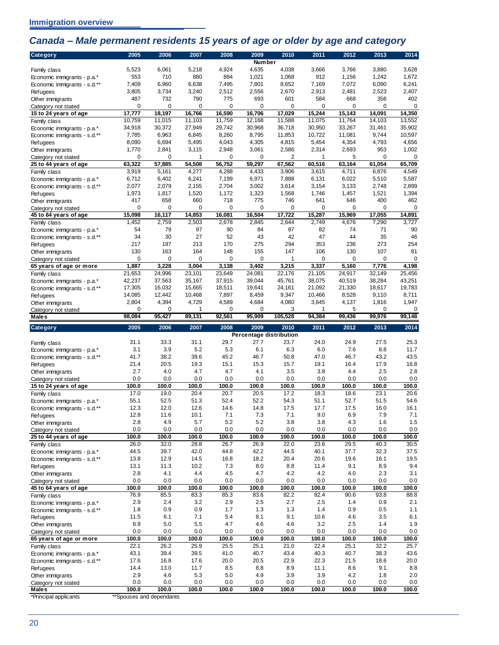## <span id="page-23-0"></span>*Canada – Male permanent residents 15 years of age or older by age and category*

| 5,523<br>6,061<br>5,218<br>4,924<br>4,635<br>4,038<br>3,666<br>3,766<br>3,880<br>3,628<br>Family class<br>553<br>710<br>880<br>884<br>1,021<br>1,672<br>1,068<br>912<br>1,156<br>1,242<br>Economic immigrants - p.a.*<br>7,409<br>6,960<br>6,638<br>7,495<br>7,801<br>8,652<br>7,169<br>7,072<br>6,090<br>6,241<br>Economic immigrants - s.d.**<br>2,407<br>3,805<br>3,734<br>3,240<br>2,512<br>2,556<br>2,670<br>2,913<br>2,481<br>2,523<br>Refugees<br>487<br>732<br>790<br>775<br>693<br>601<br>584<br>668<br>356<br>402<br>Other immigrants<br>$\pmb{0}$<br>0<br>0<br>0<br>0<br>0<br>0<br>0<br>0<br>0<br>Category not stated<br>16,590<br>16,706<br>17,029<br>15,244<br>15,143<br>14,091<br>14,350<br>17,777<br>18,197<br>16,766<br>15 to 24 years of age<br>11,759<br>11,588<br>13,552<br>10,759<br>11,015<br>11,103<br>12,168<br>11,075<br>11,764<br>14,103<br>Family class<br>34,918<br>30,372<br>27,949<br>29,742<br>30,968<br>36,718<br>30,950<br>33,267<br>31,461<br>35,902<br>Economic immigrants - p.a.*<br>7,785<br>6,963<br>6,845<br>8,260<br>8,795<br>11,853<br>10,722<br>11,081<br>9,744<br>10,597<br>Economic immigrants - s.d.**<br>8,090<br>6,694<br>5,495<br>4,043<br>4,305<br>4,815<br>5,454<br>4,354<br>4,793<br>4,656<br><b>Refugees</b><br>1,770<br>2,948<br>2,586<br>2,314<br>2,693<br>953<br>1,002<br>2,841<br>3,115<br>3,061<br>Other immigrants<br>0<br>2<br>5<br>0<br>0<br>0<br>0<br>1<br>0<br>1<br>Category not stated<br>63,322<br>57,885<br>54,508<br>56,752<br>59,297<br>67,562<br>60,516<br>61,054<br>65,709<br>63,164<br>25 to 44 years of age<br>6,876<br>4,549<br>3,919<br>5,161<br>4,277<br>4,288<br>4,433<br>3,906<br>3,615<br>4,711<br>Family class<br>5,587<br>6,712<br>6,402<br>6,241<br>7,199<br>6,971<br>7,888<br>6,131<br>6,022<br>5,510<br>Economic immigrants - p.a.*<br>2,899<br>2,077<br>2,079<br>2,155<br>2,704<br>3,002<br>3,614<br>3,154<br>3,133<br>2,748<br>Economic immigrants - s.d.**<br>1,520<br>1,394<br>1,973<br>1,817<br>1,172<br>1,323<br>1,568<br>1,746<br>1,457<br>1,521<br><b>Refugees</b><br>417<br>660<br>462<br>658<br>718<br>775<br>746<br>641<br>646<br>400<br>Other immigrants<br>0<br>0<br>0<br>0<br>$\mathbf 0$<br>$\mathbf 0$<br>$\mathbf 0$<br>0<br>0<br>0<br>Category not stated<br>15,098<br>16,117<br>14,853<br>16,081<br>16,504<br>17,722<br>15,287<br>15,969<br>17.055<br>14,891<br>45 to 64 years of age<br>1,452<br>2,759<br>2,503<br>2,678<br>2,845<br>2,644<br>2,749<br>4,676<br>7,290<br>3,727<br>Family class<br>54<br>79<br>97<br>90<br>84<br>87<br>82<br>74<br>71<br>90<br>Economic immigrants - p.a.*<br>30<br>27<br>52<br>43<br>42<br>46<br>34<br>47<br>44<br>35<br>Economic immigrants - s.d.**<br>197<br>170<br>275<br>294<br>353<br>254<br>217<br>213<br>236<br>273<br><b>Refugees</b><br>107<br>81<br>130<br>163<br>164<br>148<br>155<br>147<br>106<br>130<br>Other immigrants<br>$\mathbf 0$<br>0<br>0<br>0<br>0<br>0<br>0<br>0<br>0<br>1<br>Category not stated<br>1,887<br>3,228<br>3,004<br>3,138<br>3,402<br>3,215<br>3,337<br>5,160<br>7,776<br>4,198<br>65 years of age or more<br>25,456<br>21,653<br>24,996<br>23,101<br>23,649<br>24.081<br>22,176<br>21,105<br>24,917<br>32,149<br>Family class<br>42,237<br>37,563<br>35,167<br>37,915<br>39,044<br>45,761<br>38,075<br>40,519<br>38,284<br>43,251<br>Economic immigrants - p.a.*<br>19,783<br>17,305<br>16,032<br>15,665<br>18,511<br>19,641<br>24,161<br>21,092<br>21,330<br>18,617<br>Economic immigrants - s.d.**<br>14,085<br>7,897<br>9,347<br>10,466<br>8,528<br>9,110<br>8,711<br>12,442<br>10,468<br>8,459<br><b>Refugees</b><br>2,804<br>4,394<br>4,729<br>4,589<br>4,684<br>4,080<br>3,645<br>4,137<br>1,816<br>1,947<br>Other immigrants<br>0<br>0<br>1<br>0<br>0<br>3<br>5<br>0<br>0<br>1<br>Category not stated<br>98,084<br>92,561<br>95,909<br>105,528<br>99,436<br>95,427<br>89,131<br>94,384<br>99,976<br>99,148<br><b>Males</b><br>2005<br>2006<br>2007<br>2008<br>2009<br>2011<br>2012<br>2013<br><b>Category</b><br>2010<br>2014<br>Percentage distribution<br>31.1<br>33.3<br>31.1<br>29.7<br>27.7<br>23.7<br>24.0<br>27.5<br>25.3<br>24.9<br>Family class<br>3.9<br>5.2<br>5.3<br>11.7<br>3.1<br>6.1<br>6.3<br>6.0<br>7.6<br>8.8<br>Economic immigrants - p.a.*<br>38.2<br>45.2<br>46.7<br>43.5<br>41.7<br>39.6<br>46.7<br>50.8<br>47.0<br>43.2<br>Economic immigrants - s.d.**<br>16.8<br>21.4<br>20.5<br>19.3<br>15.1<br>15.3<br>15.7<br>19.1<br>16.4<br>17.9<br>Refugees<br>2.7<br>2.5<br>2.8<br>4.0<br>4.7<br>4.7<br>4.1<br>3.5<br>3.8<br>4.4<br>Other immigrants<br>0.0<br>0.0<br>0.0<br>0.0<br>0.0<br>0.0<br>0.0<br>0.0<br>0.0<br>0.0<br>Category not stated<br>100.0<br>100.0<br>100.0<br>100.0<br>100.0<br>100.0<br>100.0<br>100.0<br>100.0<br>100.0<br>15 to 24 years of age<br>17.0<br>19.0<br>20.7<br>20.5<br>17.2<br>18.3<br>23.1<br>20.6<br>20.4<br>18.6<br>Family class<br>55.1<br>52.5<br>51.3<br>52.4<br>52.2<br>54.3<br>51.1<br>52.7<br>51.5<br>54.6<br>Economic immigrants - p.a.*<br>16.1<br>12.3<br>12.0<br>12.6<br>14.6<br>14.8<br>17.5<br>17.7<br>17.5<br>16.0<br>Economic immigrants - s.d.**<br>7.1<br><b>Refugees</b><br>12.8<br>11.6<br>10.1<br>$\sqrt{1}$<br>7.3<br>$\sqrt{1}$<br>9.0<br>6.9<br>7.9<br>2.8<br>5.2<br>1.5<br>4.9<br>5.7<br>5.2<br>3.8<br>3.8<br>4.3<br>1.6<br>Other immigrants<br>0.0<br>0.0<br>0.0<br>0.0<br>0.0<br>0.0<br>0.0<br>0.0<br>0.0<br>0.0<br>Category not stated<br>100.0<br>100.0<br>100.0<br>100.0<br>100.0<br>100.0<br>100.0<br>100.0<br>100.0<br>100.0<br>25 to 44 years of age<br>26.0<br>32.0<br>28.8<br>26.7<br>26.9<br>22.0<br>23.6<br>29.5<br>40.3<br>30.5<br>Family class<br>39.7<br>44.8<br>37.5<br>44.5<br>42.0<br>42.2<br>44.5<br>40.1<br>37.7<br>32.3<br>Economic immigrants - p.a.*<br>12.9<br>14.5<br>18.2<br>20.6<br>19.5<br>13.8<br>16.8<br>20.4<br>19.6<br>16.1<br>Economic immigrants - s.d.**<br>9.4<br>13.1<br>11.3<br>10.2<br>7.3<br>8.0<br>8.8<br>11.4<br>9.1<br>8.9<br><b>Refugees</b><br>2.8<br>4.1<br>4.2<br>4.2<br>2.3<br>3.1<br>4.4<br>4.5<br>4.7<br>4.0<br>Other immigrants<br>0.0<br>0.0<br>0.0<br>0.0<br>0.0<br>0.0<br>0.0<br>0.0<br>0.0<br>0.0<br>Category not stated<br>100.0<br>100.0<br>100.0<br>100.0<br>100.0<br>100.0<br>100.0<br>100.0<br>100.0<br>100.0<br>45 to 64 years of age<br>83.3<br>76.9<br>85.5<br>85.3<br>83.6<br>82.2<br>82.4<br>90.6<br>93.8<br>88.8<br>Family class<br>2.9<br>2.4<br>3.2<br>2.9<br>2.5<br>2.7<br>2.5<br>1.4<br>0.9<br>2.1<br>Economic immigrants - p.a.*<br>1.8<br>0.9<br>0.9<br>1.7<br>1.3<br>0.9<br>1.1<br>1.3<br>1.4<br>0.5<br>Economic immigrants - s.d.**<br>6.1<br>7.1<br>5.4<br>8.1<br>9.1<br>4.6<br>3.5<br>6.1<br>11.5<br>10.6<br>Refugees<br>1.9<br>6.9<br>5.0<br>5.5<br>4.7<br>4.6<br>4.6<br>3.2<br>2.5<br>1.4<br>Other immigrants<br>0.0<br>0.0<br>0.0<br>0.0<br>0.0<br>0.0<br>0.0<br>0.0<br>0.0<br>0.0<br>Category not stated<br>100.0<br>100.0<br>100.0<br>100.0<br>100.0<br>100.0<br>100.0<br>100.0<br>100.0<br>100.0<br>65 years of age or more<br>22.1<br>26.2<br>25.9<br>25.5<br>25.1<br>22.4<br>25.1<br>32.2<br>25.7<br>21.0<br>Family class<br>39.4<br>39.5<br>43.6<br>43.1<br>41.0<br>40.7<br>43.4<br>40.3<br>40.7<br>38.3<br>Economic immigrants - p.a.*<br>22.9<br>22.3<br>17.6<br>16.8<br>17.6<br>20.0<br>20.5<br>21.5<br>18.6<br>20.0<br>Economic immigrants - s.d.**<br>14.4<br>13.0<br>11.7<br>8.5<br>8.8<br>8.9<br>11.1<br>8.6<br>9.1<br>8.8<br>Refugees<br>2.9<br>4.6<br>5.3<br>5.0<br>3.9<br>3.9<br>4.9<br>4.2<br>1.8<br>2.0<br>Other immigrants<br>0.0<br>0.0<br>0.0<br>0.0<br>0.0<br>0.0<br>0.0<br>0.0<br>0.0<br>0.0<br>Category not stated<br>100.0<br>100.0<br>100.0<br>100.0<br>100.0<br>100.0<br>100.0<br>100.0<br>100.0<br>100.0<br>Males | Category | 2005 | 2006 | 2007 | 2008 | 2009<br><b>Number</b> | 2010 | 2011 | 2012 | 2013 | 2014 |
|-------------------------------------------------------------------------------------------------------------------------------------------------------------------------------------------------------------------------------------------------------------------------------------------------------------------------------------------------------------------------------------------------------------------------------------------------------------------------------------------------------------------------------------------------------------------------------------------------------------------------------------------------------------------------------------------------------------------------------------------------------------------------------------------------------------------------------------------------------------------------------------------------------------------------------------------------------------------------------------------------------------------------------------------------------------------------------------------------------------------------------------------------------------------------------------------------------------------------------------------------------------------------------------------------------------------------------------------------------------------------------------------------------------------------------------------------------------------------------------------------------------------------------------------------------------------------------------------------------------------------------------------------------------------------------------------------------------------------------------------------------------------------------------------------------------------------------------------------------------------------------------------------------------------------------------------------------------------------------------------------------------------------------------------------------------------------------------------------------------------------------------------------------------------------------------------------------------------------------------------------------------------------------------------------------------------------------------------------------------------------------------------------------------------------------------------------------------------------------------------------------------------------------------------------------------------------------------------------------------------------------------------------------------------------------------------------------------------------------------------------------------------------------------------------------------------------------------------------------------------------------------------------------------------------------------------------------------------------------------------------------------------------------------------------------------------------------------------------------------------------------------------------------------------------------------------------------------------------------------------------------------------------------------------------------------------------------------------------------------------------------------------------------------------------------------------------------------------------------------------------------------------------------------------------------------------------------------------------------------------------------------------------------------------------------------------------------------------------------------------------------------------------------------------------------------------------------------------------------------------------------------------------------------------------------------------------------------------------------------------------------------------------------------------------------------------------------------------------------------------------------------------------------------------------------------------------------------------------------------------------------------------------------------------------------------------------------------------------------------------------------------------------------------------------------------------------------------------------------------------------------------------------------------------------------------------------------------------------------------------------------------------------------------------------------------------------------------------------------------------------------------------------------------------------------------------------------------------------------------------------------------------------------------------------------------------------------------------------------------------------------------------------------------------------------------------------------------------------------------------------------------------------------------------------------------------------------------------------------------------------------------------------------------------------------------------------------------------------------------------------------------------------------------------------------------------------------------------------------------------------------------------------------------------------------------------------------------------------------------------------------------------------------------------------------------------------------------------------------------------------------------------------------------------------------------------------------------------------------------------------------------------------------------------------------------------------------------------------------------------------------------------------------------------------------------------------------------------------------------------------------------------------------------------------------------------------------------------------------------------------------------------------------------------------------------------------------------------------------------------------------------------------------------------------------------------------------------------------------------------------------------------------------------------------------------------------------------------------------------------------------------------------------------------------------------------------------------------------------------------------------------------------------------------------------------------------------------------------------------------------------------------------------------------------------------------------------------------------------------------------------------------------------------------------------------------------------------------------------------------------------------------------------------------------------------------------------------------------------------------------------------------------------------------------------------------------------------------------------------------------------------------------------------------------------------------------------------------------------------------------------------------------------------------------------------------------------------------------------------------------------------------------------------------------------------------|----------|------|------|------|------|-----------------------|------|------|------|------|------|
|                                                                                                                                                                                                                                                                                                                                                                                                                                                                                                                                                                                                                                                                                                                                                                                                                                                                                                                                                                                                                                                                                                                                                                                                                                                                                                                                                                                                                                                                                                                                                                                                                                                                                                                                                                                                                                                                                                                                                                                                                                                                                                                                                                                                                                                                                                                                                                                                                                                                                                                                                                                                                                                                                                                                                                                                                                                                                                                                                                                                                                                                                                                                                                                                                                                                                                                                                                                                                                                                                                                                                                                                                                                                                                                                                                                                                                                                                                                                                                                                                                                                                                                                                                                                                                                                                                                                                                                                                                                                                                                                                                                                                                                                                                                                                                                                                                                                                                                                                                                                                                                                                                                                                                                                                                                                                                                                                                                                                                                                                                                                                                                                                                                                                                                                                                                                                                                                                                                                                                                                                                                                                                                                                                                                                                                                                                                                                                                                                                                                                                                                                                                                                                                                                                                                                                                                                                                                                                                                                                                                                                                                                                                                                                                                                                                                                                                                                                                                                                                                                                                                                                                                                                                                                           |          |      |      |      |      |                       |      |      |      |      |      |
|                                                                                                                                                                                                                                                                                                                                                                                                                                                                                                                                                                                                                                                                                                                                                                                                                                                                                                                                                                                                                                                                                                                                                                                                                                                                                                                                                                                                                                                                                                                                                                                                                                                                                                                                                                                                                                                                                                                                                                                                                                                                                                                                                                                                                                                                                                                                                                                                                                                                                                                                                                                                                                                                                                                                                                                                                                                                                                                                                                                                                                                                                                                                                                                                                                                                                                                                                                                                                                                                                                                                                                                                                                                                                                                                                                                                                                                                                                                                                                                                                                                                                                                                                                                                                                                                                                                                                                                                                                                                                                                                                                                                                                                                                                                                                                                                                                                                                                                                                                                                                                                                                                                                                                                                                                                                                                                                                                                                                                                                                                                                                                                                                                                                                                                                                                                                                                                                                                                                                                                                                                                                                                                                                                                                                                                                                                                                                                                                                                                                                                                                                                                                                                                                                                                                                                                                                                                                                                                                                                                                                                                                                                                                                                                                                                                                                                                                                                                                                                                                                                                                                                                                                                                                                           |          |      |      |      |      |                       |      |      |      |      |      |
|                                                                                                                                                                                                                                                                                                                                                                                                                                                                                                                                                                                                                                                                                                                                                                                                                                                                                                                                                                                                                                                                                                                                                                                                                                                                                                                                                                                                                                                                                                                                                                                                                                                                                                                                                                                                                                                                                                                                                                                                                                                                                                                                                                                                                                                                                                                                                                                                                                                                                                                                                                                                                                                                                                                                                                                                                                                                                                                                                                                                                                                                                                                                                                                                                                                                                                                                                                                                                                                                                                                                                                                                                                                                                                                                                                                                                                                                                                                                                                                                                                                                                                                                                                                                                                                                                                                                                                                                                                                                                                                                                                                                                                                                                                                                                                                                                                                                                                                                                                                                                                                                                                                                                                                                                                                                                                                                                                                                                                                                                                                                                                                                                                                                                                                                                                                                                                                                                                                                                                                                                                                                                                                                                                                                                                                                                                                                                                                                                                                                                                                                                                                                                                                                                                                                                                                                                                                                                                                                                                                                                                                                                                                                                                                                                                                                                                                                                                                                                                                                                                                                                                                                                                                                                           |          |      |      |      |      |                       |      |      |      |      |      |
|                                                                                                                                                                                                                                                                                                                                                                                                                                                                                                                                                                                                                                                                                                                                                                                                                                                                                                                                                                                                                                                                                                                                                                                                                                                                                                                                                                                                                                                                                                                                                                                                                                                                                                                                                                                                                                                                                                                                                                                                                                                                                                                                                                                                                                                                                                                                                                                                                                                                                                                                                                                                                                                                                                                                                                                                                                                                                                                                                                                                                                                                                                                                                                                                                                                                                                                                                                                                                                                                                                                                                                                                                                                                                                                                                                                                                                                                                                                                                                                                                                                                                                                                                                                                                                                                                                                                                                                                                                                                                                                                                                                                                                                                                                                                                                                                                                                                                                                                                                                                                                                                                                                                                                                                                                                                                                                                                                                                                                                                                                                                                                                                                                                                                                                                                                                                                                                                                                                                                                                                                                                                                                                                                                                                                                                                                                                                                                                                                                                                                                                                                                                                                                                                                                                                                                                                                                                                                                                                                                                                                                                                                                                                                                                                                                                                                                                                                                                                                                                                                                                                                                                                                                                                                           |          |      |      |      |      |                       |      |      |      |      |      |
|                                                                                                                                                                                                                                                                                                                                                                                                                                                                                                                                                                                                                                                                                                                                                                                                                                                                                                                                                                                                                                                                                                                                                                                                                                                                                                                                                                                                                                                                                                                                                                                                                                                                                                                                                                                                                                                                                                                                                                                                                                                                                                                                                                                                                                                                                                                                                                                                                                                                                                                                                                                                                                                                                                                                                                                                                                                                                                                                                                                                                                                                                                                                                                                                                                                                                                                                                                                                                                                                                                                                                                                                                                                                                                                                                                                                                                                                                                                                                                                                                                                                                                                                                                                                                                                                                                                                                                                                                                                                                                                                                                                                                                                                                                                                                                                                                                                                                                                                                                                                                                                                                                                                                                                                                                                                                                                                                                                                                                                                                                                                                                                                                                                                                                                                                                                                                                                                                                                                                                                                                                                                                                                                                                                                                                                                                                                                                                                                                                                                                                                                                                                                                                                                                                                                                                                                                                                                                                                                                                                                                                                                                                                                                                                                                                                                                                                                                                                                                                                                                                                                                                                                                                                                                           |          |      |      |      |      |                       |      |      |      |      |      |
|                                                                                                                                                                                                                                                                                                                                                                                                                                                                                                                                                                                                                                                                                                                                                                                                                                                                                                                                                                                                                                                                                                                                                                                                                                                                                                                                                                                                                                                                                                                                                                                                                                                                                                                                                                                                                                                                                                                                                                                                                                                                                                                                                                                                                                                                                                                                                                                                                                                                                                                                                                                                                                                                                                                                                                                                                                                                                                                                                                                                                                                                                                                                                                                                                                                                                                                                                                                                                                                                                                                                                                                                                                                                                                                                                                                                                                                                                                                                                                                                                                                                                                                                                                                                                                                                                                                                                                                                                                                                                                                                                                                                                                                                                                                                                                                                                                                                                                                                                                                                                                                                                                                                                                                                                                                                                                                                                                                                                                                                                                                                                                                                                                                                                                                                                                                                                                                                                                                                                                                                                                                                                                                                                                                                                                                                                                                                                                                                                                                                                                                                                                                                                                                                                                                                                                                                                                                                                                                                                                                                                                                                                                                                                                                                                                                                                                                                                                                                                                                                                                                                                                                                                                                                                           |          |      |      |      |      |                       |      |      |      |      |      |
|                                                                                                                                                                                                                                                                                                                                                                                                                                                                                                                                                                                                                                                                                                                                                                                                                                                                                                                                                                                                                                                                                                                                                                                                                                                                                                                                                                                                                                                                                                                                                                                                                                                                                                                                                                                                                                                                                                                                                                                                                                                                                                                                                                                                                                                                                                                                                                                                                                                                                                                                                                                                                                                                                                                                                                                                                                                                                                                                                                                                                                                                                                                                                                                                                                                                                                                                                                                                                                                                                                                                                                                                                                                                                                                                                                                                                                                                                                                                                                                                                                                                                                                                                                                                                                                                                                                                                                                                                                                                                                                                                                                                                                                                                                                                                                                                                                                                                                                                                                                                                                                                                                                                                                                                                                                                                                                                                                                                                                                                                                                                                                                                                                                                                                                                                                                                                                                                                                                                                                                                                                                                                                                                                                                                                                                                                                                                                                                                                                                                                                                                                                                                                                                                                                                                                                                                                                                                                                                                                                                                                                                                                                                                                                                                                                                                                                                                                                                                                                                                                                                                                                                                                                                                                           |          |      |      |      |      |                       |      |      |      |      |      |
|                                                                                                                                                                                                                                                                                                                                                                                                                                                                                                                                                                                                                                                                                                                                                                                                                                                                                                                                                                                                                                                                                                                                                                                                                                                                                                                                                                                                                                                                                                                                                                                                                                                                                                                                                                                                                                                                                                                                                                                                                                                                                                                                                                                                                                                                                                                                                                                                                                                                                                                                                                                                                                                                                                                                                                                                                                                                                                                                                                                                                                                                                                                                                                                                                                                                                                                                                                                                                                                                                                                                                                                                                                                                                                                                                                                                                                                                                                                                                                                                                                                                                                                                                                                                                                                                                                                                                                                                                                                                                                                                                                                                                                                                                                                                                                                                                                                                                                                                                                                                                                                                                                                                                                                                                                                                                                                                                                                                                                                                                                                                                                                                                                                                                                                                                                                                                                                                                                                                                                                                                                                                                                                                                                                                                                                                                                                                                                                                                                                                                                                                                                                                                                                                                                                                                                                                                                                                                                                                                                                                                                                                                                                                                                                                                                                                                                                                                                                                                                                                                                                                                                                                                                                                                           |          |      |      |      |      |                       |      |      |      |      |      |
|                                                                                                                                                                                                                                                                                                                                                                                                                                                                                                                                                                                                                                                                                                                                                                                                                                                                                                                                                                                                                                                                                                                                                                                                                                                                                                                                                                                                                                                                                                                                                                                                                                                                                                                                                                                                                                                                                                                                                                                                                                                                                                                                                                                                                                                                                                                                                                                                                                                                                                                                                                                                                                                                                                                                                                                                                                                                                                                                                                                                                                                                                                                                                                                                                                                                                                                                                                                                                                                                                                                                                                                                                                                                                                                                                                                                                                                                                                                                                                                                                                                                                                                                                                                                                                                                                                                                                                                                                                                                                                                                                                                                                                                                                                                                                                                                                                                                                                                                                                                                                                                                                                                                                                                                                                                                                                                                                                                                                                                                                                                                                                                                                                                                                                                                                                                                                                                                                                                                                                                                                                                                                                                                                                                                                                                                                                                                                                                                                                                                                                                                                                                                                                                                                                                                                                                                                                                                                                                                                                                                                                                                                                                                                                                                                                                                                                                                                                                                                                                                                                                                                                                                                                                                                           |          |      |      |      |      |                       |      |      |      |      |      |
|                                                                                                                                                                                                                                                                                                                                                                                                                                                                                                                                                                                                                                                                                                                                                                                                                                                                                                                                                                                                                                                                                                                                                                                                                                                                                                                                                                                                                                                                                                                                                                                                                                                                                                                                                                                                                                                                                                                                                                                                                                                                                                                                                                                                                                                                                                                                                                                                                                                                                                                                                                                                                                                                                                                                                                                                                                                                                                                                                                                                                                                                                                                                                                                                                                                                                                                                                                                                                                                                                                                                                                                                                                                                                                                                                                                                                                                                                                                                                                                                                                                                                                                                                                                                                                                                                                                                                                                                                                                                                                                                                                                                                                                                                                                                                                                                                                                                                                                                                                                                                                                                                                                                                                                                                                                                                                                                                                                                                                                                                                                                                                                                                                                                                                                                                                                                                                                                                                                                                                                                                                                                                                                                                                                                                                                                                                                                                                                                                                                                                                                                                                                                                                                                                                                                                                                                                                                                                                                                                                                                                                                                                                                                                                                                                                                                                                                                                                                                                                                                                                                                                                                                                                                                                           |          |      |      |      |      |                       |      |      |      |      |      |
|                                                                                                                                                                                                                                                                                                                                                                                                                                                                                                                                                                                                                                                                                                                                                                                                                                                                                                                                                                                                                                                                                                                                                                                                                                                                                                                                                                                                                                                                                                                                                                                                                                                                                                                                                                                                                                                                                                                                                                                                                                                                                                                                                                                                                                                                                                                                                                                                                                                                                                                                                                                                                                                                                                                                                                                                                                                                                                                                                                                                                                                                                                                                                                                                                                                                                                                                                                                                                                                                                                                                                                                                                                                                                                                                                                                                                                                                                                                                                                                                                                                                                                                                                                                                                                                                                                                                                                                                                                                                                                                                                                                                                                                                                                                                                                                                                                                                                                                                                                                                                                                                                                                                                                                                                                                                                                                                                                                                                                                                                                                                                                                                                                                                                                                                                                                                                                                                                                                                                                                                                                                                                                                                                                                                                                                                                                                                                                                                                                                                                                                                                                                                                                                                                                                                                                                                                                                                                                                                                                                                                                                                                                                                                                                                                                                                                                                                                                                                                                                                                                                                                                                                                                                                                           |          |      |      |      |      |                       |      |      |      |      |      |
|                                                                                                                                                                                                                                                                                                                                                                                                                                                                                                                                                                                                                                                                                                                                                                                                                                                                                                                                                                                                                                                                                                                                                                                                                                                                                                                                                                                                                                                                                                                                                                                                                                                                                                                                                                                                                                                                                                                                                                                                                                                                                                                                                                                                                                                                                                                                                                                                                                                                                                                                                                                                                                                                                                                                                                                                                                                                                                                                                                                                                                                                                                                                                                                                                                                                                                                                                                                                                                                                                                                                                                                                                                                                                                                                                                                                                                                                                                                                                                                                                                                                                                                                                                                                                                                                                                                                                                                                                                                                                                                                                                                                                                                                                                                                                                                                                                                                                                                                                                                                                                                                                                                                                                                                                                                                                                                                                                                                                                                                                                                                                                                                                                                                                                                                                                                                                                                                                                                                                                                                                                                                                                                                                                                                                                                                                                                                                                                                                                                                                                                                                                                                                                                                                                                                                                                                                                                                                                                                                                                                                                                                                                                                                                                                                                                                                                                                                                                                                                                                                                                                                                                                                                                                                           |          |      |      |      |      |                       |      |      |      |      |      |
|                                                                                                                                                                                                                                                                                                                                                                                                                                                                                                                                                                                                                                                                                                                                                                                                                                                                                                                                                                                                                                                                                                                                                                                                                                                                                                                                                                                                                                                                                                                                                                                                                                                                                                                                                                                                                                                                                                                                                                                                                                                                                                                                                                                                                                                                                                                                                                                                                                                                                                                                                                                                                                                                                                                                                                                                                                                                                                                                                                                                                                                                                                                                                                                                                                                                                                                                                                                                                                                                                                                                                                                                                                                                                                                                                                                                                                                                                                                                                                                                                                                                                                                                                                                                                                                                                                                                                                                                                                                                                                                                                                                                                                                                                                                                                                                                                                                                                                                                                                                                                                                                                                                                                                                                                                                                                                                                                                                                                                                                                                                                                                                                                                                                                                                                                                                                                                                                                                                                                                                                                                                                                                                                                                                                                                                                                                                                                                                                                                                                                                                                                                                                                                                                                                                                                                                                                                                                                                                                                                                                                                                                                                                                                                                                                                                                                                                                                                                                                                                                                                                                                                                                                                                                                           |          |      |      |      |      |                       |      |      |      |      |      |
|                                                                                                                                                                                                                                                                                                                                                                                                                                                                                                                                                                                                                                                                                                                                                                                                                                                                                                                                                                                                                                                                                                                                                                                                                                                                                                                                                                                                                                                                                                                                                                                                                                                                                                                                                                                                                                                                                                                                                                                                                                                                                                                                                                                                                                                                                                                                                                                                                                                                                                                                                                                                                                                                                                                                                                                                                                                                                                                                                                                                                                                                                                                                                                                                                                                                                                                                                                                                                                                                                                                                                                                                                                                                                                                                                                                                                                                                                                                                                                                                                                                                                                                                                                                                                                                                                                                                                                                                                                                                                                                                                                                                                                                                                                                                                                                                                                                                                                                                                                                                                                                                                                                                                                                                                                                                                                                                                                                                                                                                                                                                                                                                                                                                                                                                                                                                                                                                                                                                                                                                                                                                                                                                                                                                                                                                                                                                                                                                                                                                                                                                                                                                                                                                                                                                                                                                                                                                                                                                                                                                                                                                                                                                                                                                                                                                                                                                                                                                                                                                                                                                                                                                                                                                                           |          |      |      |      |      |                       |      |      |      |      |      |
|                                                                                                                                                                                                                                                                                                                                                                                                                                                                                                                                                                                                                                                                                                                                                                                                                                                                                                                                                                                                                                                                                                                                                                                                                                                                                                                                                                                                                                                                                                                                                                                                                                                                                                                                                                                                                                                                                                                                                                                                                                                                                                                                                                                                                                                                                                                                                                                                                                                                                                                                                                                                                                                                                                                                                                                                                                                                                                                                                                                                                                                                                                                                                                                                                                                                                                                                                                                                                                                                                                                                                                                                                                                                                                                                                                                                                                                                                                                                                                                                                                                                                                                                                                                                                                                                                                                                                                                                                                                                                                                                                                                                                                                                                                                                                                                                                                                                                                                                                                                                                                                                                                                                                                                                                                                                                                                                                                                                                                                                                                                                                                                                                                                                                                                                                                                                                                                                                                                                                                                                                                                                                                                                                                                                                                                                                                                                                                                                                                                                                                                                                                                                                                                                                                                                                                                                                                                                                                                                                                                                                                                                                                                                                                                                                                                                                                                                                                                                                                                                                                                                                                                                                                                                                           |          |      |      |      |      |                       |      |      |      |      |      |
|                                                                                                                                                                                                                                                                                                                                                                                                                                                                                                                                                                                                                                                                                                                                                                                                                                                                                                                                                                                                                                                                                                                                                                                                                                                                                                                                                                                                                                                                                                                                                                                                                                                                                                                                                                                                                                                                                                                                                                                                                                                                                                                                                                                                                                                                                                                                                                                                                                                                                                                                                                                                                                                                                                                                                                                                                                                                                                                                                                                                                                                                                                                                                                                                                                                                                                                                                                                                                                                                                                                                                                                                                                                                                                                                                                                                                                                                                                                                                                                                                                                                                                                                                                                                                                                                                                                                                                                                                                                                                                                                                                                                                                                                                                                                                                                                                                                                                                                                                                                                                                                                                                                                                                                                                                                                                                                                                                                                                                                                                                                                                                                                                                                                                                                                                                                                                                                                                                                                                                                                                                                                                                                                                                                                                                                                                                                                                                                                                                                                                                                                                                                                                                                                                                                                                                                                                                                                                                                                                                                                                                                                                                                                                                                                                                                                                                                                                                                                                                                                                                                                                                                                                                                                                           |          |      |      |      |      |                       |      |      |      |      |      |
|                                                                                                                                                                                                                                                                                                                                                                                                                                                                                                                                                                                                                                                                                                                                                                                                                                                                                                                                                                                                                                                                                                                                                                                                                                                                                                                                                                                                                                                                                                                                                                                                                                                                                                                                                                                                                                                                                                                                                                                                                                                                                                                                                                                                                                                                                                                                                                                                                                                                                                                                                                                                                                                                                                                                                                                                                                                                                                                                                                                                                                                                                                                                                                                                                                                                                                                                                                                                                                                                                                                                                                                                                                                                                                                                                                                                                                                                                                                                                                                                                                                                                                                                                                                                                                                                                                                                                                                                                                                                                                                                                                                                                                                                                                                                                                                                                                                                                                                                                                                                                                                                                                                                                                                                                                                                                                                                                                                                                                                                                                                                                                                                                                                                                                                                                                                                                                                                                                                                                                                                                                                                                                                                                                                                                                                                                                                                                                                                                                                                                                                                                                                                                                                                                                                                                                                                                                                                                                                                                                                                                                                                                                                                                                                                                                                                                                                                                                                                                                                                                                                                                                                                                                                                                           |          |      |      |      |      |                       |      |      |      |      |      |
|                                                                                                                                                                                                                                                                                                                                                                                                                                                                                                                                                                                                                                                                                                                                                                                                                                                                                                                                                                                                                                                                                                                                                                                                                                                                                                                                                                                                                                                                                                                                                                                                                                                                                                                                                                                                                                                                                                                                                                                                                                                                                                                                                                                                                                                                                                                                                                                                                                                                                                                                                                                                                                                                                                                                                                                                                                                                                                                                                                                                                                                                                                                                                                                                                                                                                                                                                                                                                                                                                                                                                                                                                                                                                                                                                                                                                                                                                                                                                                                                                                                                                                                                                                                                                                                                                                                                                                                                                                                                                                                                                                                                                                                                                                                                                                                                                                                                                                                                                                                                                                                                                                                                                                                                                                                                                                                                                                                                                                                                                                                                                                                                                                                                                                                                                                                                                                                                                                                                                                                                                                                                                                                                                                                                                                                                                                                                                                                                                                                                                                                                                                                                                                                                                                                                                                                                                                                                                                                                                                                                                                                                                                                                                                                                                                                                                                                                                                                                                                                                                                                                                                                                                                                                                           |          |      |      |      |      |                       |      |      |      |      |      |
|                                                                                                                                                                                                                                                                                                                                                                                                                                                                                                                                                                                                                                                                                                                                                                                                                                                                                                                                                                                                                                                                                                                                                                                                                                                                                                                                                                                                                                                                                                                                                                                                                                                                                                                                                                                                                                                                                                                                                                                                                                                                                                                                                                                                                                                                                                                                                                                                                                                                                                                                                                                                                                                                                                                                                                                                                                                                                                                                                                                                                                                                                                                                                                                                                                                                                                                                                                                                                                                                                                                                                                                                                                                                                                                                                                                                                                                                                                                                                                                                                                                                                                                                                                                                                                                                                                                                                                                                                                                                                                                                                                                                                                                                                                                                                                                                                                                                                                                                                                                                                                                                                                                                                                                                                                                                                                                                                                                                                                                                                                                                                                                                                                                                                                                                                                                                                                                                                                                                                                                                                                                                                                                                                                                                                                                                                                                                                                                                                                                                                                                                                                                                                                                                                                                                                                                                                                                                                                                                                                                                                                                                                                                                                                                                                                                                                                                                                                                                                                                                                                                                                                                                                                                                                           |          |      |      |      |      |                       |      |      |      |      |      |
|                                                                                                                                                                                                                                                                                                                                                                                                                                                                                                                                                                                                                                                                                                                                                                                                                                                                                                                                                                                                                                                                                                                                                                                                                                                                                                                                                                                                                                                                                                                                                                                                                                                                                                                                                                                                                                                                                                                                                                                                                                                                                                                                                                                                                                                                                                                                                                                                                                                                                                                                                                                                                                                                                                                                                                                                                                                                                                                                                                                                                                                                                                                                                                                                                                                                                                                                                                                                                                                                                                                                                                                                                                                                                                                                                                                                                                                                                                                                                                                                                                                                                                                                                                                                                                                                                                                                                                                                                                                                                                                                                                                                                                                                                                                                                                                                                                                                                                                                                                                                                                                                                                                                                                                                                                                                                                                                                                                                                                                                                                                                                                                                                                                                                                                                                                                                                                                                                                                                                                                                                                                                                                                                                                                                                                                                                                                                                                                                                                                                                                                                                                                                                                                                                                                                                                                                                                                                                                                                                                                                                                                                                                                                                                                                                                                                                                                                                                                                                                                                                                                                                                                                                                                                                           |          |      |      |      |      |                       |      |      |      |      |      |
|                                                                                                                                                                                                                                                                                                                                                                                                                                                                                                                                                                                                                                                                                                                                                                                                                                                                                                                                                                                                                                                                                                                                                                                                                                                                                                                                                                                                                                                                                                                                                                                                                                                                                                                                                                                                                                                                                                                                                                                                                                                                                                                                                                                                                                                                                                                                                                                                                                                                                                                                                                                                                                                                                                                                                                                                                                                                                                                                                                                                                                                                                                                                                                                                                                                                                                                                                                                                                                                                                                                                                                                                                                                                                                                                                                                                                                                                                                                                                                                                                                                                                                                                                                                                                                                                                                                                                                                                                                                                                                                                                                                                                                                                                                                                                                                                                                                                                                                                                                                                                                                                                                                                                                                                                                                                                                                                                                                                                                                                                                                                                                                                                                                                                                                                                                                                                                                                                                                                                                                                                                                                                                                                                                                                                                                                                                                                                                                                                                                                                                                                                                                                                                                                                                                                                                                                                                                                                                                                                                                                                                                                                                                                                                                                                                                                                                                                                                                                                                                                                                                                                                                                                                                                                           |          |      |      |      |      |                       |      |      |      |      |      |
|                                                                                                                                                                                                                                                                                                                                                                                                                                                                                                                                                                                                                                                                                                                                                                                                                                                                                                                                                                                                                                                                                                                                                                                                                                                                                                                                                                                                                                                                                                                                                                                                                                                                                                                                                                                                                                                                                                                                                                                                                                                                                                                                                                                                                                                                                                                                                                                                                                                                                                                                                                                                                                                                                                                                                                                                                                                                                                                                                                                                                                                                                                                                                                                                                                                                                                                                                                                                                                                                                                                                                                                                                                                                                                                                                                                                                                                                                                                                                                                                                                                                                                                                                                                                                                                                                                                                                                                                                                                                                                                                                                                                                                                                                                                                                                                                                                                                                                                                                                                                                                                                                                                                                                                                                                                                                                                                                                                                                                                                                                                                                                                                                                                                                                                                                                                                                                                                                                                                                                                                                                                                                                                                                                                                                                                                                                                                                                                                                                                                                                                                                                                                                                                                                                                                                                                                                                                                                                                                                                                                                                                                                                                                                                                                                                                                                                                                                                                                                                                                                                                                                                                                                                                                                           |          |      |      |      |      |                       |      |      |      |      |      |
|                                                                                                                                                                                                                                                                                                                                                                                                                                                                                                                                                                                                                                                                                                                                                                                                                                                                                                                                                                                                                                                                                                                                                                                                                                                                                                                                                                                                                                                                                                                                                                                                                                                                                                                                                                                                                                                                                                                                                                                                                                                                                                                                                                                                                                                                                                                                                                                                                                                                                                                                                                                                                                                                                                                                                                                                                                                                                                                                                                                                                                                                                                                                                                                                                                                                                                                                                                                                                                                                                                                                                                                                                                                                                                                                                                                                                                                                                                                                                                                                                                                                                                                                                                                                                                                                                                                                                                                                                                                                                                                                                                                                                                                                                                                                                                                                                                                                                                                                                                                                                                                                                                                                                                                                                                                                                                                                                                                                                                                                                                                                                                                                                                                                                                                                                                                                                                                                                                                                                                                                                                                                                                                                                                                                                                                                                                                                                                                                                                                                                                                                                                                                                                                                                                                                                                                                                                                                                                                                                                                                                                                                                                                                                                                                                                                                                                                                                                                                                                                                                                                                                                                                                                                                                           |          |      |      |      |      |                       |      |      |      |      |      |
|                                                                                                                                                                                                                                                                                                                                                                                                                                                                                                                                                                                                                                                                                                                                                                                                                                                                                                                                                                                                                                                                                                                                                                                                                                                                                                                                                                                                                                                                                                                                                                                                                                                                                                                                                                                                                                                                                                                                                                                                                                                                                                                                                                                                                                                                                                                                                                                                                                                                                                                                                                                                                                                                                                                                                                                                                                                                                                                                                                                                                                                                                                                                                                                                                                                                                                                                                                                                                                                                                                                                                                                                                                                                                                                                                                                                                                                                                                                                                                                                                                                                                                                                                                                                                                                                                                                                                                                                                                                                                                                                                                                                                                                                                                                                                                                                                                                                                                                                                                                                                                                                                                                                                                                                                                                                                                                                                                                                                                                                                                                                                                                                                                                                                                                                                                                                                                                                                                                                                                                                                                                                                                                                                                                                                                                                                                                                                                                                                                                                                                                                                                                                                                                                                                                                                                                                                                                                                                                                                                                                                                                                                                                                                                                                                                                                                                                                                                                                                                                                                                                                                                                                                                                                                           |          |      |      |      |      |                       |      |      |      |      |      |
|                                                                                                                                                                                                                                                                                                                                                                                                                                                                                                                                                                                                                                                                                                                                                                                                                                                                                                                                                                                                                                                                                                                                                                                                                                                                                                                                                                                                                                                                                                                                                                                                                                                                                                                                                                                                                                                                                                                                                                                                                                                                                                                                                                                                                                                                                                                                                                                                                                                                                                                                                                                                                                                                                                                                                                                                                                                                                                                                                                                                                                                                                                                                                                                                                                                                                                                                                                                                                                                                                                                                                                                                                                                                                                                                                                                                                                                                                                                                                                                                                                                                                                                                                                                                                                                                                                                                                                                                                                                                                                                                                                                                                                                                                                                                                                                                                                                                                                                                                                                                                                                                                                                                                                                                                                                                                                                                                                                                                                                                                                                                                                                                                                                                                                                                                                                                                                                                                                                                                                                                                                                                                                                                                                                                                                                                                                                                                                                                                                                                                                                                                                                                                                                                                                                                                                                                                                                                                                                                                                                                                                                                                                                                                                                                                                                                                                                                                                                                                                                                                                                                                                                                                                                                                           |          |      |      |      |      |                       |      |      |      |      |      |
|                                                                                                                                                                                                                                                                                                                                                                                                                                                                                                                                                                                                                                                                                                                                                                                                                                                                                                                                                                                                                                                                                                                                                                                                                                                                                                                                                                                                                                                                                                                                                                                                                                                                                                                                                                                                                                                                                                                                                                                                                                                                                                                                                                                                                                                                                                                                                                                                                                                                                                                                                                                                                                                                                                                                                                                                                                                                                                                                                                                                                                                                                                                                                                                                                                                                                                                                                                                                                                                                                                                                                                                                                                                                                                                                                                                                                                                                                                                                                                                                                                                                                                                                                                                                                                                                                                                                                                                                                                                                                                                                                                                                                                                                                                                                                                                                                                                                                                                                                                                                                                                                                                                                                                                                                                                                                                                                                                                                                                                                                                                                                                                                                                                                                                                                                                                                                                                                                                                                                                                                                                                                                                                                                                                                                                                                                                                                                                                                                                                                                                                                                                                                                                                                                                                                                                                                                                                                                                                                                                                                                                                                                                                                                                                                                                                                                                                                                                                                                                                                                                                                                                                                                                                                                           |          |      |      |      |      |                       |      |      |      |      |      |
|                                                                                                                                                                                                                                                                                                                                                                                                                                                                                                                                                                                                                                                                                                                                                                                                                                                                                                                                                                                                                                                                                                                                                                                                                                                                                                                                                                                                                                                                                                                                                                                                                                                                                                                                                                                                                                                                                                                                                                                                                                                                                                                                                                                                                                                                                                                                                                                                                                                                                                                                                                                                                                                                                                                                                                                                                                                                                                                                                                                                                                                                                                                                                                                                                                                                                                                                                                                                                                                                                                                                                                                                                                                                                                                                                                                                                                                                                                                                                                                                                                                                                                                                                                                                                                                                                                                                                                                                                                                                                                                                                                                                                                                                                                                                                                                                                                                                                                                                                                                                                                                                                                                                                                                                                                                                                                                                                                                                                                                                                                                                                                                                                                                                                                                                                                                                                                                                                                                                                                                                                                                                                                                                                                                                                                                                                                                                                                                                                                                                                                                                                                                                                                                                                                                                                                                                                                                                                                                                                                                                                                                                                                                                                                                                                                                                                                                                                                                                                                                                                                                                                                                                                                                                                           |          |      |      |      |      |                       |      |      |      |      |      |
|                                                                                                                                                                                                                                                                                                                                                                                                                                                                                                                                                                                                                                                                                                                                                                                                                                                                                                                                                                                                                                                                                                                                                                                                                                                                                                                                                                                                                                                                                                                                                                                                                                                                                                                                                                                                                                                                                                                                                                                                                                                                                                                                                                                                                                                                                                                                                                                                                                                                                                                                                                                                                                                                                                                                                                                                                                                                                                                                                                                                                                                                                                                                                                                                                                                                                                                                                                                                                                                                                                                                                                                                                                                                                                                                                                                                                                                                                                                                                                                                                                                                                                                                                                                                                                                                                                                                                                                                                                                                                                                                                                                                                                                                                                                                                                                                                                                                                                                                                                                                                                                                                                                                                                                                                                                                                                                                                                                                                                                                                                                                                                                                                                                                                                                                                                                                                                                                                                                                                                                                                                                                                                                                                                                                                                                                                                                                                                                                                                                                                                                                                                                                                                                                                                                                                                                                                                                                                                                                                                                                                                                                                                                                                                                                                                                                                                                                                                                                                                                                                                                                                                                                                                                                                           |          |      |      |      |      |                       |      |      |      |      |      |
|                                                                                                                                                                                                                                                                                                                                                                                                                                                                                                                                                                                                                                                                                                                                                                                                                                                                                                                                                                                                                                                                                                                                                                                                                                                                                                                                                                                                                                                                                                                                                                                                                                                                                                                                                                                                                                                                                                                                                                                                                                                                                                                                                                                                                                                                                                                                                                                                                                                                                                                                                                                                                                                                                                                                                                                                                                                                                                                                                                                                                                                                                                                                                                                                                                                                                                                                                                                                                                                                                                                                                                                                                                                                                                                                                                                                                                                                                                                                                                                                                                                                                                                                                                                                                                                                                                                                                                                                                                                                                                                                                                                                                                                                                                                                                                                                                                                                                                                                                                                                                                                                                                                                                                                                                                                                                                                                                                                                                                                                                                                                                                                                                                                                                                                                                                                                                                                                                                                                                                                                                                                                                                                                                                                                                                                                                                                                                                                                                                                                                                                                                                                                                                                                                                                                                                                                                                                                                                                                                                                                                                                                                                                                                                                                                                                                                                                                                                                                                                                                                                                                                                                                                                                                                           |          |      |      |      |      |                       |      |      |      |      |      |
|                                                                                                                                                                                                                                                                                                                                                                                                                                                                                                                                                                                                                                                                                                                                                                                                                                                                                                                                                                                                                                                                                                                                                                                                                                                                                                                                                                                                                                                                                                                                                                                                                                                                                                                                                                                                                                                                                                                                                                                                                                                                                                                                                                                                                                                                                                                                                                                                                                                                                                                                                                                                                                                                                                                                                                                                                                                                                                                                                                                                                                                                                                                                                                                                                                                                                                                                                                                                                                                                                                                                                                                                                                                                                                                                                                                                                                                                                                                                                                                                                                                                                                                                                                                                                                                                                                                                                                                                                                                                                                                                                                                                                                                                                                                                                                                                                                                                                                                                                                                                                                                                                                                                                                                                                                                                                                                                                                                                                                                                                                                                                                                                                                                                                                                                                                                                                                                                                                                                                                                                                                                                                                                                                                                                                                                                                                                                                                                                                                                                                                                                                                                                                                                                                                                                                                                                                                                                                                                                                                                                                                                                                                                                                                                                                                                                                                                                                                                                                                                                                                                                                                                                                                                                                           |          |      |      |      |      |                       |      |      |      |      |      |
|                                                                                                                                                                                                                                                                                                                                                                                                                                                                                                                                                                                                                                                                                                                                                                                                                                                                                                                                                                                                                                                                                                                                                                                                                                                                                                                                                                                                                                                                                                                                                                                                                                                                                                                                                                                                                                                                                                                                                                                                                                                                                                                                                                                                                                                                                                                                                                                                                                                                                                                                                                                                                                                                                                                                                                                                                                                                                                                                                                                                                                                                                                                                                                                                                                                                                                                                                                                                                                                                                                                                                                                                                                                                                                                                                                                                                                                                                                                                                                                                                                                                                                                                                                                                                                                                                                                                                                                                                                                                                                                                                                                                                                                                                                                                                                                                                                                                                                                                                                                                                                                                                                                                                                                                                                                                                                                                                                                                                                                                                                                                                                                                                                                                                                                                                                                                                                                                                                                                                                                                                                                                                                                                                                                                                                                                                                                                                                                                                                                                                                                                                                                                                                                                                                                                                                                                                                                                                                                                                                                                                                                                                                                                                                                                                                                                                                                                                                                                                                                                                                                                                                                                                                                                                           |          |      |      |      |      |                       |      |      |      |      |      |
|                                                                                                                                                                                                                                                                                                                                                                                                                                                                                                                                                                                                                                                                                                                                                                                                                                                                                                                                                                                                                                                                                                                                                                                                                                                                                                                                                                                                                                                                                                                                                                                                                                                                                                                                                                                                                                                                                                                                                                                                                                                                                                                                                                                                                                                                                                                                                                                                                                                                                                                                                                                                                                                                                                                                                                                                                                                                                                                                                                                                                                                                                                                                                                                                                                                                                                                                                                                                                                                                                                                                                                                                                                                                                                                                                                                                                                                                                                                                                                                                                                                                                                                                                                                                                                                                                                                                                                                                                                                                                                                                                                                                                                                                                                                                                                                                                                                                                                                                                                                                                                                                                                                                                                                                                                                                                                                                                                                                                                                                                                                                                                                                                                                                                                                                                                                                                                                                                                                                                                                                                                                                                                                                                                                                                                                                                                                                                                                                                                                                                                                                                                                                                                                                                                                                                                                                                                                                                                                                                                                                                                                                                                                                                                                                                                                                                                                                                                                                                                                                                                                                                                                                                                                                                           |          |      |      |      |      |                       |      |      |      |      |      |
|                                                                                                                                                                                                                                                                                                                                                                                                                                                                                                                                                                                                                                                                                                                                                                                                                                                                                                                                                                                                                                                                                                                                                                                                                                                                                                                                                                                                                                                                                                                                                                                                                                                                                                                                                                                                                                                                                                                                                                                                                                                                                                                                                                                                                                                                                                                                                                                                                                                                                                                                                                                                                                                                                                                                                                                                                                                                                                                                                                                                                                                                                                                                                                                                                                                                                                                                                                                                                                                                                                                                                                                                                                                                                                                                                                                                                                                                                                                                                                                                                                                                                                                                                                                                                                                                                                                                                                                                                                                                                                                                                                                                                                                                                                                                                                                                                                                                                                                                                                                                                                                                                                                                                                                                                                                                                                                                                                                                                                                                                                                                                                                                                                                                                                                                                                                                                                                                                                                                                                                                                                                                                                                                                                                                                                                                                                                                                                                                                                                                                                                                                                                                                                                                                                                                                                                                                                                                                                                                                                                                                                                                                                                                                                                                                                                                                                                                                                                                                                                                                                                                                                                                                                                                                           |          |      |      |      |      |                       |      |      |      |      |      |
|                                                                                                                                                                                                                                                                                                                                                                                                                                                                                                                                                                                                                                                                                                                                                                                                                                                                                                                                                                                                                                                                                                                                                                                                                                                                                                                                                                                                                                                                                                                                                                                                                                                                                                                                                                                                                                                                                                                                                                                                                                                                                                                                                                                                                                                                                                                                                                                                                                                                                                                                                                                                                                                                                                                                                                                                                                                                                                                                                                                                                                                                                                                                                                                                                                                                                                                                                                                                                                                                                                                                                                                                                                                                                                                                                                                                                                                                                                                                                                                                                                                                                                                                                                                                                                                                                                                                                                                                                                                                                                                                                                                                                                                                                                                                                                                                                                                                                                                                                                                                                                                                                                                                                                                                                                                                                                                                                                                                                                                                                                                                                                                                                                                                                                                                                                                                                                                                                                                                                                                                                                                                                                                                                                                                                                                                                                                                                                                                                                                                                                                                                                                                                                                                                                                                                                                                                                                                                                                                                                                                                                                                                                                                                                                                                                                                                                                                                                                                                                                                                                                                                                                                                                                                                           |          |      |      |      |      |                       |      |      |      |      |      |
|                                                                                                                                                                                                                                                                                                                                                                                                                                                                                                                                                                                                                                                                                                                                                                                                                                                                                                                                                                                                                                                                                                                                                                                                                                                                                                                                                                                                                                                                                                                                                                                                                                                                                                                                                                                                                                                                                                                                                                                                                                                                                                                                                                                                                                                                                                                                                                                                                                                                                                                                                                                                                                                                                                                                                                                                                                                                                                                                                                                                                                                                                                                                                                                                                                                                                                                                                                                                                                                                                                                                                                                                                                                                                                                                                                                                                                                                                                                                                                                                                                                                                                                                                                                                                                                                                                                                                                                                                                                                                                                                                                                                                                                                                                                                                                                                                                                                                                                                                                                                                                                                                                                                                                                                                                                                                                                                                                                                                                                                                                                                                                                                                                                                                                                                                                                                                                                                                                                                                                                                                                                                                                                                                                                                                                                                                                                                                                                                                                                                                                                                                                                                                                                                                                                                                                                                                                                                                                                                                                                                                                                                                                                                                                                                                                                                                                                                                                                                                                                                                                                                                                                                                                                                                           |          |      |      |      |      |                       |      |      |      |      |      |
|                                                                                                                                                                                                                                                                                                                                                                                                                                                                                                                                                                                                                                                                                                                                                                                                                                                                                                                                                                                                                                                                                                                                                                                                                                                                                                                                                                                                                                                                                                                                                                                                                                                                                                                                                                                                                                                                                                                                                                                                                                                                                                                                                                                                                                                                                                                                                                                                                                                                                                                                                                                                                                                                                                                                                                                                                                                                                                                                                                                                                                                                                                                                                                                                                                                                                                                                                                                                                                                                                                                                                                                                                                                                                                                                                                                                                                                                                                                                                                                                                                                                                                                                                                                                                                                                                                                                                                                                                                                                                                                                                                                                                                                                                                                                                                                                                                                                                                                                                                                                                                                                                                                                                                                                                                                                                                                                                                                                                                                                                                                                                                                                                                                                                                                                                                                                                                                                                                                                                                                                                                                                                                                                                                                                                                                                                                                                                                                                                                                                                                                                                                                                                                                                                                                                                                                                                                                                                                                                                                                                                                                                                                                                                                                                                                                                                                                                                                                                                                                                                                                                                                                                                                                                                           |          |      |      |      |      |                       |      |      |      |      |      |
|                                                                                                                                                                                                                                                                                                                                                                                                                                                                                                                                                                                                                                                                                                                                                                                                                                                                                                                                                                                                                                                                                                                                                                                                                                                                                                                                                                                                                                                                                                                                                                                                                                                                                                                                                                                                                                                                                                                                                                                                                                                                                                                                                                                                                                                                                                                                                                                                                                                                                                                                                                                                                                                                                                                                                                                                                                                                                                                                                                                                                                                                                                                                                                                                                                                                                                                                                                                                                                                                                                                                                                                                                                                                                                                                                                                                                                                                                                                                                                                                                                                                                                                                                                                                                                                                                                                                                                                                                                                                                                                                                                                                                                                                                                                                                                                                                                                                                                                                                                                                                                                                                                                                                                                                                                                                                                                                                                                                                                                                                                                                                                                                                                                                                                                                                                                                                                                                                                                                                                                                                                                                                                                                                                                                                                                                                                                                                                                                                                                                                                                                                                                                                                                                                                                                                                                                                                                                                                                                                                                                                                                                                                                                                                                                                                                                                                                                                                                                                                                                                                                                                                                                                                                                                           |          |      |      |      |      |                       |      |      |      |      |      |
|                                                                                                                                                                                                                                                                                                                                                                                                                                                                                                                                                                                                                                                                                                                                                                                                                                                                                                                                                                                                                                                                                                                                                                                                                                                                                                                                                                                                                                                                                                                                                                                                                                                                                                                                                                                                                                                                                                                                                                                                                                                                                                                                                                                                                                                                                                                                                                                                                                                                                                                                                                                                                                                                                                                                                                                                                                                                                                                                                                                                                                                                                                                                                                                                                                                                                                                                                                                                                                                                                                                                                                                                                                                                                                                                                                                                                                                                                                                                                                                                                                                                                                                                                                                                                                                                                                                                                                                                                                                                                                                                                                                                                                                                                                                                                                                                                                                                                                                                                                                                                                                                                                                                                                                                                                                                                                                                                                                                                                                                                                                                                                                                                                                                                                                                                                                                                                                                                                                                                                                                                                                                                                                                                                                                                                                                                                                                                                                                                                                                                                                                                                                                                                                                                                                                                                                                                                                                                                                                                                                                                                                                                                                                                                                                                                                                                                                                                                                                                                                                                                                                                                                                                                                                                           |          |      |      |      |      |                       |      |      |      |      |      |
|                                                                                                                                                                                                                                                                                                                                                                                                                                                                                                                                                                                                                                                                                                                                                                                                                                                                                                                                                                                                                                                                                                                                                                                                                                                                                                                                                                                                                                                                                                                                                                                                                                                                                                                                                                                                                                                                                                                                                                                                                                                                                                                                                                                                                                                                                                                                                                                                                                                                                                                                                                                                                                                                                                                                                                                                                                                                                                                                                                                                                                                                                                                                                                                                                                                                                                                                                                                                                                                                                                                                                                                                                                                                                                                                                                                                                                                                                                                                                                                                                                                                                                                                                                                                                                                                                                                                                                                                                                                                                                                                                                                                                                                                                                                                                                                                                                                                                                                                                                                                                                                                                                                                                                                                                                                                                                                                                                                                                                                                                                                                                                                                                                                                                                                                                                                                                                                                                                                                                                                                                                                                                                                                                                                                                                                                                                                                                                                                                                                                                                                                                                                                                                                                                                                                                                                                                                                                                                                                                                                                                                                                                                                                                                                                                                                                                                                                                                                                                                                                                                                                                                                                                                                                                           |          |      |      |      |      |                       |      |      |      |      |      |
|                                                                                                                                                                                                                                                                                                                                                                                                                                                                                                                                                                                                                                                                                                                                                                                                                                                                                                                                                                                                                                                                                                                                                                                                                                                                                                                                                                                                                                                                                                                                                                                                                                                                                                                                                                                                                                                                                                                                                                                                                                                                                                                                                                                                                                                                                                                                                                                                                                                                                                                                                                                                                                                                                                                                                                                                                                                                                                                                                                                                                                                                                                                                                                                                                                                                                                                                                                                                                                                                                                                                                                                                                                                                                                                                                                                                                                                                                                                                                                                                                                                                                                                                                                                                                                                                                                                                                                                                                                                                                                                                                                                                                                                                                                                                                                                                                                                                                                                                                                                                                                                                                                                                                                                                                                                                                                                                                                                                                                                                                                                                                                                                                                                                                                                                                                                                                                                                                                                                                                                                                                                                                                                                                                                                                                                                                                                                                                                                                                                                                                                                                                                                                                                                                                                                                                                                                                                                                                                                                                                                                                                                                                                                                                                                                                                                                                                                                                                                                                                                                                                                                                                                                                                                                           |          |      |      |      |      |                       |      |      |      |      |      |
|                                                                                                                                                                                                                                                                                                                                                                                                                                                                                                                                                                                                                                                                                                                                                                                                                                                                                                                                                                                                                                                                                                                                                                                                                                                                                                                                                                                                                                                                                                                                                                                                                                                                                                                                                                                                                                                                                                                                                                                                                                                                                                                                                                                                                                                                                                                                                                                                                                                                                                                                                                                                                                                                                                                                                                                                                                                                                                                                                                                                                                                                                                                                                                                                                                                                                                                                                                                                                                                                                                                                                                                                                                                                                                                                                                                                                                                                                                                                                                                                                                                                                                                                                                                                                                                                                                                                                                                                                                                                                                                                                                                                                                                                                                                                                                                                                                                                                                                                                                                                                                                                                                                                                                                                                                                                                                                                                                                                                                                                                                                                                                                                                                                                                                                                                                                                                                                                                                                                                                                                                                                                                                                                                                                                                                                                                                                                                                                                                                                                                                                                                                                                                                                                                                                                                                                                                                                                                                                                                                                                                                                                                                                                                                                                                                                                                                                                                                                                                                                                                                                                                                                                                                                                                           |          |      |      |      |      |                       |      |      |      |      |      |
|                                                                                                                                                                                                                                                                                                                                                                                                                                                                                                                                                                                                                                                                                                                                                                                                                                                                                                                                                                                                                                                                                                                                                                                                                                                                                                                                                                                                                                                                                                                                                                                                                                                                                                                                                                                                                                                                                                                                                                                                                                                                                                                                                                                                                                                                                                                                                                                                                                                                                                                                                                                                                                                                                                                                                                                                                                                                                                                                                                                                                                                                                                                                                                                                                                                                                                                                                                                                                                                                                                                                                                                                                                                                                                                                                                                                                                                                                                                                                                                                                                                                                                                                                                                                                                                                                                                                                                                                                                                                                                                                                                                                                                                                                                                                                                                                                                                                                                                                                                                                                                                                                                                                                                                                                                                                                                                                                                                                                                                                                                                                                                                                                                                                                                                                                                                                                                                                                                                                                                                                                                                                                                                                                                                                                                                                                                                                                                                                                                                                                                                                                                                                                                                                                                                                                                                                                                                                                                                                                                                                                                                                                                                                                                                                                                                                                                                                                                                                                                                                                                                                                                                                                                                                                           |          |      |      |      |      |                       |      |      |      |      |      |
|                                                                                                                                                                                                                                                                                                                                                                                                                                                                                                                                                                                                                                                                                                                                                                                                                                                                                                                                                                                                                                                                                                                                                                                                                                                                                                                                                                                                                                                                                                                                                                                                                                                                                                                                                                                                                                                                                                                                                                                                                                                                                                                                                                                                                                                                                                                                                                                                                                                                                                                                                                                                                                                                                                                                                                                                                                                                                                                                                                                                                                                                                                                                                                                                                                                                                                                                                                                                                                                                                                                                                                                                                                                                                                                                                                                                                                                                                                                                                                                                                                                                                                                                                                                                                                                                                                                                                                                                                                                                                                                                                                                                                                                                                                                                                                                                                                                                                                                                                                                                                                                                                                                                                                                                                                                                                                                                                                                                                                                                                                                                                                                                                                                                                                                                                                                                                                                                                                                                                                                                                                                                                                                                                                                                                                                                                                                                                                                                                                                                                                                                                                                                                                                                                                                                                                                                                                                                                                                                                                                                                                                                                                                                                                                                                                                                                                                                                                                                                                                                                                                                                                                                                                                                                           |          |      |      |      |      |                       |      |      |      |      |      |
|                                                                                                                                                                                                                                                                                                                                                                                                                                                                                                                                                                                                                                                                                                                                                                                                                                                                                                                                                                                                                                                                                                                                                                                                                                                                                                                                                                                                                                                                                                                                                                                                                                                                                                                                                                                                                                                                                                                                                                                                                                                                                                                                                                                                                                                                                                                                                                                                                                                                                                                                                                                                                                                                                                                                                                                                                                                                                                                                                                                                                                                                                                                                                                                                                                                                                                                                                                                                                                                                                                                                                                                                                                                                                                                                                                                                                                                                                                                                                                                                                                                                                                                                                                                                                                                                                                                                                                                                                                                                                                                                                                                                                                                                                                                                                                                                                                                                                                                                                                                                                                                                                                                                                                                                                                                                                                                                                                                                                                                                                                                                                                                                                                                                                                                                                                                                                                                                                                                                                                                                                                                                                                                                                                                                                                                                                                                                                                                                                                                                                                                                                                                                                                                                                                                                                                                                                                                                                                                                                                                                                                                                                                                                                                                                                                                                                                                                                                                                                                                                                                                                                                                                                                                                                           |          |      |      |      |      |                       |      |      |      |      |      |
|                                                                                                                                                                                                                                                                                                                                                                                                                                                                                                                                                                                                                                                                                                                                                                                                                                                                                                                                                                                                                                                                                                                                                                                                                                                                                                                                                                                                                                                                                                                                                                                                                                                                                                                                                                                                                                                                                                                                                                                                                                                                                                                                                                                                                                                                                                                                                                                                                                                                                                                                                                                                                                                                                                                                                                                                                                                                                                                                                                                                                                                                                                                                                                                                                                                                                                                                                                                                                                                                                                                                                                                                                                                                                                                                                                                                                                                                                                                                                                                                                                                                                                                                                                                                                                                                                                                                                                                                                                                                                                                                                                                                                                                                                                                                                                                                                                                                                                                                                                                                                                                                                                                                                                                                                                                                                                                                                                                                                                                                                                                                                                                                                                                                                                                                                                                                                                                                                                                                                                                                                                                                                                                                                                                                                                                                                                                                                                                                                                                                                                                                                                                                                                                                                                                                                                                                                                                                                                                                                                                                                                                                                                                                                                                                                                                                                                                                                                                                                                                                                                                                                                                                                                                                                           |          |      |      |      |      |                       |      |      |      |      |      |
|                                                                                                                                                                                                                                                                                                                                                                                                                                                                                                                                                                                                                                                                                                                                                                                                                                                                                                                                                                                                                                                                                                                                                                                                                                                                                                                                                                                                                                                                                                                                                                                                                                                                                                                                                                                                                                                                                                                                                                                                                                                                                                                                                                                                                                                                                                                                                                                                                                                                                                                                                                                                                                                                                                                                                                                                                                                                                                                                                                                                                                                                                                                                                                                                                                                                                                                                                                                                                                                                                                                                                                                                                                                                                                                                                                                                                                                                                                                                                                                                                                                                                                                                                                                                                                                                                                                                                                                                                                                                                                                                                                                                                                                                                                                                                                                                                                                                                                                                                                                                                                                                                                                                                                                                                                                                                                                                                                                                                                                                                                                                                                                                                                                                                                                                                                                                                                                                                                                                                                                                                                                                                                                                                                                                                                                                                                                                                                                                                                                                                                                                                                                                                                                                                                                                                                                                                                                                                                                                                                                                                                                                                                                                                                                                                                                                                                                                                                                                                                                                                                                                                                                                                                                                                           |          |      |      |      |      |                       |      |      |      |      |      |
|                                                                                                                                                                                                                                                                                                                                                                                                                                                                                                                                                                                                                                                                                                                                                                                                                                                                                                                                                                                                                                                                                                                                                                                                                                                                                                                                                                                                                                                                                                                                                                                                                                                                                                                                                                                                                                                                                                                                                                                                                                                                                                                                                                                                                                                                                                                                                                                                                                                                                                                                                                                                                                                                                                                                                                                                                                                                                                                                                                                                                                                                                                                                                                                                                                                                                                                                                                                                                                                                                                                                                                                                                                                                                                                                                                                                                                                                                                                                                                                                                                                                                                                                                                                                                                                                                                                                                                                                                                                                                                                                                                                                                                                                                                                                                                                                                                                                                                                                                                                                                                                                                                                                                                                                                                                                                                                                                                                                                                                                                                                                                                                                                                                                                                                                                                                                                                                                                                                                                                                                                                                                                                                                                                                                                                                                                                                                                                                                                                                                                                                                                                                                                                                                                                                                                                                                                                                                                                                                                                                                                                                                                                                                                                                                                                                                                                                                                                                                                                                                                                                                                                                                                                                                                           |          |      |      |      |      |                       |      |      |      |      |      |
|                                                                                                                                                                                                                                                                                                                                                                                                                                                                                                                                                                                                                                                                                                                                                                                                                                                                                                                                                                                                                                                                                                                                                                                                                                                                                                                                                                                                                                                                                                                                                                                                                                                                                                                                                                                                                                                                                                                                                                                                                                                                                                                                                                                                                                                                                                                                                                                                                                                                                                                                                                                                                                                                                                                                                                                                                                                                                                                                                                                                                                                                                                                                                                                                                                                                                                                                                                                                                                                                                                                                                                                                                                                                                                                                                                                                                                                                                                                                                                                                                                                                                                                                                                                                                                                                                                                                                                                                                                                                                                                                                                                                                                                                                                                                                                                                                                                                                                                                                                                                                                                                                                                                                                                                                                                                                                                                                                                                                                                                                                                                                                                                                                                                                                                                                                                                                                                                                                                                                                                                                                                                                                                                                                                                                                                                                                                                                                                                                                                                                                                                                                                                                                                                                                                                                                                                                                                                                                                                                                                                                                                                                                                                                                                                                                                                                                                                                                                                                                                                                                                                                                                                                                                                                           |          |      |      |      |      |                       |      |      |      |      |      |
|                                                                                                                                                                                                                                                                                                                                                                                                                                                                                                                                                                                                                                                                                                                                                                                                                                                                                                                                                                                                                                                                                                                                                                                                                                                                                                                                                                                                                                                                                                                                                                                                                                                                                                                                                                                                                                                                                                                                                                                                                                                                                                                                                                                                                                                                                                                                                                                                                                                                                                                                                                                                                                                                                                                                                                                                                                                                                                                                                                                                                                                                                                                                                                                                                                                                                                                                                                                                                                                                                                                                                                                                                                                                                                                                                                                                                                                                                                                                                                                                                                                                                                                                                                                                                                                                                                                                                                                                                                                                                                                                                                                                                                                                                                                                                                                                                                                                                                                                                                                                                                                                                                                                                                                                                                                                                                                                                                                                                                                                                                                                                                                                                                                                                                                                                                                                                                                                                                                                                                                                                                                                                                                                                                                                                                                                                                                                                                                                                                                                                                                                                                                                                                                                                                                                                                                                                                                                                                                                                                                                                                                                                                                                                                                                                                                                                                                                                                                                                                                                                                                                                                                                                                                                                           |          |      |      |      |      |                       |      |      |      |      |      |
|                                                                                                                                                                                                                                                                                                                                                                                                                                                                                                                                                                                                                                                                                                                                                                                                                                                                                                                                                                                                                                                                                                                                                                                                                                                                                                                                                                                                                                                                                                                                                                                                                                                                                                                                                                                                                                                                                                                                                                                                                                                                                                                                                                                                                                                                                                                                                                                                                                                                                                                                                                                                                                                                                                                                                                                                                                                                                                                                                                                                                                                                                                                                                                                                                                                                                                                                                                                                                                                                                                                                                                                                                                                                                                                                                                                                                                                                                                                                                                                                                                                                                                                                                                                                                                                                                                                                                                                                                                                                                                                                                                                                                                                                                                                                                                                                                                                                                                                                                                                                                                                                                                                                                                                                                                                                                                                                                                                                                                                                                                                                                                                                                                                                                                                                                                                                                                                                                                                                                                                                                                                                                                                                                                                                                                                                                                                                                                                                                                                                                                                                                                                                                                                                                                                                                                                                                                                                                                                                                                                                                                                                                                                                                                                                                                                                                                                                                                                                                                                                                                                                                                                                                                                                                           |          |      |      |      |      |                       |      |      |      |      |      |
|                                                                                                                                                                                                                                                                                                                                                                                                                                                                                                                                                                                                                                                                                                                                                                                                                                                                                                                                                                                                                                                                                                                                                                                                                                                                                                                                                                                                                                                                                                                                                                                                                                                                                                                                                                                                                                                                                                                                                                                                                                                                                                                                                                                                                                                                                                                                                                                                                                                                                                                                                                                                                                                                                                                                                                                                                                                                                                                                                                                                                                                                                                                                                                                                                                                                                                                                                                                                                                                                                                                                                                                                                                                                                                                                                                                                                                                                                                                                                                                                                                                                                                                                                                                                                                                                                                                                                                                                                                                                                                                                                                                                                                                                                                                                                                                                                                                                                                                                                                                                                                                                                                                                                                                                                                                                                                                                                                                                                                                                                                                                                                                                                                                                                                                                                                                                                                                                                                                                                                                                                                                                                                                                                                                                                                                                                                                                                                                                                                                                                                                                                                                                                                                                                                                                                                                                                                                                                                                                                                                                                                                                                                                                                                                                                                                                                                                                                                                                                                                                                                                                                                                                                                                                                           |          |      |      |      |      |                       |      |      |      |      |      |
|                                                                                                                                                                                                                                                                                                                                                                                                                                                                                                                                                                                                                                                                                                                                                                                                                                                                                                                                                                                                                                                                                                                                                                                                                                                                                                                                                                                                                                                                                                                                                                                                                                                                                                                                                                                                                                                                                                                                                                                                                                                                                                                                                                                                                                                                                                                                                                                                                                                                                                                                                                                                                                                                                                                                                                                                                                                                                                                                                                                                                                                                                                                                                                                                                                                                                                                                                                                                                                                                                                                                                                                                                                                                                                                                                                                                                                                                                                                                                                                                                                                                                                                                                                                                                                                                                                                                                                                                                                                                                                                                                                                                                                                                                                                                                                                                                                                                                                                                                                                                                                                                                                                                                                                                                                                                                                                                                                                                                                                                                                                                                                                                                                                                                                                                                                                                                                                                                                                                                                                                                                                                                                                                                                                                                                                                                                                                                                                                                                                                                                                                                                                                                                                                                                                                                                                                                                                                                                                                                                                                                                                                                                                                                                                                                                                                                                                                                                                                                                                                                                                                                                                                                                                                                           |          |      |      |      |      |                       |      |      |      |      |      |
|                                                                                                                                                                                                                                                                                                                                                                                                                                                                                                                                                                                                                                                                                                                                                                                                                                                                                                                                                                                                                                                                                                                                                                                                                                                                                                                                                                                                                                                                                                                                                                                                                                                                                                                                                                                                                                                                                                                                                                                                                                                                                                                                                                                                                                                                                                                                                                                                                                                                                                                                                                                                                                                                                                                                                                                                                                                                                                                                                                                                                                                                                                                                                                                                                                                                                                                                                                                                                                                                                                                                                                                                                                                                                                                                                                                                                                                                                                                                                                                                                                                                                                                                                                                                                                                                                                                                                                                                                                                                                                                                                                                                                                                                                                                                                                                                                                                                                                                                                                                                                                                                                                                                                                                                                                                                                                                                                                                                                                                                                                                                                                                                                                                                                                                                                                                                                                                                                                                                                                                                                                                                                                                                                                                                                                                                                                                                                                                                                                                                                                                                                                                                                                                                                                                                                                                                                                                                                                                                                                                                                                                                                                                                                                                                                                                                                                                                                                                                                                                                                                                                                                                                                                                                                           |          |      |      |      |      |                       |      |      |      |      |      |
|                                                                                                                                                                                                                                                                                                                                                                                                                                                                                                                                                                                                                                                                                                                                                                                                                                                                                                                                                                                                                                                                                                                                                                                                                                                                                                                                                                                                                                                                                                                                                                                                                                                                                                                                                                                                                                                                                                                                                                                                                                                                                                                                                                                                                                                                                                                                                                                                                                                                                                                                                                                                                                                                                                                                                                                                                                                                                                                                                                                                                                                                                                                                                                                                                                                                                                                                                                                                                                                                                                                                                                                                                                                                                                                                                                                                                                                                                                                                                                                                                                                                                                                                                                                                                                                                                                                                                                                                                                                                                                                                                                                                                                                                                                                                                                                                                                                                                                                                                                                                                                                                                                                                                                                                                                                                                                                                                                                                                                                                                                                                                                                                                                                                                                                                                                                                                                                                                                                                                                                                                                                                                                                                                                                                                                                                                                                                                                                                                                                                                                                                                                                                                                                                                                                                                                                                                                                                                                                                                                                                                                                                                                                                                                                                                                                                                                                                                                                                                                                                                                                                                                                                                                                                                           |          |      |      |      |      |                       |      |      |      |      |      |
|                                                                                                                                                                                                                                                                                                                                                                                                                                                                                                                                                                                                                                                                                                                                                                                                                                                                                                                                                                                                                                                                                                                                                                                                                                                                                                                                                                                                                                                                                                                                                                                                                                                                                                                                                                                                                                                                                                                                                                                                                                                                                                                                                                                                                                                                                                                                                                                                                                                                                                                                                                                                                                                                                                                                                                                                                                                                                                                                                                                                                                                                                                                                                                                                                                                                                                                                                                                                                                                                                                                                                                                                                                                                                                                                                                                                                                                                                                                                                                                                                                                                                                                                                                                                                                                                                                                                                                                                                                                                                                                                                                                                                                                                                                                                                                                                                                                                                                                                                                                                                                                                                                                                                                                                                                                                                                                                                                                                                                                                                                                                                                                                                                                                                                                                                                                                                                                                                                                                                                                                                                                                                                                                                                                                                                                                                                                                                                                                                                                                                                                                                                                                                                                                                                                                                                                                                                                                                                                                                                                                                                                                                                                                                                                                                                                                                                                                                                                                                                                                                                                                                                                                                                                                                           |          |      |      |      |      |                       |      |      |      |      |      |
|                                                                                                                                                                                                                                                                                                                                                                                                                                                                                                                                                                                                                                                                                                                                                                                                                                                                                                                                                                                                                                                                                                                                                                                                                                                                                                                                                                                                                                                                                                                                                                                                                                                                                                                                                                                                                                                                                                                                                                                                                                                                                                                                                                                                                                                                                                                                                                                                                                                                                                                                                                                                                                                                                                                                                                                                                                                                                                                                                                                                                                                                                                                                                                                                                                                                                                                                                                                                                                                                                                                                                                                                                                                                                                                                                                                                                                                                                                                                                                                                                                                                                                                                                                                                                                                                                                                                                                                                                                                                                                                                                                                                                                                                                                                                                                                                                                                                                                                                                                                                                                                                                                                                                                                                                                                                                                                                                                                                                                                                                                                                                                                                                                                                                                                                                                                                                                                                                                                                                                                                                                                                                                                                                                                                                                                                                                                                                                                                                                                                                                                                                                                                                                                                                                                                                                                                                                                                                                                                                                                                                                                                                                                                                                                                                                                                                                                                                                                                                                                                                                                                                                                                                                                                                           |          |      |      |      |      |                       |      |      |      |      |      |
|                                                                                                                                                                                                                                                                                                                                                                                                                                                                                                                                                                                                                                                                                                                                                                                                                                                                                                                                                                                                                                                                                                                                                                                                                                                                                                                                                                                                                                                                                                                                                                                                                                                                                                                                                                                                                                                                                                                                                                                                                                                                                                                                                                                                                                                                                                                                                                                                                                                                                                                                                                                                                                                                                                                                                                                                                                                                                                                                                                                                                                                                                                                                                                                                                                                                                                                                                                                                                                                                                                                                                                                                                                                                                                                                                                                                                                                                                                                                                                                                                                                                                                                                                                                                                                                                                                                                                                                                                                                                                                                                                                                                                                                                                                                                                                                                                                                                                                                                                                                                                                                                                                                                                                                                                                                                                                                                                                                                                                                                                                                                                                                                                                                                                                                                                                                                                                                                                                                                                                                                                                                                                                                                                                                                                                                                                                                                                                                                                                                                                                                                                                                                                                                                                                                                                                                                                                                                                                                                                                                                                                                                                                                                                                                                                                                                                                                                                                                                                                                                                                                                                                                                                                                                                           |          |      |      |      |      |                       |      |      |      |      |      |
|                                                                                                                                                                                                                                                                                                                                                                                                                                                                                                                                                                                                                                                                                                                                                                                                                                                                                                                                                                                                                                                                                                                                                                                                                                                                                                                                                                                                                                                                                                                                                                                                                                                                                                                                                                                                                                                                                                                                                                                                                                                                                                                                                                                                                                                                                                                                                                                                                                                                                                                                                                                                                                                                                                                                                                                                                                                                                                                                                                                                                                                                                                                                                                                                                                                                                                                                                                                                                                                                                                                                                                                                                                                                                                                                                                                                                                                                                                                                                                                                                                                                                                                                                                                                                                                                                                                                                                                                                                                                                                                                                                                                                                                                                                                                                                                                                                                                                                                                                                                                                                                                                                                                                                                                                                                                                                                                                                                                                                                                                                                                                                                                                                                                                                                                                                                                                                                                                                                                                                                                                                                                                                                                                                                                                                                                                                                                                                                                                                                                                                                                                                                                                                                                                                                                                                                                                                                                                                                                                                                                                                                                                                                                                                                                                                                                                                                                                                                                                                                                                                                                                                                                                                                                                           |          |      |      |      |      |                       |      |      |      |      |      |
|                                                                                                                                                                                                                                                                                                                                                                                                                                                                                                                                                                                                                                                                                                                                                                                                                                                                                                                                                                                                                                                                                                                                                                                                                                                                                                                                                                                                                                                                                                                                                                                                                                                                                                                                                                                                                                                                                                                                                                                                                                                                                                                                                                                                                                                                                                                                                                                                                                                                                                                                                                                                                                                                                                                                                                                                                                                                                                                                                                                                                                                                                                                                                                                                                                                                                                                                                                                                                                                                                                                                                                                                                                                                                                                                                                                                                                                                                                                                                                                                                                                                                                                                                                                                                                                                                                                                                                                                                                                                                                                                                                                                                                                                                                                                                                                                                                                                                                                                                                                                                                                                                                                                                                                                                                                                                                                                                                                                                                                                                                                                                                                                                                                                                                                                                                                                                                                                                                                                                                                                                                                                                                                                                                                                                                                                                                                                                                                                                                                                                                                                                                                                                                                                                                                                                                                                                                                                                                                                                                                                                                                                                                                                                                                                                                                                                                                                                                                                                                                                                                                                                                                                                                                                                           |          |      |      |      |      |                       |      |      |      |      |      |
|                                                                                                                                                                                                                                                                                                                                                                                                                                                                                                                                                                                                                                                                                                                                                                                                                                                                                                                                                                                                                                                                                                                                                                                                                                                                                                                                                                                                                                                                                                                                                                                                                                                                                                                                                                                                                                                                                                                                                                                                                                                                                                                                                                                                                                                                                                                                                                                                                                                                                                                                                                                                                                                                                                                                                                                                                                                                                                                                                                                                                                                                                                                                                                                                                                                                                                                                                                                                                                                                                                                                                                                                                                                                                                                                                                                                                                                                                                                                                                                                                                                                                                                                                                                                                                                                                                                                                                                                                                                                                                                                                                                                                                                                                                                                                                                                                                                                                                                                                                                                                                                                                                                                                                                                                                                                                                                                                                                                                                                                                                                                                                                                                                                                                                                                                                                                                                                                                                                                                                                                                                                                                                                                                                                                                                                                                                                                                                                                                                                                                                                                                                                                                                                                                                                                                                                                                                                                                                                                                                                                                                                                                                                                                                                                                                                                                                                                                                                                                                                                                                                                                                                                                                                                                           |          |      |      |      |      |                       |      |      |      |      |      |
|                                                                                                                                                                                                                                                                                                                                                                                                                                                                                                                                                                                                                                                                                                                                                                                                                                                                                                                                                                                                                                                                                                                                                                                                                                                                                                                                                                                                                                                                                                                                                                                                                                                                                                                                                                                                                                                                                                                                                                                                                                                                                                                                                                                                                                                                                                                                                                                                                                                                                                                                                                                                                                                                                                                                                                                                                                                                                                                                                                                                                                                                                                                                                                                                                                                                                                                                                                                                                                                                                                                                                                                                                                                                                                                                                                                                                                                                                                                                                                                                                                                                                                                                                                                                                                                                                                                                                                                                                                                                                                                                                                                                                                                                                                                                                                                                                                                                                                                                                                                                                                                                                                                                                                                                                                                                                                                                                                                                                                                                                                                                                                                                                                                                                                                                                                                                                                                                                                                                                                                                                                                                                                                                                                                                                                                                                                                                                                                                                                                                                                                                                                                                                                                                                                                                                                                                                                                                                                                                                                                                                                                                                                                                                                                                                                                                                                                                                                                                                                                                                                                                                                                                                                                                                           |          |      |      |      |      |                       |      |      |      |      |      |
|                                                                                                                                                                                                                                                                                                                                                                                                                                                                                                                                                                                                                                                                                                                                                                                                                                                                                                                                                                                                                                                                                                                                                                                                                                                                                                                                                                                                                                                                                                                                                                                                                                                                                                                                                                                                                                                                                                                                                                                                                                                                                                                                                                                                                                                                                                                                                                                                                                                                                                                                                                                                                                                                                                                                                                                                                                                                                                                                                                                                                                                                                                                                                                                                                                                                                                                                                                                                                                                                                                                                                                                                                                                                                                                                                                                                                                                                                                                                                                                                                                                                                                                                                                                                                                                                                                                                                                                                                                                                                                                                                                                                                                                                                                                                                                                                                                                                                                                                                                                                                                                                                                                                                                                                                                                                                                                                                                                                                                                                                                                                                                                                                                                                                                                                                                                                                                                                                                                                                                                                                                                                                                                                                                                                                                                                                                                                                                                                                                                                                                                                                                                                                                                                                                                                                                                                                                                                                                                                                                                                                                                                                                                                                                                                                                                                                                                                                                                                                                                                                                                                                                                                                                                                                           |          |      |      |      |      |                       |      |      |      |      |      |
|                                                                                                                                                                                                                                                                                                                                                                                                                                                                                                                                                                                                                                                                                                                                                                                                                                                                                                                                                                                                                                                                                                                                                                                                                                                                                                                                                                                                                                                                                                                                                                                                                                                                                                                                                                                                                                                                                                                                                                                                                                                                                                                                                                                                                                                                                                                                                                                                                                                                                                                                                                                                                                                                                                                                                                                                                                                                                                                                                                                                                                                                                                                                                                                                                                                                                                                                                                                                                                                                                                                                                                                                                                                                                                                                                                                                                                                                                                                                                                                                                                                                                                                                                                                                                                                                                                                                                                                                                                                                                                                                                                                                                                                                                                                                                                                                                                                                                                                                                                                                                                                                                                                                                                                                                                                                                                                                                                                                                                                                                                                                                                                                                                                                                                                                                                                                                                                                                                                                                                                                                                                                                                                                                                                                                                                                                                                                                                                                                                                                                                                                                                                                                                                                                                                                                                                                                                                                                                                                                                                                                                                                                                                                                                                                                                                                                                                                                                                                                                                                                                                                                                                                                                                                                           |          |      |      |      |      |                       |      |      |      |      |      |
|                                                                                                                                                                                                                                                                                                                                                                                                                                                                                                                                                                                                                                                                                                                                                                                                                                                                                                                                                                                                                                                                                                                                                                                                                                                                                                                                                                                                                                                                                                                                                                                                                                                                                                                                                                                                                                                                                                                                                                                                                                                                                                                                                                                                                                                                                                                                                                                                                                                                                                                                                                                                                                                                                                                                                                                                                                                                                                                                                                                                                                                                                                                                                                                                                                                                                                                                                                                                                                                                                                                                                                                                                                                                                                                                                                                                                                                                                                                                                                                                                                                                                                                                                                                                                                                                                                                                                                                                                                                                                                                                                                                                                                                                                                                                                                                                                                                                                                                                                                                                                                                                                                                                                                                                                                                                                                                                                                                                                                                                                                                                                                                                                                                                                                                                                                                                                                                                                                                                                                                                                                                                                                                                                                                                                                                                                                                                                                                                                                                                                                                                                                                                                                                                                                                                                                                                                                                                                                                                                                                                                                                                                                                                                                                                                                                                                                                                                                                                                                                                                                                                                                                                                                                                                           |          |      |      |      |      |                       |      |      |      |      |      |
|                                                                                                                                                                                                                                                                                                                                                                                                                                                                                                                                                                                                                                                                                                                                                                                                                                                                                                                                                                                                                                                                                                                                                                                                                                                                                                                                                                                                                                                                                                                                                                                                                                                                                                                                                                                                                                                                                                                                                                                                                                                                                                                                                                                                                                                                                                                                                                                                                                                                                                                                                                                                                                                                                                                                                                                                                                                                                                                                                                                                                                                                                                                                                                                                                                                                                                                                                                                                                                                                                                                                                                                                                                                                                                                                                                                                                                                                                                                                                                                                                                                                                                                                                                                                                                                                                                                                                                                                                                                                                                                                                                                                                                                                                                                                                                                                                                                                                                                                                                                                                                                                                                                                                                                                                                                                                                                                                                                                                                                                                                                                                                                                                                                                                                                                                                                                                                                                                                                                                                                                                                                                                                                                                                                                                                                                                                                                                                                                                                                                                                                                                                                                                                                                                                                                                                                                                                                                                                                                                                                                                                                                                                                                                                                                                                                                                                                                                                                                                                                                                                                                                                                                                                                                                           |          |      |      |      |      |                       |      |      |      |      |      |
|                                                                                                                                                                                                                                                                                                                                                                                                                                                                                                                                                                                                                                                                                                                                                                                                                                                                                                                                                                                                                                                                                                                                                                                                                                                                                                                                                                                                                                                                                                                                                                                                                                                                                                                                                                                                                                                                                                                                                                                                                                                                                                                                                                                                                                                                                                                                                                                                                                                                                                                                                                                                                                                                                                                                                                                                                                                                                                                                                                                                                                                                                                                                                                                                                                                                                                                                                                                                                                                                                                                                                                                                                                                                                                                                                                                                                                                                                                                                                                                                                                                                                                                                                                                                                                                                                                                                                                                                                                                                                                                                                                                                                                                                                                                                                                                                                                                                                                                                                                                                                                                                                                                                                                                                                                                                                                                                                                                                                                                                                                                                                                                                                                                                                                                                                                                                                                                                                                                                                                                                                                                                                                                                                                                                                                                                                                                                                                                                                                                                                                                                                                                                                                                                                                                                                                                                                                                                                                                                                                                                                                                                                                                                                                                                                                                                                                                                                                                                                                                                                                                                                                                                                                                                                           |          |      |      |      |      |                       |      |      |      |      |      |
|                                                                                                                                                                                                                                                                                                                                                                                                                                                                                                                                                                                                                                                                                                                                                                                                                                                                                                                                                                                                                                                                                                                                                                                                                                                                                                                                                                                                                                                                                                                                                                                                                                                                                                                                                                                                                                                                                                                                                                                                                                                                                                                                                                                                                                                                                                                                                                                                                                                                                                                                                                                                                                                                                                                                                                                                                                                                                                                                                                                                                                                                                                                                                                                                                                                                                                                                                                                                                                                                                                                                                                                                                                                                                                                                                                                                                                                                                                                                                                                                                                                                                                                                                                                                                                                                                                                                                                                                                                                                                                                                                                                                                                                                                                                                                                                                                                                                                                                                                                                                                                                                                                                                                                                                                                                                                                                                                                                                                                                                                                                                                                                                                                                                                                                                                                                                                                                                                                                                                                                                                                                                                                                                                                                                                                                                                                                                                                                                                                                                                                                                                                                                                                                                                                                                                                                                                                                                                                                                                                                                                                                                                                                                                                                                                                                                                                                                                                                                                                                                                                                                                                                                                                                                                           |          |      |      |      |      |                       |      |      |      |      |      |
|                                                                                                                                                                                                                                                                                                                                                                                                                                                                                                                                                                                                                                                                                                                                                                                                                                                                                                                                                                                                                                                                                                                                                                                                                                                                                                                                                                                                                                                                                                                                                                                                                                                                                                                                                                                                                                                                                                                                                                                                                                                                                                                                                                                                                                                                                                                                                                                                                                                                                                                                                                                                                                                                                                                                                                                                                                                                                                                                                                                                                                                                                                                                                                                                                                                                                                                                                                                                                                                                                                                                                                                                                                                                                                                                                                                                                                                                                                                                                                                                                                                                                                                                                                                                                                                                                                                                                                                                                                                                                                                                                                                                                                                                                                                                                                                                                                                                                                                                                                                                                                                                                                                                                                                                                                                                                                                                                                                                                                                                                                                                                                                                                                                                                                                                                                                                                                                                                                                                                                                                                                                                                                                                                                                                                                                                                                                                                                                                                                                                                                                                                                                                                                                                                                                                                                                                                                                                                                                                                                                                                                                                                                                                                                                                                                                                                                                                                                                                                                                                                                                                                                                                                                                                                           |          |      |      |      |      |                       |      |      |      |      |      |
|                                                                                                                                                                                                                                                                                                                                                                                                                                                                                                                                                                                                                                                                                                                                                                                                                                                                                                                                                                                                                                                                                                                                                                                                                                                                                                                                                                                                                                                                                                                                                                                                                                                                                                                                                                                                                                                                                                                                                                                                                                                                                                                                                                                                                                                                                                                                                                                                                                                                                                                                                                                                                                                                                                                                                                                                                                                                                                                                                                                                                                                                                                                                                                                                                                                                                                                                                                                                                                                                                                                                                                                                                                                                                                                                                                                                                                                                                                                                                                                                                                                                                                                                                                                                                                                                                                                                                                                                                                                                                                                                                                                                                                                                                                                                                                                                                                                                                                                                                                                                                                                                                                                                                                                                                                                                                                                                                                                                                                                                                                                                                                                                                                                                                                                                                                                                                                                                                                                                                                                                                                                                                                                                                                                                                                                                                                                                                                                                                                                                                                                                                                                                                                                                                                                                                                                                                                                                                                                                                                                                                                                                                                                                                                                                                                                                                                                                                                                                                                                                                                                                                                                                                                                                                           |          |      |      |      |      |                       |      |      |      |      |      |
|                                                                                                                                                                                                                                                                                                                                                                                                                                                                                                                                                                                                                                                                                                                                                                                                                                                                                                                                                                                                                                                                                                                                                                                                                                                                                                                                                                                                                                                                                                                                                                                                                                                                                                                                                                                                                                                                                                                                                                                                                                                                                                                                                                                                                                                                                                                                                                                                                                                                                                                                                                                                                                                                                                                                                                                                                                                                                                                                                                                                                                                                                                                                                                                                                                                                                                                                                                                                                                                                                                                                                                                                                                                                                                                                                                                                                                                                                                                                                                                                                                                                                                                                                                                                                                                                                                                                                                                                                                                                                                                                                                                                                                                                                                                                                                                                                                                                                                                                                                                                                                                                                                                                                                                                                                                                                                                                                                                                                                                                                                                                                                                                                                                                                                                                                                                                                                                                                                                                                                                                                                                                                                                                                                                                                                                                                                                                                                                                                                                                                                                                                                                                                                                                                                                                                                                                                                                                                                                                                                                                                                                                                                                                                                                                                                                                                                                                                                                                                                                                                                                                                                                                                                                                                           |          |      |      |      |      |                       |      |      |      |      |      |

\*Principal applicants \*\*Spouses and dependants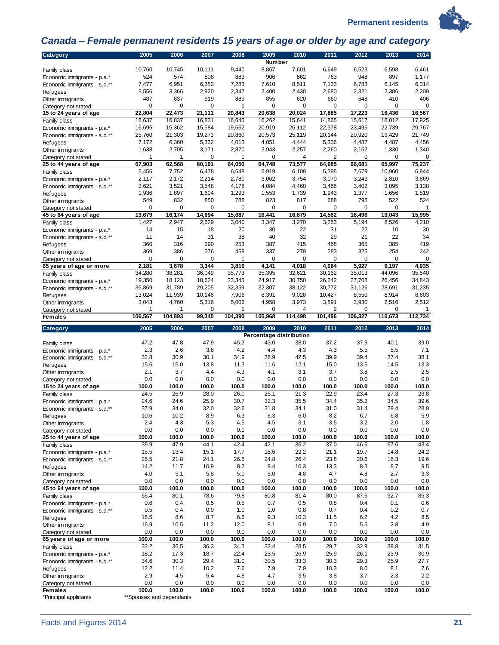

# 

## <span id="page-24-0"></span>*Canada – Female permanent residents 15 years of age or older by age and category*

| Number                                                                                                                                                                                      | 2013<br>2014     |
|---------------------------------------------------------------------------------------------------------------------------------------------------------------------------------------------|------------------|
|                                                                                                                                                                                             |                  |
| 10,760<br>10,745<br>10,111<br>9,440<br>8,867<br>7,601<br>6,649<br>6,523<br>6,598<br>Family class                                                                                            | 6,461            |
| 574<br>808<br>883<br>906<br>862<br>524<br>763<br>948<br>897<br>Economic immigrants - p.a.*                                                                                                  | 1,177            |
| 7,477<br>6,951<br>6,353<br>7,283<br>7,610<br>8,511<br>7,133<br>6,783<br>6,145<br>Economic immigrants - s.d.**                                                                               | 6,314            |
| 3,556<br>2,920<br>2,347<br>2,400<br>2,680<br>2,321<br>3,366<br>2,430<br>2,386<br><b>Refugees</b><br>889<br>487<br>837<br>919<br>855<br>620<br>660<br>648<br>410                             | 2,209<br>406     |
| Other immigrants<br>0<br>0<br>0<br>0<br>0<br>0<br>0<br>1<br>Category not stated                                                                                                             | 0<br>0           |
| 22,804<br>22,473<br>21,111<br>20,843<br>20,638<br>20,024<br>17,885<br>17,223<br>16,436<br>15 to 24 years of age                                                                             | 16,567           |
| 16,262<br>14,865<br>15,617<br>18,012<br>16,637<br>16,837<br>16,831<br>16,645<br>15,641<br>Family class                                                                                      | 17,925           |
| 20,919<br>16,695<br>15,362<br>15,584<br>19,662<br>26,112<br>22,378<br>23,495<br>22,739<br>Economic immigrants - p.a.*                                                                       | 29,767           |
| 19,273<br>20,920<br>25,760<br>21,303<br>20,860<br>20,573<br>25,119<br>20,144<br>19,429<br>Economic immigrants - s.d.**                                                                      | 21,749           |
| 7,172<br>6,360<br>5,332<br>4,013<br>4,051<br>4,444<br>5,336<br>4,487<br>4,487<br><b>Refugees</b>                                                                                            | 4,456            |
| 1,638<br>2,705<br>3,171<br>2,870<br>2,943<br>2,257<br>2,260<br>2,162<br>1,330<br>Other immigrants                                                                                           | 1,340            |
| 1<br>0<br>0<br>0<br>4<br>2<br>0<br>1<br>Category not stated<br>67,903<br>62,568<br>60,191<br>64,050<br>64,748<br>73,577<br>64,985<br>66,681<br>65,997                                       | 0<br>0<br>75,237 |
| 25 to 44 years of age<br>5,456<br>7,752<br>6,478<br>6,648<br>6,919<br>6,109<br>5,395<br>7,679<br>10,960<br>Family class                                                                     | 6,944            |
| 2,117<br>2,172<br>2,214<br>2,780<br>3,062<br>3,754<br>3,070<br>3,243<br>2,810<br>Economic immigrants - p.a.*                                                                                | 3,869            |
| 3,621<br>3,521<br>3,548<br>4,178<br>4,084<br>4,460<br>3,466<br>3,402<br>3,095<br>Economic immigrants - s.d.**                                                                               | 3,138            |
| 1,936<br>1,897<br>1,604<br>1,293<br>1,553<br>1,739<br>1,943<br>1,377<br>1,656<br><b>Refugees</b>                                                                                            | 1,519            |
| 549<br>832<br>850<br>788<br>823<br>817<br>688<br>795<br>522<br>Other immigrants                                                                                                             | 524              |
| 0<br>0<br>0<br>0<br>0<br>0<br>0<br>0<br>Category not stated                                                                                                                                 | 0<br>1           |
| 16,174<br>14,694<br>15,687<br>16,441<br>16,879<br>14,562<br>16,496<br>19.043<br>13.679<br>45 to 64 years of age                                                                             | 15,995           |
| 1,427<br>2,947<br>3,347<br>3,270<br>3,253<br>8,526<br>2,629<br>3,040<br>5,194<br>Family class                                                                                               | 4,210            |
| 14<br>22<br>22<br>15<br>18<br>20<br>30<br>31<br>10<br>Economic immigrants - p.a.*                                                                                                           | 30               |
| 22<br>14<br>31<br>38<br>40<br>32<br>29<br>21<br>11<br>Economic immigrants - s.d.**<br>253<br>387<br>415<br>468<br>385<br>360<br>316<br>290<br>365                                           | 34<br>419        |
| <b>Refugees</b><br>369<br>386<br>376<br>459<br>337<br>279<br>283<br>325<br>254<br>Other immigrants                                                                                          | 242              |
| 0<br>0<br>0<br>0<br>0<br>0<br>0<br>0<br>Category not stated                                                                                                                                 | 0<br>0           |
| 2,181<br>3,678<br>3,344<br>3,810<br>4,141<br>4,018<br>4,064<br>5,927<br>9,197<br>65 years of age or more                                                                                    | 4,935            |
| 34,280<br>38,281<br>36.049<br>35,773<br>35,395<br>32,621<br>44,096<br>30,162<br>35,013<br>Family class                                                                                      | 35,540           |
| 26,242<br>19,350<br>18,123<br>18,624<br>23,345<br>24,917<br>30.750<br>27,708<br>26,456<br>Economic immigrants - p.a.*                                                                       | 34,843           |
| 36,869<br>31,789<br>29,205<br>32,359<br>32,307<br>38,122<br>30,772<br>31,126<br>28,691<br>Economic immigrants - s.d.**                                                                      | 31,235           |
| 13,024<br>11,939<br>7,906<br>8,391<br>9,028<br>8,550<br>10,146<br>10,427<br>8,914<br>Refugees                                                                                               | 8,603            |
| 3,043<br>4,760<br>5,316<br>5,006<br>4,958<br>3,973<br>3,891<br>3,930<br>2,516<br>Other immigrants                                                                                           | 2,512            |
| 0<br>2<br>1<br>1<br>0<br>1<br>4<br>0<br>Category not stated                                                                                                                                 | 0<br>1           |
| 106,567<br>104,390<br>105,968<br>114,498<br>101,496<br>110,673<br>104,893<br>99,340<br>106,327<br><b>Females</b>                                                                            | 112,734          |
| 2005<br>2006<br>2007<br>2008<br>2009<br>2010<br>2011<br>2012<br>2013<br>Category                                                                                                            | 2014             |
| Percentage distribution                                                                                                                                                                     |                  |
|                                                                                                                                                                                             |                  |
| 47.8<br>47.9<br>45.3<br>43.0<br>37.2<br>37.9<br>40.1<br>47.2<br>38.0<br>Family class                                                                                                        | 39.0             |
| 2.3<br>2.6<br>3.8<br>4.2<br>4.3<br>4.3<br>5.5<br>5.5<br>4.4<br>Economic immigrants - p.a.*                                                                                                  | 7.1              |
| 32.8<br>30.9<br>30.1<br>34.9<br>42.5<br>39.9<br>39.4<br>37.4<br>36.9<br>Economic immigrants - s.d.**                                                                                        | 38.1             |
| 12.1<br>15.6<br>15.0<br>13.8<br>11.3<br>11.6<br>15.0<br>13.5<br>14.5<br>Refugees<br>2.1<br>3.7<br>4.4<br>4.3<br>4.1<br>3.1<br>3.7<br>3.8<br>2.5                                             | 13.3<br>2.5      |
| Other immigrants<br>0.0<br>0.0<br>0.0<br>0.0<br>0.0<br>0.0<br>0.0<br>0.0<br>0.0<br>Category not stated                                                                                      | 0.0              |
| 100.0<br>100.0<br>100.0<br>100.0<br>100.0<br>100.0<br>100.0<br>100.0<br>100.0<br>15 to 24 years of age                                                                                      | 100.0            |
| 24.5<br>26.9<br>28.0<br>26.0<br>25.1<br>21.3<br>22.9<br>23.4<br>27.3<br>Family class                                                                                                        | 23.8             |
| 24.6<br>24.6<br>25.9<br>30.7<br>32.3<br>35.5<br>34.4<br>35.2<br>34.5<br>Economic immigrants - p.a.*                                                                                         | 39.6             |
| 32.0<br>32.6<br>37.9<br>34.0<br>31.8<br>34.1<br>31.0<br>31.4<br>29.4<br>Economic immigrants - s.d.**                                                                                        | 28.9             |
| 10.6<br>10.2<br>8.9<br>6.3<br>6.3<br>6.0<br>8.2<br>6.7<br>6.8<br>Refugees                                                                                                                   | 5.9              |
| 2.4<br>4.3<br>5.3<br>4.5<br>4.5<br>3.5<br>3.2<br>2.0<br>3.1<br>Other immigrants                                                                                                             | 1.8              |
| 0.0<br>0.0<br>0.0<br>0.0<br>0.0<br>0.0<br>0.0<br>0.0<br>0.0<br>Category not stated                                                                                                          | 0.0              |
| 100.0<br>100.0<br>100.0<br>100.0<br>100.0<br>100.0<br>100.0<br>100.0<br>100.0<br>25 to 44 years of age                                                                                      | 100.0            |
| 47.9<br>44.1<br>42.4<br>42.1<br>37.0<br>39.9<br>36.2<br>46.6<br>57.6<br>Family class<br>15.5<br>15.1<br>17.7<br>18.6<br>22.2<br>21.1<br>19.7<br>13.4<br>14.8<br>Economic immigrants - p.a.* | 43.4<br>24.2     |
| 21.8<br>24.1<br>26.6<br>26.4<br>23.8<br>26.5<br>24.8<br>20.6<br>16.3<br>Economic immigrants - s.d.**                                                                                        | 19.6             |
| 14.2<br>10.9<br>8.2<br>9.4<br>8.3<br>8.7<br>11.7<br>10.3<br>13.3<br><b>Refugees</b>                                                                                                         | 9.5              |
| 4.0<br>5.1<br>2.7<br>5.8<br>5.0<br>5.0<br>4.8<br>4.7<br>4.8<br>Other immigrants                                                                                                             | 3.3              |
| 0.0<br>0.0<br>0.0<br>0.0<br>0.0<br>0.0<br>0.0<br>0.0<br>0.0<br>Category not stated                                                                                                          | 0.0              |
| 100.0<br>100.0<br>100.0<br>100.0<br>100.0<br>100.0<br>100.0<br>100.0<br>100.0<br>45 to 64 years of age                                                                                      | 100.0            |
| 65.4<br>80.1<br>78.6<br>79.8<br>80.8<br>81.4<br>80.0<br>87.6<br>92.7<br>Family class                                                                                                        | 85.3             |
| 0.4<br>0.6<br>0.5<br>0.5<br>0.7<br>0.5<br>0.8<br>0.4<br>0.1<br>Economic immigrants - p.a.*                                                                                                  | 0.6              |
| 0.5<br>0.4<br>0.9<br>1.0<br>0.8<br>0.7<br>0.4<br>0.2<br>1.0<br>Economic immigrants - s.d.**                                                                                                 | 0.7              |
| 8.7<br>9.3<br>6.2<br>4.2<br>16.5<br>8.6<br>6.6<br>10.3<br>11.5<br>Refugees                                                                                                                  | 8.5              |
| 10.5<br>11.2<br>12.0<br>8.1<br>6.9<br>7.0<br>5.5<br>2.8<br>16.9<br>Other immigrants<br>0.0<br>0.0<br>0.0<br>0.0<br>0.0<br>0.0<br>0.0<br>0.0<br>0.0                                          | 4.9<br>0.0       |
| Category not stated<br>100.0<br>100.0<br>100.0<br>100.0<br>100.0<br>100.0<br>100.0<br>100.0<br>100.0<br>65 years of age or more                                                             | 100.0            |
| 32.2<br>34.3<br>29.7<br>32.9<br>39.8<br>36.5<br>36.3<br>33.4<br>28.5<br>Family class                                                                                                        | 31.5             |
| 18.2<br>17.3<br>18.7<br>22.4<br>23.5<br>23.9<br>26.9<br>25.9<br>26.1<br>Economic immigrants - p.a.*                                                                                         | 30.9             |
| 29.4<br>Economic immigrants - s.d.**<br>34.6<br>30.3<br>31.0<br>30.5<br>33.3<br>30.3<br>29.3<br>25.9                                                                                        | 27.7             |
| 12.2<br>11.4<br>10.2<br>7.6<br>7.9<br>7.9<br>10.3<br>8.0<br>8.1<br>Refugees                                                                                                                 | 7.6              |
| 2.9<br>4.5<br>5.4<br>4.8<br>4.7<br>3.5<br>3.8<br>3.7<br>2.3<br>Other immigrants                                                                                                             | 2.2              |
| 0.0<br>0.0<br>0.0<br>0.0<br>0.0<br>0.0<br>0.0<br>0.0<br>0.0<br>Category not stated<br>100.0<br>100.0<br>100.0<br>100.0<br>100.0<br><b>Females</b><br>100.0<br>100.0<br>100.0<br>100.0       | 0.0<br>100.0     |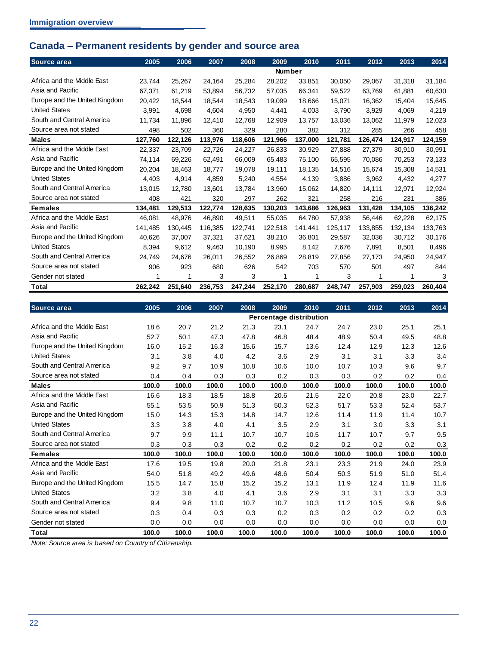## <span id="page-25-0"></span>**Canada – Permanent residents by gender and source area**

| Source area                   | 2005    | 2006    | 2007    | 2008    | 2009          | 2010    | 2011    | 2012    | 2013    | 2014    |
|-------------------------------|---------|---------|---------|---------|---------------|---------|---------|---------|---------|---------|
|                               |         |         |         |         | <b>Number</b> |         |         |         |         |         |
| Africa and the Middle East    | 23.744  | 25,267  | 24,164  | 25,284  | 28,202        | 33.851  | 30.050  | 29,067  | 31,318  | 31,184  |
| Asia and Pacific              | 67,371  | 61,219  | 53,894  | 56,732  | 57,035        | 66,341  | 59.522  | 63,769  | 61,881  | 60,630  |
| Europe and the United Kingdom | 20,422  | 18,544  | 18,544  | 18,543  | 19,099        | 18,666  | 15,071  | 16,362  | 15,404  | 15,645  |
| <b>United States</b>          | 3.991   | 4.698   | 4.604   | 4,950   | 4,441         | 4.003   | 3.790   | 3.929   | 4.069   | 4,219   |
| South and Central America     | 11.734  | 11.896  | 12,410  | 12.768  | 12.909        | 13.757  | 13.036  | 13,062  | 11,979  | 12,023  |
| Source area not stated        | 498     | 502     | 360     | 329     | 280           | 382     | 312     | 285     | 266     | 458     |
| <b>Males</b>                  | 127,760 | 122,126 | 113,976 | 118,606 | 121,966       | 137,000 | 121,781 | 126,474 | 124,917 | 124,159 |
| Africa and the Middle East    | 22,337  | 23,709  | 22,726  | 24,227  | 26,833        | 30,929  | 27,888  | 27,379  | 30,910  | 30,991  |
| Asia and Pacific              | 74,114  | 69,226  | 62,491  | 66,009  | 65,483        | 75,100  | 65.595  | 70,086  | 70,253  | 73,133  |
| Europe and the United Kingdom | 20.204  | 18,463  | 18,777  | 19,078  | 19.111        | 18.135  | 14.516  | 15.674  | 15,308  | 14,531  |
| <b>United States</b>          | 4,403   | 4.914   | 4.859   | 5,240   | 4.554         | 4.139   | 3.886   | 3.962   | 4.432   | 4,277   |
| South and Central America     | 13.015  | 12.780  | 13,601  | 13,784  | 13,960        | 15,062  | 14,820  | 14,111  | 12,971  | 12,924  |
| Source area not stated        | 408     | 421     | 320     | 297     | 262           | 321     | 258     | 216     | 231     | 386     |
| <b>Females</b>                | 134,481 | 129,513 | 122,774 | 128,635 | 130,203       | 143,686 | 126,963 | 131,428 | 134,105 | 136,242 |
| Africa and the Middle East    | 46,081  | 48,976  | 46,890  | 49,511  | 55,035        | 64,780  | 57,938  | 56,446  | 62,228  | 62,175  |
| Asia and Pacific              | 141.485 | 130.445 | 116.385 | 122.741 | 122.518       | 141.441 | 125.117 | 133.855 | 132.134 | 133,763 |
| Europe and the United Kingdom | 40.626  | 37,007  | 37,321  | 37.621  | 38.210        | 36.801  | 29.587  | 32,036  | 30,712  | 30,176  |
| <b>United States</b>          | 8.394   | 9.612   | 9,463   | 10,190  | 8.995         | 8.142   | 7.676   | 7,891   | 8,501   | 8,496   |
| South and Central America     | 24.749  | 24,676  | 26,011  | 26,552  | 26,869        | 28,819  | 27.856  | 27,173  | 24,950  | 24,947  |
| Source area not stated        | 906     | 923     | 680     | 626     | 542           | 703     | 570     | 501     | 497     | 844     |
| Gender not stated             |         | 1       | 3       | 3       | 1             | 1       | 3       | 1       | 1       | 3       |
| Total                         | 262,242 | 251,640 | 236,753 | 247,244 | 252,170       | 280,687 | 248,747 | 257,903 | 259,023 | 260,404 |

| Source area                   | 2005  | 2006  | 2007  | 2008  | 2009  | 2010                    | 2011  | 2012  | 2013  | 2014  |
|-------------------------------|-------|-------|-------|-------|-------|-------------------------|-------|-------|-------|-------|
|                               |       |       |       |       |       | Percentage distribution |       |       |       |       |
| Africa and the Middle East    | 18.6  | 20.7  | 21.2  | 21.3  | 23.1  | 24.7                    | 24.7  | 23.0  | 25.1  | 25.1  |
| Asia and Pacific              | 52.7  | 50.1  | 47.3  | 47.8  | 46.8  | 48.4                    | 48.9  | 50.4  | 49.5  | 48.8  |
| Europe and the United Kingdom | 16.0  | 15.2  | 16.3  | 15.6  | 15.7  | 13.6                    | 12.4  | 12.9  | 12.3  | 12.6  |
| <b>United States</b>          | 3.1   | 3.8   | 4.0   | 4.2   | 3.6   | 2.9                     | 3.1   | 3.1   | 3.3   | 3.4   |
| South and Central America     | 9.2   | 9.7   | 10.9  | 10.8  | 10.6  | 10.0                    | 10.7  | 10.3  | 9.6   | 9.7   |
| Source area not stated        | 0.4   | 0.4   | 0.3   | 0.3   | 0.2   | 0.3                     | 0.3   | 0.2   | 0.2   | 0.4   |
| <b>Males</b>                  | 100.0 | 100.0 | 100.0 | 100.0 | 100.0 | 100.0                   | 100.0 | 100.0 | 100.0 | 100.0 |
| Africa and the Middle East    | 16.6  | 18.3  | 18.5  | 18.8  | 20.6  | 21.5                    | 22.0  | 20.8  | 23.0  | 22.7  |
| Asia and Pacific              | 55.1  | 53.5  | 50.9  | 51.3  | 50.3  | 52.3                    | 51.7  | 53.3  | 52.4  | 53.7  |
| Europe and the United Kingdom | 15.0  | 14.3  | 15.3  | 14.8  | 14.7  | 12.6                    | 11.4  | 11.9  | 11.4  | 10.7  |
| <b>United States</b>          | 3.3   | 3.8   | 4.0   | 4.1   | 3.5   | 2.9                     | 3.1   | 3.0   | 3.3   | 3.1   |
| South and Central America     | 9.7   | 9.9   | 11.1  | 10.7  | 10.7  | 10.5                    | 11.7  | 10.7  | 9.7   | 9.5   |
| Source area not stated        | 0.3   | 0.3   | 0.3   | 0.2   | 0.2   | 0.2                     | 0.2   | 0.2   | 0.2   | 0.3   |
| <b>Females</b>                | 100.0 | 100.0 | 100.0 | 100.0 | 100.0 | 100.0                   | 100.0 | 100.0 | 100.0 | 100.0 |
| Africa and the Middle East    | 17.6  | 19.5  | 19.8  | 20.0  | 21.8  | 23.1                    | 23.3  | 21.9  | 24.0  | 23.9  |
| Asia and Pacific              | 54.0  | 51.8  | 49.2  | 49.6  | 48.6  | 50.4                    | 50.3  | 51.9  | 51.0  | 51.4  |
| Europe and the United Kingdom | 15.5  | 14.7  | 15.8  | 15.2  | 15.2  | 13.1                    | 11.9  | 12.4  | 11.9  | 11.6  |
| <b>United States</b>          | 3.2   | 3.8   | 4.0   | 4.1   | 3.6   | 2.9                     | 3.1   | 3.1   | 3.3   | 3.3   |
| South and Central America     | 9.4   | 9.8   | 11.0  | 10.7  | 10.7  | 10.3                    | 11.2  | 10.5  | 9.6   | 9.6   |
| Source area not stated        | 0.3   | 0.4   | 0.3   | 0.3   | 0.2   | 0.3                     | 0.2   | 0.2   | 0.2   | 0.3   |
| Gender not stated             | 0.0   | 0.0   | 0.0   | 0.0   | 0.0   | 0.0                     | 0.0   | 0.0   | 0.0   | 0.0   |
| Total                         | 100.0 | 100.0 | 100.0 | 100.0 | 100.0 | 100.0                   | 100.0 | 100.0 | 100.0 | 100.0 |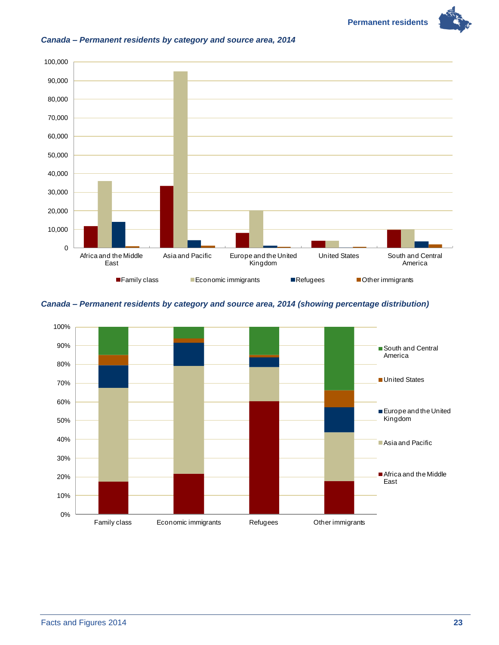**Permanent residents** 



#### <span id="page-26-0"></span>*Canada – Permanent residents by category and source area, 2014*

#### <span id="page-26-1"></span>*Canada – Permanent residents by category and source area, 2014 (showing percentage distribution)*

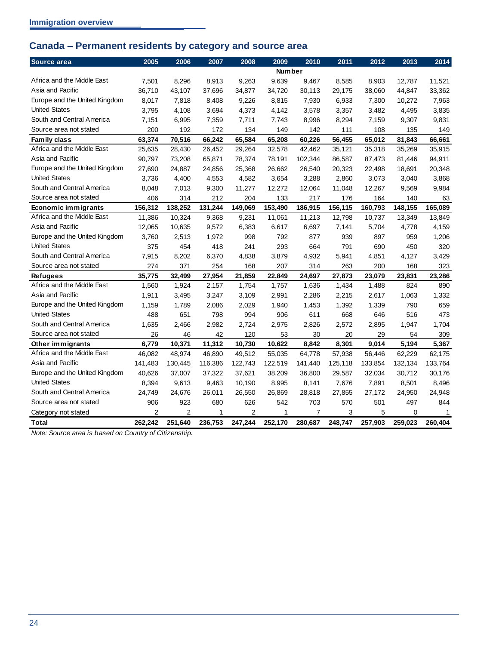## <span id="page-27-0"></span>**Canada – Permanent residents by category and source area**

| Source area                   | 2005           | 2006           | 2007    | 2008           | 2009          | 2010           | 2011    | 2012    | 2013    | 2014         |
|-------------------------------|----------------|----------------|---------|----------------|---------------|----------------|---------|---------|---------|--------------|
|                               |                |                |         |                | <b>Number</b> |                |         |         |         |              |
| Africa and the Middle East    | 7,501          | 8,296          | 8,913   | 9,263          | 9,639         | 9,467          | 8,585   | 8,903   | 12,787  | 11,521       |
| Asia and Pacific              | 36.710         | 43,107         | 37,696  | 34,877         | 34,720        | 30,113         | 29,175  | 38,060  | 44,847  | 33,362       |
| Europe and the United Kingdom | 8,017          | 7,818          | 8,408   | 9,226          | 8,815         | 7,930          | 6,933   | 7,300   | 10,272  | 7,963        |
| <b>United States</b>          | 3,795          | 4,108          | 3,694   | 4,373          | 4,142         | 3,578          | 3,357   | 3,482   | 4,495   | 3,835        |
| South and Central America     | 7,151          | 6,995          | 7,359   | 7,711          | 7,743         | 8,996          | 8,294   | 7,159   | 9,307   | 9,831        |
| Source area not stated        | 200            | 192            | 172     | 134            | 149           | 142            | 111     | 108     | 135     | 149          |
| Family class                  | 63,374         | 70,516         | 66,242  | 65,584         | 65,208        | 60,226         | 56,455  | 65,012  | 81,843  | 66,661       |
| Africa and the Middle East    | 25,635         | 28,430         | 26,452  | 29,264         | 32,578        | 42,462         | 35,121  | 35,318  | 35,269  | 35,915       |
| Asia and Pacific              | 90,797         | 73,208         | 65,871  | 78,374         | 78,191        | 102,344        | 86,587  | 87,473  | 81,446  | 94,911       |
| Europe and the United Kingdom | 27,690         | 24,887         | 24,856  | 25,368         | 26,662        | 26,540         | 20,323  | 22,498  | 18,691  | 20,348       |
| <b>United States</b>          | 3,736          | 4,400          | 4,553   | 4,582          | 3,654         | 3,288          | 2,860   | 3,073   | 3,040   | 3,868        |
| South and Central America     | 8,048          | 7,013          | 9,300   | 11,277         | 12,272        | 12,064         | 11,048  | 12,267  | 9,569   | 9,984        |
| Source area not stated        | 406            | 314            | 212     | 204            | 133           | 217            | 176     | 164     | 140     | 63           |
| Economic immigrants           | 156,312        | 138,252        | 131,244 | 149,069        | 153,490       | 186,915        | 156,115 | 160,793 | 148,155 | 165.089      |
| Africa and the Middle East    | 11,386         | 10,324         | 9,368   | 9,231          | 11,061        | 11,213         | 12,798  | 10,737  | 13,349  | 13,849       |
| Asia and Pacific              | 12,065         | 10,635         | 9,572   | 6,383          | 6,617         | 6,697          | 7,141   | 5,704   | 4,778   | 4,159        |
| Europe and the United Kingdom | 3.760          | 2,513          | 1,972   | 998            | 792           | 877            | 939     | 897     | 959     | 1,206        |
| <b>United States</b>          | 375            | 454            | 418     | 241            | 293           | 664            | 791     | 690     | 450     | 320          |
| South and Central America     | 7,915          | 8,202          | 6,370   | 4,838          | 3,879         | 4,932          | 5,941   | 4,851   | 4,127   | 3,429        |
| Source area not stated        | 274            | 371            | 254     | 168            | 207           | 314            | 263     | 200     | 168     | 323          |
| <b>Refugees</b>               | 35,775         | 32,499         | 27,954  | 21,859         | 22,849        | 24,697         | 27,873  | 23,079  | 23,831  | 23,286       |
| Africa and the Middle East    | 1,560          | 1,924          | 2,157   | 1,754          | 1,757         | 1,636          | 1,434   | 1,488   | 824     | 890          |
| Asia and Pacific              | 1,911          | 3,495          | 3,247   | 3,109          | 2.991         | 2,286          | 2,215   | 2,617   | 1,063   | 1,332        |
| Europe and the United Kingdom | 1,159          | 1,789          | 2,086   | 2,029          | 1,940         | 1,453          | 1,392   | 1,339   | 790     | 659          |
| <b>United States</b>          | 488            | 651            | 798     | 994            | 906           | 611            | 668     | 646     | 516     | 473          |
| South and Central America     | 1,635          | 2,466          | 2,982   | 2,724          | 2,975         | 2,826          | 2,572   | 2,895   | 1,947   | 1,704        |
| Source area not stated        | 26             | 46             | 42      | 120            | 53            | 30             | 20      | 29      | 54      | 309          |
| Other immigrants              | 6,779          | 10,371         | 11,312  | 10,730         | 10,622        | 8,842          | 8,301   | 9,014   | 5,194   | 5,367        |
| Africa and the Middle East    | 46,082         | 48,974         | 46,890  | 49,512         | 55,035        | 64,778         | 57,938  | 56,446  | 62,229  | 62,175       |
| Asia and Pacific              | 141,483        | 130,445        | 116,386 | 122,743        | 122,519       | 141,440        | 125,118 | 133,854 | 132,134 | 133,764      |
| Europe and the United Kingdom | 40,626         | 37,007         | 37,322  | 37,621         | 38,209        | 36,800         | 29,587  | 32,034  | 30,712  | 30,176       |
| <b>United States</b>          | 8,394          | 9,613          | 9,463   | 10,190         | 8,995         | 8,141          | 7,676   | 7,891   | 8,501   | 8,496        |
| South and Central America     | 24,749         | 24,676         | 26,011  | 26,550         | 26,869        | 28,818         | 27,855  | 27,172  | 24,950  | 24,948       |
| Source area not stated        | 906            | 923            | 680     | 626            | 542           | 703            | 570     | 501     | 497     | 844          |
| Category not stated           | $\overline{2}$ | $\overline{2}$ | 1       | $\overline{2}$ | $\mathbf{1}$  | $\overline{7}$ | 3       | 5       | 0       | $\mathbf{1}$ |
| Total                         | 262,242        | 251,640        | 236,753 | 247,244        | 252,170       | 280,687        | 248,747 | 257,903 | 259,023 | 260.404      |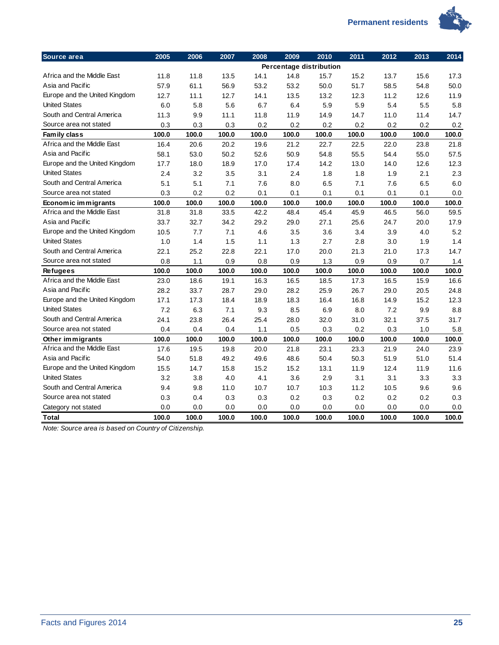

| Source area                   | 2005  | 2006  | 2007  | 2008  | 2009  | 2010                    | 2011  | 2012  | 2013  | 2014  |
|-------------------------------|-------|-------|-------|-------|-------|-------------------------|-------|-------|-------|-------|
|                               |       |       |       |       |       | Percentage distribution |       |       |       |       |
| Africa and the Middle East    | 11.8  | 11.8  | 13.5  | 14.1  | 14.8  | 15.7                    | 15.2  | 13.7  | 15.6  | 17.3  |
| Asia and Pacific              | 57.9  | 61.1  | 56.9  | 53.2  | 53.2  | 50.0                    | 51.7  | 58.5  | 54.8  | 50.0  |
| Europe and the United Kingdom | 12.7  | 11.1  | 12.7  | 14.1  | 13.5  | 13.2                    | 12.3  | 11.2  | 12.6  | 11.9  |
| <b>United States</b>          | 6.0   | 5.8   | 5.6   | 6.7   | 6.4   | 5.9                     | 5.9   | 5.4   | 5.5   | 5.8   |
| South and Central America     | 11.3  | 9.9   | 11.1  | 11.8  | 11.9  | 14.9                    | 14.7  | 11.0  | 11.4  | 14.7  |
| Source area not stated        | 0.3   | 0.3   | 0.3   | 0.2   | 0.2   | 0.2                     | 0.2   | 0.2   | 0.2   | 0.2   |
| Family class                  | 100.0 | 100.0 | 100.0 | 100.0 | 100.0 | 100.0                   | 100.0 | 100.0 | 100.0 | 100.0 |
| Africa and the Middle East    | 16.4  | 20.6  | 20.2  | 19.6  | 21.2  | 22.7                    | 22.5  | 22.0  | 23.8  | 21.8  |
| Asia and Pacific              | 58.1  | 53.0  | 50.2  | 52.6  | 50.9  | 54.8                    | 55.5  | 54.4  | 55.0  | 57.5  |
| Europe and the United Kingdom | 17.7  | 18.0  | 18.9  | 17.0  | 17.4  | 14.2                    | 13.0  | 14.0  | 12.6  | 12.3  |
| <b>United States</b>          | 2.4   | 3.2   | 3.5   | 3.1   | 2.4   | 1.8                     | 1.8   | 1.9   | 2.1   | 2.3   |
| South and Central America     | 5.1   | 5.1   | 7.1   | 7.6   | 8.0   | 6.5                     | 7.1   | 7.6   | 6.5   | 6.0   |
| Source area not stated        | 0.3   | 0.2   | 0.2   | 0.1   | 0.1   | 0.1                     | 0.1   | 0.1   | 0.1   | 0.0   |
| Economic immigrants           | 100.0 | 100.0 | 100.0 | 100.0 | 100.0 | 100.0                   | 100.0 | 100.0 | 100.0 | 100.0 |
| Africa and the Middle East    | 31.8  | 31.8  | 33.5  | 42.2  | 48.4  | 45.4                    | 45.9  | 46.5  | 56.0  | 59.5  |
| Asia and Pacific              | 33.7  | 32.7  | 34.2  | 29.2  | 29.0  | 27.1                    | 25.6  | 24.7  | 20.0  | 17.9  |
| Europe and the United Kingdom | 10.5  | 7.7   | 7.1   | 4.6   | 3.5   | 3.6                     | 3.4   | 3.9   | 4.0   | 5.2   |
| <b>United States</b>          | 1.0   | 1.4   | 1.5   | 1.1   | 1.3   | 2.7                     | 2.8   | 3.0   | 1.9   | 1.4   |
| South and Central America     | 22.1  | 25.2  | 22.8  | 22.1  | 17.0  | 20.0                    | 21.3  | 21.0  | 17.3  | 14.7  |
| Source area not stated        | 0.8   | 1.1   | 0.9   | 0.8   | 0.9   | 1.3                     | 0.9   | 0.9   | 0.7   | 1.4   |
| <b>Refugees</b>               | 100.0 | 100.0 | 100.0 | 100.0 | 100.0 | 100.0                   | 100.0 | 100.0 | 100.0 | 100.0 |
| Africa and the Middle East    | 23.0  | 18.6  | 19.1  | 16.3  | 16.5  | 18.5                    | 17.3  | 16.5  | 15.9  | 16.6  |
| Asia and Pacific              | 28.2  | 33.7  | 28.7  | 29.0  | 28.2  | 25.9                    | 26.7  | 29.0  | 20.5  | 24.8  |
| Europe and the United Kingdom | 17.1  | 17.3  | 18.4  | 18.9  | 18.3  | 16.4                    | 16.8  | 14.9  | 15.2  | 12.3  |
| <b>United States</b>          | 7.2   | 6.3   | 7.1   | 9.3   | 8.5   | 6.9                     | 8.0   | 7.2   | 9.9   | 8.8   |
| South and Central America     | 24.1  | 23.8  | 26.4  | 25.4  | 28.0  | 32.0                    | 31.0  | 32.1  | 37.5  | 31.7  |
| Source area not stated        | 0.4   | 0.4   | 0.4   | 1.1   | 0.5   | 0.3                     | 0.2   | 0.3   | 1.0   | 5.8   |
| Other immigrants              | 100.0 | 100.0 | 100.0 | 100.0 | 100.0 | 100.0                   | 100.0 | 100.0 | 100.0 | 100.0 |
| Africa and the Middle East    | 17.6  | 19.5  | 19.8  | 20.0  | 21.8  | 23.1                    | 23.3  | 21.9  | 24.0  | 23.9  |
| Asia and Pacific              | 54.0  | 51.8  | 49.2  | 49.6  | 48.6  | 50.4                    | 50.3  | 51.9  | 51.0  | 51.4  |
| Europe and the United Kingdom | 15.5  | 14.7  | 15.8  | 15.2  | 15.2  | 13.1                    | 11.9  | 12.4  | 11.9  | 11.6  |
| <b>United States</b>          | 3.2   | 3.8   | 4.0   | 4.1   | 3.6   | 2.9                     | 3.1   | 3.1   | 3.3   | 3.3   |
| South and Central America     | 9.4   | 9.8   | 11.0  | 10.7  | 10.7  | 10.3                    | 11.2  | 10.5  | 9.6   | 9.6   |
| Source area not stated        | 0.3   | 0.4   | 0.3   | 0.3   | 0.2   | 0.3                     | 0.2   | 0.2   | 0.2   | 0.3   |
| Category not stated           | 0.0   | 0.0   | 0.0   | 0.0   | 0.0   | 0.0                     | 0.0   | 0.0   | 0.0   | 0.0   |
| <b>Total</b>                  | 100.0 | 100.0 | 100.0 | 100.0 | 100.0 | 100.0                   | 100.0 | 100.0 | 100.0 | 100.0 |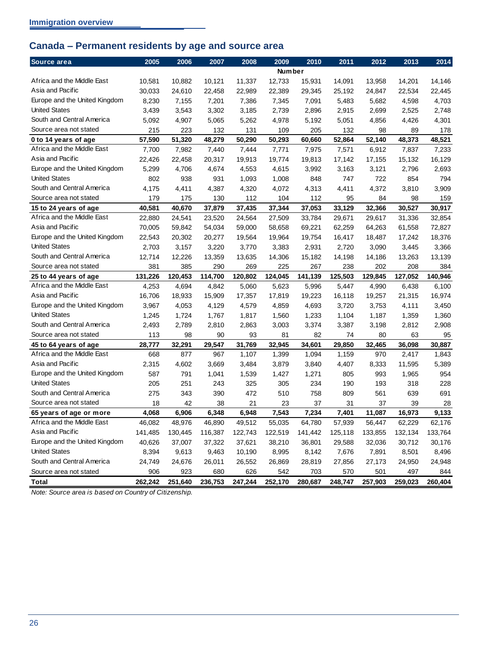# <span id="page-29-0"></span>**Canada – Permanent residents by age and source area**

| Source area                   | 2005    | 2006    | 2007    | 2008    | 2009          | 2010    | 2011    | 2012    | 2013    | 2014    |
|-------------------------------|---------|---------|---------|---------|---------------|---------|---------|---------|---------|---------|
|                               |         |         |         |         | <b>Number</b> |         |         |         |         |         |
| Africa and the Middle East    | 10,581  | 10,882  | 10,121  | 11,337  | 12,733        | 15,931  | 14,091  | 13,958  | 14,201  | 14,146  |
| Asia and Pacific              | 30,033  | 24,610  | 22,458  | 22,989  | 22,389        | 29,345  | 25,192  | 24,847  | 22,534  | 22,445  |
| Europe and the United Kingdom | 8,230   | 7,155   | 7,201   | 7,386   | 7,345         | 7,091   | 5,483   | 5,682   | 4,598   | 4,703   |
| <b>United States</b>          | 3,439   | 3,543   | 3,302   | 3,185   | 2,739         | 2,896   | 2,915   | 2,699   | 2,525   | 2,748   |
| South and Central America     | 5,092   | 4,907   | 5,065   | 5,262   | 4,978         | 5,192   | 5,051   | 4,856   | 4,426   | 4,301   |
| Source area not stated        | 215     | 223     | 132     | 131     | 109           | 205     | 132     | 98      | 89      | 178     |
| 0 to 14 years of age          | 57,590  | 51,320  | 48,279  | 50,290  | 50,293        | 60,660  | 52,864  | 52,140  | 48,373  | 48,521  |
| Africa and the Middle East    | 7,700   | 7,982   | 7,440   | 7,444   | 7,771         | 7,975   | 7,571   | 6,912   | 7,837   | 7,233   |
| Asia and Pacific              | 22,426  | 22,458  | 20,317  | 19,913  | 19,774        | 19,813  | 17,142  | 17,155  | 15,132  | 16,129  |
| Europe and the United Kingdom | 5,299   | 4,706   | 4,674   | 4,553   | 4,615         | 3,992   | 3,163   | 3,121   | 2,796   | 2,693   |
| <b>United States</b>          | 802     | 938     | 931     | 1,093   | 1,008         | 848     | 747     | 722     | 854     | 794     |
| South and Central America     | 4,175   | 4,411   | 4,387   | 4,320   | 4,072         | 4,313   | 4,411   | 4,372   | 3,810   | 3,909   |
| Source area not stated        | 179     | 175     | 130     | 112     | 104           | 112     | 95      | 84      | 98      | 159     |
| 15 to 24 years of age         | 40,581  | 40,670  | 37,879  | 37,435  | 37,344        | 37,053  | 33,129  | 32,366  | 30,527  | 30,917  |
| Africa and the Middle East    | 22,880  | 24,541  | 23,520  | 24,564  | 27,509        | 33,784  | 29,671  | 29,617  | 31,336  | 32,854  |
| Asia and Pacific              | 70,005  | 59,842  | 54,034  | 59,000  | 58,658        | 69,221  | 62,259  | 64,263  | 61,558  | 72,827  |
| Europe and the United Kingdom | 22,543  | 20,302  | 20,277  | 19,564  | 19,964        | 19,754  | 16,417  | 18,487  | 17,242  | 18,376  |
| <b>United States</b>          | 2,703   | 3,157   | 3,220   | 3,770   | 3,383         | 2,931   | 2,720   | 3,090   | 3,445   | 3,366   |
| South and Central America     | 12,714  | 12,226  | 13,359  | 13,635  | 14,306        | 15,182  | 14,198  | 14,186  | 13,263  | 13,139  |
| Source area not stated        | 381     | 385     | 290     | 269     | 225           | 267     | 238     | 202     | 208     | 384     |
| 25 to 44 years of age         | 131,226 | 120,453 | 114,700 | 120,802 | 124,045       | 141,139 | 125,503 | 129,845 | 127,052 | 140,946 |
| Africa and the Middle East    | 4,253   | 4,694   | 4,842   | 5,060   | 5,623         | 5,996   | 5,447   | 4,990   | 6,438   | 6,100   |
| Asia and Pacific              | 16,706  | 18,933  | 15,909  | 17,357  | 17,819        | 19,223  | 16,118  | 19,257  | 21,315  | 16,974  |
| Europe and the United Kingdom | 3,967   | 4,053   | 4,129   | 4,579   | 4,859         | 4,693   | 3,720   | 3,753   | 4,111   | 3,450   |
| <b>United States</b>          | 1,245   | 1,724   | 1,767   | 1,817   | 1,560         | 1,233   | 1,104   | 1,187   | 1,359   | 1,360   |
| South and Central America     | 2,493   | 2,789   | 2,810   | 2,863   | 3,003         | 3,374   | 3,387   | 3,198   | 2,812   | 2,908   |
| Source area not stated        | 113     | 98      | 90      | 93      | 81            | 82      | 74      | 80      | 63      | 95      |
| 45 to 64 years of age         | 28,777  | 32,291  | 29,547  | 31,769  | 32,945        | 34,601  | 29,850  | 32,465  | 36,098  | 30,887  |
| Africa and the Middle East    | 668     | 877     | 967     | 1,107   | 1,399         | 1,094   | 1,159   | 970     | 2,417   | 1,843   |
| Asia and Pacific              | 2,315   | 4,602   | 3,669   | 3,484   | 3,879         | 3,840   | 4,407   | 8,333   | 11,595  | 5,389   |
| Europe and the United Kingdom | 587     | 791     | 1,041   | 1,539   | 1,427         | 1,271   | 805     | 993     | 1,965   | 954     |
| <b>United States</b>          | 205     | 251     | 243     | 325     | 305           | 234     | 190     | 193     | 318     | 228     |
| South and Central America     | 275     | 343     | 390     | 472     | 510           | 758     | 809     | 561     | 639     | 691     |
| Source area not stated        | 18      | 42      | 38      | 21      | 23            | 37      | 31      | 37      | 39      | 28      |
| 65 years of age or more       | 4,068   | 6,906   | 6,348   | 6,948   | 7,543         | 7,234   | 7,401   | 11,087  | 16,973  | 9,133   |
| Africa and the Middle East    | 46,082  | 48,976  | 46,890  | 49,512  | 55,035        | 64,780  | 57,939  | 56,447  | 62,229  | 62,176  |
| Asia and Pacific              | 141,485 | 130,445 | 116,387 | 122,743 | 122,519       | 141,442 | 125,118 | 133,855 | 132,134 | 133,764 |
| Europe and the United Kingdom | 40,626  | 37,007  | 37,322  | 37,621  | 38,210        | 36,801  | 29,588  | 32,036  | 30,712  | 30,176  |
| <b>United States</b>          | 8,394   | 9,613   | 9,463   | 10,190  | 8,995         | 8,142   | 7,676   | 7,891   | 8,501   | 8,496   |
| South and Central America     | 24,749  | 24,676  | 26,011  | 26,552  | 26,869        | 28,819  | 27,856  | 27,173  | 24,950  | 24,948  |
| Source area not stated        | 906     | 923     | 680     | 626     | 542           | 703     | 570     | 501     | 497     | 844     |
| Total                         | 262,242 | 251,640 | 236,753 | 247,244 | 252,170       | 280,687 | 248,747 | 257,903 | 259,023 | 260,404 |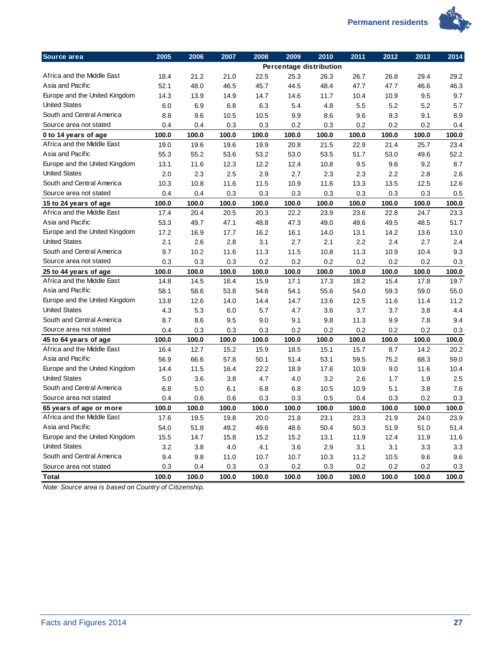

| Source area                   | 2005  | 2006  | 2007  | 2008  | 2009  | 2010                    | 2011  | 2012  | 2013  | 2014  |
|-------------------------------|-------|-------|-------|-------|-------|-------------------------|-------|-------|-------|-------|
|                               |       |       |       |       |       | Percentage distribution |       |       |       |       |
| Africa and the Middle East    | 18.4  | 21.2  | 21.0  | 22.5  | 25.3  | 26.3                    | 26.7  | 26.8  | 29.4  | 29.2  |
| Asia and Pacific              | 52.1  | 48.0  | 46.5  | 45.7  | 44.5  | 48.4                    | 47.7  | 47.7  | 46.6  | 46.3  |
| Europe and the United Kingdom | 14.3  | 13.9  | 14.9  | 14.7  | 14.6  | 11.7                    | 10.4  | 10.9  | 9.5   | 9.7   |
| <b>United States</b>          | 6.0   | 6.9   | 6.8   | 6.3   | 5.4   | 4.8                     | 5.5   | 5.2   | 5.2   | 5.7   |
| South and Central America     | 8.8   | 9.6   | 10.5  | 10.5  | 9.9   | 8.6                     | 9.6   | 9.3   | 9.1   | 8.9   |
| Source area not stated        | 0.4   | 0.4   | 0.3   | 0.3   | 0.2   | 0.3                     | 0.2   | 0.2   | 0.2   | 0.4   |
| 0 to 14 years of age          | 100.0 | 100.0 | 100.0 | 100.0 | 100.0 | 100.0                   | 100.0 | 100.0 | 100.0 | 100.0 |
| Africa and the Middle East    | 19.0  | 19.6  | 19.6  | 19.9  | 20.8  | 21.5                    | 22.9  | 21.4  | 25.7  | 23.4  |
| Asia and Pacific              | 55.3  | 55.2  | 53.6  | 53.2  | 53.0  | 53.5                    | 51.7  | 53.0  | 49.6  | 52.2  |
| Europe and the United Kingdom | 13.1  | 11.6  | 12.3  | 12.2  | 12.4  | 10.8                    | 9.5   | 9.6   | 9.2   | 8.7   |
| <b>United States</b>          | 2.0   | 2.3   | 2.5   | 2.9   | 2.7   | 2.3                     | 2.3   | 2.2   | 2.8   | 2.6   |
| South and Central America     | 10.3  | 10.8  | 11.6  | 11.5  | 10.9  | 11.6                    | 13.3  | 13.5  | 12.5  | 12.6  |
| Source area not stated        | 0.4   | 0.4   | 0.3   | 0.3   | 0.3   | 0.3                     | 0.3   | 0.3   | 0.3   | 0.5   |
| 15 to 24 years of age         | 100.0 | 100.0 | 100.0 | 100.0 | 100.0 | 100.0                   | 100.0 | 100.0 | 100.0 | 100.0 |
| Africa and the Middle East    | 17.4  | 20.4  | 20.5  | 20.3  | 22.2  | 23.9                    | 23.6  | 22.8  | 24.7  | 23.3  |
| Asia and Pacific              | 53.3  | 49.7  | 47.1  | 48.8  | 47.3  | 49.0                    | 49.6  | 49.5  | 48.5  | 51.7  |
| Europe and the United Kingdom | 17.2  | 16.9  | 17.7  | 16.2  | 16.1  | 14.0                    | 13.1  | 14.2  | 13.6  | 13.0  |
| <b>United States</b>          | 2.1   | 2.6   | 2.8   | 3.1   | 2.7   | 2.1                     | 2.2   | 2.4   | 2.7   | 2.4   |
| South and Central America     | 9.7   | 10.2  | 11.6  | 11.3  | 11.5  | 10.8                    | 11.3  | 10.9  | 10.4  | 9.3   |
| Source area not stated        | 0.3   | 0.3   | 0.3   | 0.2   | 0.2   | 0.2                     | 0.2   | 0.2   | 0.2   | 0.3   |
| 25 to 44 years of age         | 100.0 | 100.0 | 100.0 | 100.0 | 100.0 | 100.0                   | 100.0 | 100.0 | 100.0 | 100.0 |
| Africa and the Middle East    | 14.8  | 14.5  | 16.4  | 15.9  | 17.1  | 17.3                    | 18.2  | 15.4  | 17.8  | 19.7  |
| Asia and Pacific              | 58.1  | 58.6  | 53.8  | 54.6  | 54.1  | 55.6                    | 54.0  | 59.3  | 59.0  | 55.0  |
| Europe and the United Kingdom | 13.8  | 12.6  | 14.0  | 14.4  | 14.7  | 13.6                    | 12.5  | 11.6  | 11.4  | 11.2  |
| <b>United States</b>          | 4.3   | 5.3   | 6.0   | 5.7   | 4.7   | 3.6                     | 3.7   | 3.7   | 3.8   | 4.4   |
| South and Central America     | 8.7   | 8.6   | 9.5   | 9.0   | 9.1   | 9.8                     | 11.3  | 9.9   | 7.8   | 9.4   |
| Source area not stated        | 0.4   | 0.3   | 0.3   | 0.3   | 0.2   | 0.2                     | 0.2   | 0.2   | 0.2   | 0.3   |
| 45 to 64 years of age         | 100.0 | 100.0 | 100.0 | 100.0 | 100.0 | 100.0                   | 100.0 | 100.0 | 100.0 | 100.0 |
| Africa and the Middle East    | 16.4  | 12.7  | 15.2  | 15.9  | 18.5  | 15.1                    | 15.7  | 8.7   | 14.2  | 20.2  |
| Asia and Pacific              | 56.9  | 66.6  | 57.8  | 50.1  | 51.4  | 53.1                    | 59.5  | 75.2  | 68.3  | 59.0  |
| Europe and the United Kingdom | 14.4  | 11.5  | 16.4  | 22.2  | 18.9  | 17.6                    | 10.9  | 9.0   | 11.6  | 10.4  |
| <b>United States</b>          | 5.0   | 3.6   | 3.8   | 4.7   | 4.0   | 3.2                     | 2.6   | 1.7   | 1.9   | 2.5   |
| South and Central America     | 6.8   | 5.0   | 6.1   | 6.8   | 6.8   | 10.5                    | 10.9  | 5.1   | 3.8   | 7.6   |
| Source area not stated        | 0.4   | 0.6   | 0.6   | 0.3   | 0.3   | 0.5                     | 0.4   | 0.3   | 0.2   | 0.3   |
| 65 years of age or more       | 100.0 | 100.0 | 100.0 | 100.0 | 100.0 | 100.0                   | 100.0 | 100.0 | 100.0 | 100.0 |
| Africa and the Middle East    | 17.6  | 19.5  | 19.8  | 20.0  | 21.8  | 23.1                    | 23.3  | 21.9  | 24.0  | 23.9  |
| Asia and Pacific              | 54.0  | 51.8  | 49.2  | 49.6  | 48.6  | 50.4                    | 50.3  | 51.9  | 51.0  | 51.4  |
| Europe and the United Kingdom | 15.5  | 14.7  | 15.8  | 15.2  | 15.2  | 13.1                    | 11.9  | 12.4  | 11.9  | 11.6  |
| <b>United States</b>          | 3.2   | 3.8   | 4.0   | 4.1   | 3.6   | 2.9                     | 3.1   | 3.1   | 3.3   | 3.3   |
| South and Central America     | 9.4   | 9.8   | 11.0  | 10.7  | 10.7  | 10.3                    | 11.2  | 10.5  | 9.6   | 9.6   |
| Source area not stated        | 0.3   | 0.4   | 0.3   | 0.3   | 0.2   | 0.3                     | 0.2   | 0.2   | 0.2   | 0.3   |
| <b>Total</b>                  | 100.0 | 100.0 | 100.0 | 100.0 | 100.0 | 100.0                   | 100.0 | 100.0 | 100.0 | 100.0 |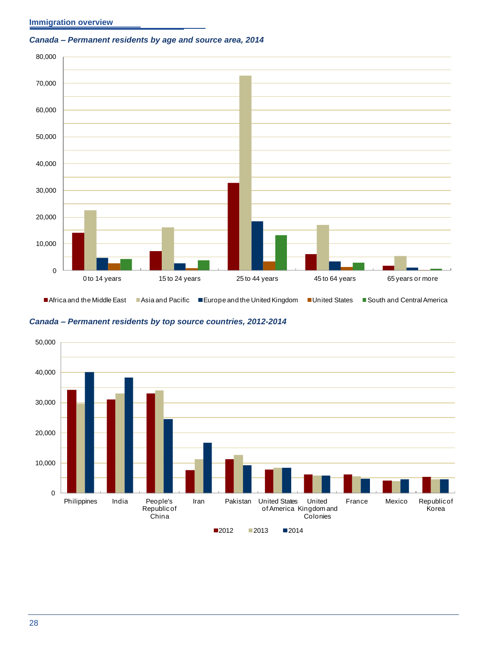#### **Immigration overview**

#### <span id="page-31-0"></span>*Canada – Permanent residents by age and source area, 2014*



<span id="page-31-1"></span>

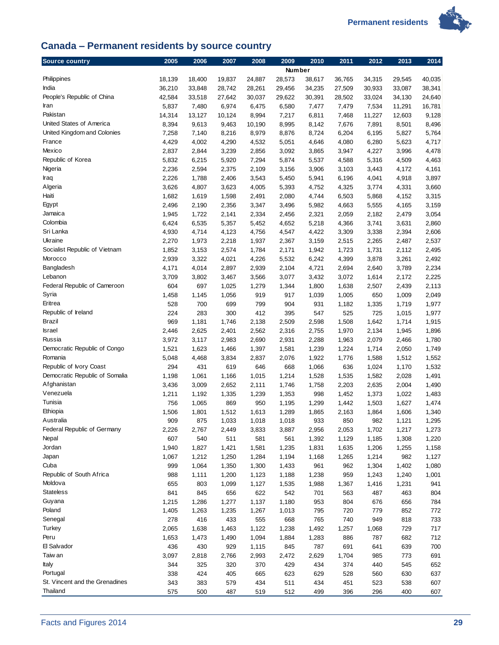**Permanent residents** 



# <span id="page-32-0"></span>**Canada – Permanent residents by source country**

| Source country                 | 2005           | 2006           | 2007           | 2008           | 2009           | 2010           | 2011           | 2012           | 2013           | 2014           |
|--------------------------------|----------------|----------------|----------------|----------------|----------------|----------------|----------------|----------------|----------------|----------------|
|                                |                |                |                |                | Number         |                |                |                |                |                |
| Philippines                    | 18,139         | 18,400         | 19,837         | 24,887         | 28,573         | 38,617         | 36,765         | 34,315         | 29,545         | 40,035         |
| India                          | 36,210         | 33,848         | 28,742         | 28,261         | 29,456         | 34,235         | 27,509         | 30,933         | 33,087         | 38,341         |
| People's Republic of China     | 42,584         | 33,518         | 27,642         | 30,037         | 29,622         | 30,391         | 28,502         | 33,024         | 34,130         | 24,640         |
| Iran                           | 5,837          | 7,480          | 6,974          | 6,475          | 6,580          | 7,477          | 7,479          | 7,534          | 11,291         | 16,781         |
| Pakistan                       | 14,314         | 13,127         | 10,124         | 8,994          | 7,217          | 6,811          | 7,468          | 11,227         | 12,603         | 9,128          |
| United States of America       | 8,394          | 9,613          | 9,463          | 10,190         | 8,995          | 8,142          | 7,676          | 7,891          | 8,501          | 8,496          |
| United Kingdom and Colonies    | 7,258          | 7,140          | 8,216          | 8,979          | 8,876          | 8,724          | 6,204          | 6,195          | 5,827          | 5,764          |
| France                         | 4,429          | 4,002          | 4,290          | 4,532          | 5,051          | 4,646          | 4,080          | 6,280          | 5,623          | 4,717          |
| Mexico                         | 2,837          | 2,844          | 3,239          | 2,856          | 3,092          | 3,865          | 3,947          | 4,227          | 3,996          | 4,478          |
| Republic of Korea              | 5,832          | 6,215          | 5,920          | 7,294          | 5,874          | 5,537          | 4,588          | 5,316          | 4,509          | 4,463          |
| Nigeria                        | 2,236          | 2,594          | 2,375          | 2,109          | 3,156          | 3,906          | 3,103          | 3,443          | 4,172          | 4,161          |
| Iraq                           | 2,226          | 1,788          | 2,406          | 3,543          | 5,450          | 5,941          | 6,196          | 4,041          | 4,918          | 3,897          |
| Algeria                        | 3,626          | 4,807          | 3,623          | 4,005          | 5,393          | 4,752          | 4,325          | 3,774          | 4,331          | 3,660          |
| Haiti                          | 1,682          | 1,619          | 1,598          | 2,491          | 2,080          | 4,744          | 6,503          | 5,868          | 4,152          | 3,315          |
| Egypt                          | 2,496          | 2,190          | 2,356          | 3,347          | 3,496          | 5,982          | 4,663          | 5,555          | 4,165          | 3,159          |
| Jamaica                        | 1,945          | 1,722          | 2,141          | 2,334          | 2,456          | 2,321          | 2,059          | 2,182          | 2,479          | 3,054          |
| Colombia<br>Sri Lanka          | 6,424          | 6,535          | 5,357          | 5,452          | 4,652          | 5,218          | 4,366          | 3,741          | 3,631          | 2,860          |
| Ukraine                        | 4,930          | 4,714          | 4,123          | 4,756          | 4,547          | 4,422          | 3,309          | 3,338          | 2,394          | 2,606          |
| Socialist Republic of Vietnam  | 2,270          | 1,973          | 2,218          | 1,937          | 2,367          | 3,159          | 2,515          | 2,265          | 2,487          | 2,537          |
| Morocco                        | 1,852          | 3,153          | 2,574          | 1,784          | 2,171          | 1,942          | 1,723          | 1,731          | 2,112          | 2,495          |
| Bangladesh                     | 2,939          | 3,322<br>4,014 | 4,021          | 4,226          | 5,532          | 6,242          | 4,399          | 3,878          | 3,261          | 2,492          |
| Lebanon                        | 4,171<br>3,709 | 3,802          | 2,897<br>3,467 | 2,939<br>3,566 | 2,104<br>3,077 | 4,721<br>3,432 | 2,694<br>3,072 | 2,640<br>1,614 | 3,789<br>2,172 | 2,234<br>2,225 |
| Federal Republic of Cameroon   | 604            | 697            | 1,025          | 1,279          | 1,344          | 1,800          | 1,638          |                | 2,439          | 2,113          |
| Syria                          | 1,458          | 1,145          | 1,056          | 919            | 917            | 1,039          | 1,005          | 2,507<br>650   | 1,009          | 2,049          |
| Eritrea                        | 528            | 700            | 699            | 799            | 904            | 931            | 1,182          | 1,335          | 1,719          | 1,977          |
| Republic of Ireland            | 224            | 283            | 300            | 412            | 395            | 547            | 525            | 725            | 1,015          | 1,977          |
| Brazil                         | 969            | 1,181          | 1,746          | 2,138          | 2,509          | 2,598          | 1,508          | 1,642          | 1,714          | 1,915          |
| <b>Israel</b>                  | 2,446          | 2,625          | 2,401          | 2,562          | 2,316          | 2,755          | 1,970          | 2,134          | 1,945          | 1,896          |
| Russia                         | 3,972          | 3,117          | 2,983          | 2,690          | 2,931          | 2,288          | 1,963          | 2,079          | 2,466          | 1,780          |
| Democratic Republic of Congo   | 1,521          | 1,623          | 1,466          | 1,397          | 1,581          | 1,239          | 1,224          | 1,714          | 2,050          | 1,749          |
| Romania                        | 5,048          | 4,468          | 3,834          | 2,837          | 2,076          | 1,922          | 1,776          | 1,588          | 1,512          | 1,552          |
| Republic of Ivory Coast        | 294            | 431            | 619            | 646            | 668            | 1,066          | 636            | 1,024          | 1,170          | 1,532          |
| Democratic Republic of Somalia | 1,198          | 1,061          | 1,166          | 1,015          | 1,214          | 1,528          | 1,535          | 1,582          | 2,028          | 1,491          |
| Afghanistan                    | 3,436          | 3,009          | 2,652          | 2,111          | 1,746          | 1,758          | 2,203          | 2,635          | 2,004          | 1,490          |
| Venezuela                      | 1,211          | 1,192          | 1,335          | 1,239          | 1,353          | 998            | 1,452          | 1,373          | 1,022          | 1,483          |
| Tunisia                        | 756            | 1,065          | 869            | 950            | 1,195          | 1,299          | 1,442          | 1,503          | 1,627          | 1,474          |
| Ethiopia                       | 1,506          | 1,801          | 1,512          | 1,613          | 1,289          | 1,865          | 2,163          | 1,864          | 1,606          | 1,340          |
| Australia                      | 909            | 875            | 1,033          | 1,018          | 1,018          | 933            | 850            | 982            | 1,121          | 1,295          |
| Federal Republic of Germany    | 2,226          | 2,767          | 2,449          | 3,833          | 3,887          | 2,956          | 2,053          | 1,702          | 1,217          | 1,273          |
| Nepal                          | 607            | 540            | 511            | 581            | 561            | 1,392          | 1,129          | 1,185          | 1,308          | 1,220          |
| Jordan                         | 1,940          | 1,827          | 1,421          | 1,581          | 1,235          | 1,831          | 1,635          | 1,206          | 1,255          | 1,158          |
| Japan                          | 1,067          | 1,212          | 1,250          | 1,284          | 1,194          | 1,168          | 1,265          | 1,214          | 982            | 1,127          |
| Cuba                           | 999            | 1,064          | 1,350          | 1,300          | 1,433          | 961            | 962            | 1,304          | 1,402          | 1,080          |
| Republic of South Africa       | 988            | 1,111          | 1,200          | 1,123          | 1,188          | 1,238          | 959            | 1,243          | 1,240          | 1,001          |
| Moldova                        | 655            | 803            | 1,099          | 1,127          | 1,535          | 1,988          | 1,367          | 1,416          | 1,231          | 941            |
| <b>Stateless</b>               | 841            | 845            | 656            | 622            | 542            | 701            | 563            | 487            | 463            | 804            |
| Guyana                         | 1,215          | 1,286          | 1,277          | 1,137          | 1,180          | 953            | 804            | 676            | 656            | 784            |
| Poland                         | 1,405          | 1,263          | 1,235          | 1,267          | 1,013          | 795            | 720            | 779            | 852            | 772            |
| Senegal                        | 278            | 416            | 433            | 555            | 668            | 765            | 740            | 949            | 818            | 733            |
| Turkey                         | 2,065          | 1,638          | 1,463          | 1,122          | 1,238          | 1,492          | 1,257          | 1,068          | 729            | 717            |
| Peru                           | 1,653          | 1,473          | 1,490          | 1,094          | 1,884          | 1,283          | 886            | 787            | 682            | 712            |
| El Salvador                    | 436            | 430            | 929            | 1,115          | 845            | 787            | 691            | 641            | 639            | 700            |
| Taiw an                        | 3,097          | 2,818          | 2,766          | 2,993          | 2,472          | 2,629          | 1,704          | 985            | 773            | 691            |
| Italy                          | 344            | 325            | 320            | 370            | 429            | 434            | 374            | 440            | 545            | 652            |
| Portugal                       | 338            | 424            | 405            | 665            | 623            | 629            | 528            | 560            | 630            | 637            |
| St. Vincent and the Grenadines | 343            | 383            | 579            | 434            | 511            | 434            | 451            | 523            | 538            | 607            |
| Thailand                       | 575            | 500            | 487            | 519            | 512            | 499            | 396            | 296            | 400            | 607            |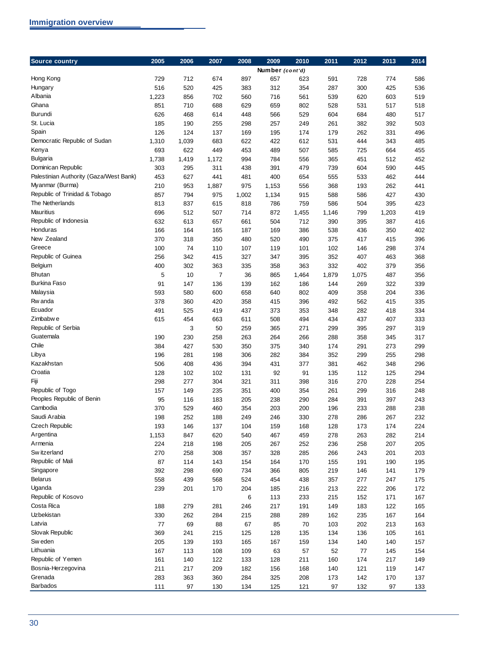| Source country                         | 2005  | 2006  | 2007           | 2008  | 2009            | 2010  | 2011  | 2012  | 2013  | 2014 |
|----------------------------------------|-------|-------|----------------|-------|-----------------|-------|-------|-------|-------|------|
|                                        |       |       |                |       | Number (cont'd) |       |       |       |       |      |
| Hong Kong                              | 729   | 712   | 674            | 897   | 657             | 623   | 591   | 728   | 774   | 586  |
| Hungary                                | 516   | 520   | 425            | 383   | 312             | 354   | 287   | 300   | 425   | 536  |
| Albania                                | 1,223 | 856   | 702            | 560   | 716             | 561   | 539   | 620   | 603   | 519  |
| Ghana                                  | 851   | 710   | 688            | 629   | 659             | 802   | 528   | 531   | 517   | 518  |
| Burundi                                | 626   | 468   | 614            | 448   | 566             | 529   | 604   | 684   | 480   | 517  |
| St. Lucia                              | 185   | 190   | 255            | 298   | 257             | 249   | 261   | 382   | 392   | 503  |
| Spain                                  | 126   | 124   | 137            | 169   | 195             | 174   | 179   | 262   | 331   | 496  |
| Democratic Republic of Sudan           | 1,310 | 1,039 | 683            | 622   | 422             | 612   | 531   | 444   | 343   | 485  |
| Kenya                                  | 693   | 622   | 449            | 453   | 489             | 507   | 585   | 725   | 664   | 455  |
| <b>Bulgaria</b>                        | 1,738 | 1,419 | 1,172          | 994   | 784             | 556   | 365   | 451   | 512   | 452  |
| Dominican Republic                     | 303   | 295   | 311            | 438   | 391             | 479   | 739   | 604   | 590   | 445  |
| Palestinian Authority (Gaza/West Bank) | 453   | 627   | 441            | 481   | 400             | 654   | 555   | 533   | 462   | 444  |
| Myanmar (Burma)                        | 210   | 953   | 1,887          | 975   | 1,153           | 556   | 368   | 193   | 262   | 441  |
| Republic of Trinidad & Tobago          | 857   | 794   | 975            | 1,002 | 1,134           | 915   | 588   | 586   | 427   | 430  |
| The Netherlands                        | 813   | 837   | 615            | 818   | 786             | 759   | 586   | 504   | 395   | 423  |
| <b>Mauritius</b>                       | 696   | 512   | 507            | 714   | 872             | 1,455 | 1,146 | 799   | 1,203 | 419  |
| Republic of Indonesia                  | 632   | 613   | 657            | 661   | 504             | 712   | 390   | 395   | 387   | 416  |
| Honduras                               | 166   | 164   | 165            | 187   | 169             | 386   | 538   | 436   | 350   | 402  |
| New Zealand                            | 370   | 318   | 350            | 480   | 520             | 490   | 375   | 417   | 415   | 396  |
| Greece                                 | 100   | 74    | 110            | 107   | 119             | 101   | 102   | 146   | 298   | 374  |
| Republic of Guinea                     | 256   | 342   | 415            | 327   | 347             | 395   | 352   | 407   | 463   | 368  |
| Belgium                                | 400   | 302   | 363            | 335   | 358             | 363   | 332   | 402   | 379   | 356  |
| <b>Bhutan</b>                          | 5     | 10    | $\overline{7}$ | 36    | 865             | 1,464 | 1,879 | 1,075 | 487   | 356  |
| <b>Burkina Faso</b>                    | 91    | 147   | 136            | 139   | 162             | 186   | 144   | 269   | 322   | 339  |
| Malaysia                               | 593   | 580   | 600            | 658   | 640             | 802   | 409   | 358   | 204   | 336  |
| Rw anda                                | 378   | 360   | 420            | 358   | 415             | 396   | 492   | 562   | 415   | 335  |
| Ecuador                                | 491   | 525   | 419            | 437   | 373             | 353   | 348   | 282   | 418   | 334  |
| Zimbabw e                              | 615   | 454   | 663            | 611   | 508             | 494   | 434   | 437   | 407   | 333  |
| Republic of Serbia                     |       | 3     | 50             | 259   | 365             | 271   | 299   | 395   | 297   | 319  |
| Guatemala                              | 190   | 230   | 258            | 263   | 264             | 266   | 288   | 358   | 345   | 317  |
| Chile                                  | 384   | 427   | 530            | 350   | 375             | 340   | 174   | 291   | 273   | 299  |
| Libya                                  | 196   | 281   | 198            | 306   | 282             | 384   | 352   | 299   | 255   | 298  |
| Kazakhstan                             | 506   | 408   | 436            | 394   | 431             | 377   | 381   | 462   | 348   | 296  |
| Croatia                                | 128   | 102   | 102            | 131   | 92              | 91    | 135   | 112   | 125   | 294  |
| Fiji                                   | 298   | 277   | 304            | 321   | 311             | 398   | 316   | 270   | 228   | 254  |
| Republic of Togo                       | 157   | 149   | 235            | 351   | 400             | 354   | 261   | 299   | 316   | 248  |
| Peoples Republic of Benin              | 95    | 116   | 183            | 205   | 238             | 290   | 284   | 391   | 397   | 243  |
| Cambodia                               | 370   | 529   | 460            | 354   | 203             | 200   | 196   | 233   | 288   | 238  |
| Saudi Arabia                           | 198   | 252   | 188            | 249   | 246             | 330   | 278   | 286   | 267   | 232  |
| <b>Czech Republic</b>                  | 193   | 146   | 137            | 104   | 159             | 168   | 128   | 173   | 174   | 224  |
| Argentina                              | 1,153 | 847   | 620            | 540   | 467             | 459   | 278   | 263   | 282   | 214  |
| Armenia                                | 224   | 218   | 198            | 205   | 267             | 252   | 236   | 258   | 207   | 205  |
| Sw itzerland                           | 270   | 258   | 308            | 357   | 328             | 285   | 266   | 243   | 201   | 203  |
| Republic of Mali                       | 87    | 114   | 143            | 154   | 164             | 170   | 155   | 191   | 190   | 195  |
| Singapore                              | 392   | 298   | 690            | 734   | 366             | 805   | 219   | 146   | 141   | 179  |
| <b>Belarus</b>                         | 558   | 439   | 568            | 524   | 454             | 438   | 357   | 277   | 247   | 175  |
| Uganda                                 | 239   | 201   | 170            | 204   | 185             | 216   | 213   | 222   | 206   | 172  |
| Republic of Kosovo                     |       |       |                | 6     | 113             | 233   | 215   | 152   | 171   | 167  |
| Costa Rica                             | 188   | 279   | 281            | 246   | 217             | 191   | 149   | 183   | 122   | 165  |
| Uzbekistan                             | 330   | 262   | 284            | 215   | 288             | 289   | 162   | 235   | 167   | 164  |
| Latvia                                 | 77    | 69    | 88             | 67    | 85              | 70    | 103   | 202   | 213   | 163  |
| Slovak Republic                        | 369   | 241   | 215            | 125   | 128             | 135   | 134   | 136   | 105   | 161  |
| Sw eden                                | 205   | 139   | 193            | 165   | 167             | 159   | 134   | 140   | 140   | 157  |
| Lithuania                              | 167   | 113   | 108            | 109   | 63              | 57    | 52    | 77    | 145   | 154  |
| Republic of Yemen                      | 161   | 140   | 122            | 133   | 128             | 211   | 160   | 174   | 217   | 149  |
| Bosnia-Herzegovina                     | 211   | 217   | 209            | 182   | 156             | 168   | 140   | 121   | 119   | 147  |
| Grenada                                | 283   | 363   | 360            | 284   | 325             | 208   | 173   | 142   | 170   | 137  |
| <b>Barbados</b>                        | 111   | 97    | 130            | 134   | 125             | 121   | 97    | 132   | 97    | 133  |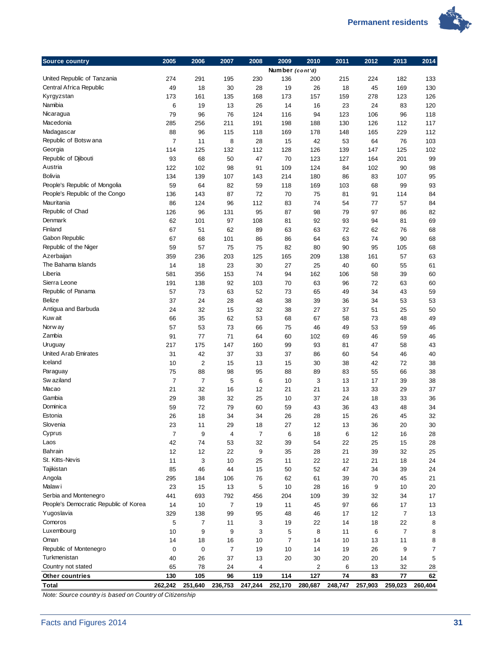

| Source country                               | 2005           | 2006           | 2007           | 2008      | 2009            | 2010      | 2011      | 2012      | 2013           | 2014     |
|----------------------------------------------|----------------|----------------|----------------|-----------|-----------------|-----------|-----------|-----------|----------------|----------|
|                                              |                |                |                |           | Number (cont'd) |           |           |           |                |          |
| United Republic of Tanzania                  | 274            | 291            | 195            | 230       | 136             | 200       | 215       | 224       | 182            | 133      |
| Central Africa Republic                      | 49             | 18             | 30             | 28        | 19              | 26        | 18        | 45        | 169            | 130      |
| Kyrgyzstan                                   | 173            | 161            | 135            | 168       | 173             | 157       | 159       | 278       | 123            | 126      |
| Namibia                                      | 6              | 19             | 13             | 26        | 14              | 16        | 23        | 24        | 83             | 120      |
| Nicaragua                                    | 79             | 96             | 76             | 124       | 116             | 94        | 123       | 106       | 96             | 118      |
| Macedonia                                    | 285            | 256            | 211            | 191       | 198             | 188       | 130       | 126       | 112            | 117      |
| Madagascar                                   | 88             | 96             | 115            | 118       | 169             | 178       | 148       | 165       | 229            | 112      |
| Republic of Botswana                         | 7              | 11             | 8              | 28        | 15              | 42        | 53        | 64        | 76             | 103      |
| Georgia                                      | 114            | 125            | 132            | 112       | 128             | 126       | 139       | 147       | 125            | 102      |
| Republic of Djibouti<br>Austria              | 93             | 68             | 50             | 47        | 70              | 123       | 127       | 164       | 201            | 99       |
| <b>Bolivia</b>                               | 122            | 102            | 98             | 91        | 109             | 124       | 84        | 102       | 90             | 98       |
| People's Republic of Mongolia                | 134            | 139            | 107            | 143       | 214             | 180       | 86        | 83        | 107            | 95       |
|                                              | 59             | 64             | 82             | 59        | 118             | 169       | 103       | 68        | 99             | 93       |
| People's Republic of the Congo<br>Mauritania | 136            | 143            | 87             | 72        | 70              | 75        | 81        | 91        | 114            | 84       |
| Republic of Chad                             | 86             | 124            | 96             | 112       | 83              | 74        | 54        | 77        | 57             | 84       |
| Denmark                                      | 126            | 96             | 131            | 95        | 87              | 98        | 79        | 97        | 86             | 82       |
| Finland                                      | 62             | 101            | 97<br>62       | 108<br>89 | 81              | 92<br>63  | 93        | 94<br>62  | 81             | 69       |
| Gabon Republic                               | 67             | 51<br>68       |                |           | 63              |           | 72<br>63  |           | 76             | 68       |
| Republic of the Niger                        | 67<br>59       | 57             | 101<br>75      | 86<br>75  | 86<br>82        | 64        |           | 74        | 90             | 68       |
| Azerbaijan                                   | 359            | 236            | 203            |           |                 | 80        | 90<br>138 | 95        | 105<br>57      | 68<br>63 |
| The Bahama Islands                           | 14             | 18             | 23             | 125<br>30 | 165<br>27       | 209<br>25 | 40        | 161<br>60 | 55             | 61       |
| Liberia                                      | 581            | 356            | 153            | 74        | 94              | 162       | 106       | 58        | 39             | 60       |
| Sierra Leone                                 | 191            | 138            | 92             | 103       | 70              | 63        | 96        | 72        | 63             | 60       |
| Republic of Panama                           | 57             | 73             | 63             | 52        | 73              | 65        | 49        | 34        | 43             | 59       |
| Belize                                       | 37             | 24             | 28             | 48        | 38              | 39        | 36        | 34        | 53             | 53       |
| Antigua and Barbuda                          | 24             | 32             | 15             | 32        | 38              | 27        | 37        | 51        | 25             | 50       |
| Kuw ait                                      | 66             | 35             | 62             | 53        | 68              | 67        | 58        | 73        | 48             | 49       |
| Norw ay                                      | 57             | 53             | 73             | 66        | 75              | 46        | 49        | 53        | 59             | 46       |
| Zambia                                       | 91             | 77             | 71             | 64        | 60              | 102       | 69        | 46        | 59             | 46       |
| Uruguay                                      | 217            | 175            | 147            | 160       | 99              | 93        | 81        | 47        | 58             | 43       |
| <b>United Arab Emirates</b>                  | 31             | 42             | 37             | 33        | 37              | 86        | 60        | 54        | 46             | 40       |
| Iceland                                      | 10             | 2              | 15             | 13        | 15              | 30        | 38        | 42        | 72             | 38       |
| Paraguay                                     | 75             | 88             | 98             | 95        | 88              | 89        | 83        | 55        | 66             | 38       |
| Sw aziland                                   | $\overline{7}$ | $\overline{7}$ | 5              | 6         | 10              | 3         | 13        | 17        | 39             | 38       |
| Macao                                        | 21             | 32             | 16             | 12        | 21              | 21        | 13        | 33        | 29             | 37       |
| Gambia                                       | 29             | 38             | 32             | 25        | 10              | 37        | 24        | 18        | 33             | 36       |
| Dominica                                     | 59             | 72             | 79             | 60        | 59              | 43        | 36        | 43        | 48             | 34       |
| Estonia                                      | 26             | 18             | 34             | 34        | 26              | 28        | 15        | 26        | 45             | 32       |
| Slovenia                                     | 23             | 11             | 29             | 18        | 27              | 12        | 13        | 36        | 20             | 30       |
| Cyprus                                       | 7              | 9              | 4              | 7         | 6               | 18        | 6         | 12        | 16             | 28       |
| Laos                                         | 42             | 74             | 53             | 32        | 39              | 54        | 22        | 25        | 15             | 28       |
| Bahrain                                      | 12             | 12             | 22             | 9         | 35              | 28        | 21        | 39        | 32             | 25       |
| St. Kitts-Nevis                              | 11             | 3              | 10             | 25        | 11              | 22        | 12        | 21        | 18             | 24       |
| Tajikistan                                   | 85             | 46             | 44             | 15        | 50              | 52        | 47        | 34        | 39             | 24       |
| Angola                                       | 295            | 184            | 106            | 76        | 62              | 61        | 39        | 70        | 45             | 21       |
| Malaw i                                      | 23             | 15             | 13             | 5         | 10              | 28        | 16        | 9         | 10             | 20       |
| Serbia and Montenegro                        | 441            | 693            | 792            | 456       | 204             | 109       | 39        | 32        | 34             | 17       |
| People's Democratic Republic of Korea        | 14             | 10             | $\overline{7}$ | 19        | 11              | 45        | 97        | 66        | 17             | 13       |
| Yugoslavia                                   | 329            | 138            | 99             | 95        | 48              | 46        | 17        | 12        | 7              | 13       |
| Comoros                                      | 5              | 7              | 11             | 3         | 19              | 22        | 14        | 18        | 22             | 8        |
| Luxembourg                                   | 10             | 9              | 9              | 3         | 5               | 8         | 11        | 6         | $\overline{7}$ | 8        |
| Oman                                         | 14             | 18             | 16             | 10        | 7               | 14        | 10        | 13        | 11             | 8        |
| Republic of Montenegro                       | 0              | 0              | $\overline{7}$ | 19        | 10              | 14        | 19        | 26        | 9              | 7        |
| Turkmenistan                                 | 40             | 26             | 37             | 13        | 20              | 30        | 20        | 20        | 14             | 5        |
| Country not stated                           | 65             | 78             | 24             | 4         |                 | 2         | 6         | 13        | 32             | 28       |
| Other countries                              | 130            | 105            | 96             | 119       | 114             | 127       | 74        | 83        | 77             | 62       |
| Total                                        | 262,242        | 251,640        | 236,753        | 247,244   | 252,170         | 280,687   | 248,747   | 257,903   | 259,023        | 260,404  |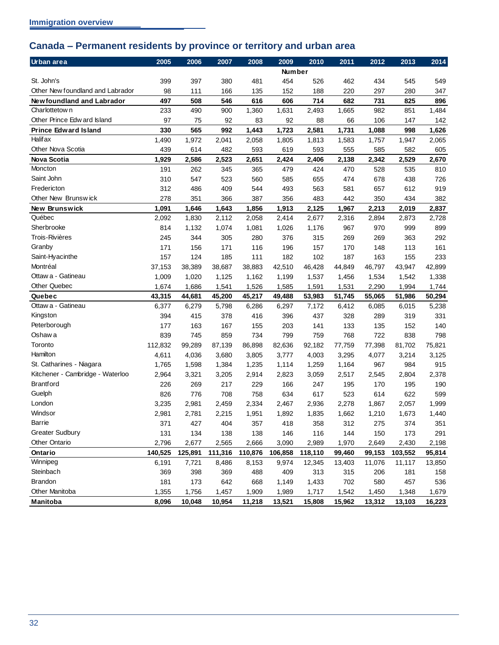# <span id="page-35-0"></span>**Canada – Permanent residents by province or territory and urban area**

| Urban area                       | 2005    | 2006    | 2007    | 2008    | 2009          | 2010    | 2011   | 2012   | 2013    | 2014   |
|----------------------------------|---------|---------|---------|---------|---------------|---------|--------|--------|---------|--------|
|                                  |         |         |         |         | <b>Number</b> |         |        |        |         |        |
| St. John's                       | 399     | 397     | 380     | 481     | 454           | 526     | 462    | 434    | 545     | 549    |
| Other New foundland and Labrador | 98      | 111     | 166     | 135     | 152           | 188     | 220    | 297    | 280     | 347    |
| Newfoundland and Labrador        | 497     | 508     | 546     | 616     | 606           | 714     | 682    | 731    | 825     | 896    |
| Charlottetow n                   | 233     | 490     | 900     | 1,360   | 1,631         | 2,493   | 1,665  | 982    | 851     | 1,484  |
| Other Prince Edw ard Island      | 97      | 75      | 92      | 83      | 92            | 88      | 66     | 106    | 147     | 142    |
| <b>Prince Edward Island</b>      | 330     | 565     | 992     | 1,443   | 1,723         | 2,581   | 1,731  | 1,088  | 998     | 1,626  |
| <b>Halif ax</b>                  | 1,490   | 1,972   | 2,041   | 2,058   | 1,805         | 1,813   | 1,583  | 1,757  | 1,947   | 2,065  |
| Other Nova Scotia                | 439     | 614     | 482     | 593     | 619           | 593     | 555    | 585    | 582     | 605    |
| <b>Nova Scotia</b>               | 1,929   | 2,586   | 2,523   | 2,651   | 2,424         | 2,406   | 2,138  | 2,342  | 2,529   | 2,670  |
| Moncton                          | 191     | 262     | 345     | 365     | 479           | 424     | 470    | 528    | 535     | 810    |
| Saint John                       | 310     | 547     | 523     | 560     | 585           | 655     | 474    | 678    | 438     | 726    |
| Fredericton                      | 312     | 486     | 409     | 544     | 493           | 563     | 581    | 657    | 612     | 919    |
| Other New Brunswick              | 278     | 351     | 366     | 387     | 356           | 483     | 442    | 350    | 434     | 382    |
| New Brunswick                    | 1,091   | 1,646   | 1,643   | 1,856   | 1,913         | 2,125   | 1,967  | 2,213  | 2,019   | 2,837  |
| Québec                           | 2,092   | 1,830   | 2,112   | 2,058   | 2,414         | 2,677   | 2,316  | 2,894  | 2,873   | 2,728  |
| Sherbrooke                       | 814     | 1,132   | 1,074   | 1,081   | 1,026         | 1,176   | 967    | 970    | 999     | 899    |
| Trois-Rivières                   | 245     | 344     | 305     | 280     | 376           | 315     | 269    | 269    | 363     | 292    |
| Granby                           | 171     | 156     | 171     | 116     | 196           | 157     | 170    | 148    | 113     | 161    |
| Saint-Hyacinthe                  | 157     | 124     | 185     | 111     | 182           | 102     | 187    | 163    | 155     | 233    |
| Montréal                         | 37,153  | 38,389  | 38,687  | 38,883  | 42,510        | 46,428  | 44,849 | 46,797 | 43,947  | 42,899 |
| Ottaw a - Gatineau               | 1,009   | 1,020   | 1,125   | 1,162   | 1,199         | 1,537   | 1,456  | 1,534  | 1,542   | 1,338  |
| <b>Other Quebec</b>              | 1,674   | 1,686   | 1,541   | 1,526   | 1,585         | 1,591   | 1,531  | 2,290  | 1,994   | 1,744  |
| Quebec                           | 43,315  | 44,681  | 45,200  | 45,217  | 49,488        | 53,983  | 51,745 | 55,065 | 51,986  | 50,294 |
| Ottaw a - Gatineau               | 6,377   | 6,279   | 5,798   | 6,286   | 6,297         | 7,172   | 6,412  | 6,085  | 6,015   | 5,238  |
| Kingston                         | 394     | 415     | 378     | 416     | 396           | 437     | 328    | 289    | 319     | 331    |
| Peterborough                     | 177     | 163     | 167     | 155     | 203           | 141     | 133    | 135    | 152     | 140    |
| Oshaw a                          | 839     | 745     | 859     | 734     | 799           | 759     | 768    | 722    | 838     | 798    |
| Toronto                          | 112,832 | 99,289  | 87,139  | 86,898  | 82,636        | 92,182  | 77,759 | 77,398 | 81,702  | 75,821 |
| Hamilton                         | 4,611   | 4,036   | 3,680   | 3,805   | 3,777         | 4,003   | 3,295  | 4,077  | 3,214   | 3,125  |
| St. Catharines - Niagara         | 1,765   | 1,598   | 1,384   | 1,235   | 1,114         | 1,259   | 1,164  | 967    | 984     | 915    |
| Kitchener - Cambridge - Waterloo | 2,964   | 3,321   | 3,205   | 2,914   | 2,823         | 3,059   | 2,517  | 2,545  | 2,804   | 2,378  |
| <b>Brantford</b>                 | 226     | 269     | 217     | 229     | 166           | 247     | 195    | 170    | 195     | 190    |
| Guelph                           | 826     | 776     | 708     | 758     | 634           | 617     | 523    | 614    | 622     | 599    |
| London                           | 3,235   | 2,981   | 2,459   | 2,334   | 2,467         | 2,936   | 2,278  | 1,867  | 2,057   | 1,999  |
| Windsor                          | 2,981   | 2,781   | 2,215   | 1,951   | 1,892         | 1,835   | 1,662  | 1,210  | 1,673   | 1,440  |
| <b>Barrie</b>                    | 371     | 427     | 404     | 357     | 418           | 358     | 312    | 275    | 374     | 351    |
| <b>Greater Sudbury</b>           | 131     | 134     | 138     | 138     | 146           | 116     | 144    | 150    | 173     | 291    |
| <b>Other Ontario</b>             | 2,796   | 2,677   | 2,565   | 2,666   | 3,090         | 2,989   | 1,970  | 2,649  | 2,430   | 2,198  |
| Ontario                          | 140,525 | 125,891 | 111,316 | 110,876 | 106,858       | 118,110 | 99,460 | 99,153 | 103,552 | 95,814 |
| Winnipeg                         | 6,191   | 7,721   | 8,486   | 8,153   | 9,974         | 12,345  | 13,403 | 11,076 | 11,117  | 13,850 |
| Steinbach                        | 369     | 398     | 369     | 488     | 409           | 313     | 315    | 206    | 181     | 158    |
| Brandon                          | 181     | 173     | 642     | 668     | 1,149         | 1,433   | 702    | 580    | 457     | 536    |
| Other Manitoba                   | 1,355   | 1,756   | 1,457   | 1,909   | 1,989         | 1,717   | 1,542  | 1,450  | 1,348   | 1,679  |
| Manitoba                         | 8,096   | 10,048  | 10,954  | 11,218  | 13,521        | 15,808  | 15,962 | 13,312 | 13,103  | 16,223 |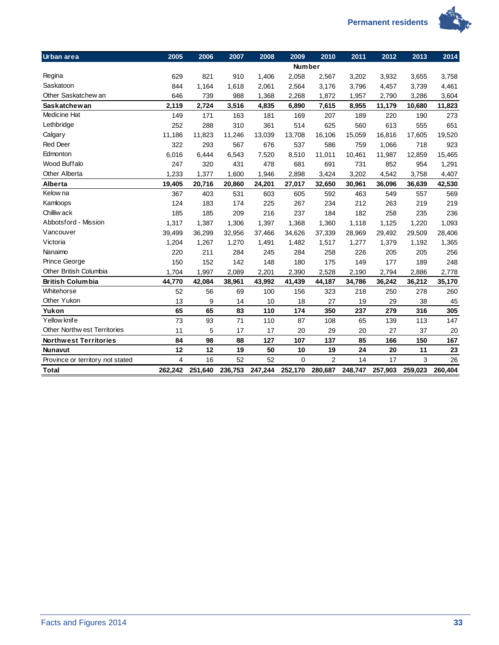

| Urban area                       | 2005    | 2006    | 2007    | 2008    | 2009          | 2010           | 2011    | 2012    | 2013    | 2014    |
|----------------------------------|---------|---------|---------|---------|---------------|----------------|---------|---------|---------|---------|
|                                  |         |         |         |         | <b>Number</b> |                |         |         |         |         |
| Regina                           | 629     | 821     | 910     | 1,406   | 2,058         | 2,567          | 3,202   | 3,932   | 3,655   | 3,758   |
| Saskatoon                        | 844     | 1,164   | 1,618   | 2,061   | 2,564         | 3,176          | 3,796   | 4,457   | 3,739   | 4,461   |
| Other Saskatchew an              | 646     | 739     | 988     | 1,368   | 2,268         | 1,872          | 1,957   | 2,790   | 3,286   | 3,604   |
| <b>Saskatchewan</b>              | 2,119   | 2,724   | 3,516   | 4,835   | 6,890         | 7,615          | 8,955   | 11,179  | 10,680  | 11,823  |
| Medicine Hat                     | 149     | 171     | 163     | 181     | 169           | 207            | 189     | 220     | 190     | 273     |
| Lethbridge                       | 252     | 288     | 310     | 361     | 514           | 625            | 560     | 613     | 555     | 651     |
| Calgary                          | 11,186  | 11,823  | 11,246  | 13,039  | 13,708        | 16,106         | 15,059  | 16,816  | 17,605  | 19,520  |
| <b>Red Deer</b>                  | 322     | 293     | 567     | 676     | 537           | 586            | 759     | 1,066   | 718     | 923     |
| Edmonton                         | 6,016   | 6,444   | 6,543   | 7,520   | 8,510         | 11,011         | 10,461  | 11,987  | 12,859  | 15,465  |
| Wood Buffalo                     | 247     | 320     | 431     | 478     | 681           | 691            | 731     | 852     | 954     | 1,291   |
| <b>Other Alberta</b>             | 1,233   | 1,377   | 1,600   | 1,946   | 2,898         | 3,424          | 3,202   | 4,542   | 3,758   | 4,407   |
| Alberta                          | 19,405  | 20,716  | 20,860  | 24,201  | 27,017        | 32,650         | 30,961  | 36,096  | 36,639  | 42,530  |
| Kelow na                         | 367     | 403     | 531     | 603     | 605           | 592            | 463     | 549     | 557     | 569     |
| Kamloops                         | 124     | 183     | 174     | 225     | 267           | 234            | 212     | 263     | 219     | 219     |
| Chilliw ack                      | 185     | 185     | 209     | 216     | 237           | 184            | 182     | 258     | 235     | 236     |
| Abbotsford - Mission             | 1,317   | 1,387   | 1,306   | 1,397   | 1,368         | 1,360          | 1,118   | 1,125   | 1,220   | 1,093   |
| Vancouver                        | 39,499  | 36,299  | 32,956  | 37,466  | 34,626        | 37,339         | 28,969  | 29,492  | 29,509  | 28,406  |
| Victoria                         | 1,204   | 1,267   | 1,270   | 1,491   | 1,482         | 1,517          | 1,277   | 1,379   | 1,192   | 1,365   |
| Nanaimo                          | 220     | 211     | 284     | 245     | 284           | 258            | 226     | 205     | 205     | 256     |
| Prince George                    | 150     | 152     | 142     | 148     | 180           | 175            | 149     | 177     | 189     | 248     |
| Other British Columbia           | 1,704   | 1,997   | 2,089   | 2,201   | 2,390         | 2,528          | 2,190   | 2,794   | 2,886   | 2,778   |
| <b>British Columbia</b>          | 44,770  | 42,084  | 38,961  | 43,992  | 41,439        | 44,187         | 34,786  | 36,242  | 36,212  | 35,170  |
| Whitehorse                       | 52      | 56      | 69      | 100     | 156           | 323            | 218     | 250     | 278     | 260     |
| Other Yukon                      | 13      | 9       | 14      | 10      | 18            | 27             | 19      | 29      | 38      | 45      |
| Yukon                            | 65      | 65      | 83      | 110     | 174           | 350            | 237     | 279     | 316     | 305     |
| Yellow knife                     | 73      | 93      | 71      | 110     | 87            | 108            | 65      | 139     | 113     | 147     |
| Other Northw est Territories     | 11      | 5       | 17      | 17      | 20            | 29             | 20      | 27      | 37      | 20      |
| <b>Northwest Territories</b>     | 84      | 98      | 88      | 127     | 107           | 137            | 85      | 166     | 150     | 167     |
| <b>Nunavut</b>                   | 12      | 12      | 19      | 50      | 10            | 19             | 24      | 20      | 11      | 23      |
| Province or territory not stated | 4       | 16      | 52      | 52      | $\mathbf 0$   | $\overline{2}$ | 14      | 17      | 3       | 26      |
| <b>Total</b>                     | 262.242 | 251.640 | 236,753 | 247,244 | 252,170       | 280,687        | 248,747 | 257,903 | 259,023 | 260.404 |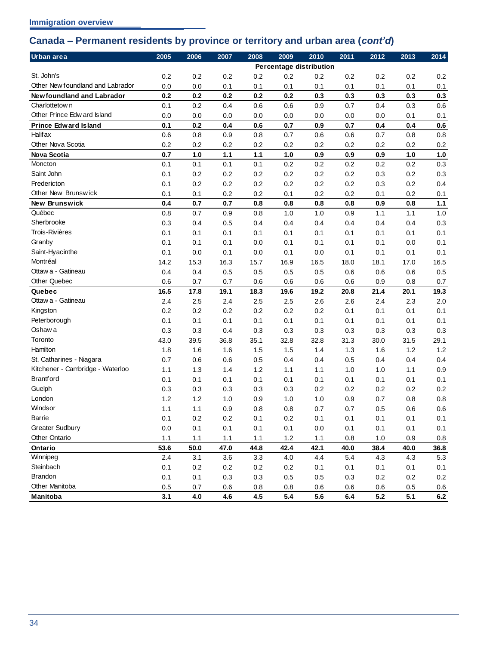## <span id="page-37-0"></span>**Canada – Permanent residents by province or territory and urban area (***cont'd***)**

| Urban area                       | 2005    | 2006    | 2007    | 2008  | 2009                    | 2010    | 2011    | 2012 | 2013    | 2014    |
|----------------------------------|---------|---------|---------|-------|-------------------------|---------|---------|------|---------|---------|
|                                  |         |         |         |       | Percentage distribution |         |         |      |         |         |
| St. John's                       | 0.2     | 0.2     | 0.2     | 0.2   | 0.2                     | 0.2     | 0.2     | 0.2  | 0.2     | 0.2     |
| Other New foundland and Labrador | 0.0     | 0.0     | 0.1     | 0.1   | 0.1                     | 0.1     | 0.1     | 0.1  | 0.1     | 0.1     |
| Newfoundland and Labrador        | 0.2     | 0.2     | 0.2     | 0.2   | 0.2                     | 0.3     | 0.3     | 0.3  | 0.3     | 0.3     |
| Charlottetow n                   | 0.1     | 0.2     | 0.4     | 0.6   | 0.6                     | 0.9     | 0.7     | 0.4  | 0.3     | 0.6     |
| Other Prince Edw ard Island      | 0.0     | 0.0     | 0.0     | 0.0   | 0.0                     | 0.0     | 0.0     | 0.0  | 0.1     | 0.1     |
| <b>Prince Edward Island</b>      | 0.1     | 0.2     | 0.4     | 0.6   | 0.7                     | 0.9     | 0.7     | 0.4  | 0.4     | 0.6     |
| <b>Halif ax</b>                  | 0.6     | 0.8     | 0.9     | 0.8   | 0.7                     | 0.6     | 0.6     | 0.7  | 0.8     | 0.8     |
| Other Nova Scotia                | 0.2     | 0.2     | 0.2     | 0.2   | 0.2                     | 0.2     | 0.2     | 0.2  | 0.2     | 0.2     |
| <b>Nova Scotia</b>               | 0.7     | 1.0     | $1.1$   | $1.1$ | 1.0                     | 0.9     | 0.9     | 0.9  | 1.0     | 1.0     |
| Moncton                          | 0.1     | 0.1     | 0.1     | 0.1   | 0.2                     | 0.2     | 0.2     | 0.2  | 0.2     | 0.3     |
| Saint John                       | 0.1     | 0.2     | 0.2     | 0.2   | 0.2                     | 0.2     | 0.2     | 0.3  | 0.2     | 0.3     |
| Fredericton                      | 0.1     | 0.2     | 0.2     | 0.2   | 0.2                     | 0.2     | 0.2     | 0.3  | 0.2     | 0.4     |
| Other New Brunswick              | 0.1     | 0.1     | 0.2     | 0.2   | 0.1                     | 0.2     | 0.2     | 0.1  | 0.2     | 0.1     |
| New Brunswick                    | 0.4     | 0.7     | 0.7     | 0.8   | 0.8                     | 0.8     | 0.8     | 0.9  | 0.8     | 1.1     |
| Québec                           | 0.8     | 0.7     | 0.9     | 0.8   | 1.0                     | 1.0     | 0.9     | 1.1  | 1.1     | 1.0     |
| Sherbrooke                       | 0.3     | 0.4     | 0.5     | 0.4   | 0.4                     | 0.4     | 0.4     | 0.4  | 0.4     | 0.3     |
| Trois-Rivières                   | 0.1     | 0.1     | 0.1     | 0.1   | 0.1                     | 0.1     | 0.1     | 0.1  | 0.1     | 0.1     |
| Granby                           | 0.1     | 0.1     | 0.1     | 0.0   | 0.1                     | 0.1     | 0.1     | 0.1  | 0.0     | 0.1     |
| Saint-Hyacinthe                  | 0.1     | 0.0     | 0.1     | 0.0   | 0.1                     | 0.0     | 0.1     | 0.1  | 0.1     | 0.1     |
| Montréal                         | 14.2    | 15.3    | 16.3    | 15.7  | 16.9                    | 16.5    | 18.0    | 18.1 | 17.0    | 16.5    |
| Ottaw a - Gatineau               | 0.4     | 0.4     | 0.5     | 0.5   | 0.5                     | 0.5     | 0.6     | 0.6  | 0.6     | 0.5     |
| Other Quebec                     | 0.6     | 0.7     | 0.7     | 0.6   | 0.6                     | 0.6     | 0.6     | 0.9  | 0.8     | 0.7     |
| Quebec                           | 16.5    | 17.8    | 19.1    | 18.3  | 19.6                    | 19.2    | 20.8    | 21.4 | 20.1    | 19.3    |
| Ottaw a - Gatineau               | 2.4     | 2.5     | 2.4     | 2.5   | 2.5                     | 2.6     | 2.6     | 2.4  | 2.3     | 2.0     |
| Kingston                         | 0.2     | 0.2     | 0.2     | 0.2   | 0.2                     | 0.2     | 0.1     | 0.1  | 0.1     | 0.1     |
| Peterborough                     | 0.1     | 0.1     | 0.1     | 0.1   | 0.1                     | 0.1     | 0.1     | 0.1  | 0.1     | 0.1     |
| Oshaw a                          | 0.3     | 0.3     | 0.4     | 0.3   | 0.3                     | 0.3     | 0.3     | 0.3  | 0.3     | 0.3     |
| Toronto                          | 43.0    | 39.5    | 36.8    | 35.1  | 32.8                    | 32.8    | 31.3    | 30.0 | 31.5    | 29.1    |
| Hamilton                         | 1.8     | 1.6     | 1.6     | 1.5   | 1.5                     | 1.4     | 1.3     | 1.6  | 1.2     | 1.2     |
| St. Catharines - Niagara         | 0.7     | 0.6     | 0.6     | 0.5   | 0.4                     | 0.4     | 0.5     | 0.4  | 0.4     | 0.4     |
| Kitchener - Cambridge - Waterloo | 1.1     | 1.3     | 1.4     | 1.2   | 1.1                     | 1.1     | 1.0     | 1.0  | 1.1     | 0.9     |
| <b>Brantford</b>                 | 0.1     | 0.1     | 0.1     | 0.1   | 0.1                     | 0.1     | 0.1     | 0.1  | 0.1     | 0.1     |
| Guelph                           | 0.3     | 0.3     | 0.3     | 0.3   | 0.3                     | 0.2     | 0.2     | 0.2  | 0.2     | 0.2     |
| London                           | 1.2     | 1.2     | 1.0     | 0.9   | 1.0                     | 1.0     | 0.9     | 0.7  | 0.8     | 0.8     |
| Windsor                          | 1.1     | 1.1     | 0.9     | 0.8   | 0.8                     | 0.7     | 0.7     | 0.5  | 0.6     | 0.6     |
| Barrie                           | 0.1     | $0.2\,$ | $0.2\,$ | 0.1   | $0.2\,$                 | 0.1     | $0.1\,$ | 0.1  | 0.1     | 0.1     |
| <b>Greater Sudbury</b>           | $0.0\,$ | 0.1     | 0.1     | 0.1   | 0.1                     | $0.0\,$ | 0.1     | 0.1  | 0.1     | 0.1     |
| Other Ontario                    | 1.1     | 1.1     | 1.1     | 1.1   | 1.2                     | 1.1     | 0.8     | 1.0  | 0.9     | $0.8\,$ |
| Ontario                          | 53.6    | 50.0    | 47.0    | 44.8  | 42.4                    | 42.1    | 40.0    | 38.4 | 40.0    | 36.8    |
| Winnipeg                         | 2.4     | 3.1     | 3.6     | 3.3   | 4.0                     | 4.4     | 5.4     | 4.3  | 4.3     | 5.3     |
| Steinbach                        | 0.1     | 0.2     | 0.2     | 0.2   | 0.2                     | 0.1     | 0.1     | 0.1  | 0.1     | 0.1     |
| <b>Brandon</b>                   | 0.1     | 0.1     | 0.3     | 0.3   | 0.5                     | 0.5     | 0.3     | 0.2  | 0.2     | 0.2     |
| Other Manitoba                   | 0.5     | 0.7     | 0.6     | 0.8   | 0.8                     | 0.6     | 0.6     | 0.6  | $0.5\,$ | 0.6     |
| Manitoba                         | 3.1     | 4.0     | 4.6     | 4.5   | 5.4                     | 5.6     | 6.4     | 5.2  | 5.1     | $6.2\,$ |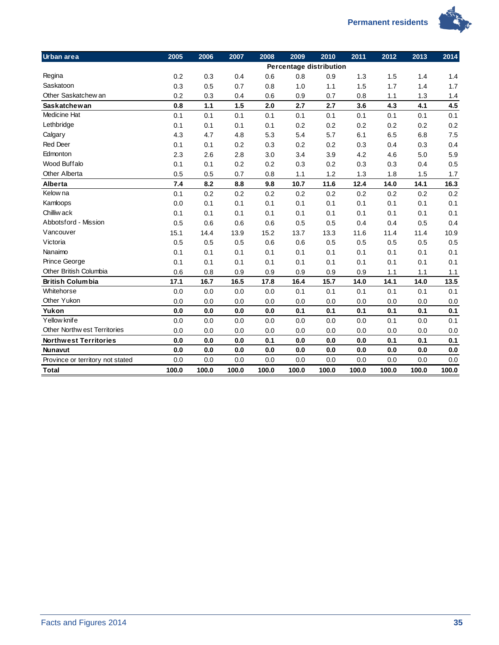

| Urban area                         | 2005  | 2006  | 2007  | 2008  | 2009  | 2010                    | 2011  | 2012  | 2013  | 2014  |
|------------------------------------|-------|-------|-------|-------|-------|-------------------------|-------|-------|-------|-------|
|                                    |       |       |       |       |       | Percentage distribution |       |       |       |       |
| Regina                             | 0.2   | 0.3   | 0.4   | 0.6   | 0.8   | 0.9                     | 1.3   | 1.5   | 1.4   | 1.4   |
| Saskatoon                          | 0.3   | 0.5   | 0.7   | 0.8   | 1.0   | 1.1                     | 1.5   | 1.7   | 1.4   | 1.7   |
| Other Saskatchew an                | 0.2   | 0.3   | 0.4   | 0.6   | 0.9   | 0.7                     | 0.8   | 1.1   | 1.3   | 1.4   |
| <b>Saskatchewan</b>                | 0.8   | 1.1   | 1.5   | 2.0   | 2.7   | 2.7                     | 3.6   | 4.3   | 4.1   | 4.5   |
| <b>Medicine Hat</b>                | 0.1   | 0.1   | 0.1   | 0.1   | 0.1   | 0.1                     | 0.1   | 0.1   | 0.1   | 0.1   |
| Lethbridge                         | 0.1   | 0.1   | 0.1   | 0.1   | 0.2   | 0.2                     | 0.2   | 0.2   | 0.2   | 0.2   |
| Calgary                            | 4.3   | 4.7   | 4.8   | 5.3   | 5.4   | 5.7                     | 6.1   | 6.5   | 6.8   | 7.5   |
| <b>Red Deer</b>                    | 0.1   | 0.1   | 0.2   | 0.3   | 0.2   | 0.2                     | 0.3   | 0.4   | 0.3   | 0.4   |
| Edmonton                           | 2.3   | 2.6   | 2.8   | 3.0   | 3.4   | 3.9                     | 4.2   | 4.6   | 5.0   | 5.9   |
| Wood Buffalo                       | 0.1   | 0.1   | 0.2   | 0.2   | 0.3   | 0.2                     | 0.3   | 0.3   | 0.4   | 0.5   |
| <b>Other Alberta</b>               | 0.5   | 0.5   | 0.7   | 0.8   | 1.1   | 1.2                     | 1.3   | 1.8   | 1.5   | 1.7   |
| Alberta                            | 7.4   | 8.2   | 8.8   | 9.8   | 10.7  | 11.6                    | 12.4  | 14.0  | 14.1  | 16.3  |
| Kelow na                           | 0.1   | 0.2   | 0.2   | 0.2   | 0.2   | 0.2                     | 0.2   | 0.2   | 0.2   | 0.2   |
| Kamloops                           | 0.0   | 0.1   | 0.1   | 0.1   | 0.1   | 0.1                     | 0.1   | 0.1   | 0.1   | 0.1   |
| Chilliw ack                        | 0.1   | 0.1   | 0.1   | 0.1   | 0.1   | 0.1                     | 0.1   | 0.1   | 0.1   | 0.1   |
| Abbotsford - Mission               | 0.5   | 0.6   | 0.6   | 0.6   | 0.5   | 0.5                     | 0.4   | 0.4   | 0.5   | 0.4   |
| Vancouver                          | 15.1  | 14.4  | 13.9  | 15.2  | 13.7  | 13.3                    | 11.6  | 11.4  | 11.4  | 10.9  |
| Victoria                           | 0.5   | 0.5   | 0.5   | 0.6   | 0.6   | 0.5                     | 0.5   | 0.5   | 0.5   | 0.5   |
| Nanaimo                            | 0.1   | 0.1   | 0.1   | 0.1   | 0.1   | 0.1                     | 0.1   | 0.1   | 0.1   | 0.1   |
| Prince George                      | 0.1   | 0.1   | 0.1   | 0.1   | 0.1   | 0.1                     | 0.1   | 0.1   | 0.1   | 0.1   |
| Other British Columbia             | 0.6   | 0.8   | 0.9   | 0.9   | 0.9   | 0.9                     | 0.9   | 1.1   | 1.1   | 1.1   |
| <b>British Columbia</b>            | 17.1  | 16.7  | 16.5  | 17.8  | 16.4  | 15.7                    | 14.0  | 14.1  | 14.0  | 13.5  |
| Whitehorse                         | 0.0   | 0.0   | 0.0   | 0.0   | 0.1   | 0.1                     | 0.1   | 0.1   | 0.1   | 0.1   |
| Other Yukon                        | 0.0   | 0.0   | 0.0   | 0.0   | 0.0   | 0.0                     | 0.0   | 0.0   | 0.0   | 0.0   |
| Yukon                              | 0.0   | 0.0   | 0.0   | 0.0   | 0.1   | 0.1                     | 0.1   | 0.1   | 0.1   | 0.1   |
| Yellow knife                       | 0.0   | 0.0   | 0.0   | 0.0   | 0.0   | 0.0                     | 0.0   | 0.1   | 0.0   | 0.1   |
| <b>Other Northwest Territories</b> | 0.0   | 0.0   | 0.0   | 0.0   | 0.0   | 0.0                     | 0.0   | 0.0   | 0.0   | 0.0   |
| <b>Northwest Territories</b>       | 0.0   | 0.0   | 0.0   | 0.1   | 0.0   | 0.0                     | 0.0   | 0.1   | 0.1   | 0.1   |
| <b>Nunavut</b>                     | 0.0   | 0.0   | 0.0   | 0.0   | 0.0   | 0.0                     | 0.0   | 0.0   | 0.0   | 0.0   |
| Province or territory not stated   | 0.0   | 0.0   | 0.0   | 0.0   | 0.0   | 0.0                     | 0.0   | 0.0   | 0.0   | 0.0   |
| <b>Total</b>                       | 100.0 | 100.0 | 100.0 | 100.0 | 100.0 | 100.0                   | 100.0 | 100.0 | 100.0 | 100.0 |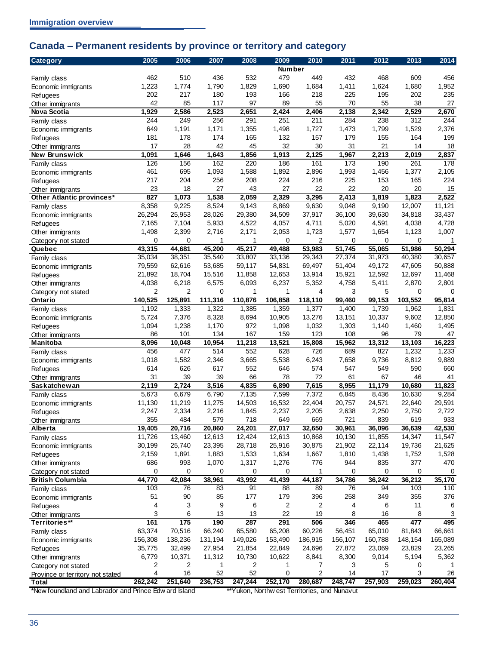## <span id="page-39-0"></span>**Canada – Permanent residents by province or territory and category**

| <b>Category</b>                                       | 2005           | 2006         | 2007         | 2008         | 2009           | 2010                                         | 2011         | 2012         | 2013         | 2014         |
|-------------------------------------------------------|----------------|--------------|--------------|--------------|----------------|----------------------------------------------|--------------|--------------|--------------|--------------|
|                                                       |                |              |              |              | <b>Number</b>  |                                              |              |              |              |              |
| Family class                                          | 462            | 510          | 436          | 532          | 479            | 449                                          | 432          | 468          | 609          | 456          |
| Economic immigrants                                   | 1,223          | 1,774        | 1,790        | 1,829        | 1,690          | 1,684                                        | 1,411        | 1,624        | 1,680        | 1,952        |
| Refugees                                              | 202            | 217          | 180          | 193          | 166            | 218                                          | 225          | 195          | 202          | 235          |
| Other immigrants                                      | 42             | 85           | 117          | 97           | 89             | 55                                           | 70           | 55           | 38           | 27           |
| <b>Nova Scotia</b>                                    | 1,929          | 2,586<br>249 | 2,523        | 2,651        | 2,424          | 2,406                                        | 2,138        | 2,342        | 2,529        | 2,670<br>244 |
| Family class                                          | 244<br>649     |              | 256          | 291          | 251            | 211                                          | 284          | 238          | 312          |              |
| Economic immigrants                                   | 181            | 1,191<br>178 | 1,171<br>174 | 1,355<br>165 | 1,498<br>132   | 1,727<br>157                                 | 1,473<br>179 | 1,799<br>155 | 1,529<br>164 | 2,376<br>199 |
| <b>Refugees</b>                                       | 17             | 28           | 42           | 45           | 32             | 30                                           | 31           | 21           | 14           | 18           |
| Other immigrants<br>New Brunswick                     | 1,091          | 1,646        | 1,643        | 1,856        | 1,913          | 2,125                                        | 1,967        | 2,213        | 2,019        | 2,837        |
| Family class                                          | 126            | 156          | 162          | 220          | 186            | 161                                          | 173          | 190          | 261          | 178          |
| Economic immigrants                                   | 461            | 695          | 1,093        | 1,588        | 1,892          | 2,896                                        | 1,993        | 1,456        | 1,377        | 2,105        |
| Refugees                                              | 217            | 204          | 256          | 208          | 224            | 216                                          | 225          | 153          | 165          | 224          |
| Other immigrants                                      | 23             | 18           | 27           | 43           | 27             | 22                                           | 22           | 20           | 20           | 15           |
| Other Atlantic provinces*                             | 827            | 1,073        | 1,538        | 2,059        | 2,329          | 3,295                                        | 2,413        | 1,819        | 1,823        | 2,522        |
| Family class                                          | 8,358          | 9,225        | 8,524        | 9,143        | 8,869          | 9,630                                        | 9,048        | 9,190        | 12,007       | 11,121       |
| Economic immigrants                                   | 26,294         | 25,953       | 28,026       | 29,380       | 34,509         | 37,917                                       | 36,100       | 39,630       | 34,818       | 33,437       |
| Refugees                                              | 7,165          | 7,104        | 5,933        | 4,522        | 4,057          | 4,711                                        | 5,020        | 4,591        | 4,038        | 4,728        |
| Other immigrants                                      | 1,498          | 2,399        | 2,716        | 2,171        | 2,053          | 1,723                                        | 1,577        | 1,654        | 1,123        | 1,007        |
| Category not stated                                   | 0              | 0            | 1            | 1            | 0              | 2                                            | 0            | 0            | 0            | 1            |
| Quebec                                                | 43,315         | 44,681       | 45,200       | 45,217       | 49,488         | 53,983                                       | 51,745       | 55,065       | 51,986       | 50,294       |
| Family class                                          | 35,034         | 38,351       | 35,540       | 33,807       | 33,136         | 29,343                                       | 27,374       | 31,973       | 40,380       | 30,657       |
| Economic immigrants                                   | 79,559         | 62,616       | 53,685       | 59,117       | 54,831         | 69,497                                       | 51,404       | 49,172       | 47,605       | 50,888       |
| <b>Refugees</b>                                       | 21,892         | 18,704       | 15,516       | 11,858       | 12,653         | 13,914                                       | 15,921       | 12,592       | 12,697       | 11,468       |
| Other immigrants                                      | 4,038          | 6,218        | 6,575        | 6,093        | 6,237          | 5,352                                        | 4,758        | 5,411        | 2,870        | 2,801        |
| Category not stated                                   | $\overline{2}$ | 2            | 0            | 1            | 1              | 4                                            | 3            | 5            | 0            | 0            |
| Ontario                                               | 140,525        | 125,891      | 111,316      | 110,876      | 106,858        | 118,110                                      | 99,460       | 99,153       | 103,552      | 95,814       |
| Family class                                          | 1,192          | 1,333        | 1,322        | 1,385        | 1,359          | 1,377                                        | 1,400        | 1,739        | 1,962        | 1,831        |
| Economic immigrants                                   | 5,724          | 7,376        | 8,328        | 8,694        | 10,905         | 13,276                                       | 13,151       | 10,337       | 9,602        | 12,850       |
| Refugees                                              | 1,094          | 1,238        | 1,170        | 972          | 1,098          | 1,032                                        | 1,303        | 1,140        | 1,460        | 1,495        |
| Other immigrants                                      | 86             | 101          | 134          | 167          | 159            | 123                                          | 108          | 96           | 79           | 47           |
| Manitoba                                              | 8,096          | 10,048       | 10,954       | 11,218       | 13,521         | 15,808                                       | 15,962       | 13,312       | 13,103       | 16,223       |
| Family class                                          | 456            | 477          | 514          | 552          | 628            | 726                                          | 689          | 827          | 1,232        | 1,233        |
| Economic immigrants                                   | 1,018          | 1,582        | 2,346        | 3,665        | 5,538          | 6,243                                        | 7,658        | 9,736        | 8,812        | 9,889        |
| <b>Refugees</b>                                       | 614<br>31      | 626<br>39    | 617<br>39    | 552          | 646            | 574<br>72                                    | 547          | 549          | 590          | 660          |
| Other immigrants<br>Saskatchewan                      | 2,119          | 2,724        | 3,516        | 66<br>4,835  | 78<br>6,890    | 7,615                                        | 61<br>8,955  | 67<br>11,179 | 46<br>10,680 | 41<br>11,823 |
| Family class                                          | 5,673          | 6,679        | 6,790        | 7,135        | 7,599          | 7,372                                        | 6,845        | 8,436        | 10,630       | 9,284        |
| Economic immigrants                                   | 11,130         | 11,219       | 11,275       | 14,503       | 16,532         | 22,404                                       | 20,757       | 24,571       | 22,640       | 29,591       |
| <b>Refugees</b>                                       | 2,247          | 2,334        | 2,216        | 1,845        | 2,237          | 2,205                                        | 2,638        | 2,250        | 2,750        | 2,722        |
| Other immigrants                                      | 355            | 484          | 579          | 718          | 649            | 669                                          | 721          | 839          | 619          | 933          |
| Alberta                                               | 19,405         | 20,716       | 20,860       | 24,201       | 27,017         | 32,650                                       | 30,961       | 36,096       | 36,639       | 42,530       |
| Family class                                          | 11,726         | 13,460       | 12,613       | 12,424       | 12,613         | 10,868                                       | 10,130       | 11,855       | 14,347       | 11,547       |
| Economic immigrants                                   | 30,199         | 25,740       | 23,395       | 28,718       | 25,916         | 30,875                                       | 21,902       | 22,114       | 19,736       | 21,625       |
| <b>Refugees</b>                                       | 2,159          | 1,891        | 1,883        | 1,533        | 1,634          | 1,667                                        | 1,810        | 1,438        | 1,752        | 1,528        |
| Other immigrants                                      | 686            | 993          | 1,070        | 1,317        | 1,276          | 776                                          | 944          | 835          | 377          | 470          |
| Category not stated                                   | $\mathbf 0$    | 0            | 0            | 0            | 0              | 1                                            | 0            | 0            | 0            | 0            |
| <b>British Columbia</b>                               | 44,770         | 42,084       | 38,961       | 43,992       | 41,439         | 44,187                                       | 34,786       | 36,242       | 36,212       | 35,170       |
| Family class                                          | 103            | 76           | 83           | 91           | 88             | 89                                           | 76           | 94           | 103          | 110          |
| Economic immigrants                                   | 51             | 90           | 85           | 177          | 179            | 396                                          | 258          | 349          | 355          | 376          |
| <b>Refugees</b>                                       | 4              | 3            | 9            | 6            | $\overline{c}$ | 2                                            | 4            | 6            | 11           | 6            |
| Other immigrants                                      | 3              | 6            | 13           | 13           | 22             | 19                                           | 8            | 16           | 8            | 3            |
| Territories**                                         | 161            | 175          | 190          | 287          | 291            | 506                                          | 346          | 465          | 477          | 495          |
| Family class                                          | 63,374         | 70,516       | 66,240       | 65,580       | 65,208         | 60,226                                       | 56,451       | 65,010       | 81,843       | 66,661       |
| Economic immigrants                                   | 156,308        | 138,236      | 131,194      | 149,026      | 153,490        | 186,915                                      | 156,107      | 160,788      | 148,154      | 165,089      |
| <b>Refugees</b>                                       | 35,775         | 32,499       | 27,954       | 21,854       | 22,849         | 24,696                                       | 27,872       | 23,069       | 23,829       | 23,265       |
| Other immigrants                                      | 6,779          | 10,371       | 11,312       | 10,730       | 10,622         | 8,841                                        | 8,300        | 9,014        | 5,194        | 5,362        |
| Category not stated                                   | 2              | 2            | 1            | 2            | 1              | 7                                            | 3            | 5            | 0            |              |
| Province or territory not stated                      | 4              | 16           | 52           | 52           | $\mathbf 0$    | $\overline{2}$                               | 14           | 17           | 3            | 26           |
| <b>Total</b>                                          | 262,242        | 251,640      | 236,753      | 247,244      | 252,170        | 280,687                                      | 248,747      | 257,903      | 259,023      | 260,404      |
| *New foundland and Labrador and Prince Edw ard Island |                |              |              |              |                | **Yukon, Northw est Territories, and Nunavut |              |              |              |              |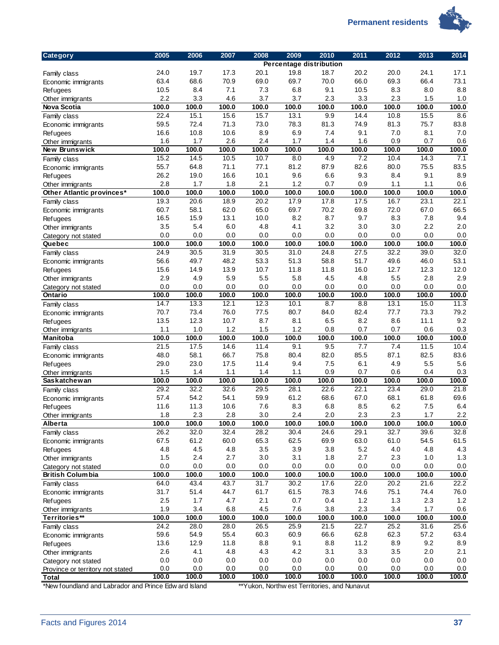**Permanent residents** 



| Percentage distribution<br>24.0<br>19.7<br>17.3<br>18.7<br>20.2<br>20.0<br>24.1<br>20.1<br>19.8<br>Family class<br>63.4<br>68.6<br>70.9<br>69.0<br>69.7<br>70.0<br>66.0<br>69.3<br>66.4<br>Economic immigrants<br>10.5<br>8.4<br>7.1<br>7.3<br>6.8<br>9.1<br>10.5<br>8.3<br>8.0<br>Refugees<br>2.2<br>3.3<br>4.6<br>3.7<br>3.7<br>2.3<br>3.3<br>2.3<br>1.5<br>Other immigrants<br>100.0<br>100.0<br>100.0<br><b>Nova Scotia</b><br>100.0<br>100.0<br>100.0<br>100.0<br>100.0<br>100.0<br>22.4<br>15.1<br>15.6<br>15.7<br>10.8<br>$\overline{15.5}$<br>13.1<br>9.9<br>14.4<br>Family class<br>59.5<br>72.4<br>71.3<br>73.0<br>78.3<br>81.3<br>74.9<br>81.3<br>75.7<br>Economic immigrants<br>10.8<br>16.6<br>10.6<br>8.9<br>6.9<br>7.4<br>9.1<br>7.0<br>8.1<br>Refugees<br>1.6<br>2.6<br>2.4<br>1.7<br>0.9<br>0.7<br>1.7<br>1.4<br>1.6<br>Other immigrants<br>100.0<br>100.0<br>100.0<br>100.0<br>100.0<br>100.0<br>100.0<br>100.0<br>100.0<br>New Brunswick<br>15.2<br>$\overline{14.5}$<br>7.2<br>10.5<br>10.7<br>8.0<br>4.9<br>10.4<br>14.3<br>Family class<br>55.7<br>64.8<br>71.1<br>81.2<br>87.9<br>82.6<br>80.0<br>75.5<br>77.1<br>Economic immigrants<br>26.2<br>19.0<br>16.6<br>10.1<br>9.6<br>6.6<br>9.3<br>8.4<br>9.1<br><b>Refugees</b><br>2.8<br>1.7<br>1.8<br>2.1<br>1.2<br>0.7<br>0.9<br>1.1<br>1.1<br>Other immigrants<br>100.0<br>100.0<br>100.0<br>100.0<br>100.0<br>100.0<br>100.0<br>100.0<br>100.0<br>Other Atlantic provinces*<br>19.3<br>20.2<br>17.9<br>17.8<br>17.5<br>16.7<br>23.1<br>20.6<br>18.9<br>Family class<br>60.7<br>58.1<br>62.0<br>65.0<br>69.7<br>72.0<br>67.0<br>70.2<br>69.8<br>Economic immigrants<br>16.5<br>15.9<br>13.1<br>10.0<br>8.2<br>8.7<br>9.7<br>8.3<br>7.8<br><b>Refugees</b><br>2.2<br>3.5<br>5.4<br>6.0<br>4.8<br>3.2<br>3.0<br>3.0<br>4.1<br>Other immigrants<br>0.0<br>0.0<br>0.0<br>0.0<br>0.0<br>0.0<br>0.0<br>0.0<br>0.0<br>Category not stated<br>100.0<br>100.0<br>100.0<br>100.0<br>100.0<br>100.0<br>100.0<br>100.0<br>100.0<br>100.0<br>24.9<br>27.5<br>32.2<br>39.0<br>32.0<br>30.5<br>31.9<br>30.5<br>31.0<br>24.8<br>Family class<br>53.1<br>56.6<br>49.7<br>48.2<br>53.3<br>51.3<br>58.8<br>51.7<br>49.6<br>46.0<br>Economic immigrants<br>12.0<br>15.6<br>14.9<br>13.9<br>10.7<br>11.8<br>11.8<br>16.0<br>12.7<br>12.3<br>Refugees<br>2.9<br>2.9<br>4.9<br>5.9<br>5.5<br>5.8<br>4.5<br>5.5<br>2.8<br>4.8<br>Other immigrants<br>0.0<br>0.0<br>0.0<br>0.0<br>0.0<br>0.0<br>0.0<br>0.0<br>0.0<br>Category not stated<br>100.0<br>100.0<br>100.0<br>100.0<br>100.0<br>100.0<br>100.0<br>100.0<br>100.0<br>100.0<br>Ontario<br>14.7<br>12.3<br>15.0<br>11.3<br>13.3<br>12.1<br>10.1<br>8.7<br>8.8<br>13.1<br>Family class<br>70.7<br>73.4<br>76.0<br>77.5<br>80.7<br>84.0<br>82.4<br>77.7<br>73.3<br>79.2<br>Economic immigrants<br>9.2<br>13.5<br>12.3<br>10.7<br>8.7<br>8.1<br>6.5<br>8.2<br>8.6<br>11.1<br><b>Refugees</b><br>1.0<br>1.2<br>1.5<br>1.2<br>1.1<br>0.8<br>0.7<br>0.7<br>0.6<br>0.3<br>Other immigrants<br>100.0<br>100.0<br>100.0<br>100.0<br>100.0<br>100.0<br>100.0<br>100.0<br>100.0<br>100.0<br>Manitoba<br>21.5<br>17.5<br>14.6<br>11.4<br>9.1<br>9.5<br>7.7<br>7.4<br>11.5<br>Family class<br>85.5<br>48.0<br>58.1<br>66.7<br>75.8<br>80.4<br>82.0<br>87.1<br>82.5<br>Economic immigrants<br>29.0<br>23.0<br>17.5<br>11.4<br>9.4<br>7.5<br>6.1<br>4.9<br>5.5<br>Refugees<br>1.5<br>1.1<br>1.1<br>0.9<br>0.6<br>0.4<br>1.4<br>1.4<br>0.7<br>Other immigrants<br>100.0<br>100.0<br>Saskatchewan<br>100.0<br>100.0<br>100.0<br>100.0<br>100.0<br>100.0<br>100.0<br>29.2<br>32.2<br>32.6<br>22.1<br>23.4<br>29.0<br>29.5<br>28.1<br>22.6<br>Family class<br>54.2<br>57.4<br>54.1<br>59.9<br>61.2<br>68.6<br>67.0<br>68.1<br>61.8<br>Economic immigrants<br>11.6<br>11.3<br>10.6<br>7.6<br>8.3<br>6.8<br>8.5<br>6.2<br>7.5<br><b>Refugees</b><br>1.8<br>2.3<br>2.8<br>3.0<br>2.4<br>2.0<br>2.3<br>2.3<br>1.7<br>Other immigrants<br>100.0<br>100.0<br>100.0<br>100.0<br>100.0<br>100.0<br>100.0<br>100.0<br>100.0<br>Alberta<br>32.7<br>26.2<br>32.0<br>32.4<br>28.2<br>30.4<br>24.6<br>29.1<br>39.6<br>Family class<br>67.5<br>61.2<br>60.0<br>65.3<br>62.5<br>69.9<br>63.0<br>54.5<br>61.0<br>Economic immigrants<br>4.8<br>4.5<br>4.8<br>3.5<br>3.9<br>5.2<br>3.8<br>4.0<br>4.8<br>Refugees<br>2.4<br>2.7<br>3.0<br>2.7<br>1.5<br>3.1<br>1.8<br>2.3<br>1.0<br>Other immigrants<br>0.0<br>0.0<br>0.0<br>0.0<br>0.0<br>0.0<br>0.0<br>0.0<br>0.0<br>Category not stated<br>100.0<br>100.0<br>100.0<br>100.0<br>100.0<br>100.0<br>100.0<br>100.0<br>100.0<br><b>British Columbia</b><br>64.0<br>43.4<br>43.7<br>31.7<br>30.2<br>17.6<br>22.0<br>20.2<br>21.6<br>Family class<br>31.7<br>51.4<br>44.7<br>61.7<br>61.5<br>78.3<br>74.6<br>75.1<br>74.4<br>Economic immigrants | <b>Category</b> | 2005 | 2006 | 2007 | 2008 | 2009 | 2010 | 2011 | 2012 | 2013 | 2014    |
|--------------------------------------------------------------------------------------------------------------------------------------------------------------------------------------------------------------------------------------------------------------------------------------------------------------------------------------------------------------------------------------------------------------------------------------------------------------------------------------------------------------------------------------------------------------------------------------------------------------------------------------------------------------------------------------------------------------------------------------------------------------------------------------------------------------------------------------------------------------------------------------------------------------------------------------------------------------------------------------------------------------------------------------------------------------------------------------------------------------------------------------------------------------------------------------------------------------------------------------------------------------------------------------------------------------------------------------------------------------------------------------------------------------------------------------------------------------------------------------------------------------------------------------------------------------------------------------------------------------------------------------------------------------------------------------------------------------------------------------------------------------------------------------------------------------------------------------------------------------------------------------------------------------------------------------------------------------------------------------------------------------------------------------------------------------------------------------------------------------------------------------------------------------------------------------------------------------------------------------------------------------------------------------------------------------------------------------------------------------------------------------------------------------------------------------------------------------------------------------------------------------------------------------------------------------------------------------------------------------------------------------------------------------------------------------------------------------------------------------------------------------------------------------------------------------------------------------------------------------------------------------------------------------------------------------------------------------------------------------------------------------------------------------------------------------------------------------------------------------------------------------------------------------------------------------------------------------------------------------------------------------------------------------------------------------------------------------------------------------------------------------------------------------------------------------------------------------------------------------------------------------------------------------------------------------------------------------------------------------------------------------------------------------------------------------------------------------------------------------------------------------------------------------------------------------------------------------------------------------------------------------------------------------------------------------------------------------------------------------------------------------------------------------------------------------------------------------------------------------------------------------------------------------------------------------------------------------------------------------------------------------------------------------------------------------------------------------------------------------------------------------------------------------------------------------------------------------------------------------------------------------------------------------------------------------------------------------------------------------------------------------------------------------------------------------------------------------------------------------------------------------|-----------------|------|------|------|------|------|------|------|------|------|---------|
|                                                                                                                                                                                                                                                                                                                                                                                                                                                                                                                                                                                                                                                                                                                                                                                                                                                                                                                                                                                                                                                                                                                                                                                                                                                                                                                                                                                                                                                                                                                                                                                                                                                                                                                                                                                                                                                                                                                                                                                                                                                                                                                                                                                                                                                                                                                                                                                                                                                                                                                                                                                                                                                                                                                                                                                                                                                                                                                                                                                                                                                                                                                                                                                                                                                                                                                                                                                                                                                                                                                                                                                                                                                                                                                                                                                                                                                                                                                                                                                                                                                                                                                                                                                                                                                                                                                                                                                                                                                                                                                                                                                                                                                                                                                                                              |                 |      |      |      |      |      |      |      |      |      |         |
| Quebec                                                                                                                                                                                                                                                                                                                                                                                                                                                                                                                                                                                                                                                                                                                                                                                                                                                                                                                                                                                                                                                                                                                                                                                                                                                                                                                                                                                                                                                                                                                                                                                                                                                                                                                                                                                                                                                                                                                                                                                                                                                                                                                                                                                                                                                                                                                                                                                                                                                                                                                                                                                                                                                                                                                                                                                                                                                                                                                                                                                                                                                                                                                                                                                                                                                                                                                                                                                                                                                                                                                                                                                                                                                                                                                                                                                                                                                                                                                                                                                                                                                                                                                                                                                                                                                                                                                                                                                                                                                                                                                                                                                                                                                                                                                                                       |                 |      |      |      |      |      |      |      |      |      | 17.1    |
|                                                                                                                                                                                                                                                                                                                                                                                                                                                                                                                                                                                                                                                                                                                                                                                                                                                                                                                                                                                                                                                                                                                                                                                                                                                                                                                                                                                                                                                                                                                                                                                                                                                                                                                                                                                                                                                                                                                                                                                                                                                                                                                                                                                                                                                                                                                                                                                                                                                                                                                                                                                                                                                                                                                                                                                                                                                                                                                                                                                                                                                                                                                                                                                                                                                                                                                                                                                                                                                                                                                                                                                                                                                                                                                                                                                                                                                                                                                                                                                                                                                                                                                                                                                                                                                                                                                                                                                                                                                                                                                                                                                                                                                                                                                                                              |                 |      |      |      |      |      |      |      |      |      | 73.1    |
|                                                                                                                                                                                                                                                                                                                                                                                                                                                                                                                                                                                                                                                                                                                                                                                                                                                                                                                                                                                                                                                                                                                                                                                                                                                                                                                                                                                                                                                                                                                                                                                                                                                                                                                                                                                                                                                                                                                                                                                                                                                                                                                                                                                                                                                                                                                                                                                                                                                                                                                                                                                                                                                                                                                                                                                                                                                                                                                                                                                                                                                                                                                                                                                                                                                                                                                                                                                                                                                                                                                                                                                                                                                                                                                                                                                                                                                                                                                                                                                                                                                                                                                                                                                                                                                                                                                                                                                                                                                                                                                                                                                                                                                                                                                                                              |                 |      |      |      |      |      |      |      |      |      | 8.8     |
|                                                                                                                                                                                                                                                                                                                                                                                                                                                                                                                                                                                                                                                                                                                                                                                                                                                                                                                                                                                                                                                                                                                                                                                                                                                                                                                                                                                                                                                                                                                                                                                                                                                                                                                                                                                                                                                                                                                                                                                                                                                                                                                                                                                                                                                                                                                                                                                                                                                                                                                                                                                                                                                                                                                                                                                                                                                                                                                                                                                                                                                                                                                                                                                                                                                                                                                                                                                                                                                                                                                                                                                                                                                                                                                                                                                                                                                                                                                                                                                                                                                                                                                                                                                                                                                                                                                                                                                                                                                                                                                                                                                                                                                                                                                                                              |                 |      |      |      |      |      |      |      |      |      | 1.0     |
|                                                                                                                                                                                                                                                                                                                                                                                                                                                                                                                                                                                                                                                                                                                                                                                                                                                                                                                                                                                                                                                                                                                                                                                                                                                                                                                                                                                                                                                                                                                                                                                                                                                                                                                                                                                                                                                                                                                                                                                                                                                                                                                                                                                                                                                                                                                                                                                                                                                                                                                                                                                                                                                                                                                                                                                                                                                                                                                                                                                                                                                                                                                                                                                                                                                                                                                                                                                                                                                                                                                                                                                                                                                                                                                                                                                                                                                                                                                                                                                                                                                                                                                                                                                                                                                                                                                                                                                                                                                                                                                                                                                                                                                                                                                                                              |                 |      |      |      |      |      |      |      |      |      | 100.0   |
|                                                                                                                                                                                                                                                                                                                                                                                                                                                                                                                                                                                                                                                                                                                                                                                                                                                                                                                                                                                                                                                                                                                                                                                                                                                                                                                                                                                                                                                                                                                                                                                                                                                                                                                                                                                                                                                                                                                                                                                                                                                                                                                                                                                                                                                                                                                                                                                                                                                                                                                                                                                                                                                                                                                                                                                                                                                                                                                                                                                                                                                                                                                                                                                                                                                                                                                                                                                                                                                                                                                                                                                                                                                                                                                                                                                                                                                                                                                                                                                                                                                                                                                                                                                                                                                                                                                                                                                                                                                                                                                                                                                                                                                                                                                                                              |                 |      |      |      |      |      |      |      |      |      | 8.6     |
|                                                                                                                                                                                                                                                                                                                                                                                                                                                                                                                                                                                                                                                                                                                                                                                                                                                                                                                                                                                                                                                                                                                                                                                                                                                                                                                                                                                                                                                                                                                                                                                                                                                                                                                                                                                                                                                                                                                                                                                                                                                                                                                                                                                                                                                                                                                                                                                                                                                                                                                                                                                                                                                                                                                                                                                                                                                                                                                                                                                                                                                                                                                                                                                                                                                                                                                                                                                                                                                                                                                                                                                                                                                                                                                                                                                                                                                                                                                                                                                                                                                                                                                                                                                                                                                                                                                                                                                                                                                                                                                                                                                                                                                                                                                                                              |                 |      |      |      |      |      |      |      |      |      | 83.8    |
|                                                                                                                                                                                                                                                                                                                                                                                                                                                                                                                                                                                                                                                                                                                                                                                                                                                                                                                                                                                                                                                                                                                                                                                                                                                                                                                                                                                                                                                                                                                                                                                                                                                                                                                                                                                                                                                                                                                                                                                                                                                                                                                                                                                                                                                                                                                                                                                                                                                                                                                                                                                                                                                                                                                                                                                                                                                                                                                                                                                                                                                                                                                                                                                                                                                                                                                                                                                                                                                                                                                                                                                                                                                                                                                                                                                                                                                                                                                                                                                                                                                                                                                                                                                                                                                                                                                                                                                                                                                                                                                                                                                                                                                                                                                                                              |                 |      |      |      |      |      |      |      |      |      | 7.0     |
|                                                                                                                                                                                                                                                                                                                                                                                                                                                                                                                                                                                                                                                                                                                                                                                                                                                                                                                                                                                                                                                                                                                                                                                                                                                                                                                                                                                                                                                                                                                                                                                                                                                                                                                                                                                                                                                                                                                                                                                                                                                                                                                                                                                                                                                                                                                                                                                                                                                                                                                                                                                                                                                                                                                                                                                                                                                                                                                                                                                                                                                                                                                                                                                                                                                                                                                                                                                                                                                                                                                                                                                                                                                                                                                                                                                                                                                                                                                                                                                                                                                                                                                                                                                                                                                                                                                                                                                                                                                                                                                                                                                                                                                                                                                                                              |                 |      |      |      |      |      |      |      |      |      | 0.6     |
|                                                                                                                                                                                                                                                                                                                                                                                                                                                                                                                                                                                                                                                                                                                                                                                                                                                                                                                                                                                                                                                                                                                                                                                                                                                                                                                                                                                                                                                                                                                                                                                                                                                                                                                                                                                                                                                                                                                                                                                                                                                                                                                                                                                                                                                                                                                                                                                                                                                                                                                                                                                                                                                                                                                                                                                                                                                                                                                                                                                                                                                                                                                                                                                                                                                                                                                                                                                                                                                                                                                                                                                                                                                                                                                                                                                                                                                                                                                                                                                                                                                                                                                                                                                                                                                                                                                                                                                                                                                                                                                                                                                                                                                                                                                                                              |                 |      |      |      |      |      |      |      |      |      | 100.0   |
|                                                                                                                                                                                                                                                                                                                                                                                                                                                                                                                                                                                                                                                                                                                                                                                                                                                                                                                                                                                                                                                                                                                                                                                                                                                                                                                                                                                                                                                                                                                                                                                                                                                                                                                                                                                                                                                                                                                                                                                                                                                                                                                                                                                                                                                                                                                                                                                                                                                                                                                                                                                                                                                                                                                                                                                                                                                                                                                                                                                                                                                                                                                                                                                                                                                                                                                                                                                                                                                                                                                                                                                                                                                                                                                                                                                                                                                                                                                                                                                                                                                                                                                                                                                                                                                                                                                                                                                                                                                                                                                                                                                                                                                                                                                                                              |                 |      |      |      |      |      |      |      |      |      | 7.1     |
|                                                                                                                                                                                                                                                                                                                                                                                                                                                                                                                                                                                                                                                                                                                                                                                                                                                                                                                                                                                                                                                                                                                                                                                                                                                                                                                                                                                                                                                                                                                                                                                                                                                                                                                                                                                                                                                                                                                                                                                                                                                                                                                                                                                                                                                                                                                                                                                                                                                                                                                                                                                                                                                                                                                                                                                                                                                                                                                                                                                                                                                                                                                                                                                                                                                                                                                                                                                                                                                                                                                                                                                                                                                                                                                                                                                                                                                                                                                                                                                                                                                                                                                                                                                                                                                                                                                                                                                                                                                                                                                                                                                                                                                                                                                                                              |                 |      |      |      |      |      |      |      |      |      | 83.5    |
|                                                                                                                                                                                                                                                                                                                                                                                                                                                                                                                                                                                                                                                                                                                                                                                                                                                                                                                                                                                                                                                                                                                                                                                                                                                                                                                                                                                                                                                                                                                                                                                                                                                                                                                                                                                                                                                                                                                                                                                                                                                                                                                                                                                                                                                                                                                                                                                                                                                                                                                                                                                                                                                                                                                                                                                                                                                                                                                                                                                                                                                                                                                                                                                                                                                                                                                                                                                                                                                                                                                                                                                                                                                                                                                                                                                                                                                                                                                                                                                                                                                                                                                                                                                                                                                                                                                                                                                                                                                                                                                                                                                                                                                                                                                                                              |                 |      |      |      |      |      |      |      |      |      | 8.9     |
|                                                                                                                                                                                                                                                                                                                                                                                                                                                                                                                                                                                                                                                                                                                                                                                                                                                                                                                                                                                                                                                                                                                                                                                                                                                                                                                                                                                                                                                                                                                                                                                                                                                                                                                                                                                                                                                                                                                                                                                                                                                                                                                                                                                                                                                                                                                                                                                                                                                                                                                                                                                                                                                                                                                                                                                                                                                                                                                                                                                                                                                                                                                                                                                                                                                                                                                                                                                                                                                                                                                                                                                                                                                                                                                                                                                                                                                                                                                                                                                                                                                                                                                                                                                                                                                                                                                                                                                                                                                                                                                                                                                                                                                                                                                                                              |                 |      |      |      |      |      |      |      |      |      | 0.6     |
|                                                                                                                                                                                                                                                                                                                                                                                                                                                                                                                                                                                                                                                                                                                                                                                                                                                                                                                                                                                                                                                                                                                                                                                                                                                                                                                                                                                                                                                                                                                                                                                                                                                                                                                                                                                                                                                                                                                                                                                                                                                                                                                                                                                                                                                                                                                                                                                                                                                                                                                                                                                                                                                                                                                                                                                                                                                                                                                                                                                                                                                                                                                                                                                                                                                                                                                                                                                                                                                                                                                                                                                                                                                                                                                                                                                                                                                                                                                                                                                                                                                                                                                                                                                                                                                                                                                                                                                                                                                                                                                                                                                                                                                                                                                                                              |                 |      |      |      |      |      |      |      |      |      | 100.0   |
|                                                                                                                                                                                                                                                                                                                                                                                                                                                                                                                                                                                                                                                                                                                                                                                                                                                                                                                                                                                                                                                                                                                                                                                                                                                                                                                                                                                                                                                                                                                                                                                                                                                                                                                                                                                                                                                                                                                                                                                                                                                                                                                                                                                                                                                                                                                                                                                                                                                                                                                                                                                                                                                                                                                                                                                                                                                                                                                                                                                                                                                                                                                                                                                                                                                                                                                                                                                                                                                                                                                                                                                                                                                                                                                                                                                                                                                                                                                                                                                                                                                                                                                                                                                                                                                                                                                                                                                                                                                                                                                                                                                                                                                                                                                                                              |                 |      |      |      |      |      |      |      |      |      | 22.1    |
|                                                                                                                                                                                                                                                                                                                                                                                                                                                                                                                                                                                                                                                                                                                                                                                                                                                                                                                                                                                                                                                                                                                                                                                                                                                                                                                                                                                                                                                                                                                                                                                                                                                                                                                                                                                                                                                                                                                                                                                                                                                                                                                                                                                                                                                                                                                                                                                                                                                                                                                                                                                                                                                                                                                                                                                                                                                                                                                                                                                                                                                                                                                                                                                                                                                                                                                                                                                                                                                                                                                                                                                                                                                                                                                                                                                                                                                                                                                                                                                                                                                                                                                                                                                                                                                                                                                                                                                                                                                                                                                                                                                                                                                                                                                                                              |                 |      |      |      |      |      |      |      |      |      | 66.5    |
|                                                                                                                                                                                                                                                                                                                                                                                                                                                                                                                                                                                                                                                                                                                                                                                                                                                                                                                                                                                                                                                                                                                                                                                                                                                                                                                                                                                                                                                                                                                                                                                                                                                                                                                                                                                                                                                                                                                                                                                                                                                                                                                                                                                                                                                                                                                                                                                                                                                                                                                                                                                                                                                                                                                                                                                                                                                                                                                                                                                                                                                                                                                                                                                                                                                                                                                                                                                                                                                                                                                                                                                                                                                                                                                                                                                                                                                                                                                                                                                                                                                                                                                                                                                                                                                                                                                                                                                                                                                                                                                                                                                                                                                                                                                                                              |                 |      |      |      |      |      |      |      |      |      | 9.4     |
|                                                                                                                                                                                                                                                                                                                                                                                                                                                                                                                                                                                                                                                                                                                                                                                                                                                                                                                                                                                                                                                                                                                                                                                                                                                                                                                                                                                                                                                                                                                                                                                                                                                                                                                                                                                                                                                                                                                                                                                                                                                                                                                                                                                                                                                                                                                                                                                                                                                                                                                                                                                                                                                                                                                                                                                                                                                                                                                                                                                                                                                                                                                                                                                                                                                                                                                                                                                                                                                                                                                                                                                                                                                                                                                                                                                                                                                                                                                                                                                                                                                                                                                                                                                                                                                                                                                                                                                                                                                                                                                                                                                                                                                                                                                                                              |                 |      |      |      |      |      |      |      |      |      | 2.0     |
|                                                                                                                                                                                                                                                                                                                                                                                                                                                                                                                                                                                                                                                                                                                                                                                                                                                                                                                                                                                                                                                                                                                                                                                                                                                                                                                                                                                                                                                                                                                                                                                                                                                                                                                                                                                                                                                                                                                                                                                                                                                                                                                                                                                                                                                                                                                                                                                                                                                                                                                                                                                                                                                                                                                                                                                                                                                                                                                                                                                                                                                                                                                                                                                                                                                                                                                                                                                                                                                                                                                                                                                                                                                                                                                                                                                                                                                                                                                                                                                                                                                                                                                                                                                                                                                                                                                                                                                                                                                                                                                                                                                                                                                                                                                                                              |                 |      |      |      |      |      |      |      |      |      | 0.0     |
|                                                                                                                                                                                                                                                                                                                                                                                                                                                                                                                                                                                                                                                                                                                                                                                                                                                                                                                                                                                                                                                                                                                                                                                                                                                                                                                                                                                                                                                                                                                                                                                                                                                                                                                                                                                                                                                                                                                                                                                                                                                                                                                                                                                                                                                                                                                                                                                                                                                                                                                                                                                                                                                                                                                                                                                                                                                                                                                                                                                                                                                                                                                                                                                                                                                                                                                                                                                                                                                                                                                                                                                                                                                                                                                                                                                                                                                                                                                                                                                                                                                                                                                                                                                                                                                                                                                                                                                                                                                                                                                                                                                                                                                                                                                                                              |                 |      |      |      |      |      |      |      |      |      |         |
|                                                                                                                                                                                                                                                                                                                                                                                                                                                                                                                                                                                                                                                                                                                                                                                                                                                                                                                                                                                                                                                                                                                                                                                                                                                                                                                                                                                                                                                                                                                                                                                                                                                                                                                                                                                                                                                                                                                                                                                                                                                                                                                                                                                                                                                                                                                                                                                                                                                                                                                                                                                                                                                                                                                                                                                                                                                                                                                                                                                                                                                                                                                                                                                                                                                                                                                                                                                                                                                                                                                                                                                                                                                                                                                                                                                                                                                                                                                                                                                                                                                                                                                                                                                                                                                                                                                                                                                                                                                                                                                                                                                                                                                                                                                                                              |                 |      |      |      |      |      |      |      |      |      |         |
|                                                                                                                                                                                                                                                                                                                                                                                                                                                                                                                                                                                                                                                                                                                                                                                                                                                                                                                                                                                                                                                                                                                                                                                                                                                                                                                                                                                                                                                                                                                                                                                                                                                                                                                                                                                                                                                                                                                                                                                                                                                                                                                                                                                                                                                                                                                                                                                                                                                                                                                                                                                                                                                                                                                                                                                                                                                                                                                                                                                                                                                                                                                                                                                                                                                                                                                                                                                                                                                                                                                                                                                                                                                                                                                                                                                                                                                                                                                                                                                                                                                                                                                                                                                                                                                                                                                                                                                                                                                                                                                                                                                                                                                                                                                                                              |                 |      |      |      |      |      |      |      |      |      |         |
|                                                                                                                                                                                                                                                                                                                                                                                                                                                                                                                                                                                                                                                                                                                                                                                                                                                                                                                                                                                                                                                                                                                                                                                                                                                                                                                                                                                                                                                                                                                                                                                                                                                                                                                                                                                                                                                                                                                                                                                                                                                                                                                                                                                                                                                                                                                                                                                                                                                                                                                                                                                                                                                                                                                                                                                                                                                                                                                                                                                                                                                                                                                                                                                                                                                                                                                                                                                                                                                                                                                                                                                                                                                                                                                                                                                                                                                                                                                                                                                                                                                                                                                                                                                                                                                                                                                                                                                                                                                                                                                                                                                                                                                                                                                                                              |                 |      |      |      |      |      |      |      |      |      |         |
|                                                                                                                                                                                                                                                                                                                                                                                                                                                                                                                                                                                                                                                                                                                                                                                                                                                                                                                                                                                                                                                                                                                                                                                                                                                                                                                                                                                                                                                                                                                                                                                                                                                                                                                                                                                                                                                                                                                                                                                                                                                                                                                                                                                                                                                                                                                                                                                                                                                                                                                                                                                                                                                                                                                                                                                                                                                                                                                                                                                                                                                                                                                                                                                                                                                                                                                                                                                                                                                                                                                                                                                                                                                                                                                                                                                                                                                                                                                                                                                                                                                                                                                                                                                                                                                                                                                                                                                                                                                                                                                                                                                                                                                                                                                                                              |                 |      |      |      |      |      |      |      |      |      |         |
|                                                                                                                                                                                                                                                                                                                                                                                                                                                                                                                                                                                                                                                                                                                                                                                                                                                                                                                                                                                                                                                                                                                                                                                                                                                                                                                                                                                                                                                                                                                                                                                                                                                                                                                                                                                                                                                                                                                                                                                                                                                                                                                                                                                                                                                                                                                                                                                                                                                                                                                                                                                                                                                                                                                                                                                                                                                                                                                                                                                                                                                                                                                                                                                                                                                                                                                                                                                                                                                                                                                                                                                                                                                                                                                                                                                                                                                                                                                                                                                                                                                                                                                                                                                                                                                                                                                                                                                                                                                                                                                                                                                                                                                                                                                                                              |                 |      |      |      |      |      |      |      |      |      | 0.0     |
|                                                                                                                                                                                                                                                                                                                                                                                                                                                                                                                                                                                                                                                                                                                                                                                                                                                                                                                                                                                                                                                                                                                                                                                                                                                                                                                                                                                                                                                                                                                                                                                                                                                                                                                                                                                                                                                                                                                                                                                                                                                                                                                                                                                                                                                                                                                                                                                                                                                                                                                                                                                                                                                                                                                                                                                                                                                                                                                                                                                                                                                                                                                                                                                                                                                                                                                                                                                                                                                                                                                                                                                                                                                                                                                                                                                                                                                                                                                                                                                                                                                                                                                                                                                                                                                                                                                                                                                                                                                                                                                                                                                                                                                                                                                                                              |                 |      |      |      |      |      |      |      |      |      |         |
|                                                                                                                                                                                                                                                                                                                                                                                                                                                                                                                                                                                                                                                                                                                                                                                                                                                                                                                                                                                                                                                                                                                                                                                                                                                                                                                                                                                                                                                                                                                                                                                                                                                                                                                                                                                                                                                                                                                                                                                                                                                                                                                                                                                                                                                                                                                                                                                                                                                                                                                                                                                                                                                                                                                                                                                                                                                                                                                                                                                                                                                                                                                                                                                                                                                                                                                                                                                                                                                                                                                                                                                                                                                                                                                                                                                                                                                                                                                                                                                                                                                                                                                                                                                                                                                                                                                                                                                                                                                                                                                                                                                                                                                                                                                                                              |                 |      |      |      |      |      |      |      |      |      |         |
|                                                                                                                                                                                                                                                                                                                                                                                                                                                                                                                                                                                                                                                                                                                                                                                                                                                                                                                                                                                                                                                                                                                                                                                                                                                                                                                                                                                                                                                                                                                                                                                                                                                                                                                                                                                                                                                                                                                                                                                                                                                                                                                                                                                                                                                                                                                                                                                                                                                                                                                                                                                                                                                                                                                                                                                                                                                                                                                                                                                                                                                                                                                                                                                                                                                                                                                                                                                                                                                                                                                                                                                                                                                                                                                                                                                                                                                                                                                                                                                                                                                                                                                                                                                                                                                                                                                                                                                                                                                                                                                                                                                                                                                                                                                                                              |                 |      |      |      |      |      |      |      |      |      |         |
|                                                                                                                                                                                                                                                                                                                                                                                                                                                                                                                                                                                                                                                                                                                                                                                                                                                                                                                                                                                                                                                                                                                                                                                                                                                                                                                                                                                                                                                                                                                                                                                                                                                                                                                                                                                                                                                                                                                                                                                                                                                                                                                                                                                                                                                                                                                                                                                                                                                                                                                                                                                                                                                                                                                                                                                                                                                                                                                                                                                                                                                                                                                                                                                                                                                                                                                                                                                                                                                                                                                                                                                                                                                                                                                                                                                                                                                                                                                                                                                                                                                                                                                                                                                                                                                                                                                                                                                                                                                                                                                                                                                                                                                                                                                                                              |                 |      |      |      |      |      |      |      |      |      |         |
|                                                                                                                                                                                                                                                                                                                                                                                                                                                                                                                                                                                                                                                                                                                                                                                                                                                                                                                                                                                                                                                                                                                                                                                                                                                                                                                                                                                                                                                                                                                                                                                                                                                                                                                                                                                                                                                                                                                                                                                                                                                                                                                                                                                                                                                                                                                                                                                                                                                                                                                                                                                                                                                                                                                                                                                                                                                                                                                                                                                                                                                                                                                                                                                                                                                                                                                                                                                                                                                                                                                                                                                                                                                                                                                                                                                                                                                                                                                                                                                                                                                                                                                                                                                                                                                                                                                                                                                                                                                                                                                                                                                                                                                                                                                                                              |                 |      |      |      |      |      |      |      |      |      |         |
|                                                                                                                                                                                                                                                                                                                                                                                                                                                                                                                                                                                                                                                                                                                                                                                                                                                                                                                                                                                                                                                                                                                                                                                                                                                                                                                                                                                                                                                                                                                                                                                                                                                                                                                                                                                                                                                                                                                                                                                                                                                                                                                                                                                                                                                                                                                                                                                                                                                                                                                                                                                                                                                                                                                                                                                                                                                                                                                                                                                                                                                                                                                                                                                                                                                                                                                                                                                                                                                                                                                                                                                                                                                                                                                                                                                                                                                                                                                                                                                                                                                                                                                                                                                                                                                                                                                                                                                                                                                                                                                                                                                                                                                                                                                                                              |                 |      |      |      |      |      |      |      |      |      | 10.4    |
|                                                                                                                                                                                                                                                                                                                                                                                                                                                                                                                                                                                                                                                                                                                                                                                                                                                                                                                                                                                                                                                                                                                                                                                                                                                                                                                                                                                                                                                                                                                                                                                                                                                                                                                                                                                                                                                                                                                                                                                                                                                                                                                                                                                                                                                                                                                                                                                                                                                                                                                                                                                                                                                                                                                                                                                                                                                                                                                                                                                                                                                                                                                                                                                                                                                                                                                                                                                                                                                                                                                                                                                                                                                                                                                                                                                                                                                                                                                                                                                                                                                                                                                                                                                                                                                                                                                                                                                                                                                                                                                                                                                                                                                                                                                                                              |                 |      |      |      |      |      |      |      |      |      | 83.6    |
|                                                                                                                                                                                                                                                                                                                                                                                                                                                                                                                                                                                                                                                                                                                                                                                                                                                                                                                                                                                                                                                                                                                                                                                                                                                                                                                                                                                                                                                                                                                                                                                                                                                                                                                                                                                                                                                                                                                                                                                                                                                                                                                                                                                                                                                                                                                                                                                                                                                                                                                                                                                                                                                                                                                                                                                                                                                                                                                                                                                                                                                                                                                                                                                                                                                                                                                                                                                                                                                                                                                                                                                                                                                                                                                                                                                                                                                                                                                                                                                                                                                                                                                                                                                                                                                                                                                                                                                                                                                                                                                                                                                                                                                                                                                                                              |                 |      |      |      |      |      |      |      |      |      | 5.6     |
|                                                                                                                                                                                                                                                                                                                                                                                                                                                                                                                                                                                                                                                                                                                                                                                                                                                                                                                                                                                                                                                                                                                                                                                                                                                                                                                                                                                                                                                                                                                                                                                                                                                                                                                                                                                                                                                                                                                                                                                                                                                                                                                                                                                                                                                                                                                                                                                                                                                                                                                                                                                                                                                                                                                                                                                                                                                                                                                                                                                                                                                                                                                                                                                                                                                                                                                                                                                                                                                                                                                                                                                                                                                                                                                                                                                                                                                                                                                                                                                                                                                                                                                                                                                                                                                                                                                                                                                                                                                                                                                                                                                                                                                                                                                                                              |                 |      |      |      |      |      |      |      |      |      | 0.3     |
|                                                                                                                                                                                                                                                                                                                                                                                                                                                                                                                                                                                                                                                                                                                                                                                                                                                                                                                                                                                                                                                                                                                                                                                                                                                                                                                                                                                                                                                                                                                                                                                                                                                                                                                                                                                                                                                                                                                                                                                                                                                                                                                                                                                                                                                                                                                                                                                                                                                                                                                                                                                                                                                                                                                                                                                                                                                                                                                                                                                                                                                                                                                                                                                                                                                                                                                                                                                                                                                                                                                                                                                                                                                                                                                                                                                                                                                                                                                                                                                                                                                                                                                                                                                                                                                                                                                                                                                                                                                                                                                                                                                                                                                                                                                                                              |                 |      |      |      |      |      |      |      |      |      | 100.0   |
|                                                                                                                                                                                                                                                                                                                                                                                                                                                                                                                                                                                                                                                                                                                                                                                                                                                                                                                                                                                                                                                                                                                                                                                                                                                                                                                                                                                                                                                                                                                                                                                                                                                                                                                                                                                                                                                                                                                                                                                                                                                                                                                                                                                                                                                                                                                                                                                                                                                                                                                                                                                                                                                                                                                                                                                                                                                                                                                                                                                                                                                                                                                                                                                                                                                                                                                                                                                                                                                                                                                                                                                                                                                                                                                                                                                                                                                                                                                                                                                                                                                                                                                                                                                                                                                                                                                                                                                                                                                                                                                                                                                                                                                                                                                                                              |                 |      |      |      |      |      |      |      |      |      | 21.8    |
|                                                                                                                                                                                                                                                                                                                                                                                                                                                                                                                                                                                                                                                                                                                                                                                                                                                                                                                                                                                                                                                                                                                                                                                                                                                                                                                                                                                                                                                                                                                                                                                                                                                                                                                                                                                                                                                                                                                                                                                                                                                                                                                                                                                                                                                                                                                                                                                                                                                                                                                                                                                                                                                                                                                                                                                                                                                                                                                                                                                                                                                                                                                                                                                                                                                                                                                                                                                                                                                                                                                                                                                                                                                                                                                                                                                                                                                                                                                                                                                                                                                                                                                                                                                                                                                                                                                                                                                                                                                                                                                                                                                                                                                                                                                                                              |                 |      |      |      |      |      |      |      |      |      | 69.6    |
|                                                                                                                                                                                                                                                                                                                                                                                                                                                                                                                                                                                                                                                                                                                                                                                                                                                                                                                                                                                                                                                                                                                                                                                                                                                                                                                                                                                                                                                                                                                                                                                                                                                                                                                                                                                                                                                                                                                                                                                                                                                                                                                                                                                                                                                                                                                                                                                                                                                                                                                                                                                                                                                                                                                                                                                                                                                                                                                                                                                                                                                                                                                                                                                                                                                                                                                                                                                                                                                                                                                                                                                                                                                                                                                                                                                                                                                                                                                                                                                                                                                                                                                                                                                                                                                                                                                                                                                                                                                                                                                                                                                                                                                                                                                                                              |                 |      |      |      |      |      |      |      |      |      | 6.4     |
|                                                                                                                                                                                                                                                                                                                                                                                                                                                                                                                                                                                                                                                                                                                                                                                                                                                                                                                                                                                                                                                                                                                                                                                                                                                                                                                                                                                                                                                                                                                                                                                                                                                                                                                                                                                                                                                                                                                                                                                                                                                                                                                                                                                                                                                                                                                                                                                                                                                                                                                                                                                                                                                                                                                                                                                                                                                                                                                                                                                                                                                                                                                                                                                                                                                                                                                                                                                                                                                                                                                                                                                                                                                                                                                                                                                                                                                                                                                                                                                                                                                                                                                                                                                                                                                                                                                                                                                                                                                                                                                                                                                                                                                                                                                                                              |                 |      |      |      |      |      |      |      |      |      | 2.2     |
|                                                                                                                                                                                                                                                                                                                                                                                                                                                                                                                                                                                                                                                                                                                                                                                                                                                                                                                                                                                                                                                                                                                                                                                                                                                                                                                                                                                                                                                                                                                                                                                                                                                                                                                                                                                                                                                                                                                                                                                                                                                                                                                                                                                                                                                                                                                                                                                                                                                                                                                                                                                                                                                                                                                                                                                                                                                                                                                                                                                                                                                                                                                                                                                                                                                                                                                                                                                                                                                                                                                                                                                                                                                                                                                                                                                                                                                                                                                                                                                                                                                                                                                                                                                                                                                                                                                                                                                                                                                                                                                                                                                                                                                                                                                                                              |                 |      |      |      |      |      |      |      |      |      | 100.0   |
|                                                                                                                                                                                                                                                                                                                                                                                                                                                                                                                                                                                                                                                                                                                                                                                                                                                                                                                                                                                                                                                                                                                                                                                                                                                                                                                                                                                                                                                                                                                                                                                                                                                                                                                                                                                                                                                                                                                                                                                                                                                                                                                                                                                                                                                                                                                                                                                                                                                                                                                                                                                                                                                                                                                                                                                                                                                                                                                                                                                                                                                                                                                                                                                                                                                                                                                                                                                                                                                                                                                                                                                                                                                                                                                                                                                                                                                                                                                                                                                                                                                                                                                                                                                                                                                                                                                                                                                                                                                                                                                                                                                                                                                                                                                                                              |                 |      |      |      |      |      |      |      |      |      | 32.8    |
|                                                                                                                                                                                                                                                                                                                                                                                                                                                                                                                                                                                                                                                                                                                                                                                                                                                                                                                                                                                                                                                                                                                                                                                                                                                                                                                                                                                                                                                                                                                                                                                                                                                                                                                                                                                                                                                                                                                                                                                                                                                                                                                                                                                                                                                                                                                                                                                                                                                                                                                                                                                                                                                                                                                                                                                                                                                                                                                                                                                                                                                                                                                                                                                                                                                                                                                                                                                                                                                                                                                                                                                                                                                                                                                                                                                                                                                                                                                                                                                                                                                                                                                                                                                                                                                                                                                                                                                                                                                                                                                                                                                                                                                                                                                                                              |                 |      |      |      |      |      |      |      |      |      | 61.5    |
|                                                                                                                                                                                                                                                                                                                                                                                                                                                                                                                                                                                                                                                                                                                                                                                                                                                                                                                                                                                                                                                                                                                                                                                                                                                                                                                                                                                                                                                                                                                                                                                                                                                                                                                                                                                                                                                                                                                                                                                                                                                                                                                                                                                                                                                                                                                                                                                                                                                                                                                                                                                                                                                                                                                                                                                                                                                                                                                                                                                                                                                                                                                                                                                                                                                                                                                                                                                                                                                                                                                                                                                                                                                                                                                                                                                                                                                                                                                                                                                                                                                                                                                                                                                                                                                                                                                                                                                                                                                                                                                                                                                                                                                                                                                                                              |                 |      |      |      |      |      |      |      |      |      | 4.3     |
|                                                                                                                                                                                                                                                                                                                                                                                                                                                                                                                                                                                                                                                                                                                                                                                                                                                                                                                                                                                                                                                                                                                                                                                                                                                                                                                                                                                                                                                                                                                                                                                                                                                                                                                                                                                                                                                                                                                                                                                                                                                                                                                                                                                                                                                                                                                                                                                                                                                                                                                                                                                                                                                                                                                                                                                                                                                                                                                                                                                                                                                                                                                                                                                                                                                                                                                                                                                                                                                                                                                                                                                                                                                                                                                                                                                                                                                                                                                                                                                                                                                                                                                                                                                                                                                                                                                                                                                                                                                                                                                                                                                                                                                                                                                                                              |                 |      |      |      |      |      |      |      |      |      | 1.3     |
|                                                                                                                                                                                                                                                                                                                                                                                                                                                                                                                                                                                                                                                                                                                                                                                                                                                                                                                                                                                                                                                                                                                                                                                                                                                                                                                                                                                                                                                                                                                                                                                                                                                                                                                                                                                                                                                                                                                                                                                                                                                                                                                                                                                                                                                                                                                                                                                                                                                                                                                                                                                                                                                                                                                                                                                                                                                                                                                                                                                                                                                                                                                                                                                                                                                                                                                                                                                                                                                                                                                                                                                                                                                                                                                                                                                                                                                                                                                                                                                                                                                                                                                                                                                                                                                                                                                                                                                                                                                                                                                                                                                                                                                                                                                                                              |                 |      |      |      |      |      |      |      |      |      | $0.0\,$ |
|                                                                                                                                                                                                                                                                                                                                                                                                                                                                                                                                                                                                                                                                                                                                                                                                                                                                                                                                                                                                                                                                                                                                                                                                                                                                                                                                                                                                                                                                                                                                                                                                                                                                                                                                                                                                                                                                                                                                                                                                                                                                                                                                                                                                                                                                                                                                                                                                                                                                                                                                                                                                                                                                                                                                                                                                                                                                                                                                                                                                                                                                                                                                                                                                                                                                                                                                                                                                                                                                                                                                                                                                                                                                                                                                                                                                                                                                                                                                                                                                                                                                                                                                                                                                                                                                                                                                                                                                                                                                                                                                                                                                                                                                                                                                                              |                 |      |      |      |      |      |      |      |      |      | 100.0   |
|                                                                                                                                                                                                                                                                                                                                                                                                                                                                                                                                                                                                                                                                                                                                                                                                                                                                                                                                                                                                                                                                                                                                                                                                                                                                                                                                                                                                                                                                                                                                                                                                                                                                                                                                                                                                                                                                                                                                                                                                                                                                                                                                                                                                                                                                                                                                                                                                                                                                                                                                                                                                                                                                                                                                                                                                                                                                                                                                                                                                                                                                                                                                                                                                                                                                                                                                                                                                                                                                                                                                                                                                                                                                                                                                                                                                                                                                                                                                                                                                                                                                                                                                                                                                                                                                                                                                                                                                                                                                                                                                                                                                                                                                                                                                                              |                 |      |      |      |      |      |      |      |      |      | 22.2    |
|                                                                                                                                                                                                                                                                                                                                                                                                                                                                                                                                                                                                                                                                                                                                                                                                                                                                                                                                                                                                                                                                                                                                                                                                                                                                                                                                                                                                                                                                                                                                                                                                                                                                                                                                                                                                                                                                                                                                                                                                                                                                                                                                                                                                                                                                                                                                                                                                                                                                                                                                                                                                                                                                                                                                                                                                                                                                                                                                                                                                                                                                                                                                                                                                                                                                                                                                                                                                                                                                                                                                                                                                                                                                                                                                                                                                                                                                                                                                                                                                                                                                                                                                                                                                                                                                                                                                                                                                                                                                                                                                                                                                                                                                                                                                                              |                 |      |      |      |      |      |      |      |      |      | 76.0    |
|                                                                                                                                                                                                                                                                                                                                                                                                                                                                                                                                                                                                                                                                                                                                                                                                                                                                                                                                                                                                                                                                                                                                                                                                                                                                                                                                                                                                                                                                                                                                                                                                                                                                                                                                                                                                                                                                                                                                                                                                                                                                                                                                                                                                                                                                                                                                                                                                                                                                                                                                                                                                                                                                                                                                                                                                                                                                                                                                                                                                                                                                                                                                                                                                                                                                                                                                                                                                                                                                                                                                                                                                                                                                                                                                                                                                                                                                                                                                                                                                                                                                                                                                                                                                                                                                                                                                                                                                                                                                                                                                                                                                                                                                                                                                                              | Refugees        | 2.5  | 1.7  | 4.7  | 2.1  | 0.7  | 0.4  | 1.2  | 1.3  | 2.3  | 1.2     |
| 1.9<br>3.4<br>6.8<br>4.5<br>7.6<br>3.8<br>2.3<br>3.4<br>1.7<br>Other immigrants                                                                                                                                                                                                                                                                                                                                                                                                                                                                                                                                                                                                                                                                                                                                                                                                                                                                                                                                                                                                                                                                                                                                                                                                                                                                                                                                                                                                                                                                                                                                                                                                                                                                                                                                                                                                                                                                                                                                                                                                                                                                                                                                                                                                                                                                                                                                                                                                                                                                                                                                                                                                                                                                                                                                                                                                                                                                                                                                                                                                                                                                                                                                                                                                                                                                                                                                                                                                                                                                                                                                                                                                                                                                                                                                                                                                                                                                                                                                                                                                                                                                                                                                                                                                                                                                                                                                                                                                                                                                                                                                                                                                                                                                              |                 |      |      |      |      |      |      |      |      |      | 0.6     |
| 100.0<br>100.0<br>100.0<br>100.0<br>100.0<br>100.0<br>100.0<br>100.0<br>100.0<br>Territories**                                                                                                                                                                                                                                                                                                                                                                                                                                                                                                                                                                                                                                                                                                                                                                                                                                                                                                                                                                                                                                                                                                                                                                                                                                                                                                                                                                                                                                                                                                                                                                                                                                                                                                                                                                                                                                                                                                                                                                                                                                                                                                                                                                                                                                                                                                                                                                                                                                                                                                                                                                                                                                                                                                                                                                                                                                                                                                                                                                                                                                                                                                                                                                                                                                                                                                                                                                                                                                                                                                                                                                                                                                                                                                                                                                                                                                                                                                                                                                                                                                                                                                                                                                                                                                                                                                                                                                                                                                                                                                                                                                                                                                                               |                 |      |      |      |      |      |      |      |      |      | 100.0   |
| 24.2<br>28.0<br>28.0<br>26.5<br>25.9<br>21.5<br>22.7<br>25.2<br>31.6<br>Family class                                                                                                                                                                                                                                                                                                                                                                                                                                                                                                                                                                                                                                                                                                                                                                                                                                                                                                                                                                                                                                                                                                                                                                                                                                                                                                                                                                                                                                                                                                                                                                                                                                                                                                                                                                                                                                                                                                                                                                                                                                                                                                                                                                                                                                                                                                                                                                                                                                                                                                                                                                                                                                                                                                                                                                                                                                                                                                                                                                                                                                                                                                                                                                                                                                                                                                                                                                                                                                                                                                                                                                                                                                                                                                                                                                                                                                                                                                                                                                                                                                                                                                                                                                                                                                                                                                                                                                                                                                                                                                                                                                                                                                                                         |                 |      |      |      |      |      |      |      |      |      | 25.6    |
| 59.6<br>54.9<br>55.4<br>60.3<br>60.9<br>66.6<br>62.8<br>62.3<br>57.2<br>Economic immigrants                                                                                                                                                                                                                                                                                                                                                                                                                                                                                                                                                                                                                                                                                                                                                                                                                                                                                                                                                                                                                                                                                                                                                                                                                                                                                                                                                                                                                                                                                                                                                                                                                                                                                                                                                                                                                                                                                                                                                                                                                                                                                                                                                                                                                                                                                                                                                                                                                                                                                                                                                                                                                                                                                                                                                                                                                                                                                                                                                                                                                                                                                                                                                                                                                                                                                                                                                                                                                                                                                                                                                                                                                                                                                                                                                                                                                                                                                                                                                                                                                                                                                                                                                                                                                                                                                                                                                                                                                                                                                                                                                                                                                                                                  |                 |      |      |      |      |      |      |      |      |      | 63.4    |
| 13.6<br>12.9<br>11.8<br>8.8<br>9.1<br>8.8<br>11.2<br>8.9<br>9.2<br><b>Refugees</b>                                                                                                                                                                                                                                                                                                                                                                                                                                                                                                                                                                                                                                                                                                                                                                                                                                                                                                                                                                                                                                                                                                                                                                                                                                                                                                                                                                                                                                                                                                                                                                                                                                                                                                                                                                                                                                                                                                                                                                                                                                                                                                                                                                                                                                                                                                                                                                                                                                                                                                                                                                                                                                                                                                                                                                                                                                                                                                                                                                                                                                                                                                                                                                                                                                                                                                                                                                                                                                                                                                                                                                                                                                                                                                                                                                                                                                                                                                                                                                                                                                                                                                                                                                                                                                                                                                                                                                                                                                                                                                                                                                                                                                                                           |                 |      |      |      |      |      |      |      |      |      | 8.9     |
| 3.3<br>2.6<br>4.1<br>4.8<br>4.3<br>4.2<br>3.1<br>3.5<br>2.0<br>Other immigrants                                                                                                                                                                                                                                                                                                                                                                                                                                                                                                                                                                                                                                                                                                                                                                                                                                                                                                                                                                                                                                                                                                                                                                                                                                                                                                                                                                                                                                                                                                                                                                                                                                                                                                                                                                                                                                                                                                                                                                                                                                                                                                                                                                                                                                                                                                                                                                                                                                                                                                                                                                                                                                                                                                                                                                                                                                                                                                                                                                                                                                                                                                                                                                                                                                                                                                                                                                                                                                                                                                                                                                                                                                                                                                                                                                                                                                                                                                                                                                                                                                                                                                                                                                                                                                                                                                                                                                                                                                                                                                                                                                                                                                                                              |                 |      |      |      |      |      |      |      |      |      | 2.1     |
| 0.0<br>0.0<br>0.0<br>0.0<br>0.0<br>0.0<br>0.0<br>0.0<br>0.0<br>Category not stated                                                                                                                                                                                                                                                                                                                                                                                                                                                                                                                                                                                                                                                                                                                                                                                                                                                                                                                                                                                                                                                                                                                                                                                                                                                                                                                                                                                                                                                                                                                                                                                                                                                                                                                                                                                                                                                                                                                                                                                                                                                                                                                                                                                                                                                                                                                                                                                                                                                                                                                                                                                                                                                                                                                                                                                                                                                                                                                                                                                                                                                                                                                                                                                                                                                                                                                                                                                                                                                                                                                                                                                                                                                                                                                                                                                                                                                                                                                                                                                                                                                                                                                                                                                                                                                                                                                                                                                                                                                                                                                                                                                                                                                                           |                 |      |      |      |      |      |      |      |      |      | $0.0\,$ |
| 0.0<br>0.0<br>0.0<br>0.0<br>0.0<br>0.0<br>0.0<br>0.0<br>0.0<br>Province or territory not stated                                                                                                                                                                                                                                                                                                                                                                                                                                                                                                                                                                                                                                                                                                                                                                                                                                                                                                                                                                                                                                                                                                                                                                                                                                                                                                                                                                                                                                                                                                                                                                                                                                                                                                                                                                                                                                                                                                                                                                                                                                                                                                                                                                                                                                                                                                                                                                                                                                                                                                                                                                                                                                                                                                                                                                                                                                                                                                                                                                                                                                                                                                                                                                                                                                                                                                                                                                                                                                                                                                                                                                                                                                                                                                                                                                                                                                                                                                                                                                                                                                                                                                                                                                                                                                                                                                                                                                                                                                                                                                                                                                                                                                                              |                 |      |      |      |      |      |      |      |      |      | 0.0     |
| 100.0<br>100.0<br>100.0<br>100.0<br>100.0<br>100.0<br>100.0<br>100.0<br>100.0<br>Total                                                                                                                                                                                                                                                                                                                                                                                                                                                                                                                                                                                                                                                                                                                                                                                                                                                                                                                                                                                                                                                                                                                                                                                                                                                                                                                                                                                                                                                                                                                                                                                                                                                                                                                                                                                                                                                                                                                                                                                                                                                                                                                                                                                                                                                                                                                                                                                                                                                                                                                                                                                                                                                                                                                                                                                                                                                                                                                                                                                                                                                                                                                                                                                                                                                                                                                                                                                                                                                                                                                                                                                                                                                                                                                                                                                                                                                                                                                                                                                                                                                                                                                                                                                                                                                                                                                                                                                                                                                                                                                                                                                                                                                                       |                 |      |      |      |      |      |      |      |      |      | 100.0   |
| **Yukon, Northw est Territories, and Nunavut<br>*New foundland and Labrador and Prince Edw ard Island                                                                                                                                                                                                                                                                                                                                                                                                                                                                                                                                                                                                                                                                                                                                                                                                                                                                                                                                                                                                                                                                                                                                                                                                                                                                                                                                                                                                                                                                                                                                                                                                                                                                                                                                                                                                                                                                                                                                                                                                                                                                                                                                                                                                                                                                                                                                                                                                                                                                                                                                                                                                                                                                                                                                                                                                                                                                                                                                                                                                                                                                                                                                                                                                                                                                                                                                                                                                                                                                                                                                                                                                                                                                                                                                                                                                                                                                                                                                                                                                                                                                                                                                                                                                                                                                                                                                                                                                                                                                                                                                                                                                                                                        |                 |      |      |      |      |      |      |      |      |      |         |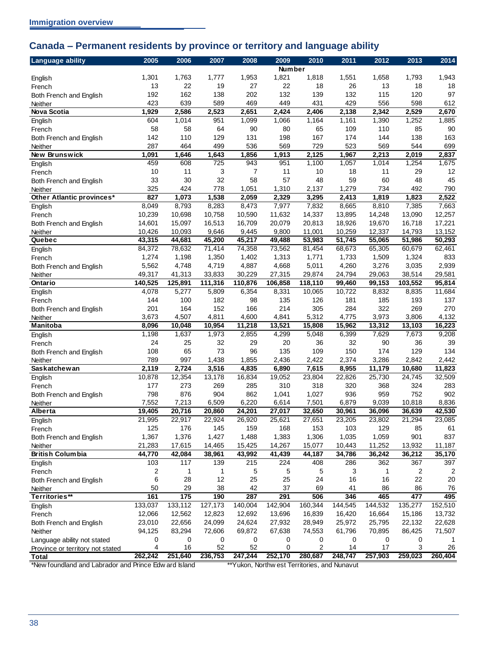## <span id="page-41-0"></span>**Canada – Permanent residents by province or territory and language ability**

| <b>Language ability</b>                               | 2005             | 2006             | 2007             | 2008             | 2009             | 2010                                         | 2011             | 2012             | 2013             | 2014             |
|-------------------------------------------------------|------------------|------------------|------------------|------------------|------------------|----------------------------------------------|------------------|------------------|------------------|------------------|
|                                                       |                  |                  |                  |                  | <b>Number</b>    |                                              |                  |                  |                  |                  |
| English                                               | 1,301            | 1,763            | 1,777            | 1,953            | 1,821            | 1,818                                        | 1,551            | 1,658            | 1,793            | 1,943            |
| French                                                | 13               | 22               | 19               | 27               | 22               | 18                                           | 26               | 13               | 18               | 18               |
| Both French and English                               | 192              | 162              | 138              | 202              | 132              | 139                                          | 132              | 115              | 120              | 97               |
| Neither                                               | 423              | 639              | 589              | 469              | 449              | 431                                          | 429              | 556              | 598              | 612              |
| Nova Scotia                                           | 1,929            | 2,586            | 2,523            | 2,651            | 2,424            | 2,406                                        | 2,138            | 2,342            | 2,529            | 2,670            |
| English                                               | 604              | 1,014            | 951              | 1,099            | 1,066            | 1,164                                        | 1,161            | 1,390            | 1,252            | 1,885            |
| French                                                | 58               | 58               | 64               | 90               | 80               | 65                                           | 109              | 110              | 85               | 90               |
| Both French and English                               | 142              | 110              | 129              | 131              | 198              | 167                                          | 174              | 144              | 138              | 163              |
| Neither                                               | 287              | 464              | 499              | 536              | 569              | 729                                          | 523              | 569              | 544              | 699              |
| New Brunswick                                         | 1,091            | 1,646            | 1,643            | 1,856            | 1,913            | 2,125                                        | 1,967            | 2,213            | 2,019            | 2,837            |
| English                                               | 459              | 608              | 725              | 943              | 951              | 1,100                                        | 1,057            | 1,014            | 1,254            | 1,675            |
| French                                                | 10               | 11               | 3                | $\overline{7}$   | 11               | 10                                           | 18               | 11               | 29               | 12               |
| Both French and English                               | 33               | 30               | 32               | 58               | 57               | 48                                           | 59               | 60               | 48               | 45               |
| Neither                                               | 325              | 424              | 778              | 1,051            | 1,310            | 2,137                                        | 1,279            | 734              | 492              | 790              |
| Other Atlantic provinces*                             | 827              | 1,073            | 1,538            | 2,059            | 2,329            | 3,295                                        | 2,413            | 1,819            | 1,823            | 2,522            |
| English                                               | 8,049            | 8,793            | 8,283            | 8,473            | 7,977            | 7,832                                        | 8,665            | 8,810            | 7,385            | 7,663            |
| French                                                | 10,239           | 10,698           | 10,758           | 10,590           | 11,632           | 14,337                                       | 13,895           | 14,248           | 13,090           | 12,257           |
| Both French and English                               | 14,601           | 15,097           | 16,513           | 16,709           | 20,079           | 20,813                                       | 18,926           | 19,670           | 16,718           | 17,221           |
| Neither                                               | 10,426           | 10,093           | 9,646            | 9,445            | 9,800            | 11,001                                       | 10,259           | 12,337           | 14,793           | 13,152           |
| Quebec                                                | 43,315           | 44,681           | 45,200           | 45,217           | 49,488           | 53,983                                       | 51,745           | 55,065           | 51,986           | 50,293           |
| English                                               | 84,372           | 78,632           | 71,414           | 74,358           | 73,562           | 81,454                                       | 68,673           | 65,305           | 60,679           | 62,461           |
| French                                                | 1,274            | 1,198            | 1,350            | 1,402            | 1,313            | 1,771                                        | 1,733            | 1,509            | 1,324            | 833              |
| Both French and English                               | 5,562            | 4,748            | 4,719            | 4,887            | 4,668            | 5,011                                        | 4,260            | 3,276            | 3,035            | 2,939            |
| Neither                                               | 49,317           | 41,313           | 33,833           | 30,229           | 27,315           | 29,874                                       | 24,794           | 29,063           | 38,514           | 29,581           |
| Ontario                                               | 140,525          | 125,891          | 111,316          | 110,876          | 106,858          | 118,110                                      | 99,460           | 99,153           | 103,552          | 95,814           |
| English                                               | 4,078            | 5,277            | 5,809            | 6,354            | 8,331            | 10,065                                       | 10,722           | 8,832            | 8,835            | 11,684           |
| French                                                | 144              | 100              | 182              | 98               | 135              | 126                                          | 181              | 185              | 193              | 137              |
| Both French and English                               | 201              | 164              | 152              | 166              | 214              | 305                                          | 284              | 322              | 269              | 270              |
| Neither                                               | 3,673            | 4,507            | 4,811            | 4,600            | 4,841            | 5,312                                        | 4,775            | 3,973            | 3,806            | 4,132            |
| <b>Manitoba</b>                                       | 8,096            | 10,048           | 10,954           | 11,218           | 13,521           | 15,808                                       | 15,962           | 13,312           | 13,103           | 16,223           |
| English                                               | 1,198            | 1,637            | 1,973            | 2,855            | 4,299            | 5,048                                        | 6,399            | 7,629            | 7,673            | 9,208            |
| French                                                | 24               | 25               | 32               | 29               | 20               | 36                                           | 32               | 90               | 36               | 39               |
| Both French and English                               | 108              | 65               | 73               | 96               | 135              | 109                                          | 150              | 174              | 129              | 134              |
| Neither                                               | 789              | 997              | 1,438            | 1,855            | 2,436            | 2,422                                        | 2,374            | 3,286            | 2,842            | 2,442            |
| <b>Saskatchewan</b>                                   | 2,119            | 2,724            | 3,516            | 4,835            | 6,890            | 7,615                                        | 8,955            | 11,179           | 10,680           | 11,823           |
| English                                               | 10,878           | 12,354           | 13,178           | 16,834           | 19,052           | 23,804                                       | 22,826           | 25,730           | 24,745           | 32,509           |
| French                                                | 177              | 273              | 269              | 285              | 310              | 318                                          | 320              | 368              | 324              | 283              |
| Both French and English                               | 798              | 876              | 904              | 862              | 1,041            | 1,027                                        | 936              | 959              | 752              | 902              |
| Neither                                               | 7,552            | 7,213            | 6,509            | 6,220            | 6,614            | 7,501                                        | 6,879            | 9,039            | 10,818           | 8,836            |
| Alberta                                               | 19,405           | 20,716           | 20,860           | 24,201           | 27,017           | 32,650                                       | 30,961           | 36,096           | 36,639           | 42,530           |
| English                                               | 21,995           | 22,917           | 22,924           | 26,920           | 25,621           | 27,651                                       | 23,205           | 23,802           | 21,294           | 23,085           |
| French                                                | 125              | 176              | 145              | 159              | 168              | 153                                          | 103              | 129              | 85               | 61               |
| Both French and English                               | 1,367            | 1,376            | 1,427            | 1,488            | 1,383            | 1,306                                        | 1,035            | 1,059            | 901              | 837              |
| Neither                                               | 21,283           | 17,615           | 14,465           | 15,425           | 14,267           | 15,077                                       | 10,443           | 11,252           | 13,932           | 11,187           |
| <b>British Columbia</b>                               | 44,770           | 42,084           | 38,961           | 43,992           | 41,439           | 44,187                                       | 34,786           | 36,242           | 36,212           | 35,170           |
| English                                               | 103<br>2         | 117              | 139<br>1         | 215<br>5         | 224<br>5         | 408<br>5                                     | 286<br>3         | 362<br>1         | 367<br>2         | 397              |
| French                                                | 6                | 1<br>28          | 12               | 25               | 25               | 24                                           | 16               | 16               | 22               | 2<br>20          |
| Both French and English                               | 50               | 29               | 38               | 42               | 37               | 69                                           | 41               | 86               | 86               | 76               |
| Neither<br>Territories**                              | 161              | 175              | 190              | 287              | 291              | 506                                          | 346              | 465              | 477              | 495              |
|                                                       | 133,037          | 133,112          | 127,173          | 140,004          | 142,904          | 160,344                                      | 144,545          | 144,532          | 135,277          | 152,510          |
| English                                               |                  |                  |                  |                  |                  | 16,839                                       |                  |                  |                  |                  |
| French                                                | 12,066<br>23,010 | 12,562<br>22,656 | 12,823<br>24,099 | 12,692<br>24,624 | 13,696<br>27,932 | 28,949                                       | 16,420<br>25,972 | 16,664<br>25,795 | 15,186<br>22,132 | 13,732<br>22,628 |
| Both French and English<br>Neither                    | 94,125           | 83,294           | 72,606           | 69,872           | 67,638           | 74,553                                       | 61,796           | 70,895           | 86,425           | 71,507           |
|                                                       | 0                | 0                | 0                | 0                | 0                | 0                                            | 0                | 0                | 0                |                  |
| Language ability not stated                           | 4                | 16               | 52               | 52               | 0                | 2                                            | 14               | 17               | 3                | 26               |
| Province or territory not stated<br><b>Total</b>      | 262,242          | 251,640          | 236,753          | 247,244          | 252,170          | 280,687                                      | 248,747          | 257,903          | 259,023          | 260,404          |
| *New foundland and Labrador and Prince Edw ard Island |                  |                  |                  |                  |                  | **Yukon, Northw est Territories, and Nunavut |                  |                  |                  |                  |
|                                                       |                  |                  |                  |                  |                  |                                              |                  |                  |                  |                  |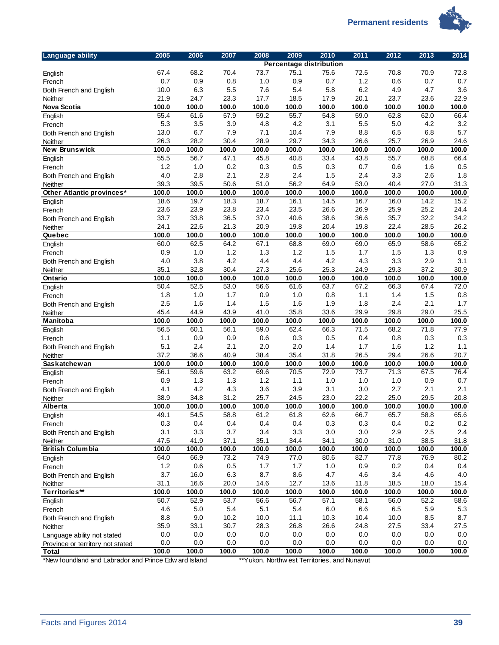**Permanent residents** 



| <b>Language ability</b>          | 2005  | 2006    | 2007    | 2008    | 2009    | 2010                           | 2011    | 2012  | 2013  | 2014    |
|----------------------------------|-------|---------|---------|---------|---------|--------------------------------|---------|-------|-------|---------|
|                                  |       |         |         |         |         | <b>Percentage distribution</b> |         |       |       |         |
| English                          | 67.4  | 68.2    | 70.4    | 73.7    | 75.1    | 75.6                           | 72.5    | 70.8  | 70.9  | 72.8    |
| French                           | 0.7   | 0.9     | 0.8     | 1.0     | 0.9     | 0.7                            | 1.2     | 0.6   | 0.7   | 0.7     |
| Both French and English          | 10.0  | 6.3     | 5.5     | 7.6     | 5.4     | 5.8                            | 6.2     | 4.9   | 4.7   | 3.6     |
| Neither                          | 21.9  | 24.7    | 23.3    | 17.7    | 18.5    | 17.9                           | 20.1    | 23.7  | 23.6  | 22.9    |
| <b>Nova Scotia</b>               | 100.0 | 100.0   | 100.0   | 100.0   | 100.0   | 100.0                          | 100.0   | 100.0 | 100.0 | 100.0   |
| English                          | 55.4  | 61.6    | 57.9    | 59.2    | 55.7    | 54.8                           | 59.0    | 62.8  | 62.0  | 66.4    |
| French                           | 5.3   | 3.5     | 3.9     | 4.8     | 4.2     | 3.1                            | 5.5     | 5.0   | 4.2   | 3.2     |
| Both French and English          | 13.0  | 6.7     | 7.9     | 7.1     | 10.4    | 7.9                            | 8.8     | 6.5   | 6.8   | 5.7     |
| Neither                          | 26.3  | 28.2    | 30.4    | 28.9    | 29.7    | 34.3                           | 26.6    | 25.7  | 26.9  | 24.6    |
| New Brunswick                    | 100.0 | 100.0   | 100.0   | 100.0   | 100.0   | 100.0                          | 100.0   | 100.0 | 100.0 | 100.0   |
| English                          | 55.5  | 56.7    | 47.1    | 45.8    | 40.8    | 33.4                           | 43.8    | 55.7  | 68.8  | 66.4    |
| French                           | 1.2   | 1.0     | 0.2     | 0.3     | 0.5     | 0.3                            | 0.7     | 0.6   | 1.6   | 0.5     |
| Both French and English          | 4.0   | 2.8     | 2.1     | 2.8     | 2.4     | 1.5                            | 2.4     | 3.3   | 2.6   | 1.8     |
| Neither                          | 39.3  | 39.5    | 50.6    | 51.0    | 56.2    | 64.9                           | 53.0    | 40.4  | 27.0  | 31.3    |
| Other Atlantic provinces*        | 100.0 | 100.0   | 100.0   | 100.0   | 100.0   | 100.0                          | 100.0   | 100.0 | 100.0 | 100.0   |
| English                          | 18.6  | 19.7    | 18.3    | 18.7    | 16.1    | 14.5                           | 16.7    | 16.0  | 14.2  | 15.2    |
| French                           | 23.6  | 23.9    | 23.8    | 23.4    | 23.5    | 26.6                           | 26.9    | 25.9  | 25.2  | 24.4    |
| Both French and English          | 33.7  | 33.8    | 36.5    | 37.0    | 40.6    | 38.6                           | 36.6    | 35.7  | 32.2  | 34.2    |
| Neither                          | 24.1  | 22.6    | 21.3    | 20.9    | 19.8    | 20.4                           | 19.8    | 22.4  | 28.5  | 26.2    |
| Quebec                           | 100.0 | 100.0   | 100.0   | 100.0   | 100.0   | 100.0                          | 100.0   | 100.0 | 100.0 | 100.0   |
| English                          | 60.0  | 62.5    | 64.2    | 67.1    | 68.8    | 69.0                           | 69.0    | 65.9  | 58.6  | 65.2    |
| French                           | 0.9   | 1.0     | 1.2     | 1.3     | 1.2     | 1.5                            | 1.7     | 1.5   | 1.3   | 0.9     |
| Both French and English          | 4.0   | 3.8     | 4.2     | 4.4     | 4.4     | 4.2                            | 4.3     | 3.3   | 2.9   | 3.1     |
| Neither                          | 35.1  | 32.8    | 30.4    | 27.3    | 25.6    | 25.3                           | 24.9    | 29.3  | 37.2  | 30.9    |
| Ontario                          | 100.0 | 100.0   | 100.0   | 100.0   | 100.0   | 100.0                          | 100.0   | 100.0 | 100.0 | 100.0   |
|                                  | 50.4  | 52.5    | 53.0    | 56.6    | 61.6    | 63.7                           | 67.2    | 66.3  | 67.4  | 72.0    |
| English                          |       |         |         |         |         |                                |         |       |       |         |
| French                           | 1.8   | 1.0     | 1.7     | 0.9     | 1.0     | 0.8                            | 1.1     | 1.4   | 1.5   | 0.8     |
| Both French and English          | 2.5   | 1.6     | 1.4     | 1.5     | 1.6     | 1.9                            | 1.8     | 2.4   | 2.1   | 1.7     |
| Neither                          | 45.4  | 44.9    | 43.9    | 41.0    | 35.8    | 33.6                           | 29.9    | 29.8  | 29.0  | 25.5    |
| Manitoba                         | 100.0 | 100.0   | 100.0   | 100.0   | 100.0   | 100.0                          | 100.0   | 100.0 | 100.0 | 100.0   |
| English                          | 56.5  | 60.1    | 56.1    | 59.0    | 62.4    | 66.3                           | 71.5    | 68.2  | 71.8  | 77.9    |
| French                           | 1.1   | 0.9     | 0.9     | 0.6     | 0.3     | 0.5                            | 0.4     | 0.8   | 0.3   | 0.3     |
| Both French and English          | 5.1   | 2.4     | 2.1     | 2.0     | 2.0     | 1.4                            | 1.7     | 1.6   | 1.2   | 1.1     |
| Neither                          | 37.2  | 36.6    | 40.9    | 38.4    | 35.4    | 31.8                           | 26.5    | 29.4  | 26.6  | 20.7    |
| Saskatchewan                     | 100.0 | 100.0   | 100.0   | 100.0   | 100.0   | 100.0                          | 100.0   | 100.0 | 100.0 | 100.0   |
| English                          | 56.1  | 59.6    | 63.2    | 69.6    | 70.5    | 72.9                           | 73.7    | 71.3  | 67.5  | 76.4    |
| French                           | 0.9   | 1.3     | 1.3     | 1.2     | 1.1     | 1.0                            | 1.0     | 1.0   | 0.9   | 0.7     |
| Both French and English          | 4.1   | 4.2     | 4.3     | 3.6     | 3.9     | 3.1                            | 3.0     | 2.7   | 2.1   | 2.1     |
| Neither                          | 38.9  | 34.8    | 31.2    | 25.7    | 24.5    | 23.0                           | 22.2    | 25.0  | 29.5  | 20.8    |
| Alberta                          | 100.0 | 100.0   | 100.0   | 100.0   | 100.0   | 100.0                          | 100.0   | 100.0 | 100.0 | 100.0   |
| English                          | 49.1  | 54.5    | 58.8    | 61.2    | 61.8    | 62.6                           | 66.7    | 65.7  | 58.8  | 65.6    |
| French                           | 0.3   | 0.4     | 0.4     | 0.4     | 0.4     | 0.3                            | 0.3     | 0.4   | 0.2   | 0.2     |
| Both French and English          | 3.1   | 3.3     | 3.7     | 3.4     | 3.3     | 3.0                            | 3.0     | 2.9   | 2.5   | 2.4     |
| Neither                          | 47.5  | 41.9    | 37.1    | 35.1    | 34.4    | 34.1                           | 30.0    | 31.0  | 38.5  | 31.8    |
| <b>British Columbia</b>          | 100.0 | 100.0   | 100.0   | 100.0   | 100.0   | 100.0                          | 100.0   | 100.0 | 100.0 | 100.0   |
| English                          | 64.0  | 66.9    | 73.2    | 74.9    | 77.0    | 80.6                           | 82.7    | 77.8  | 76.9  | 80.2    |
| French                           | $1.2$ | $0.6\,$ | $0.5\,$ | $1.7$   | 1.7     | $1.0$                          | 0.9     | 0.2   | 0.4   | 0.4     |
| Both French and English          | 3.7   | 16.0    | 6.3     | 8.7     | 8.6     | 4.7                            | 4.6     | 3.4   | 4.6   | 4.0     |
| <b>Neither</b>                   | 31.1  | 16.6    | 20.0    | 14.6    | 12.7    | 13.6                           | 11.8    | 18.5  | 18.0  | 15.4    |
| Territories**                    | 100.0 | 100.0   | 100.0   | 100.0   | 100.0   | 100.0                          | 100.0   | 100.0 | 100.0 | 100.0   |
|                                  | 50.7  | 52.9    | 53.7    | 56.6    | 56.7    | 57.1                           | 58.1    | 56.0  | 52.2  | 58.6    |
| English                          | 4.6   | $5.0\,$ | 5.4     | 5.1     | 5.4     | 6.0                            | 6.6     | 6.5   | 5.9   | 5.3     |
| French                           | 8.8   | $9.0\,$ | 10.2    | 10.0    | 11.1    | 10.3                           | 10.4    | 10.0  | 8.5   | 8.7     |
| Both French and English          |       |         |         |         |         |                                |         |       |       |         |
| Neither                          | 35.9  | 33.1    | 30.7    | 28.3    | 26.8    | 26.6                           | 24.8    | 27.5  | 33.4  | 27.5    |
| Language ability not stated      | 0.0   | $0.0\,$ | $0.0\,$ | $0.0\,$ | $0.0\,$ | $0.0\,$                        | $0.0\,$ | 0.0   | 0.0   | $0.0\,$ |
| Province or territory not stated | 0.0   | $0.0\,$ | $0.0\,$ | $0.0\,$ | $0.0\,$ | 0.0                            | 0.0     | 0.0   | 0.0   | $0.0\,$ |
| <b>Total</b>                     | 100.0 | 100.0   | 100.0   | 100.0   | 100.0   | 100.0                          | 100.0   | 100.0 | 100.0 | 100.0   |

\*New foundland and Labrador and Prince Edw ard Island \*\*\* Yukon, Northw est Territories, and Nunavut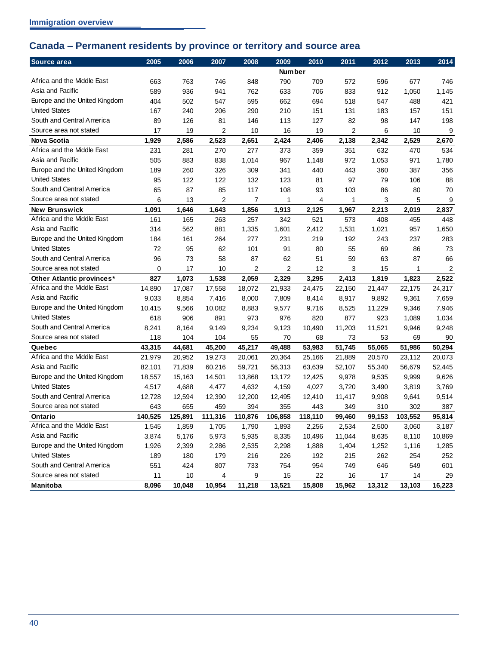# <span id="page-43-0"></span>**Canada – Permanent residents by province or territory and source area**

| Source area                   | 2005    | 2006    | 2007           | 2008           | 2009          | 2010    | 2011   | 2012   | 2013    | 2014   |
|-------------------------------|---------|---------|----------------|----------------|---------------|---------|--------|--------|---------|--------|
|                               |         |         |                |                | <b>Number</b> |         |        |        |         |        |
| Africa and the Middle East    | 663     | 763     | 746            | 848            | 790           | 709     | 572    | 596    | 677     | 746    |
| Asia and Pacific              | 589     | 936     | 941            | 762            | 633           | 706     | 833    | 912    | 1,050   | 1,145  |
| Europe and the United Kingdom | 404     | 502     | 547            | 595            | 662           | 694     | 518    | 547    | 488     | 421    |
| <b>United States</b>          | 167     | 240     | 206            | 290            | 210           | 151     | 131    | 183    | 157     | 151    |
| South and Central America     | 89      | 126     | 81             | 146            | 113           | 127     | 82     | 98     | 147     | 198    |
| Source area not stated        | 17      | 19      | $\overline{2}$ | 10             | 16            | 19      | 2      | 6      | 10      | 9      |
| <b>Nova Scotia</b>            | 1,929   | 2,586   | 2,523          | 2,651          | 2,424         | 2,406   | 2,138  | 2,342  | 2,529   | 2,670  |
| Africa and the Middle East    | 231     | 281     | 270            | 277            | 373           | 359     | 351    | 632    | 470     | 534    |
| Asia and Pacific              | 505     | 883     | 838            | 1,014          | 967           | 1,148   | 972    | 1,053  | 971     | 1,780  |
| Europe and the United Kingdom | 189     | 260     | 326            | 309            | 341           | 440     | 443    | 360    | 387     | 356    |
| <b>United States</b>          | 95      | 122     | 122            | 132            | 123           | 81      | 97     | 79     | 106     | 88     |
| South and Central America     | 65      | 87      | 85             | 117            | 108           | 93      | 103    | 86     | 80      | 70     |
| Source area not stated        | 6       | 13      | $\overline{2}$ | $\overline{7}$ | 1             | 4       | 1      | 3      | 5       | 9      |
| New Brunswick                 | 1,091   | 1,646   | 1,643          | 1,856          | 1,913         | 2,125   | 1,967  | 2,213  | 2,019   | 2,837  |
| Africa and the Middle East    | 161     | 165     | 263            | 257            | 342           | 521     | 573    | 408    | 455     | 448    |
| Asia and Pacific              | 314     | 562     | 881            | 1,335          | 1,601         | 2,412   | 1,531  | 1,021  | 957     | 1,650  |
| Europe and the United Kingdom | 184     | 161     | 264            | 277            | 231           | 219     | 192    | 243    | 237     | 283    |
| <b>United States</b>          | 72      | 95      | 62             | 101            | 91            | 80      | 55     | 69     | 86      | 73     |
| South and Central America     | 96      | 73      | 58             | 87             | 62            | 51      | 59     | 63     | 87      | 66     |
| Source area not stated        | 0       | 17      | 10             | 2              | 2             | 12      | 3      | 15     | 1       | 2      |
| Other Atlantic provinces*     | 827     | 1,073   | 1,538          | 2,059          | 2,329         | 3,295   | 2,413  | 1,819  | 1,823   | 2,522  |
| Africa and the Middle East    | 14,890  | 17,087  | 17,558         | 18,072         | 21,933        | 24,475  | 22,150 | 21,447 | 22,175  | 24,317 |
| Asia and Pacific              | 9,033   | 8,854   | 7,416          | 8,000          | 7,809         | 8,414   | 8,917  | 9,892  | 9,361   | 7,659  |
| Europe and the United Kingdom | 10,415  | 9,566   | 10,082         | 8,883          | 9,577         | 9,716   | 8,525  | 11,229 | 9,346   | 7,946  |
| <b>United States</b>          | 618     | 906     | 891            | 973            | 976           | 820     | 877    | 923    | 1,089   | 1,034  |
| South and Central America     | 8,241   | 8,164   | 9,149          | 9,234          | 9,123         | 10,490  | 11,203 | 11,521 | 9,946   | 9,248  |
| Source area not stated        | 118     | 104     | 104            | 55             | 70            | 68      | 73     | 53     | 69      | 90     |
| Quebec                        | 43,315  | 44,681  | 45,200         | 45,217         | 49,488        | 53,983  | 51,745 | 55,065 | 51,986  | 50,294 |
| Africa and the Middle East    | 21,979  | 20,952  | 19,273         | 20,061         | 20,364        | 25,166  | 21,889 | 20,570 | 23,112  | 20,073 |
| Asia and Pacific              | 82,101  | 71,839  | 60,216         | 59,721         | 56,313        | 63,639  | 52,107 | 55,340 | 56,679  | 52,445 |
| Europe and the United Kingdom | 18,557  | 15,163  | 14,501         | 13,868         | 13,172        | 12,425  | 9,978  | 9,535  | 9,999   | 9,626  |
| <b>United States</b>          | 4,517   | 4,688   | 4,477          | 4,632          | 4,159         | 4,027   | 3,720  | 3,490  | 3,819   | 3,769  |
| South and Central America     | 12,728  | 12,594  | 12,390         | 12,200         | 12,495        | 12,410  | 11,417 | 9,908  | 9,641   | 9,514  |
| Source area not stated        | 643     | 655     | 459            | 394            | 355           | 443     | 349    | 310    | 302     | 387    |
| Ontario                       | 140,525 | 125,891 | 111,316        | 110,876        | 106,858       | 118,110 | 99,460 | 99,153 | 103,552 | 95,814 |
| Africa and the Middle East    | 1,545   | 1,859   | 1,705          | 1,790          | 1,893         | 2,256   | 2,534  | 2,500  | 3,060   | 3,187  |
| Asia and Pacific              | 3,874   | 5,176   | 5,973          | 5,935          | 8,335         | 10,496  | 11,044 | 8,635  | 8,110   | 10,869 |
| Europe and the United Kingdom | 1,926   | 2,399   | 2,286          | 2,535          | 2,298         | 1,888   | 1,404  | 1,252  | 1,116   | 1,285  |
| <b>United States</b>          | 189     | 180     | 179            | 216            | 226           | 192     | 215    | 262    | 254     | 252    |
| South and Central America     | 551     | 424     | 807            | 733            | 754           | 954     | 749    | 646    | 549     | 601    |
| Source area not stated        | 11      | 10      | 4              | 9              | 15            | 22      | 16     | 17     | 14      | 29     |
| Manitoba                      | 8,096   | 10,048  | 10,954         | 11,218         | 13,521        | 15,808  | 15,962 | 13,312 | 13,103  | 16,223 |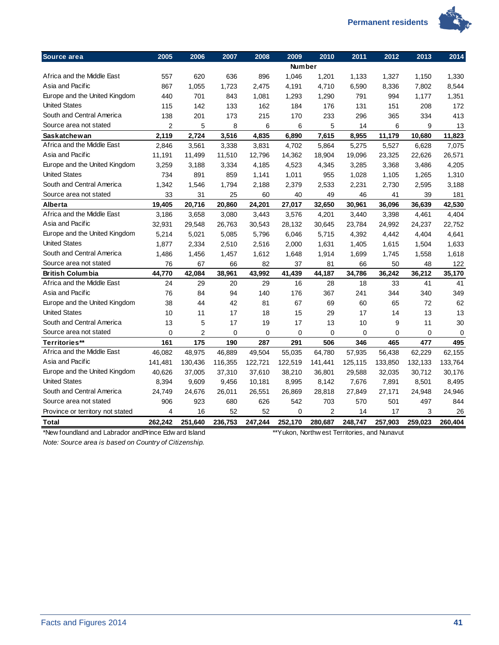

| Source area                                           | 2005           | 2006           | 2007    | 2008    | 2009          | 2010                                         | 2011    | 2012    | 2013    | 2014    |
|-------------------------------------------------------|----------------|----------------|---------|---------|---------------|----------------------------------------------|---------|---------|---------|---------|
|                                                       |                |                |         |         | <b>Number</b> |                                              |         |         |         |         |
| Africa and the Middle East                            | 557            | 620            | 636     | 896     | 1,046         | 1,201                                        | 1,133   | 1,327   | 1,150   | 1,330   |
| Asia and Pacific                                      | 867            | 1,055          | 1,723   | 2,475   | 4,191         | 4,710                                        | 6,590   | 8,336   | 7,802   | 8,544   |
| Europe and the United Kingdom                         | 440            | 701            | 843     | 1,081   | 1,293         | 1,290                                        | 791     | 994     | 1,177   | 1,351   |
| <b>United States</b>                                  | 115            | 142            | 133     | 162     | 184           | 176                                          | 131     | 151     | 208     | 172     |
| South and Central America                             | 138            | 201            | 173     | 215     | 170           | 233                                          | 296     | 365     | 334     | 413     |
| Source area not stated                                | $\overline{c}$ | 5              | 8       | 6       | 6             | 5                                            | 14      | 6       | 9       | 13      |
| <b>Saskatchewan</b>                                   | 2,119          | 2,724          | 3,516   | 4,835   | 6,890         | 7,615                                        | 8,955   | 11,179  | 10,680  | 11,823  |
| Africa and the Middle East                            | 2,846          | 3,561          | 3,338   | 3,831   | 4,702         | 5,864                                        | 5,275   | 5,527   | 6,628   | 7,075   |
| Asia and Pacific                                      | 11,191         | 11,499         | 11,510  | 12,796  | 14,362        | 18,904                                       | 19,096  | 23,325  | 22,626  | 26,571  |
| Europe and the United Kingdom                         | 3,259          | 3,188          | 3,334   | 4,185   | 4,523         | 4,345                                        | 3,285   | 3,368   | 3,486   | 4,205   |
| <b>United States</b>                                  | 734            | 891            | 859     | 1,141   | 1,011         | 955                                          | 1,028   | 1,105   | 1,265   | 1,310   |
| South and Central America                             | 1,342          | 1,546          | 1,794   | 2,188   | 2,379         | 2,533                                        | 2,231   | 2,730   | 2,595   | 3,188   |
| Source area not stated                                | 33             | 31             | 25      | 60      | 40            | 49                                           | 46      | 41      | 39      | 181     |
| Alberta                                               | 19,405         | 20,716         | 20,860  | 24,201  | 27,017        | 32,650                                       | 30,961  | 36,096  | 36,639  | 42,530  |
| Africa and the Middle East                            | 3,186          | 3,658          | 3,080   | 3,443   | 3,576         | 4,201                                        | 3,440   | 3,398   | 4,461   | 4,404   |
| Asia and Pacific                                      | 32,931         | 29,548         | 26,763  | 30,543  | 28,132        | 30,645                                       | 23,784  | 24,992  | 24,237  | 22,752  |
| Europe and the United Kingdom                         | 5,214          | 5,021          | 5,085   | 5,796   | 6,046         | 5,715                                        | 4,392   | 4,442   | 4,404   | 4,641   |
| <b>United States</b>                                  | 1,877          | 2,334          | 2,510   | 2,516   | 2,000         | 1,631                                        | 1,405   | 1,615   | 1,504   | 1,633   |
| South and Central America                             | 1,486          | 1,456          | 1,457   | 1,612   | 1,648         | 1,914                                        | 1,699   | 1,745   | 1,558   | 1,618   |
| Source area not stated                                | 76             | 67             | 66      | 82      | 37            | 81                                           | 66      | 50      | 48      | 122     |
| <b>British Columbia</b>                               | 44,770         | 42,084         | 38,961  | 43,992  | 41,439        | 44,187                                       | 34,786  | 36,242  | 36,212  | 35,170  |
| Africa and the Middle East                            | 24             | 29             | 20      | 29      | 16            | 28                                           | 18      | 33      | 41      | 41      |
| Asia and Pacific                                      | 76             | 84             | 94      | 140     | 176           | 367                                          | 241     | 344     | 340     | 349     |
| Europe and the United Kingdom                         | 38             | 44             | 42      | 81      | 67            | 69                                           | 60      | 65      | 72      | 62      |
| <b>United States</b>                                  | 10             | 11             | 17      | 18      | 15            | 29                                           | 17      | 14      | 13      | 13      |
| South and Central America                             | 13             | 5              | 17      | 19      | 17            | 13                                           | 10      | 9       | 11      | 30      |
| Source area not stated                                | 0              | $\overline{c}$ | 0       | 0       | $\mathbf 0$   | $\mathbf 0$                                  | 0       | 0       | 0       | 0       |
| Territories**                                         | 161            | 175            | 190     | 287     | 291           | 506                                          | 346     | 465     | 477     | 495     |
| Africa and the Middle East                            | 46,082         | 48,975         | 46,889  | 49,504  | 55,035        | 64,780                                       | 57,935  | 56,438  | 62,229  | 62,155  |
| Asia and Pacific                                      | 141,481        | 130,436        | 116,355 | 122,721 | 122,519       | 141,441                                      | 125,115 | 133,850 | 132,133 | 133,764 |
| Europe and the United Kingdom                         | 40,626         | 37,005         | 37,310  | 37,610  | 38,210        | 36,801                                       | 29,588  | 32,035  | 30,712  | 30,176  |
| <b>United States</b>                                  | 8,394          | 9,609          | 9,456   | 10,181  | 8,995         | 8,142                                        | 7,676   | 7,891   | 8,501   | 8,495   |
| South and Central America                             | 24,749         | 24,676         | 26,011  | 26,551  | 26,869        | 28,818                                       | 27,849  | 27,171  | 24,948  | 24,946  |
| Source area not stated                                | 906            | 923            | 680     | 626     | 542           | 703                                          | 570     | 501     | 497     | 844     |
| Province or territory not stated                      | 4              | 16             | 52      | 52      | $\mathbf 0$   | $\overline{2}$                               | 14      | 17      | 3       | 26      |
| <b>Total</b>                                          | 262,242        | 251,640        | 236,753 | 247,244 | 252,170       | 280,687                                      | 248,747 | 257,903 | 259,023 | 260,404 |
| *New foundland and Labrador and Prince Edw ard Island |                |                |         |         |               | **Yukon, Northw est Territories, and Nunavut |         |         |         |         |
| Note: Source area is hased on Country of Citizenship  |                |                |         |         |               |                                              |         |         |         |         |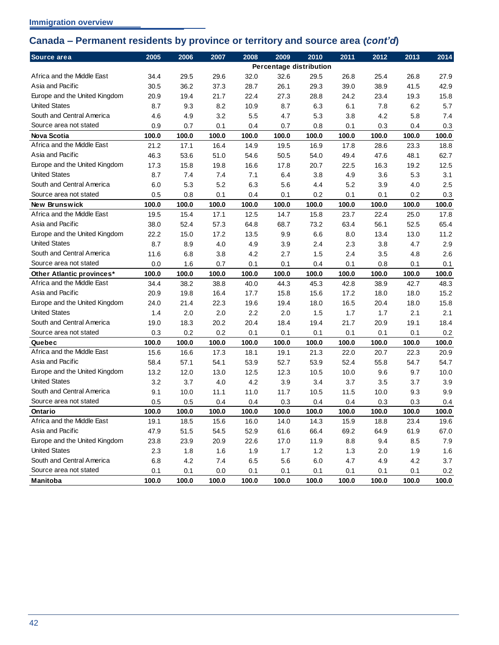## <span id="page-45-0"></span>**Canada – Permanent residents by province or territory and source area (***cont'd***)**

| Source area                   | 2005    | 2006  | 2007    | 2008  | 2009  | 2010                    | 2011    | 2012  | 2013    | 2014  |
|-------------------------------|---------|-------|---------|-------|-------|-------------------------|---------|-------|---------|-------|
|                               |         |       |         |       |       | Percentage distribution |         |       |         |       |
| Africa and the Middle East    | 34.4    | 29.5  | 29.6    | 32.0  | 32.6  | 29.5                    | 26.8    | 25.4  | 26.8    | 27.9  |
| Asia and Pacific              | 30.5    | 36.2  | 37.3    | 28.7  | 26.1  | 29.3                    | 39.0    | 38.9  | 41.5    | 42.9  |
| Europe and the United Kingdom | 20.9    | 19.4  | 21.7    | 22.4  | 27.3  | 28.8                    | 24.2    | 23.4  | 19.3    | 15.8  |
| <b>United States</b>          | 8.7     | 9.3   | 8.2     | 10.9  | 8.7   | 6.3                     | 6.1     | 7.8   | 6.2     | 5.7   |
| South and Central America     | 4.6     | 4.9   | 3.2     | 5.5   | 4.7   | 5.3                     | 3.8     | 4.2   | 5.8     | 7.4   |
| Source area not stated        | 0.9     | 0.7   | 0.1     | 0.4   | 0.7   | 0.8                     | 0.1     | 0.3   | 0.4     | 0.3   |
| <b>Nova Scotia</b>            | 100.0   | 100.0 | 100.0   | 100.0 | 100.0 | 100.0                   | 100.0   | 100.0 | 100.0   | 100.0 |
| Africa and the Middle East    | 21.2    | 17.1  | 16.4    | 14.9  | 19.5  | 16.9                    | 17.8    | 28.6  | 23.3    | 18.8  |
| Asia and Pacific              | 46.3    | 53.6  | 51.0    | 54.6  | 50.5  | 54.0                    | 49.4    | 47.6  | 48.1    | 62.7  |
| Europe and the United Kingdom | 17.3    | 15.8  | 19.8    | 16.6  | 17.8  | 20.7                    | 22.5    | 16.3  | 19.2    | 12.5  |
| <b>United States</b>          | 8.7     | 7.4   | 7.4     | 7.1   | 6.4   | 3.8                     | 4.9     | 3.6   | 5.3     | 3.1   |
| South and Central America     | 6.0     | 5.3   | 5.2     | 6.3   | 5.6   | 4.4                     | 5.2     | 3.9   | 4.0     | 2.5   |
| Source area not stated        | 0.5     | 0.8   | 0.1     | 0.4   | 0.1   | 0.2                     | 0.1     | 0.1   | 0.2     | 0.3   |
| New Brunswick                 | 100.0   | 100.0 | 100.0   | 100.0 | 100.0 | 100.0                   | 100.0   | 100.0 | 100.0   | 100.0 |
| Africa and the Middle East    | 19.5    | 15.4  | 17.1    | 12.5  | 14.7  | 15.8                    | 23.7    | 22.4  | 25.0    | 17.8  |
| Asia and Pacific              | 38.0    | 52.4  | 57.3    | 64.8  | 68.7  | 73.2                    | 63.4    | 56.1  | 52.5    | 65.4  |
| Europe and the United Kingdom | 22.2    | 15.0  | 17.2    | 13.5  | 9.9   | 6.6                     | 8.0     | 13.4  | 13.0    | 11.2  |
| <b>United States</b>          | 8.7     | 8.9   | 4.0     | 4.9   | 3.9   | 2.4                     | 2.3     | 3.8   | 4.7     | 2.9   |
| South and Central America     | 11.6    | 6.8   | 3.8     | 4.2   | 2.7   | 1.5                     | 2.4     | 3.5   | 4.8     | 2.6   |
| Source area not stated        | 0.0     | 1.6   | 0.7     | 0.1   | 0.1   | 0.4                     | 0.1     | 0.8   | 0.1     | 0.1   |
| Other Atlantic provinces*     | 100.0   | 100.0 | 100.0   | 100.0 | 100.0 | 100.0                   | 100.0   | 100.0 | 100.0   | 100.0 |
| Africa and the Middle East    | 34.4    | 38.2  | 38.8    | 40.0  | 44.3  | 45.3                    | 42.8    | 38.9  | 42.7    | 48.3  |
| Asia and Pacific              | 20.9    | 19.8  | 16.4    | 17.7  | 15.8  | 15.6                    | 17.2    | 18.0  | 18.0    | 15.2  |
| Europe and the United Kingdom | 24.0    | 21.4  | 22.3    | 19.6  | 19.4  | 18.0                    | 16.5    | 20.4  | 18.0    | 15.8  |
| <b>United States</b>          | 1.4     | 2.0   | 2.0     | 2.2   | 2.0   | 1.5                     | 1.7     | 1.7   | 2.1     | 2.1   |
| South and Central America     | 19.0    | 18.3  | 20.2    | 20.4  | 18.4  | 19.4                    | 21.7    | 20.9  | 19.1    | 18.4  |
| Source area not stated        | 0.3     | 0.2   | 0.2     | 0.1   | 0.1   | 0.1                     | 0.1     | 0.1   | 0.1     | 0.2   |
| Quebec                        | 100.0   | 100.0 | 100.0   | 100.0 | 100.0 | 100.0                   | 100.0   | 100.0 | 100.0   | 100.0 |
| Africa and the Middle East    | 15.6    | 16.6  | 17.3    | 18.1  | 19.1  | 21.3                    | 22.0    | 20.7  | 22.3    | 20.9  |
| Asia and Pacific              | 58.4    | 57.1  | 54.1    | 53.9  | 52.7  | 53.9                    | 52.4    | 55.8  | 54.7    | 54.7  |
| Europe and the United Kingdom | 13.2    | 12.0  | 13.0    | 12.5  | 12.3  | 10.5                    | 10.0    | 9.6   | 9.7     | 10.0  |
| <b>United States</b>          | 3.2     | 3.7   | 4.0     | 4.2   | 3.9   | 3.4                     | 3.7     | 3.5   | 3.7     | 3.9   |
| South and Central America     | 9.1     | 10.0  | 11.1    | 11.0  | 11.7  | 10.5                    | 11.5    | 10.0  | 9.3     | 9.9   |
| Source area not stated        | 0.5     | 0.5   | 0.4     | 0.4   | 0.3   | 0.4                     | 0.4     | 0.3   | 0.3     | 0.4   |
| Ontario                       | 100.0   | 100.0 | 100.0   | 100.0 | 100.0 | 100.0                   | 100.0   | 100.0 | 100.0   | 100.0 |
| Africa and the Middle East    | 19.1    | 18.5  | 15.6    | 16.0  | 14.0  | 14.3                    | 15.9    | 18.8  | 23.4    | 19.6  |
| Asia and Pacific              | 47.9    | 51.5  | 54.5    | 52.9  | 61.6  | 66.4                    | 69.2    | 64.9  | 61.9    | 67.0  |
| Europe and the United Kingdom | 23.8    | 23.9  | 20.9    | 22.6  | 17.0  | 11.9                    | $8.8\,$ | 9.4   | $8.5\,$ | 7.9   |
| <b>United States</b>          | 2.3     | 1.8   | 1.6     | 1.9   | 1.7   | 1.2                     | 1.3     | 2.0   | 1.9     | 1.6   |
| South and Central America     | $6.8\,$ | 4.2   | $7.4$   | 6.5   | 5.6   | $6.0\,$                 | 4.7     | 4.9   | 4.2     | 3.7   |
| Source area not stated        | 0.1     | 0.1   | $0.0\,$ | 0.1   | 0.1   | 0.1                     | 0.1     | 0.1   | 0.1     | 0.2   |
| Manitoba                      | 100.0   | 100.0 | 100.0   | 100.0 | 100.0 | 100.0                   | 100.0   | 100.0 | 100.0   | 100.0 |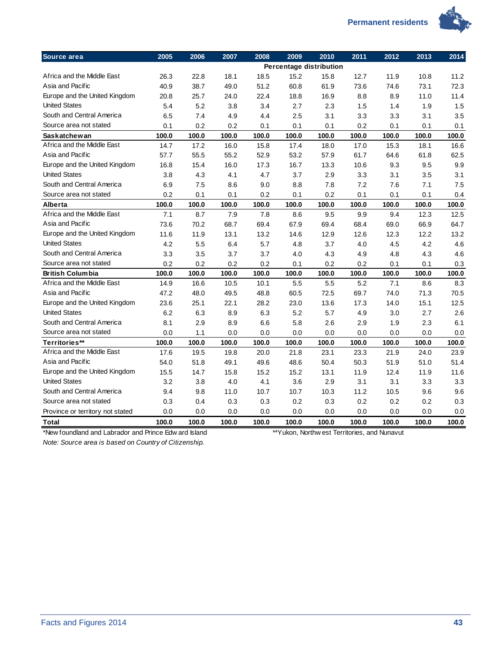

| Source area                                           | 2005  | 2006  | 2007  | 2008  | 2009  | 2010                                         | 2011  | 2012  | 2013  | 2014  |
|-------------------------------------------------------|-------|-------|-------|-------|-------|----------------------------------------------|-------|-------|-------|-------|
|                                                       |       |       |       |       |       | Percentage distribution                      |       |       |       |       |
| Africa and the Middle East                            | 26.3  | 22.8  | 18.1  | 18.5  | 15.2  | 15.8                                         | 12.7  | 11.9  | 10.8  | 11.2  |
| Asia and Pacific                                      | 40.9  | 38.7  | 49.0  | 51.2  | 60.8  | 61.9                                         | 73.6  | 74.6  | 73.1  | 72.3  |
| Europe and the United Kingdom                         | 20.8  | 25.7  | 24.0  | 22.4  | 18.8  | 16.9                                         | 8.8   | 8.9   | 11.0  | 11.4  |
| <b>United States</b>                                  | 5.4   | 5.2   | 3.8   | 3.4   | 2.7   | 2.3                                          | 1.5   | 1.4   | 1.9   | 1.5   |
| South and Central America                             | 6.5   | 7.4   | 4.9   | 4.4   | 2.5   | 3.1                                          | 3.3   | 3.3   | 3.1   | 3.5   |
| Source area not stated                                | 0.1   | 0.2   | 0.2   | 0.1   | 0.1   | 0.1                                          | 0.2   | 0.1   | 0.1   | 0.1   |
| <b>Saskatchewan</b>                                   | 100.0 | 100.0 | 100.0 | 100.0 | 100.0 | 100.0                                        | 100.0 | 100.0 | 100.0 | 100.0 |
| Africa and the Middle East                            | 14.7  | 17.2  | 16.0  | 15.8  | 17.4  | 18.0                                         | 17.0  | 15.3  | 18.1  | 16.6  |
| Asia and Pacific                                      | 57.7  | 55.5  | 55.2  | 52.9  | 53.2  | 57.9                                         | 61.7  | 64.6  | 61.8  | 62.5  |
| Europe and the United Kingdom                         | 16.8  | 15.4  | 16.0  | 17.3  | 16.7  | 13.3                                         | 10.6  | 9.3   | 9.5   | 9.9   |
| <b>United States</b>                                  | 3.8   | 4.3   | 4.1   | 4.7   | 3.7   | 2.9                                          | 3.3   | 3.1   | 3.5   | 3.1   |
| South and Central America                             | 6.9   | 7.5   | 8.6   | 9.0   | 8.8   | 7.8                                          | 7.2   | 7.6   | 7.1   | 7.5   |
| Source area not stated                                | 0.2   | 0.1   | 0.1   | 0.2   | 0.1   | 0.2                                          | 0.1   | 0.1   | 0.1   | 0.4   |
| Alberta                                               | 100.0 | 100.0 | 100.0 | 100.0 | 100.0 | 100.0                                        | 100.0 | 100.0 | 100.0 | 100.0 |
| Africa and the Middle East                            | 7.1   | 8.7   | 7.9   | 7.8   | 8.6   | 9.5                                          | 9.9   | 9.4   | 12.3  | 12.5  |
| Asia and Pacific                                      | 73.6  | 70.2  | 68.7  | 69.4  | 67.9  | 69.4                                         | 68.4  | 69.0  | 66.9  | 64.7  |
| Europe and the United Kingdom                         | 11.6  | 11.9  | 13.1  | 13.2  | 14.6  | 12.9                                         | 12.6  | 12.3  | 12.2  | 13.2  |
| <b>United States</b>                                  | 4.2   | 5.5   | 6.4   | 5.7   | 4.8   | 3.7                                          | 4.0   | 4.5   | 4.2   | 4.6   |
| South and Central America                             | 3.3   | 3.5   | 3.7   | 3.7   | 4.0   | 4.3                                          | 4.9   | 4.8   | 4.3   | 4.6   |
| Source area not stated                                | 0.2   | 0.2   | 0.2   | 0.2   | 0.1   | 0.2                                          | 0.2   | 0.1   | 0.1   | 0.3   |
| <b>British Columbia</b>                               | 100.0 | 100.0 | 100.0 | 100.0 | 100.0 | 100.0                                        | 100.0 | 100.0 | 100.0 | 100.0 |
| Africa and the Middle East                            | 14.9  | 16.6  | 10.5  | 10.1  | 5.5   | 5.5                                          | 5.2   | 7.1   | 8.6   | 8.3   |
| Asia and Pacific                                      | 47.2  | 48.0  | 49.5  | 48.8  | 60.5  | 72.5                                         | 69.7  | 74.0  | 71.3  | 70.5  |
| Europe and the United Kingdom                         | 23.6  | 25.1  | 22.1  | 28.2  | 23.0  | 13.6                                         | 17.3  | 14.0  | 15.1  | 12.5  |
| <b>United States</b>                                  | 6.2   | 6.3   | 8.9   | 6.3   | 5.2   | 5.7                                          | 4.9   | 3.0   | 2.7   | 2.6   |
| South and Central America                             | 8.1   | 2.9   | 8.9   | 6.6   | 5.8   | 2.6                                          | 2.9   | 1.9   | 2.3   | 6.1   |
| Source area not stated                                | 0.0   | 1.1   | 0.0   | 0.0   | 0.0   | 0.0                                          | 0.0   | 0.0   | 0.0   | 0.0   |
| Territories**                                         | 100.0 | 100.0 | 100.0 | 100.0 | 100.0 | 100.0                                        | 100.0 | 100.0 | 100.0 | 100.0 |
| Africa and the Middle East                            | 17.6  | 19.5  | 19.8  | 20.0  | 21.8  | 23.1                                         | 23.3  | 21.9  | 24.0  | 23.9  |
| Asia and Pacific                                      | 54.0  | 51.8  | 49.1  | 49.6  | 48.6  | 50.4                                         | 50.3  | 51.9  | 51.0  | 51.4  |
| Europe and the United Kingdom                         | 15.5  | 14.7  | 15.8  | 15.2  | 15.2  | 13.1                                         | 11.9  | 12.4  | 11.9  | 11.6  |
| <b>United States</b>                                  | 3.2   | 3.8   | 4.0   | 4.1   | 3.6   | 2.9                                          | 3.1   | 3.1   | 3.3   | 3.3   |
| South and Central America                             | 9.4   | 9.8   | 11.0  | 10.7  | 10.7  | 10.3                                         | 11.2  | 10.5  | 9.6   | 9.6   |
| Source area not stated                                | 0.3   | 0.4   | 0.3   | 0.3   | 0.2   | 0.3                                          | 0.2   | 0.2   | 0.2   | 0.3   |
| Province or territory not stated                      | 0.0   | 0.0   | 0.0   | 0.0   | 0.0   | 0.0                                          | 0.0   | 0.0   | 0.0   | 0.0   |
| Total                                                 | 100.0 | 100.0 | 100.0 | 100.0 | 100.0 | 100.0                                        | 100.0 | 100.0 | 100.0 | 100.0 |
| *New foundland and Labrador and Prince Edw ard Island |       |       |       |       |       | **Yukon, Northw est Territories, and Nunavut |       |       |       |       |
| Note: Source area is hased on Country of Citizenship  |       |       |       |       |       |                                              |       |       |       |       |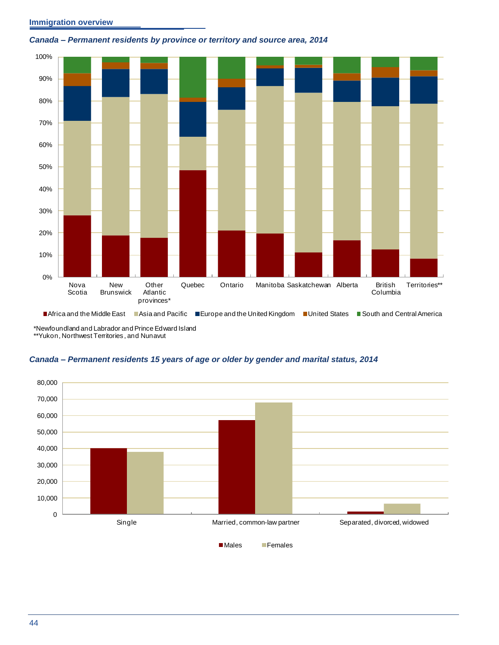#### **Immigration overview**



#### <span id="page-47-0"></span>*Canada – Permanent residents by province or territory and source area, 2014*

■Africa and the Middle East ■Asia and Pacific ■Europe and the United Kingdom ■United States ■South and Central America

\*Newfoundland and Labrador and Prince Edward Island \*\*Yukon, Northwest Territories , and Nunavut

<span id="page-47-1"></span>

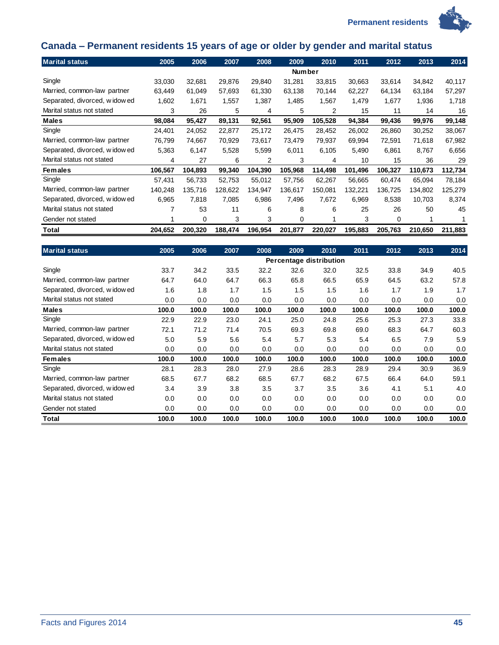



# <span id="page-48-0"></span>**Canada – Permanent residents 15 years of age or older by gender and marital status**

| <b>Marital status</b>        | 2005    | 2006    | 2007    | 2008    | 2009          | 2010    | 2011    | 2012    | 2013    | 2014    |
|------------------------------|---------|---------|---------|---------|---------------|---------|---------|---------|---------|---------|
|                              |         |         |         |         | <b>Number</b> |         |         |         |         |         |
| Single                       | 33,030  | 32,681  | 29,876  | 29,840  | 31,281        | 33,815  | 30,663  | 33,614  | 34,842  | 40,117  |
| Married, common-law partner  | 63,449  | 61,049  | 57,693  | 61,330  | 63,138        | 70,144  | 62,227  | 64,134  | 63,184  | 57,297  |
| Separated, divorced, widowed | 1,602   | 1,671   | 1,557   | 1,387   | 1,485         | 1,567   | 1,479   | 1,677   | 1,936   | 1,718   |
| Marital status not stated    | 3       | 26      | 5       | 4       | 5             | 2       | 15      | 11      | 14      | 16      |
| <b>Males</b>                 | 98,084  | 95,427  | 89,131  | 92,561  | 95,909        | 105,528 | 94,384  | 99,436  | 99,976  | 99,148  |
| Single                       | 24,401  | 24,052  | 22,877  | 25,172  | 26,475        | 28,452  | 26,002  | 26,860  | 30,252  | 38,067  |
| Married, common-law partner  | 76,799  | 74,667  | 70,929  | 73,617  | 73,479        | 79,937  | 69,994  | 72,591  | 71,618  | 67,982  |
| Separated, divorced, widowed | 5,363   | 6,147   | 5,528   | 5,599   | 6,011         | 6,105   | 5,490   | 6,861   | 8,767   | 6,656   |
| Marital status not stated    | 4       | 27      | 6       | 2       | 3             | 4       | 10      | 15      | 36      | 29      |
| <b>Females</b>               | 106,567 | 104,893 | 99,340  | 104,390 | 105,968       | 114,498 | 101,496 | 106,327 | 110,673 | 112,734 |
| Single                       | 57,431  | 56,733  | 52,753  | 55,012  | 57,756        | 62,267  | 56,665  | 60,474  | 65,094  | 78,184  |
| Married, common-law partner  | 140,248 | 135,716 | 128,622 | 134,947 | 136,617       | 150,081 | 132,221 | 136,725 | 134,802 | 125,279 |
| Separated, divorced, widowed | 6,965   | 7.818   | 7,085   | 6,986   | 7,496         | 7,672   | 6,969   | 8,538   | 10,703  | 8,374   |
| Marital status not stated    |         | 53      | 11      | 6       | 8             | 6       | 25      | 26      | 50      | 45      |
| Gender not stated            |         | 0       | 3       | 3       | 0             |         | 3       | 0       |         |         |
| Total                        | 204,652 | 200,320 | 188,474 | 196,954 | 201,877       | 220,027 | 195,883 | 205,763 | 210,650 | 211,883 |

| <b>Marital status</b>         | 2005  | 2006  | 2007  | 2008  | 2009  | 2010                    | 2011  | 2012  | 2013  | 2014  |
|-------------------------------|-------|-------|-------|-------|-------|-------------------------|-------|-------|-------|-------|
|                               |       |       |       |       |       | Percentage distribution |       |       |       |       |
| Single                        | 33.7  | 34.2  | 33.5  | 32.2  | 32.6  | 32.0                    | 32.5  | 33.8  | 34.9  | 40.5  |
| Married, common-law partner   | 64.7  | 64.0  | 64.7  | 66.3  | 65.8  | 66.5                    | 65.9  | 64.5  | 63.2  | 57.8  |
| Separated, divorced, widowed  | 1.6   | 1.8   | 1.7   | 1.5   | 1.5   | 1.5                     | 1.6   | 1.7   | 1.9   | 1.7   |
| Marital status not stated     | 0.0   | 0.0   | 0.0   | 0.0   | 0.0   | 0.0                     | 0.0   | 0.0   | 0.0   | 0.0   |
| <b>Males</b>                  | 100.0 | 100.0 | 100.0 | 100.0 | 100.0 | 100.0                   | 100.0 | 100.0 | 100.0 | 100.0 |
| Single                        | 22.9  | 22.9  | 23.0  | 24.1  | 25.0  | 24.8                    | 25.6  | 25.3  | 27.3  | 33.8  |
| Married, common-law partner   | 72.1  | 71.2  | 71.4  | 70.5  | 69.3  | 69.8                    | 69.0  | 68.3  | 64.7  | 60.3  |
| Separated, divorced, widow ed | 5.0   | 5.9   | 5.6   | 5.4   | 5.7   | 5.3                     | 5.4   | 6.5   | 7.9   | 5.9   |
| Marital status not stated     | 0.0   | 0.0   | 0.0   | 0.0   | 0.0   | 0.0                     | 0.0   | 0.0   | 0.0   | 0.0   |
| <b>Females</b>                | 100.0 | 100.0 | 100.0 | 100.0 | 100.0 | 100.0                   | 100.0 | 100.0 | 100.0 | 100.0 |
| Single                        | 28.1  | 28.3  | 28.0  | 27.9  | 28.6  | 28.3                    | 28.9  | 29.4  | 30.9  | 36.9  |
| Married, common-law partner   | 68.5  | 67.7  | 68.2  | 68.5  | 67.7  | 68.2                    | 67.5  | 66.4  | 64.0  | 59.1  |
| Separated, divorced, widowed  | 3.4   | 3.9   | 3.8   | 3.5   | 3.7   | 3.5                     | 3.6   | 4.1   | 5.1   | 4.0   |
| Marital status not stated     | 0.0   | 0.0   | 0.0   | 0.0   | 0.0   | 0.0                     | 0.0   | 0.0   | 0.0   | 0.0   |
| Gender not stated             | 0.0   | 0.0   | 0.0   | 0.0   | 0.0   | 0.0                     | 0.0   | 0.0   | 0.0   | 0.0   |
| Total                         | 100.0 | 100.0 | 100.0 | 100.0 | 100.0 | 100.0                   | 100.0 | 100.0 | 100.0 | 100.0 |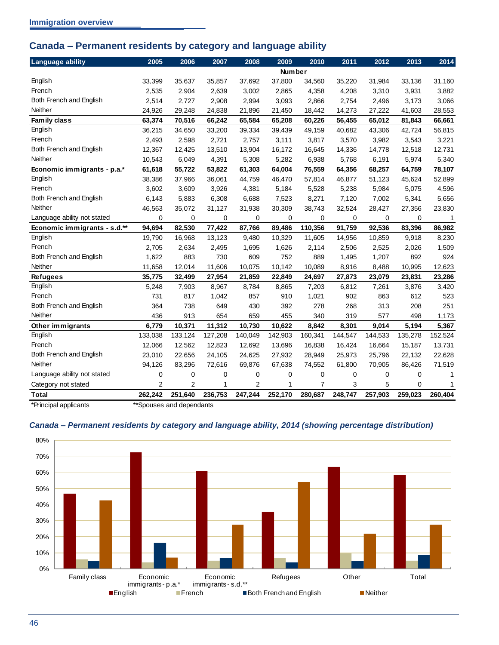## <span id="page-49-0"></span>**Canada – Permanent residents by category and language ability**

| <b>Language ability</b>      | 2005           | 2006           | 2007        | 2008           | 2009          | 2010           | 2011        | 2012        | 2013        | 2014    |
|------------------------------|----------------|----------------|-------------|----------------|---------------|----------------|-------------|-------------|-------------|---------|
|                              |                |                |             |                | <b>Number</b> |                |             |             |             |         |
| English                      | 33,399         | 35,637         | 35,857      | 37,692         | 37,800        | 34,560         | 35,220      | 31,984      | 33,136      | 31,160  |
| French                       | 2,535          | 2,904          | 2,639       | 3,002          | 2,865         | 4,358          | 4,208       | 3,310       | 3,931       | 3,882   |
| Both French and English      | 2,514          | 2,727          | 2,908       | 2,994          | 3,093         | 2,866          | 2,754       | 2,496       | 3,173       | 3,066   |
| Neither                      | 24,926         | 29,248         | 24,838      | 21,896         | 21,450        | 18,442         | 14,273      | 27,222      | 41,603      | 28,553  |
| Family class                 | 63,374         | 70,516         | 66,242      | 65,584         | 65,208        | 60,226         | 56,455      | 65,012      | 81,843      | 66,661  |
| English                      | 36,215         | 34,650         | 33,200      | 39,334         | 39,439        | 49,159         | 40,682      | 43,306      | 42,724      | 56,815  |
| French                       | 2,493          | 2,598          | 2,721       | 2,757          | 3,111         | 3,817          | 3,570       | 3,982       | 3,543       | 3,221   |
| Both French and English      | 12,367         | 12,425         | 13,510      | 13,904         | 16,172        | 16,645         | 14,336      | 14,778      | 12,518      | 12,731  |
| Neither                      | 10,543         | 6,049          | 4,391       | 5,308          | 5,282         | 6,938          | 5,768       | 6,191       | 5,974       | 5,340   |
| Economic immigrants - p.a.*  | 61,618         | 55,722         | 53,822      | 61,303         | 64,004        | 76,559         | 64,356      | 68,257      | 64,759      | 78,107  |
| English                      | 38,386         | 37,966         | 36,061      | 44,759         | 46,470        | 57,814         | 46,877      | 51,123      | 45,624      | 52,899  |
| French                       | 3.602          | 3,609          | 3,926       | 4,381          | 5,184         | 5,528          | 5,238       | 5,984       | 5,075       | 4,596   |
| Both French and English      | 6,143          | 5,883          | 6,308       | 6,688          | 7,523         | 8,271          | 7,120       | 7,002       | 5,341       | 5,656   |
| <b>Neither</b>               | 46,563         | 35,072         | 31,127      | 31,938         | 30,309        | 38,743         | 32,524      | 28,427      | 27,356      | 23,830  |
| Language ability not stated  | 0              | $\mathbf 0$    | $\mathbf 0$ | 0              | $\mathbf 0$   | $\mathbf 0$    | 0           | $\Omega$    | $\mathbf 0$ | 1       |
| Economic immigrants - s.d.** | 94,694         | 82,530         | 77,422      | 87,766         | 89,486        | 110,356        | 91,759      | 92,536      | 83,396      | 86,982  |
| English                      | 19,790         | 16,968         | 13,123      | 9,480          | 10,329        | 11,605         | 14,956      | 10,859      | 9,918       | 8,230   |
| French                       | 2,705          | 2,634          | 2,495       | 1,695          | 1,626         | 2,114          | 2,506       | 2,525       | 2,026       | 1,509   |
| Both French and English      | 1,622          | 883            | 730         | 609            | 752           | 889            | 1,495       | 1,207       | 892         | 924     |
| Neither                      | 11,658         | 12,014         | 11,606      | 10,075         | 10,142        | 10,089         | 8,916       | 8,488       | 10,995      | 12,623  |
| <b>Refugees</b>              | 35,775         | 32,499         | 27,954      | 21,859         | 22,849        | 24,697         | 27,873      | 23,079      | 23,831      | 23,286  |
| English                      | 5,248          | 7,903          | 8,967       | 8,784          | 8,865         | 7,203          | 6,812       | 7,261       | 3,876       | 3,420   |
| French                       | 731            | 817            | 1,042       | 857            | 910           | 1,021          | 902         | 863         | 612         | 523     |
| Both French and English      | 364            | 738            | 649         | 430            | 392           | 278            | 268         | 313         | 208         | 251     |
| <b>Neither</b>               | 436            | 913            | 654         | 659            | 455           | 340            | 319         | 577         | 498         | 1,173   |
| Other immigrants             | 6,779          | 10,371         | 11,312      | 10,730         | 10,622        | 8,842          | 8,301       | 9,014       | 5,194       | 5,367   |
| English                      | 133,038        | 133,124        | 127,208     | 140,049        | 142,903       | 160,341        | 144,547     | 144,533     | 135,278     | 152,524 |
| French                       | 12,066         | 12,562         | 12,823      | 12,692         | 13,696        | 16,838         | 16,424      | 16,664      | 15,187      | 13,731  |
| Both French and English      | 23,010         | 22,656         | 24,105      | 24,625         | 27,932        | 28,949         | 25,973      | 25,796      | 22,132      | 22,628  |
| <b>Neither</b>               | 94,126         | 83,296         | 72,616      | 69,876         | 67,638        | 74,552         | 61,800      | 70,905      | 86,426      | 71,519  |
| Language ability not stated  | 0              | $\mathbf 0$    | 0           | 0              | $\mathbf 0$   | 0              | $\mathbf 0$ | $\mathbf 0$ | 0           | 1       |
| Category not stated          | $\overline{2}$ | $\overline{2}$ | 1           | $\overline{2}$ | 1             | $\overline{7}$ | 3           | 5           | $\Omega$    | 1       |
| <b>Total</b>                 | 262,242        | 251,640        | 236,753     | 247,244        | 252,170       | 280,687        | 248,747     | 257,903     | 259,023     | 260,404 |

\*Principal applicants \*\*Spouses and dependants

#### <span id="page-49-1"></span>*Canada – Permanent residents by category and language ability, 2014 (showing percentage distribution)*

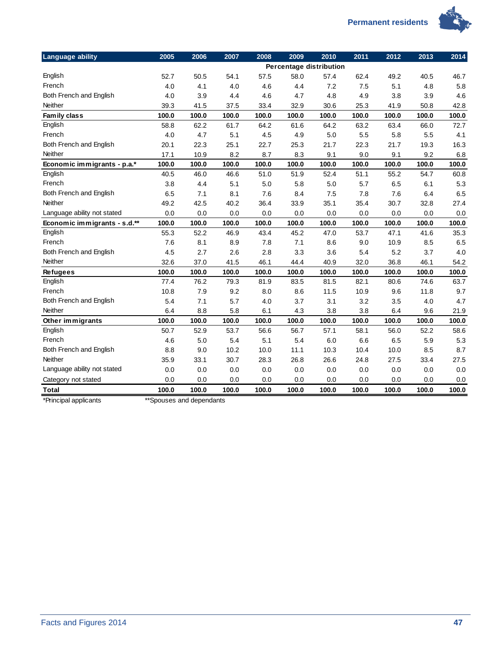

| <b>Language ability</b>      | 2005  | 2006  | 2007  | 2008  | 2009  | 2010                    | 2011  | 2012  | 2013  | 2014  |
|------------------------------|-------|-------|-------|-------|-------|-------------------------|-------|-------|-------|-------|
|                              |       |       |       |       |       | Percentage distribution |       |       |       |       |
| English                      | 52.7  | 50.5  | 54.1  | 57.5  | 58.0  | 57.4                    | 62.4  | 49.2  | 40.5  | 46.7  |
| French                       | 4.0   | 4.1   | 4.0   | 4.6   | 4.4   | 7.2                     | 7.5   | 5.1   | 4.8   | 5.8   |
| Both French and English      | 4.0   | 3.9   | 4.4   | 4.6   | 4.7   | 4.8                     | 4.9   | 3.8   | 3.9   | 4.6   |
| Neither                      | 39.3  | 41.5  | 37.5  | 33.4  | 32.9  | 30.6                    | 25.3  | 41.9  | 50.8  | 42.8  |
| Family class                 | 100.0 | 100.0 | 100.0 | 100.0 | 100.0 | 100.0                   | 100.0 | 100.0 | 100.0 | 100.0 |
| English                      | 58.8  | 62.2  | 61.7  | 64.2  | 61.6  | 64.2                    | 63.2  | 63.4  | 66.0  | 72.7  |
| French                       | 4.0   | 4.7   | 5.1   | 4.5   | 4.9   | 5.0                     | 5.5   | 5.8   | 5.5   | 4.1   |
| Both French and English      | 20.1  | 22.3  | 25.1  | 22.7  | 25.3  | 21.7                    | 22.3  | 21.7  | 19.3  | 16.3  |
| Neither                      | 17.1  | 10.9  | 8.2   | 8.7   | 8.3   | 9.1                     | 9.0   | 9.1   | 9.2   | 6.8   |
| Economic immigrants - p.a.*  | 100.0 | 100.0 | 100.0 | 100.0 | 100.0 | 100.0                   | 100.0 | 100.0 | 100.0 | 100.0 |
| English                      | 40.5  | 46.0  | 46.6  | 51.0  | 51.9  | 52.4                    | 51.1  | 55.2  | 54.7  | 60.8  |
| French                       | 3.8   | 4.4   | 5.1   | 5.0   | 5.8   | 5.0                     | 5.7   | 6.5   | 6.1   | 5.3   |
| Both French and English      | 6.5   | 7.1   | 8.1   | 7.6   | 8.4   | 7.5                     | 7.8   | 7.6   | 6.4   | 6.5   |
| Neither                      | 49.2  | 42.5  | 40.2  | 36.4  | 33.9  | 35.1                    | 35.4  | 30.7  | 32.8  | 27.4  |
| Language ability not stated  | 0.0   | 0.0   | 0.0   | 0.0   | 0.0   | 0.0                     | 0.0   | 0.0   | 0.0   | 0.0   |
| Economic immigrants - s.d.** | 100.0 | 100.0 | 100.0 | 100.0 | 100.0 | 100.0                   | 100.0 | 100.0 | 100.0 | 100.0 |
| English                      | 55.3  | 52.2  | 46.9  | 43.4  | 45.2  | 47.0                    | 53.7  | 47.1  | 41.6  | 35.3  |
| French                       | 7.6   | 8.1   | 8.9   | 7.8   | 7.1   | 8.6                     | 9.0   | 10.9  | 8.5   | 6.5   |
| Both French and English      | 4.5   | 2.7   | 2.6   | 2.8   | 3.3   | 3.6                     | 5.4   | 5.2   | 3.7   | 4.0   |
| Neither                      | 32.6  | 37.0  | 41.5  | 46.1  | 44.4  | 40.9                    | 32.0  | 36.8  | 46.1  | 54.2  |
| <b>Refugees</b>              | 100.0 | 100.0 | 100.0 | 100.0 | 100.0 | 100.0                   | 100.0 | 100.0 | 100.0 | 100.0 |
| English                      | 77.4  | 76.2  | 79.3  | 81.9  | 83.5  | 81.5                    | 82.1  | 80.6  | 74.6  | 63.7  |
| French                       | 10.8  | 7.9   | 9.2   | 8.0   | 8.6   | 11.5                    | 10.9  | 9.6   | 11.8  | 9.7   |
| Both French and English      | 5.4   | 7.1   | 5.7   | 4.0   | 3.7   | 3.1                     | 3.2   | 3.5   | 4.0   | 4.7   |
| Neither                      | 6.4   | 8.8   | 5.8   | 6.1   | 4.3   | 3.8                     | 3.8   | 6.4   | 9.6   | 21.9  |
| Other immigrants             | 100.0 | 100.0 | 100.0 | 100.0 | 100.0 | 100.0                   | 100.0 | 100.0 | 100.0 | 100.0 |
| English                      | 50.7  | 52.9  | 53.7  | 56.6  | 56.7  | 57.1                    | 58.1  | 56.0  | 52.2  | 58.6  |
| French                       | 4.6   | 5.0   | 5.4   | 5.1   | 5.4   | 6.0                     | 6.6   | 6.5   | 5.9   | 5.3   |
| Both French and English      | 8.8   | 9.0   | 10.2  | 10.0  | 11.1  | 10.3                    | 10.4  | 10.0  | 8.5   | 8.7   |
| Neither                      | 35.9  | 33.1  | 30.7  | 28.3  | 26.8  | 26.6                    | 24.8  | 27.5  | 33.4  | 27.5  |
| Language ability not stated  | 0.0   | 0.0   | 0.0   | 0.0   | 0.0   | 0.0                     | 0.0   | 0.0   | 0.0   | 0.0   |
| Category not stated          | 0.0   | 0.0   | 0.0   | 0.0   | 0.0   | 0.0                     | 0.0   | 0.0   | 0.0   | 0.0   |
| <b>Total</b>                 | 100.0 | 100.0 | 100.0 | 100.0 | 100.0 | 100.0                   | 100.0 | 100.0 | 100.0 | 100.0 |

\*Principal applicants \*\*\*\*\*\*\*\* Spouses and dependants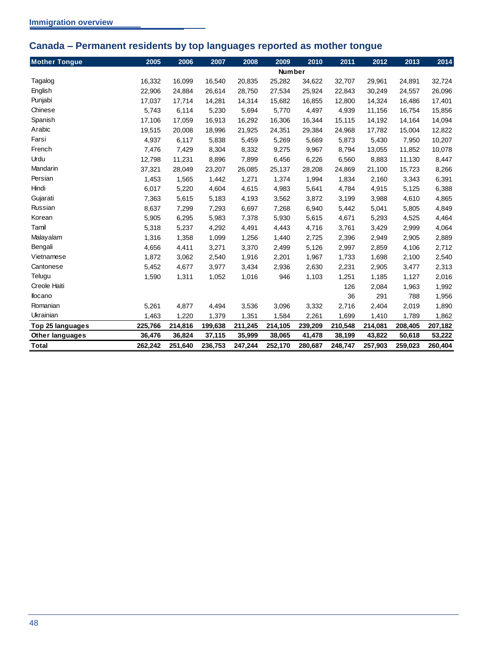# <span id="page-51-0"></span>**Canada – Permanent residents by top languages reported as mother tongue**

| <b>Mother Tongue</b>   | 2005    | 2006    | 2007    | 2008    | 2009          | 2010    | 2011    | 2012    | 2013    | 2014    |
|------------------------|---------|---------|---------|---------|---------------|---------|---------|---------|---------|---------|
|                        |         |         |         |         | <b>Number</b> |         |         |         |         |         |
| Tagalog                | 16,332  | 16,099  | 16,540  | 20,835  | 25,282        | 34,622  | 32,707  | 29,961  | 24,891  | 32,724  |
| English                | 22,906  | 24,884  | 26,614  | 28,750  | 27,534        | 25,924  | 22,843  | 30,249  | 24,557  | 26,096  |
| Punjabi                | 17,037  | 17,714  | 14,281  | 14,314  | 15,682        | 16,855  | 12,800  | 14,324  | 16,486  | 17,401  |
| Chinese                | 5,743   | 6,114   | 5,230   | 5,694   | 5,770         | 4,497   | 4,939   | 11,156  | 16,754  | 15,856  |
| Spanish                | 17,106  | 17,059  | 16,913  | 16,292  | 16,306        | 16,344  | 15,115  | 14,192  | 14,164  | 14,094  |
| Arabic                 | 19,515  | 20,008  | 18,996  | 21,925  | 24,351        | 29,384  | 24,968  | 17,782  | 15,004  | 12,822  |
| Farsi                  | 4,937   | 6,117   | 5,838   | 5,459   | 5,269         | 5,669   | 5,873   | 5,430   | 7,950   | 10,207  |
| French                 | 7,476   | 7,429   | 8,304   | 8,332   | 9,275         | 9,967   | 8,794   | 13,055  | 11,852  | 10,078  |
| Urdu                   | 12,798  | 11,231  | 8,896   | 7,899   | 6,456         | 6,226   | 6,560   | 8,883   | 11,130  | 8,447   |
| Mandarin               | 37,321  | 28,049  | 23,207  | 26,085  | 25,137        | 28,208  | 24,869  | 21,100  | 15,723  | 8,266   |
| Persian                | 1,453   | 1,565   | 1,442   | 1,271   | 1,374         | 1,994   | 1,834   | 2,160   | 3,343   | 6,391   |
| Hindi                  | 6,017   | 5,220   | 4,604   | 4,615   | 4,983         | 5,641   | 4,784   | 4,915   | 5,125   | 6,388   |
| Gujarati               | 7,363   | 5,615   | 5,183   | 4,193   | 3,562         | 3,872   | 3,199   | 3,988   | 4,610   | 4,865   |
| Russian                | 8,637   | 7,299   | 7,293   | 6,697   | 7,268         | 6,940   | 5,442   | 5,041   | 5,805   | 4,849   |
| Korean                 | 5,905   | 6,295   | 5,983   | 7,378   | 5,930         | 5,615   | 4,671   | 5,293   | 4,525   | 4,464   |
| Tamil                  | 5,318   | 5,237   | 4,292   | 4,491   | 4,443         | 4,716   | 3,761   | 3,429   | 2,999   | 4,064   |
| Malayalam              | 1,316   | 1,358   | 1,099   | 1,256   | 1,440         | 2,725   | 2,396   | 2,949   | 2,905   | 2,889   |
| Bengali                | 4,656   | 4,411   | 3,271   | 3,370   | 2,499         | 5,126   | 2,997   | 2,859   | 4,106   | 2,712   |
| Vietnamese             | 1,872   | 3,062   | 2,540   | 1,916   | 2,201         | 1,967   | 1,733   | 1,698   | 2,100   | 2,540   |
| Cantonese              | 5,452   | 4,677   | 3,977   | 3,434   | 2,936         | 2,630   | 2,231   | 2,905   | 3,477   | 2,313   |
| Telugu                 | 1,590   | 1,311   | 1,052   | 1,016   | 946           | 1,103   | 1,251   | 1,185   | 1,127   | 2,016   |
| Creole Haiti           |         |         |         |         |               |         | 126     | 2,084   | 1,963   | 1,992   |
| llocano                |         |         |         |         |               |         | 36      | 291     | 788     | 1,956   |
| Romanian               | 5,261   | 4,877   | 4,494   | 3,536   | 3,096         | 3,332   | 2,716   | 2,404   | 2,019   | 1,890   |
| Ukrainian              | 1,463   | 1,220   | 1,379   | 1,351   | 1,584         | 2,261   | 1,699   | 1,410   | 1,789   | 1,862   |
| Top 25 languages       | 225,766 | 214,816 | 199,638 | 211,245 | 214,105       | 239,209 | 210,548 | 214,081 | 208,405 | 207,182 |
| <b>Other languages</b> | 36,476  | 36,824  | 37,115  | 35,999  | 38,065        | 41,478  | 38,199  | 43,822  | 50,618  | 53,222  |
| <b>Total</b>           | 262,242 | 251,640 | 236,753 | 247,244 | 252,170       | 280,687 | 248,747 | 257,903 | 259,023 | 260,404 |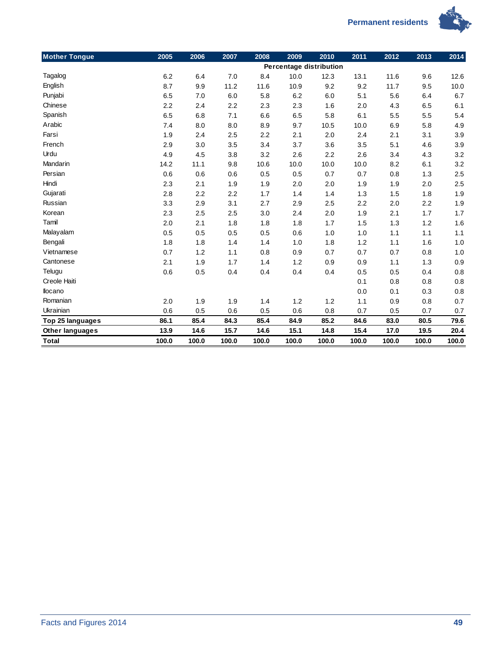



| <b>Mother Tongue</b>   | 2005  | 2006  | 2007  | 2008  | 2009  | 2010                    | 2011  | 2012  | 2013  | 2014  |
|------------------------|-------|-------|-------|-------|-------|-------------------------|-------|-------|-------|-------|
|                        |       |       |       |       |       | Percentage distribution |       |       |       |       |
| Tagalog                | 6.2   | 6.4   | 7.0   | 8.4   | 10.0  | 12.3                    | 13.1  | 11.6  | 9.6   | 12.6  |
| English                | 8.7   | 9.9   | 11.2  | 11.6  | 10.9  | 9.2                     | 9.2   | 11.7  | 9.5   | 10.0  |
| Punjabi                | 6.5   | 7.0   | 6.0   | 5.8   | 6.2   | 6.0                     | 5.1   | 5.6   | 6.4   | 6.7   |
| Chinese                | 2.2   | 2.4   | 2.2   | 2.3   | 2.3   | 1.6                     | 2.0   | 4.3   | 6.5   | 6.1   |
| Spanish                | 6.5   | 6.8   | 7.1   | 6.6   | 6.5   | 5.8                     | 6.1   | 5.5   | 5.5   | 5.4   |
| Arabic                 | 7.4   | 8.0   | 8.0   | 8.9   | 9.7   | 10.5                    | 10.0  | 6.9   | 5.8   | 4.9   |
| Farsi                  | 1.9   | 2.4   | 2.5   | 2.2   | 2.1   | 2.0                     | 2.4   | 2.1   | 3.1   | 3.9   |
| French                 | 2.9   | 3.0   | 3.5   | 3.4   | 3.7   | 3.6                     | 3.5   | 5.1   | 4.6   | 3.9   |
| Urdu                   | 4.9   | 4.5   | 3.8   | 3.2   | 2.6   | 2.2                     | 2.6   | 3.4   | 4.3   | 3.2   |
| Mandarin               | 14.2  | 11.1  | 9.8   | 10.6  | 10.0  | 10.0                    | 10.0  | 8.2   | 6.1   | 3.2   |
| Persian                | 0.6   | 0.6   | 0.6   | 0.5   | 0.5   | 0.7                     | 0.7   | 0.8   | 1.3   | 2.5   |
| Hindi                  | 2.3   | 2.1   | 1.9   | 1.9   | 2.0   | 2.0                     | 1.9   | 1.9   | 2.0   | 2.5   |
| Gujarati               | 2.8   | 2.2   | 2.2   | 1.7   | 1.4   | 1.4                     | 1.3   | 1.5   | 1.8   | 1.9   |
| Russian                | 3.3   | 2.9   | 3.1   | 2.7   | 2.9   | 2.5                     | 2.2   | 2.0   | 2.2   | 1.9   |
| Korean                 | 2.3   | 2.5   | 2.5   | 3.0   | 2.4   | 2.0                     | 1.9   | 2.1   | 1.7   | 1.7   |
| Tamil                  | 2.0   | 2.1   | 1.8   | 1.8   | 1.8   | 1.7                     | 1.5   | 1.3   | 1.2   | 1.6   |
| Malayalam              | 0.5   | 0.5   | 0.5   | 0.5   | 0.6   | 1.0                     | 1.0   | 1.1   | 1.1   | 1.1   |
| Bengali                | 1.8   | 1.8   | 1.4   | 1.4   | 1.0   | 1.8                     | 1.2   | 1.1   | 1.6   | 1.0   |
| Vietnamese             | 0.7   | 1.2   | 1.1   | 0.8   | 0.9   | 0.7                     | 0.7   | 0.7   | 0.8   | 1.0   |
| Cantonese              | 2.1   | 1.9   | 1.7   | 1.4   | 1.2   | 0.9                     | 0.9   | 1.1   | 1.3   | 0.9   |
| Telugu                 | 0.6   | 0.5   | 0.4   | 0.4   | 0.4   | 0.4                     | 0.5   | 0.5   | 0.4   | 0.8   |
| Creole Haiti           |       |       |       |       |       |                         | 0.1   | 0.8   | 0.8   | 0.8   |
| llocano                |       |       |       |       |       |                         | 0.0   | 0.1   | 0.3   | 0.8   |
| Romanian               | 2.0   | 1.9   | 1.9   | 1.4   | 1.2   | 1.2                     | 1.1   | 0.9   | 0.8   | 0.7   |
| Ukrainian              | 0.6   | 0.5   | 0.6   | 0.5   | 0.6   | 0.8                     | 0.7   | 0.5   | 0.7   | 0.7   |
| Top 25 languages       | 86.1  | 85.4  | 84.3  | 85.4  | 84.9  | 85.2                    | 84.6  | 83.0  | 80.5  | 79.6  |
| <b>Other languages</b> | 13.9  | 14.6  | 15.7  | 14.6  | 15.1  | 14.8                    | 15.4  | 17.0  | 19.5  | 20.4  |
| <b>Total</b>           | 100.0 | 100.0 | 100.0 | 100.0 | 100.0 | 100.0                   | 100.0 | 100.0 | 100.0 | 100.0 |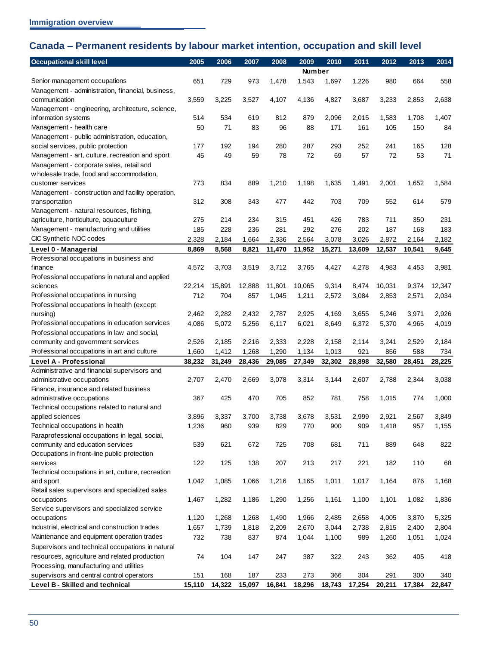# <span id="page-53-0"></span>**Canada – Permanent residents by labour market intention, occupation and skill level**

| <b>Occupational skill level</b>                                                    | 2005   | 2006   | 2007   | 2008   | 2009   | 2010   | 2011   | 2012   | 2013   | 2014   |
|------------------------------------------------------------------------------------|--------|--------|--------|--------|--------|--------|--------|--------|--------|--------|
|                                                                                    |        |        |        |        | Number |        |        |        |        |        |
| Senior management occupations                                                      | 651    | 729    | 973    | 1,478  | 1,543  | 1,697  | 1,226  | 980    | 664    | 558    |
| Management - administration, financial, business,                                  |        |        |        |        |        |        |        |        |        |        |
| communication                                                                      | 3,559  | 3,225  | 3,527  | 4,107  | 4,136  | 4,827  | 3,687  | 3,233  | 2,853  | 2,638  |
| Management - engineering, architecture, science,                                   |        |        |        |        |        |        |        |        |        |        |
| information systems                                                                | 514    | 534    | 619    | 812    | 879    | 2,096  | 2,015  | 1,583  | 1,708  | 1,407  |
| Management - health care                                                           | 50     | 71     | 83     | 96     | 88     | 171    | 161    | 105    | 150    | 84     |
| Management - public administration, education,                                     |        |        |        |        |        |        |        |        |        |        |
| social services, public protection                                                 | 177    | 192    | 194    | 280    | 287    | 293    | 252    | 241    | 165    | 128    |
| Management - art, culture, recreation and sport                                    | 45     | 49     | 59     | 78     | 72     | 69     | 57     | 72     | 53     | 71     |
| Management - corporate sales, retail and                                           |        |        |        |        |        |        |        |        |        |        |
| w holesale trade, food and accommodation,                                          |        |        |        |        |        |        |        |        |        |        |
| customer services                                                                  | 773    | 834    | 889    | 1,210  | 1,198  | 1,635  | 1,491  | 2,001  | 1,652  | 1,584  |
| Management - construction and facility operation,                                  |        |        |        |        |        |        |        |        |        |        |
| transportation                                                                     | 312    | 308    | 343    | 477    | 442    | 703    | 709    | 552    | 614    | 579    |
| Management - natural resources, fishing,                                           |        |        |        |        |        |        |        |        |        |        |
| agriculture, horticulture, aquaculture                                             | 275    | 214    | 234    | 315    | 451    | 426    | 783    | 711    | 350    | 231    |
| Management - manufacturing and utilities                                           | 185    | 228    | 236    | 281    | 292    | 276    | 202    | 187    | 168    | 183    |
| CIC Synthetic NOC codes                                                            | 2,328  | 2,184  | 1,664  | 2,336  | 2,564  | 3,078  | 3,026  | 2,872  | 2,164  | 2,182  |
| Level 0 - Managerial                                                               | 8,869  | 8,568  | 8,821  | 11,470 | 11,952 | 15,271 | 13,609 | 12,537 | 10,541 | 9,645  |
| Professional occupations in business and                                           |        |        |        |        |        |        |        |        |        |        |
| finance                                                                            | 4,572  | 3,703  | 3,519  | 3,712  | 3,765  | 4,427  | 4,278  | 4,983  | 4,453  | 3,981  |
| Professional occupations in natural and applied                                    |        |        |        |        |        |        |        |        |        |        |
| sciences                                                                           | 22,214 | 15,891 | 12,888 | 11,801 | 10,065 | 9,314  | 8,474  | 10,031 | 9,374  | 12,347 |
| Professional occupations in nursing                                                | 712    | 704    | 857    | 1,045  | 1,211  | 2,572  | 3,084  | 2,853  | 2,571  | 2,034  |
| Professional occupations in health (except                                         |        |        |        |        |        |        |        |        |        |        |
| nursing)                                                                           | 2,462  | 2,282  | 2,432  | 2,787  | 2,925  | 4,169  | 3,655  | 5,246  | 3,971  | 2,926  |
| Professional occupations in education services                                     | 4,086  | 5,072  | 5,256  | 6,117  | 6,021  | 8,649  | 6,372  | 5,370  | 4,965  | 4,019  |
| Professional occupations in law and social,                                        |        |        |        |        |        |        |        |        |        |        |
| community and government services                                                  | 2,526  | 2,185  | 2,216  | 2,333  | 2,228  | 2,158  | 2,114  | 3,241  | 2,529  | 2,184  |
| Professional occupations in art and culture                                        | 1,660  | 1,412  | 1,268  | 1,290  | 1,134  | 1,013  | 921    | 856    | 588    | 734    |
| Level A - Professional                                                             | 38,232 | 31,249 | 28,436 | 29,085 | 27,349 | 32,302 | 28,898 | 32,580 | 28,451 | 28,225 |
| Administrative and financial supervisors and                                       |        |        |        |        |        |        |        |        |        |        |
| administrative occupations                                                         | 2,707  | 2,470  | 2,669  | 3,078  | 3,314  | 3,144  | 2,607  | 2,788  | 2,344  | 3,038  |
| Finance, insurance and related business                                            |        |        |        |        |        |        |        |        |        |        |
| administrative occupations                                                         | 367    | 425    | 470    | 705    | 852    | 781    | 758    | 1,015  | 774    | 1,000  |
| Technical occupations related to natural and                                       |        |        | 3,700  |        |        |        |        |        |        |        |
| applied sciences                                                                   | 3,896  | 3,337  |        | 3,738  | 3,678  | 3,531  | 2,999  | 2,921  | 2,567  | 3,849  |
| Technical occupations in health                                                    | 1,236  | 960    | 939    | 829    | 770    | 900    | 909    | 1,418  | 957    | 1,155  |
| Paraprofessional occupations in legal, social,<br>community and education services | 539    | 621    | 672    | 725    | 708    | 681    | 711    | 889    | 648    | 822    |
|                                                                                    |        |        |        |        |        |        |        |        |        |        |
| Occupations in front-line public protection<br>services                            | 122    | 125    | 138    | 207    | 213    | 217    | 221    | 182    | 110    | 68     |
| Technical occupations in art, culture, recreation                                  |        |        |        |        |        |        |        |        |        |        |
| and sport                                                                          | 1,042  | 1,085  | 1,066  | 1,216  | 1,165  | 1,011  | 1,017  | 1,164  | 876    | 1,168  |
| Retail sales supervisors and specialized sales                                     |        |        |        |        |        |        |        |        |        |        |
| occupations                                                                        | 1,467  | 1,282  | 1,186  | 1,290  | 1,256  | 1,161  | 1,100  | 1,101  | 1,082  | 1,836  |
| Service supervisors and specialized service                                        |        |        |        |        |        |        |        |        |        |        |
| occupations                                                                        | 1,120  | 1,268  | 1,268  | 1,490  | 1,966  | 2,485  | 2,658  | 4,005  | 3,870  | 5,325  |
| Industrial, electrical and construction trades                                     | 1,657  | 1,739  | 1,818  | 2,209  | 2,670  | 3,044  | 2,738  | 2,815  | 2,400  | 2,804  |
| Maintenance and equipment operation trades                                         | 732    | 738    | 837    | 874    | 1,044  | 1,100  | 989    | 1,260  | 1,051  | 1,024  |
| Supervisors and technical occupations in natural                                   |        |        |        |        |        |        |        |        |        |        |
| resources, agriculture and related production                                      | 74     | 104    | 147    | 247    | 387    | 322    | 243    | 362    | 405    | 418    |
| Processing, manufacturing and utilities                                            |        |        |        |        |        |        |        |        |        |        |
| supervisors and central control operators                                          | 151    | 168    | 187    | 233    | 273    | 366    | 304    | 291    | 300    | 340    |
| Level B - Skilled and technical                                                    | 15,110 | 14,322 | 15,097 | 16,841 | 18,296 | 18,743 | 17,254 | 20,211 | 17,384 | 22,847 |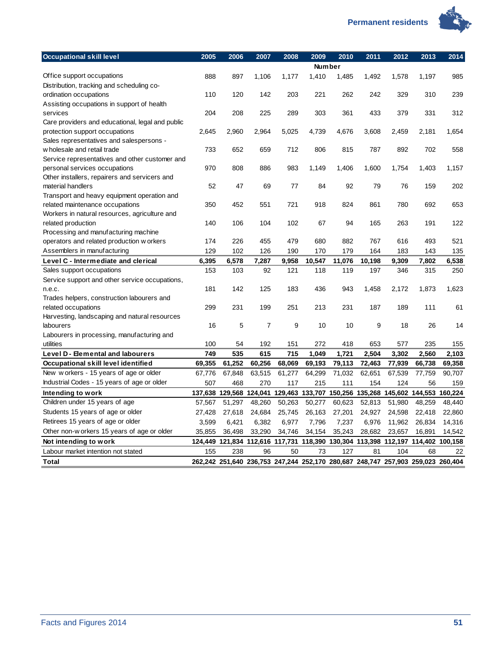

| <b>Occupational skill level</b>                  | 2005   | 2006   | 2007                                                                            | 2008   | 2009          | 2010   | 2011   | 2012   | 2013   | 2014    |
|--------------------------------------------------|--------|--------|---------------------------------------------------------------------------------|--------|---------------|--------|--------|--------|--------|---------|
|                                                  |        |        |                                                                                 |        | <b>Number</b> |        |        |        |        |         |
| Office support occupations                       | 888    | 897    | 1,106                                                                           | 1,177  | 1,410         | 1,485  | 1,492  | 1,578  | 1,197  | 985     |
| Distribution, tracking and scheduling co-        |        |        |                                                                                 |        |               |        |        |        |        |         |
| ordination occupations                           | 110    | 120    | 142                                                                             | 203    | 221           | 262    | 242    | 329    | 310    | 239     |
| Assisting occupations in support of health       |        |        |                                                                                 |        |               |        |        |        |        |         |
| services                                         | 204    | 208    | 225                                                                             | 289    | 303           | 361    | 433    | 379    | 331    | 312     |
| Care providers and educational, legal and public |        |        |                                                                                 |        |               |        |        |        |        |         |
| protection support occupations                   | 2,645  | 2,960  | 2,964                                                                           | 5,025  | 4,739         | 4,676  | 3,608  | 2,459  | 2,181  | 1,654   |
| Sales representatives and salespersons -         |        |        |                                                                                 |        |               |        |        |        |        |         |
| w holesale and retail trade                      | 733    | 652    | 659                                                                             | 712    | 806           | 815    | 787    | 892    | 702    | 558     |
| Service representatives and other customer and   |        |        |                                                                                 |        |               |        |        |        |        |         |
| personal services occupations                    | 970    | 808    | 886                                                                             | 983    | 1,149         | 1,406  | 1,600  | 1,754  | 1,403  | 1,157   |
| Other installers, repairers and servicers and    |        |        |                                                                                 |        |               |        |        |        |        |         |
| material handlers                                | 52     | 47     | 69                                                                              | 77     | 84            | 92     | 79     | 76     | 159    | 202     |
| Transport and heavy equipment operation and      |        |        |                                                                                 |        |               |        |        |        |        |         |
| related maintenance occupations                  | 350    | 452    | 551                                                                             | 721    | 918           | 824    | 861    | 780    | 692    | 653     |
| Workers in natural resources, agriculture and    |        |        |                                                                                 |        |               |        |        |        |        |         |
| related production                               | 140    | 106    | 104                                                                             | 102    | 67            | 94     | 165    | 263    | 191    | 122     |
| Processing and manufacturing machine             |        |        |                                                                                 |        |               |        |        |        |        |         |
| operators and related production w orkers        | 174    | 226    | 455                                                                             | 479    | 680           | 882    | 767    | 616    | 493    | 521     |
| Assemblers in manufacturing                      | 129    | 102    | 126                                                                             | 190    | 170           | 179    | 164    | 183    | 143    | 135     |
| Level C - Intermediate and clerical              | 6,395  | 6,578  | 7,287                                                                           | 9,958  | 10,547        | 11,076 | 10,198 | 9,309  | 7,802  | 6,538   |
| Sales support occupations                        | 153    | 103    | 92                                                                              | 121    | 118           | 119    | 197    | 346    | 315    | 250     |
| Service support and other service occupations,   |        |        |                                                                                 |        |               |        |        |        |        |         |
| n.e.c.                                           | 181    | 142    | 125                                                                             | 183    | 436           | 943    | 1,458  | 2,172  | 1,873  | 1,623   |
| Trades helpers, construction labourers and       |        |        |                                                                                 |        |               |        |        |        |        |         |
| related occupations                              | 299    | 231    | 199                                                                             | 251    | 213           | 231    | 187    | 189    | 111    | 61      |
| Harvesting, landscaping and natural resources    |        |        |                                                                                 |        |               |        |        |        |        |         |
| labourers                                        | 16     | 5      | 7                                                                               | 9      | 10            | 10     | 9      | 18     | 26     | 14      |
| Labourers in processing, manufacturing and       |        |        |                                                                                 |        |               |        |        |        |        |         |
| utilities                                        | 100    | 54     | 192                                                                             | 151    | 272           | 418    | 653    | 577    | 235    | 155     |
| Level D - Elemental and labourers                | 749    | 535    | 615                                                                             | 715    | 1,049         | 1,721  | 2,504  | 3,302  | 2,560  | 2,103   |
| Occupational skill level identified              | 69,355 | 61,252 | 60,256                                                                          | 68,069 | 69,193        | 79,113 | 72,463 | 77,939 | 66,738 | 69,358  |
| New workers - 15 years of age or older           | 67,776 | 67,848 | 63,515                                                                          | 61,277 | 64,299        | 71,032 | 62,651 | 67,539 | 77,759 | 90,707  |
| Industrial Codes - 15 years of age or older      | 507    | 468    | 270                                                                             | 117    | 215           | 111    | 154    | 124    | 56     | 159     |
| Intending to work                                |        |        | 137,638 129,568 124,041 129,463 133,707 150,256 135,268 145,602 144,553         |        |               |        |        |        |        | 160,224 |
| Children under 15 years of age                   | 57,567 | 51,297 | 48,260                                                                          | 50,263 | 50,277        | 60,623 | 52,813 | 51,980 | 48,259 | 48,440  |
| Students 15 years of age or older                | 27,428 | 27,618 | 24,684                                                                          | 25,745 | 26,163        | 27,201 | 24,927 | 24,598 | 22,418 | 22,860  |
| Retirees 15 years of age or older                | 3,599  | 6,421  | 6,382                                                                           | 6,977  | 7,796         | 7,237  | 6,976  | 11,962 | 26,834 | 14,316  |
| Other non-w orkers 15 years of age or older      | 35,855 | 36,498 | 33,290                                                                          | 34,746 | 34,154        | 35,243 | 28,682 | 23,657 | 16,891 | 14,542  |
| Not intending to work                            |        |        | 124,449 121,834 112,616 117,731 118,390 130,304 113,398 112,197 114,402 100,158 |        |               |        |        |        |        |         |
| Labour market intention not stated               | 155    | 238    | 96                                                                              | 50     | 73            | 127    | 81     | 104    | 68     | 22      |
| <b>Total</b>                                     |        |        | 262,242 251,640 236,753 247,244 252,170 280,687 248,747 257,903 259,023 260,404 |        |               |        |        |        |        |         |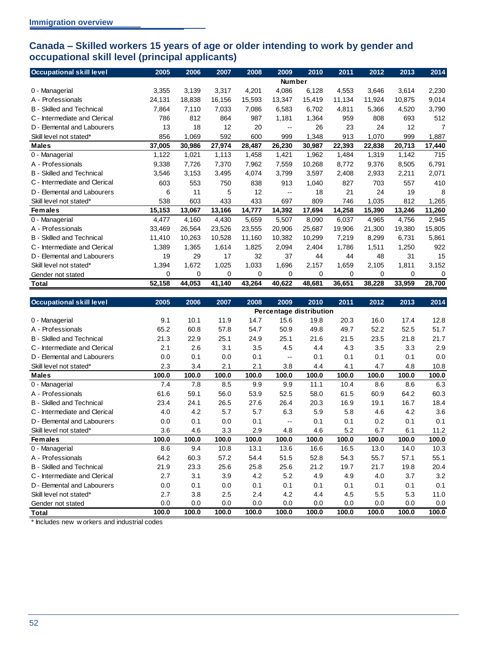## <span id="page-55-0"></span>**Canada – Skilled workers 15 years of age or older intending to work by gender and occupational skill level (principal applicants)**

| <b>Occupational skill level</b>  | 2005          | 2006   | 2007   | 2008   | 2009       | 2010   | 2011   | 2012   | 2013   | 2014   |
|----------------------------------|---------------|--------|--------|--------|------------|--------|--------|--------|--------|--------|
|                                  | <b>Number</b> |        |        |        |            |        |        |        |        |        |
| 0 - Managerial                   | 3,355         | 3,139  | 3,317  | 4,201  | 4,086      | 6,128  | 4.553  | 3,646  | 3,614  | 2,230  |
| A - Professionals                | 24,131        | 18,838 | 16,156 | 15,593 | 13,347     | 15,419 | 11,134 | 11,924 | 10,875 | 9,014  |
| <b>B</b> - Skilled and Technical | 7,864         | 7,110  | 7,033  | 7,086  | 6,583      | 6,702  | 4,811  | 5,366  | 4,520  | 3,790  |
| C - Intermediate and Clerical    | 786           | 812    | 864    | 987    | 1,181      | 1,364  | 959    | 808    | 693    | 512    |
| D - Elemental and Labourers      | 13            | 18     | 12     | 20     | $\sim$ $-$ | 26     | 23     | 24     | 12     | 7      |
| Skill level not stated*          | 856           | 1,069  | 592    | 600    | 999        | 1,348  | 913    | 1,070  | 999    | 1,887  |
| <b>Males</b>                     | 37,005        | 30,986 | 27,974 | 28,487 | 26,230     | 30,987 | 22,393 | 22,838 | 20,713 | 17,440 |
| 0 - Managerial                   | 1,122         | 1,021  | 1,113  | 1,458  | 1,421      | 1,962  | 1,484  | 1,319  | 1,142  | 715    |
| A - Professionals                | 9,338         | 7,726  | 7,370  | 7,962  | 7,559      | 10,268 | 8,772  | 9,376  | 8,505  | 6,791  |
| <b>B</b> - Skilled and Technical | 3,546         | 3,153  | 3,495  | 4,074  | 3,799      | 3,597  | 2,408  | 2,933  | 2,211  | 2,071  |
| C - Intermediate and Clerical    | 603           | 553    | 750    | 838    | 913        | 1,040  | 827    | 703    | 557    | 410    |
| D - Elemental and Labourers      | 6             | 11     | 5      | 12     | $-$        | 18     | 21     | 24     | 19     | 8      |
| Skill level not stated*          | 538           | 603    | 433    | 433    | 697        | 809    | 746    | 1,035  | 812    | 1,265  |
| <b>Females</b>                   | 15,153        | 13,067 | 13,166 | 14,777 | 14,392     | 17,694 | 14,258 | 15,390 | 13,246 | 11,260 |
| 0 - Managerial                   | 4,477         | 4,160  | 4,430  | 5,659  | 5.507      | 8,090  | 6,037  | 4,965  | 4.756  | 2,945  |
| A - Professionals                | 33,469        | 26,564 | 23,526 | 23.555 | 20,906     | 25,687 | 19,906 | 21.300 | 19,380 | 15,805 |
| <b>B</b> - Skilled and Technical | 11,410        | 10,263 | 10,528 | 11,160 | 10,382     | 10,299 | 7,219  | 8,299  | 6,731  | 5,861  |
| C - Intermediate and Clerical    | 1,389         | 1,365  | 1,614  | 1,825  | 2.094      | 2,404  | 1,786  | 1,511  | 1,250  | 922    |
| D - Elemental and Labourers      | 19            | 29     | 17     | 32     | 37         | 44     | 44     | 48     | 31     | 15     |
| Skill level not stated*          | 1,394         | 1,672  | 1,025  | 1,033  | 1,696      | 2,157  | 1,659  | 2,105  | 1,811  | 3,152  |
| Gender not stated                | 0             | 0      | 0      | 0      | 0          | 0      | 0      | 0      | 0      | 0      |
| <b>Total</b>                     | 52,158        | 44,053 | 41,140 | 43,264 | 40,622     | 48,681 | 36,651 | 38,228 | 33,959 | 28,700 |

| <b>Occupational skill level</b>  | 2005                    | 2006  | 2007  | 2008  | 2009       | 2010  | 2011  | 2012  | 2013  | 2014  |
|----------------------------------|-------------------------|-------|-------|-------|------------|-------|-------|-------|-------|-------|
|                                  | Percentage distribution |       |       |       |            |       |       |       |       |       |
| 0 - Managerial                   | 9.1                     | 10.1  | 11.9  | 14.7  | 15.6       | 19.8  | 20.3  | 16.0  | 17.4  | 12.8  |
| A - Professionals                | 65.2                    | 60.8  | 57.8  | 54.7  | 50.9       | 49.8  | 49.7  | 52.2  | 52.5  | 51.7  |
| <b>B</b> - Skilled and Technical | 21.3                    | 22.9  | 25.1  | 24.9  | 25.1       | 21.6  | 21.5  | 23.5  | 21.8  | 21.7  |
| C - Intermediate and Clerical    | 2.1                     | 2.6   | 3.1   | 3.5   | 4.5        | 4.4   | 4.3   | 3.5   | 3.3   | 2.9   |
| D - Elemental and Labourers      | 0.0                     | 0.1   | 0.0   | 0.1   | $\sim$ $-$ | 0.1   | 0.1   | 0.1   | 0.1   | 0.0   |
| Skill level not stated*          | 2.3                     | 3.4   | 2.1   | 2.1   | 3.8        | 4.4   | 4.1   | 4.7   | 4.8   | 10.8  |
| <b>Males</b>                     | 100.0                   | 100.0 | 100.0 | 100.0 | 100.0      | 100.0 | 100.0 | 100.0 | 100.0 | 100.0 |
| 0 - Managerial                   | 7.4                     | 7.8   | 8.5   | 9.9   | 9.9        | 11.1  | 10.4  | 8.6   | 8.6   | 6.3   |
| A - Professionals                | 61.6                    | 59.1  | 56.0  | 53.9  | 52.5       | 58.0  | 61.5  | 60.9  | 64.2  | 60.3  |
| <b>B</b> - Skilled and Technical | 23.4                    | 24.1  | 26.5  | 27.6  | 26.4       | 20.3  | 16.9  | 19.1  | 16.7  | 18.4  |
| C - Intermediate and Clerical    | 4.0                     | 4.2   | 5.7   | 5.7   | 6.3        | 5.9   | 5.8   | 4.6   | 4.2   | 3.6   |
| D - Elemental and Labourers      | 0.0                     | 0.1   | 0.0   | 0.1   | $\sim$ $-$ | 0.1   | 0.1   | 0.2   | 0.1   | 0.1   |
| Skill level not stated*          | 3.6                     | 4.6   | 3.3   | 2.9   | 4.8        | 4.6   | 5.2   | 6.7   | 6.1   | 11.2  |
| <b>Females</b>                   | 100.0                   | 100.0 | 100.0 | 100.0 | 100.0      | 100.0 | 100.0 | 100.0 | 100.0 | 100.0 |
| 0 - Managerial                   | 8.6                     | 9.4   | 10.8  | 13.1  | 13.6       | 16.6  | 16.5  | 13.0  | 14.0  | 10.3  |
| A - Professionals                | 64.2                    | 60.3  | 57.2  | 54.4  | 51.5       | 52.8  | 54.3  | 55.7  | 57.1  | 55.1  |
| <b>B</b> - Skilled and Technical | 21.9                    | 23.3  | 25.6  | 25.8  | 25.6       | 21.2  | 19.7  | 21.7  | 19.8  | 20.4  |
| C - Intermediate and Clerical    | 2.7                     | 3.1   | 3.9   | 4.2   | 5.2        | 4.9   | 4.9   | 4.0   | 3.7   | 3.2   |
| D - Elemental and Labourers      | 0.0                     | 0.1   | 0.0   | 0.1   | 0.1        | 0.1   | 0.1   | 0.1   | 0.1   | 0.1   |
| Skill level not stated*          | 2.7                     | 3.8   | 2.5   | 2.4   | 4.2        | 4.4   | 4.5   | 5.5   | 5.3   | 11.0  |
| Gender not stated                | 0.0                     | 0.0   | 0.0   | 0.0   | 0.0        | 0.0   | 0.0   | 0.0   | 0.0   | 0.0   |
| <b>Total</b>                     | 100.0                   | 100.0 | 100.0 | 100.0 | 100.0      | 100.0 | 100.0 | 100.0 | 100.0 | 100.0 |

\* Includes new w orkers and industrial codes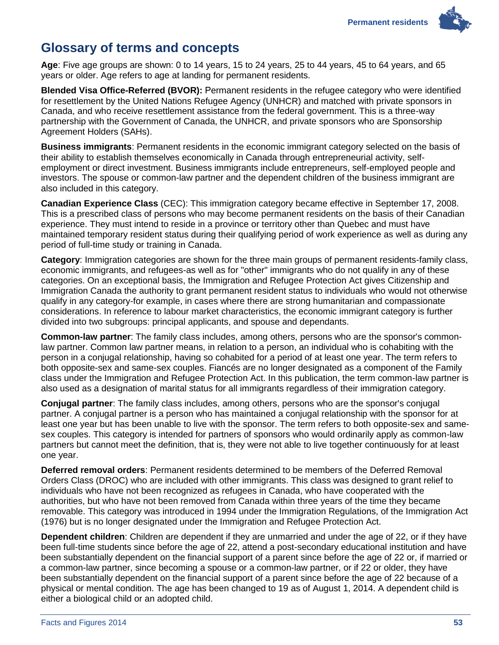# <span id="page-56-0"></span>**Glossary of terms and concepts**

**Age**: Five age groups are shown: 0 to 14 years, 15 to 24 years, 25 to 44 years, 45 to 64 years, and 65 years or older. Age refers to age at landing for permanent residents.

**Blended Visa Office-Referred (BVOR):** Permanent residents in the refugee category who were identified for resettlement by the United Nations Refugee Agency (UNHCR) and matched with private sponsors in Canada, and who receive resettlement assistance from the federal government. This is a three-way partnership with the Government of Canada, the UNHCR, and private sponsors who are Sponsorship Agreement Holders (SAHs).

**Business immigrants**: Permanent residents in the economic immigrant category selected on the basis of their ability to establish themselves economically in Canada through entrepreneurial activity, selfemployment or direct investment. Business immigrants include entrepreneurs, self-employed people and investors. The spouse or common-law partner and the dependent children of the business immigrant are also included in this category.

**Canadian Experience Class** (CEC): This immigration category became effective in September 17, 2008. This is a prescribed class of persons who may become permanent residents on the basis of their Canadian experience. They must intend to reside in a province or territory other than Quebec and must have maintained temporary resident status during their qualifying period of work experience as well as during any period of full-time study or training in Canada.

**Category**: Immigration categories are shown for the three main groups of permanent residents-family class, economic immigrants, and refugees-as well as for "other" immigrants who do not qualify in any of these categories. On an exceptional basis, the Immigration and Refugee Protection Act gives Citizenship and Immigration Canada the authority to grant permanent resident status to individuals who would not otherwise qualify in any category-for example, in cases where there are strong humanitarian and compassionate considerations. In reference to labour market characteristics, the economic immigrant category is further divided into two subgroups: principal applicants, and spouse and dependants.

**Common-law partner**: The family class includes, among others, persons who are the sponsor's commonlaw partner. Common law partner means, in relation to a person, an individual who is cohabiting with the person in a conjugal relationship, having so cohabited for a period of at least one year. The term refers to both opposite-sex and same-sex couples. Fiancés are no longer designated as a component of the Family class under the Immigration and Refugee Protection Act. In this publication, the term common-law partner is also used as a designation of marital status for all immigrants regardless of their immigration category.

**Conjugal partner**: The family class includes, among others, persons who are the sponsor's conjugal partner. A conjugal partner is a person who has maintained a conjugal relationship with the sponsor for at least one year but has been unable to live with the sponsor. The term refers to both opposite-sex and samesex couples. This category is intended for partners of sponsors who would ordinarily apply as common-law partners but cannot meet the definition, that is, they were not able to live together continuously for at least one year.

**Deferred removal orders**: Permanent residents determined to be members of the Deferred Removal Orders Class (DROC) who are included with other immigrants. This class was designed to grant relief to individuals who have not been recognized as refugees in Canada, who have cooperated with the authorities, but who have not been removed from Canada within three years of the time they became removable. This category was introduced in 1994 under the Immigration Regulations, of the Immigration Act (1976) but is no longer designated under the Immigration and Refugee Protection Act.

**Dependent children**: Children are dependent if they are unmarried and under the age of 22, or if they have been full-time students since before the age of 22, attend a post-secondary educational institution and have been substantially dependent on the financial support of a parent since before the age of 22 or, if married or a common-law partner, since becoming a spouse or a common-law partner, or if 22 or older, they have been substantially dependent on the financial support of a parent since before the age of 22 because of a physical or mental condition. The age has been changed to 19 as of August 1, 2014. A dependent child is either a biological child or an adopted child.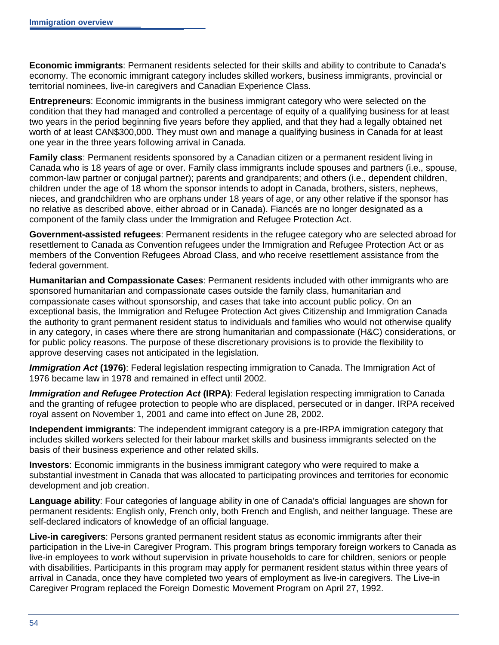**Economic immigrants**: Permanent residents selected for their skills and ability to contribute to Canada's economy. The economic immigrant category includes skilled workers, business immigrants, provincial or territorial nominees, live-in caregivers and Canadian Experience Class.

**Entrepreneurs**: Economic immigrants in the business immigrant category who were selected on the condition that they had managed and controlled a percentage of equity of a qualifying business for at least two years in the period beginning five years before they applied, and that they had a legally obtained net worth of at least CAN\$300,000. They must own and manage a qualifying business in Canada for at least one year in the three years following arrival in Canada.

**Family class**: Permanent residents sponsored by a Canadian citizen or a permanent resident living in Canada who is 18 years of age or over. Family class immigrants include spouses and partners (i.e., spouse, common-law partner or conjugal partner); parents and grandparents; and others (i.e., dependent children, children under the age of 18 whom the sponsor intends to adopt in Canada, brothers, sisters, nephews, nieces, and grandchildren who are orphans under 18 years of age, or any other relative if the sponsor has no relative as described above, either abroad or in Canada). Fiancés are no longer designated as a component of the family class under the Immigration and Refugee Protection Act.

**Government-assisted refugees**: Permanent residents in the refugee category who are selected abroad for resettlement to Canada as Convention refugees under the Immigration and Refugee Protection Act or as members of the Convention Refugees Abroad Class, and who receive resettlement assistance from the federal government.

**Humanitarian and Compassionate Cases**: Permanent residents included with other immigrants who are sponsored humanitarian and compassionate cases outside the family class, humanitarian and compassionate cases without sponsorship, and cases that take into account public policy. On an exceptional basis, the Immigration and Refugee Protection Act gives Citizenship and Immigration Canada the authority to grant permanent resident status to individuals and families who would not otherwise qualify in any category, in cases where there are strong humanitarian and compassionate (H&C) considerations, or for public policy reasons. The purpose of these discretionary provisions is to provide the flexibility to approve deserving cases not anticipated in the legislation.

*Immigration Act* **(1976)**: Federal legislation respecting immigration to Canada. The Immigration Act of 1976 became law in 1978 and remained in effect until 2002.

*Immigration and Refugee Protection Act* **(IRPA)**: Federal legislation respecting immigration to Canada and the granting of refugee protection to people who are displaced, persecuted or in danger. IRPA received royal assent on November 1, 2001 and came into effect on June 28, 2002.

**Independent immigrants**: The independent immigrant category is a pre-IRPA immigration category that includes skilled workers selected for their labour market skills and business immigrants selected on the basis of their business experience and other related skills.

**Investors**: Economic immigrants in the business immigrant category who were required to make a substantial investment in Canada that was allocated to participating provinces and territories for economic development and job creation.

**Language ability**: Four categories of language ability in one of Canada's official languages are shown for permanent residents: English only, French only, both French and English, and neither language. These are self-declared indicators of knowledge of an official language.

**Live-in caregivers**: Persons granted permanent resident status as economic immigrants after their participation in the Live-in Caregiver Program. This program brings temporary foreign workers to Canada as live-in employees to work without supervision in private households to care for children, seniors or people with disabilities. Participants in this program may apply for permanent resident status within three years of arrival in Canada, once they have completed two years of employment as live-in caregivers. The Live-in Caregiver Program replaced the Foreign Domestic Movement Program on April 27, 1992.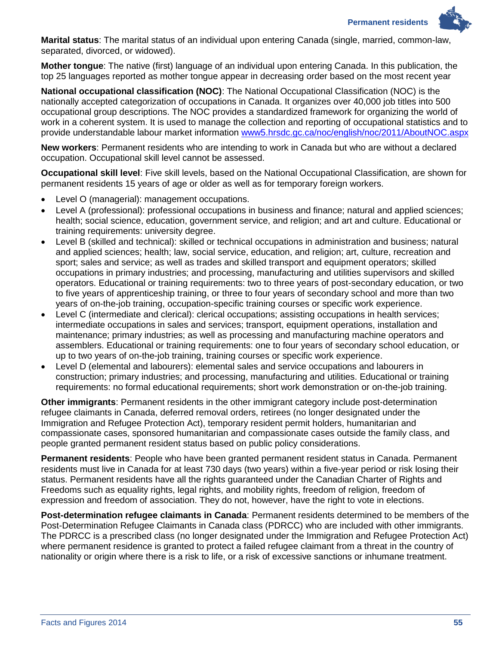

**Marital status**: The marital status of an individual upon entering Canada (single, married, common-law, separated, divorced, or widowed).

**Mother tongue**: The native (first) language of an individual upon entering Canada. In this publication, the top 25 languages reported as mother tongue appear in decreasing order based on the most recent year

**National occupational classification (NOC)**: The National Occupational Classification (NOC) is the nationally accepted categorization of occupations in Canada. It organizes over 40,000 job titles into 500 occupational group descriptions. The NOC provides a standardized framework for organizing the world of work in a coherent system. It is used to manage the collection and reporting of occupational statistics and to provide understandable labour market information [www5.hrsdc.gc.ca/noc/english/noc/2011/AboutNOC.aspx](http://www5.hrsdc.gc.ca/noc/english/noc/2011/AboutNOC.aspx)

**New workers**: Permanent residents who are intending to work in Canada but who are without a declared occupation. Occupational skill level cannot be assessed.

**Occupational skill level**: Five skill levels, based on the National Occupational Classification, are shown for permanent residents 15 years of age or older as well as for temporary foreign workers.

- Level O (managerial): management occupations.
- Level A (professional): professional occupations in business and finance; natural and applied sciences; health; social science, education, government service, and religion; and art and culture. Educational or training requirements: university degree.
- Level B (skilled and technical): skilled or technical occupations in administration and business; natural and applied sciences; health; law, social service, education, and religion; art, culture, recreation and sport; sales and service; as well as trades and skilled transport and equipment operators; skilled occupations in primary industries; and processing, manufacturing and utilities supervisors and skilled operators. Educational or training requirements: two to three years of post-secondary education, or two to five years of apprenticeship training, or three to four years of secondary school and more than two years of on-the-job training, occupation-specific training courses or specific work experience.
- Level C (intermediate and clerical): clerical occupations; assisting occupations in health services; intermediate occupations in sales and services; transport, equipment operations, installation and maintenance; primary industries; as well as processing and manufacturing machine operators and assemblers. Educational or training requirements: one to four years of secondary school education, or up to two years of on-the-job training, training courses or specific work experience.
- Level D (elemental and labourers): elemental sales and service occupations and labourers in construction; primary industries; and processing, manufacturing and utilities. Educational or training requirements: no formal educational requirements; short work demonstration or on-the-job training.

**Other immigrants**: Permanent residents in the other immigrant category include post-determination refugee claimants in Canada, deferred removal orders, retirees (no longer designated under the Immigration and Refugee Protection Act), temporary resident permit holders, humanitarian and compassionate cases, sponsored humanitarian and compassionate cases outside the family class, and people granted permanent resident status based on public policy considerations.

**Permanent residents**: People who have been granted permanent resident status in Canada. Permanent residents must live in Canada for at least 730 days (two years) within a five-year period or risk losing their status. Permanent residents have all the rights guaranteed under the Canadian Charter of Rights and Freedoms such as equality rights, legal rights, and mobility rights, freedom of religion, freedom of expression and freedom of association. They do not, however, have the right to vote in elections.

**Post-determination refugee claimants in Canada**: Permanent residents determined to be members of the Post-Determination Refugee Claimants in Canada class (PDRCC) who are included with other immigrants. The PDRCC is a prescribed class (no longer designated under the Immigration and Refugee Protection Act) where permanent residence is granted to protect a failed refugee claimant from a threat in the country of nationality or origin where there is a risk to life, or a risk of excessive sanctions or inhumane treatment.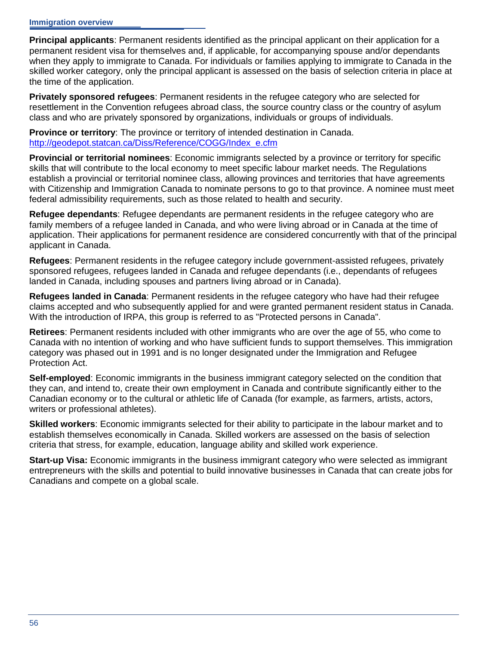**Principal applicants**: Permanent residents identified as the principal applicant on their application for a permanent resident visa for themselves and, if applicable, for accompanying spouse and/or dependants when they apply to immigrate to Canada. For individuals or families applying to immigrate to Canada in the skilled worker category, only the principal applicant is assessed on the basis of selection criteria in place at the time of the application.

**Privately sponsored refugees**: Permanent residents in the refugee category who are selected for resettlement in the Convention refugees abroad class, the source country class or the country of asylum class and who are privately sponsored by organizations, individuals or groups of individuals.

**Province or territory**: The province or territory of intended destination in Canada. [http://geodepot.statcan.ca/Diss/Reference/COGG/Index\\_e.cfm](http://geodepot.statcan.ca/Diss/Reference/COGG/Index_e.cfm)

**Provincial or territorial nominees**: Economic immigrants selected by a province or territory for specific skills that will contribute to the local economy to meet specific labour market needs. The Regulations establish a provincial or territorial nominee class, allowing provinces and territories that have agreements with Citizenship and Immigration Canada to nominate persons to go to that province. A nominee must meet federal admissibility requirements, such as those related to health and security.

**Refugee dependants**: Refugee dependants are permanent residents in the refugee category who are family members of a refugee landed in Canada, and who were living abroad or in Canada at the time of application. Their applications for permanent residence are considered concurrently with that of the principal applicant in Canada.

**Refugees**: Permanent residents in the refugee category include government-assisted refugees, privately sponsored refugees, refugees landed in Canada and refugee dependants (i.e., dependants of refugees landed in Canada, including spouses and partners living abroad or in Canada).

**Refugees landed in Canada**: Permanent residents in the refugee category who have had their refugee claims accepted and who subsequently applied for and were granted permanent resident status in Canada. With the introduction of IRPA, this group is referred to as "Protected persons in Canada".

**Retirees**: Permanent residents included with other immigrants who are over the age of 55, who come to Canada with no intention of working and who have sufficient funds to support themselves. This immigration category was phased out in 1991 and is no longer designated under the Immigration and Refugee Protection Act.

**Self-employed**: Economic immigrants in the business immigrant category selected on the condition that they can, and intend to, create their own employment in Canada and contribute significantly either to the Canadian economy or to the cultural or athletic life of Canada (for example, as farmers, artists, actors, writers or professional athletes).

**Skilled workers**: Economic immigrants selected for their ability to participate in the labour market and to establish themselves economically in Canada. Skilled workers are assessed on the basis of selection criteria that stress, for example, education, language ability and skilled work experience.

**Start-up Visa:** Economic immigrants in the business immigrant category who were selected as immigrant entrepreneurs with the skills and potential to build innovative businesses in Canada that can create jobs for Canadians and compete on a global scale.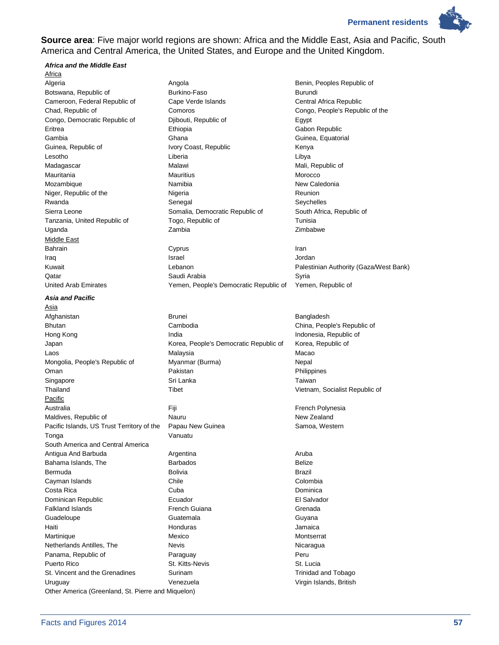**Permanent residents** 



**Source area**: Five major world regions are shown: Africa and the Middle East, Asia and Pacific, South America and Central America, the United States, and Europe and the United Kingdom.

#### *Africa and the Middle East*

Africa Algeria **Angola** Angola **Angola** Benin, Peoples Republic of Botswana, Republic of **Burkino-Faso** Burkino-Faso **Burundi** Cameroon, Federal Republic of Cape Verde Islands Central Africa Republic Chad, Republic of Comoros Congo, People's Republic of the Congo, Democratic Republic of Djibouti, Republic of Egypt Eritrea Ethiopia Gabon Republic Gambia Ghana Guinea, Equatorial Guinea, Republic of **IVORY Coast, Republic Constructs** Kenya Lesotho Liberia Libya Madagascar **Malawi** Malawi Malawi Malawi Malawi Mali, Republic of Mauritania Mauritius Morocco Mozambique **Namibia** Namibia New Caledonia Niger, Republic of the **Nigeria** Reunion Nigeria Reunion Rwanda **Senegal** Senegal Senegal Seychelles Sierra Leone **Somalia, Democratic Republic of** South Africa, Republic of South Africa, Republic of Tanzania, United Republic of Togo, Republic of Tunisia Uganda Zambia Zimbabwe Middle East

#### *Asia and Pacific*

Asia Afghanistan **Brunei** Brunei Brunei Bangladesh Bhutan **Cambodia** Cambodia Cambodia China, People's Republic of Hong Kong **India** India **India** India Indonesia, Republic of Japan **Markow Corea, People's Democratic Republic of Korea, Republic of** Corea, Republic of Mongolia, People's Republic of **Myanmar (Burma)** Nepal Oman **Pakistan** Pakistan **Pakistan** Pakistan Philippines Singapore **Singapore** Sri Lanka **Singapore** Taiwan Thailand Tibet Tibet Time The Vietnam, Socialist Republic of Antische Control of Tibet Antische Control of Tibet **Pacific** Australia **Film Film Contract Contract Figure 1** Figure 1 and The French Polynesia Maldives, Republic of Nauru New Zealand Pacific Islands, US Trust Territory of the Papau New Guinea Samoa, Western Tonga Vanuatu South America and Central America Antigua And Barbuda **Argentina** Argentina **Argentina** Aruba Bahama Islands, The **Barbados** Barbados **Bahama Islands**, Belize Bermuda Bolivia Brazil Cayman Islands Chile Colombia Costa Rica Cuba Dominica Dominican Republic Ecuador El Salvador Falkland Islands French Guiana Grenada Guadeloupe **Guatemala** Guatemala Guatemala Guyana Haiti Honduras Jamaica Martinique **Mexico** Mexico **Montserrat** Montserrat Netherlands Antilles, The **New Strates Nicaragua** Nicaragua Panama, Republic of **Paraguay** Peru Puerto Rico **St. Lucia** St. Kitts-Nevis St. Lucia St. Vincent and the Grenadines Surinam Surinam Trinidad and Tobago Uruguay Venezuela Virgin Islands, British Other America (Greenland, St. Pierre and Miquelon)

Bahrain Cyprus Iran Iraq Israel Jordan Kuwait **Example 20 Transformation** Lebanon **Contract Palestinian Authority (Gaza/West Bank)** Qatar **Saudi Arabia** Saudi Arabia Syria Syria United Arab Emirates Yemen, People's Democratic Republic of Yemen, Republic of

Laos Malaysia Macao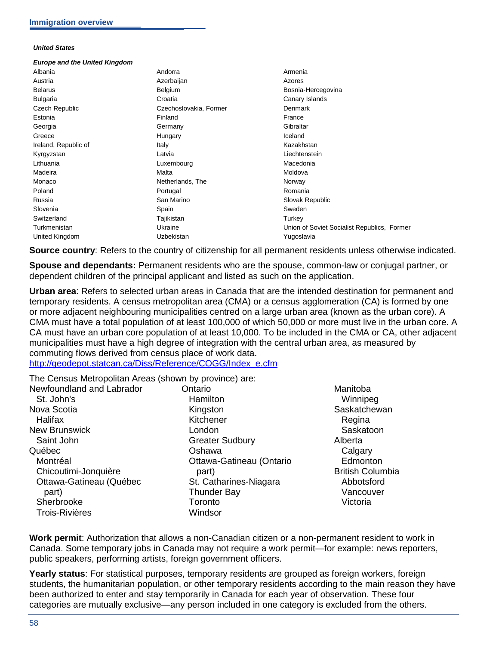#### *United States*

#### *Europe and the United Kingdom* Albania Andorra Armenia Austria Azerbaijan Azores Belarus **Belgium** Belgium **Belgium** Bosnia-Hercegovina Bulgaria **Croatia Croatia** Croatia Canary Islands Czech Republic Czechoslovakia, Former Denmark Estonia **Finland** Finland **Finland** France Georgia Germany Gibraltar Greece **Contract Contract Contract Contract Contract Contract Contract Contract Contract Contract Contract Contract Contract Contract Contract Contract Contract Contract Contract Contract Contract Contract Contract Contrac** Ireland, Republic of **Italy** Italy Internal Italy Internal Mazakhstan Kyrgyzstan **Latvia** Latvia **Latvia Latvia Liechtenstein** Lithuania **Macedonia** Luxembourg **Macedonia** Macedonia Madeira Malta Moldova Monaco **Netherlands**, The Norway Norway Poland **Poland Portugal Romania** Romania Russia San Marino Slovak Republic Slovenia Spain Sweden Switzerland Tajikistan Tajikistan Turkey Turkmenistan **Network:** Ukraine Ukraine Union of Soviet Socialist Republics, Former United Kingdom **Van Eines Expedition Control** Uzbekistan **Van Eines Control Control Control Control Control Control Control Control Control Control Control Control Control Control Control Control Control Control Control Co**

**Source country**: Refers to the country of citizenship for all permanent residents unless otherwise indicated.

**Spouse and dependants:** Permanent residents who are the spouse, common-law or conjugal partner, or dependent children of the principal applicant and listed as such on the application.

**Urban area**: Refers to selected urban areas in Canada that are the intended destination for permanent and temporary residents. A census metropolitan area (CMA) or a census agglomeration (CA) is formed by one or more adjacent neighbouring municipalities centred on a large urban area (known as the urban core). A CMA must have a total population of at least 100,000 of which 50,000 or more must live in the urban core. A CA must have an urban core population of at least 10,000. To be included in the CMA or CA, other adjacent municipalities must have a high degree of integration with the central urban area, as measured by commuting flows derived from census place of work data. [http://geodepot.statcan.ca/Diss/Reference/COGG/Index\\_e.cfm](http://geodepot.statcan.ca/Diss/Reference/COGG/Index_e.cfm)

The Census Metropolitan Areas (shown by province) are:

| Newfoundland and Labrador | Ontario                  | Man          |
|---------------------------|--------------------------|--------------|
| St. John's                | Hamilton                 | w            |
| Nova Scotia               | Kingston                 | Sas          |
| Halifax                   | Kitchener                | R            |
| <b>New Brunswick</b>      | London                   | Sε           |
| Saint John                | <b>Greater Sudbury</b>   | Albe         |
| Québec                    | Oshawa                   | Cέ           |
| Montréal                  | Ottawa-Gatineau (Ontario | Eς           |
| Chicoutimi-Jonquière      | part)                    | <b>Briti</b> |
| Ottawa-Gatineau (Québec   | St. Catharines-Niagara   | Ał           |
| part)                     | <b>Thunder Bay</b>       | Vε           |
| Sherbrooke                | Toronto                  | Vi           |
| <b>Trois-Rivières</b>     | Windsor                  |              |
|                           |                          |              |

ıitoba innipeg katchewan egina askatoon erta algary dmonton sh Columbia Abbotsford ancouver ctoria

**Work permit**: Authorization that allows a non-Canadian citizen or a non-permanent resident to work in Canada. Some temporary jobs in Canada may not require a work permit—for example: news reporters, public speakers, performing artists, foreign government officers.

**Yearly status**: For statistical purposes, temporary residents are grouped as foreign workers, foreign students, the humanitarian population, or other temporary residents according to the main reason they have been authorized to enter and stay temporarily in Canada for each year of observation. These four categories are mutually exclusive—any person included in one category is excluded from the others.